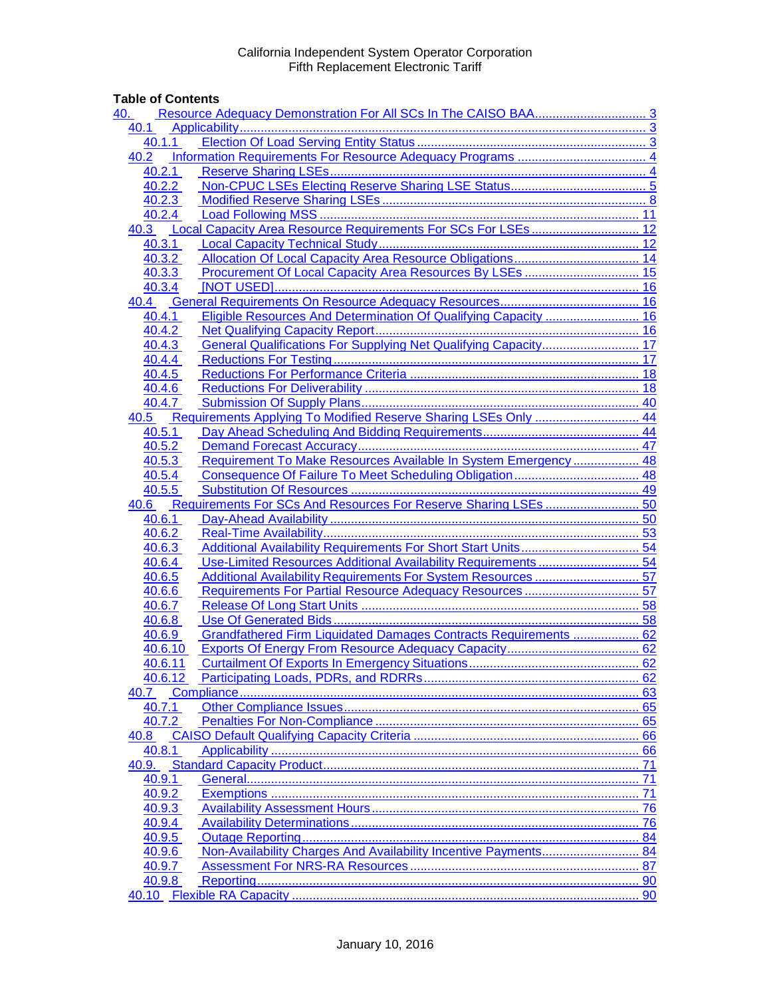# **Table of Contents**

| 40.     |                                                                      |    |
|---------|----------------------------------------------------------------------|----|
| 40.1    |                                                                      |    |
| 40.1.1  |                                                                      |    |
| 40.2    |                                                                      |    |
| 40.2.1  |                                                                      |    |
| 40.2.2  |                                                                      |    |
| 40.2.3  |                                                                      |    |
| 40.2.4  |                                                                      |    |
| 40.3    |                                                                      |    |
| 40.3.1  |                                                                      |    |
| 40.3.2  |                                                                      |    |
| 40.3.3  |                                                                      |    |
| 40.3.4  |                                                                      |    |
| 40.4    |                                                                      |    |
| 40.4.1  | Eligible Resources And Determination Of Qualifying Capacity  16      |    |
| 40.4.2  |                                                                      |    |
| 40.4.3  | General Qualifications For Supplying Net Qualifying Capacity 17      |    |
| 40.4.4  |                                                                      |    |
| 40.4.5  |                                                                      |    |
| 40.4.6  |                                                                      |    |
| 40.4.7  |                                                                      |    |
| 40.5    | Requirements Applying To Modified Reserve Sharing LSEs Only  44      |    |
| 40.5.1  |                                                                      |    |
| 40.5.2  |                                                                      |    |
| 40.5.3  | Requirement To Make Resources Available In System Emergency  48      |    |
| 40.5.4  |                                                                      |    |
| 40.5.5  |                                                                      |    |
|         | 40.6 Requirements For SCs And Resources For Reserve Sharing LSEs  50 |    |
| 40.6.1  |                                                                      |    |
| 40.6.2  |                                                                      |    |
| 40.6.3  |                                                                      |    |
| 40.6.4  | Use-Limited Resources Additional Availability Requirements  54       |    |
| 40.6.5  | Additional Availability Requirements For System Resources 57         |    |
| 40.6.6  |                                                                      |    |
| 40.6.7  |                                                                      |    |
| 40.6.8  |                                                                      |    |
| 40.6.9  | Grandfathered Firm Liquidated Damages Contracts Requirements  62     |    |
| 40.6.10 |                                                                      |    |
| 40.6.11 |                                                                      |    |
|         |                                                                      |    |
| 40.7    |                                                                      |    |
| 40.7.1  |                                                                      |    |
| 40.7.2  |                                                                      |    |
| 40.8    |                                                                      |    |
| 40.8.1  |                                                                      |    |
| 40.9.   |                                                                      |    |
| 40.9.1  |                                                                      | 71 |
| 40.9.2  |                                                                      | 71 |
| 40.9.3  |                                                                      |    |
| 40.9.4  |                                                                      |    |
| 40.9.5  |                                                                      |    |
| 40.9.6  | Non-Availability Charges And Availability Incentive Payments 84      |    |
| 40.9.7  |                                                                      |    |
| 40.9.8  |                                                                      |    |
|         |                                                                      |    |
|         |                                                                      |    |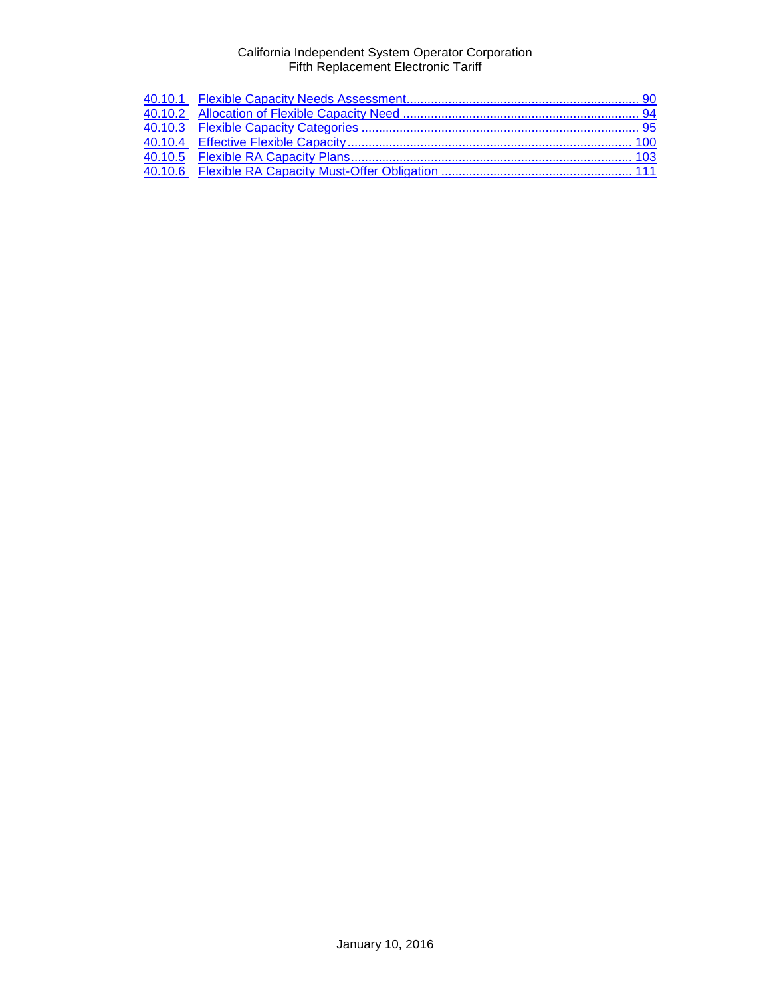<span id="page-1-0"></span>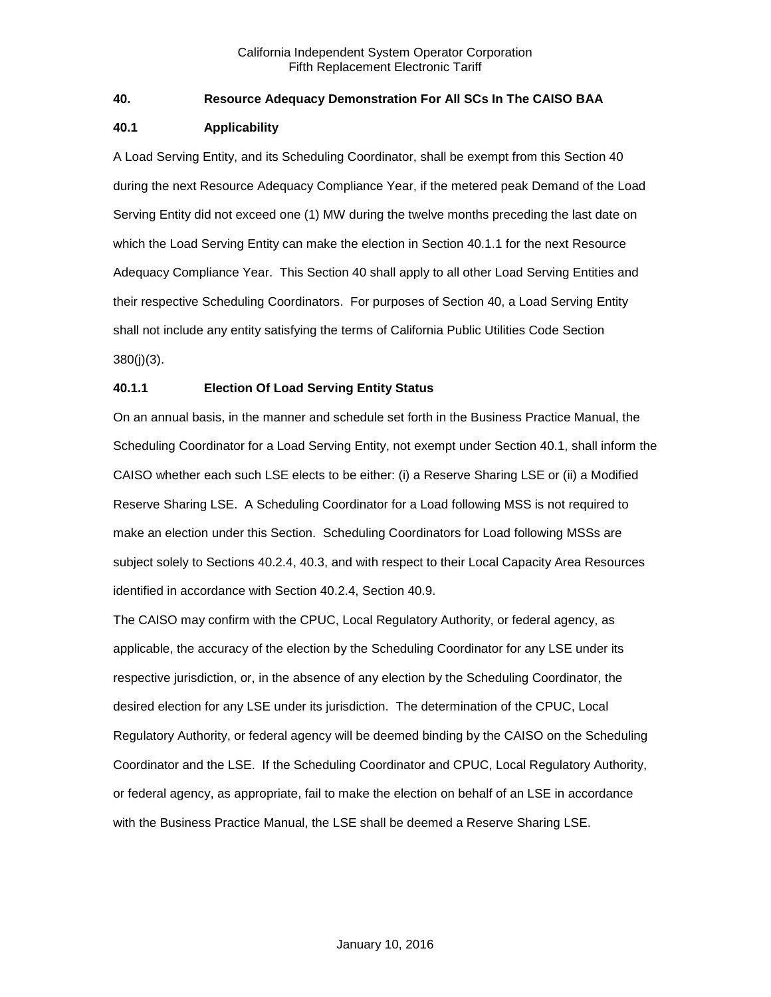## **40. Resource Adequacy Demonstration For All SCs In The CAISO BAA**

## <span id="page-2-0"></span>**40.1 Applicability**

A Load Serving Entity, and its Scheduling Coordinator, shall be exempt from this Section 40 during the next Resource Adequacy Compliance Year, if the metered peak Demand of the Load Serving Entity did not exceed one (1) MW during the twelve months preceding the last date on which the Load Serving Entity can make the election in Section 40.1.1 for the next Resource Adequacy Compliance Year. This Section 40 shall apply to all other Load Serving Entities and their respective Scheduling Coordinators. For purposes of Section 40, a Load Serving Entity shall not include any entity satisfying the terms of California Public Utilities Code Section 380(j)(3).

# <span id="page-2-1"></span>**40.1.1 Election Of Load Serving Entity Status**

On an annual basis, in the manner and schedule set forth in the Business Practice Manual, the Scheduling Coordinator for a Load Serving Entity, not exempt under Section 40.1, shall inform the CAISO whether each such LSE elects to be either: (i) a Reserve Sharing LSE or (ii) a Modified Reserve Sharing LSE. A Scheduling Coordinator for a Load following MSS is not required to make an election under this Section. Scheduling Coordinators for Load following MSSs are subject solely to Sections 40.2.4, 40.3, and with respect to their Local Capacity Area Resources identified in accordance with Section 40.2.4, Section 40.9.

The CAISO may confirm with the CPUC, Local Regulatory Authority, or federal agency, as applicable, the accuracy of the election by the Scheduling Coordinator for any LSE under its respective jurisdiction, or, in the absence of any election by the Scheduling Coordinator, the desired election for any LSE under its jurisdiction. The determination of the CPUC, Local Regulatory Authority, or federal agency will be deemed binding by the CAISO on the Scheduling Coordinator and the LSE. If the Scheduling Coordinator and CPUC, Local Regulatory Authority, or federal agency, as appropriate, fail to make the election on behalf of an LSE in accordance with the Business Practice Manual, the LSE shall be deemed a Reserve Sharing LSE.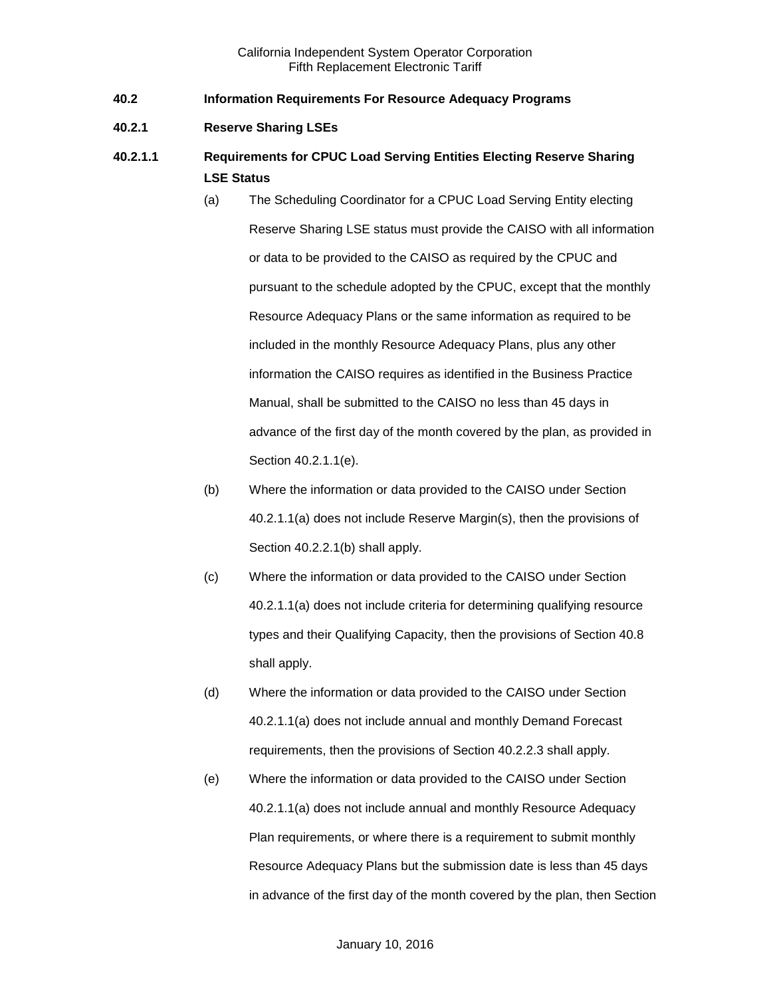- <span id="page-3-0"></span>**40.2 Information Requirements For Resource Adequacy Programs**
- <span id="page-3-1"></span>**40.2.1 Reserve Sharing LSEs**
- **40.2.1.1 Requirements for CPUC Load Serving Entities Electing Reserve Sharing LSE Status**
	- (a) The Scheduling Coordinator for a CPUC Load Serving Entity electing Reserve Sharing LSE status must provide the CAISO with all information or data to be provided to the CAISO as required by the CPUC and pursuant to the schedule adopted by the CPUC, except that the monthly Resource Adequacy Plans or the same information as required to be included in the monthly Resource Adequacy Plans, plus any other information the CAISO requires as identified in the Business Practice Manual, shall be submitted to the CAISO no less than 45 days in advance of the first day of the month covered by the plan, as provided in Section 40.2.1.1(e).
	- (b) Where the information or data provided to the CAISO under Section 40.2.1.1(a) does not include Reserve Margin(s), then the provisions of Section 40.2.2.1(b) shall apply.
	- (c) Where the information or data provided to the CAISO under Section 40.2.1.1(a) does not include criteria for determining qualifying resource types and their Qualifying Capacity, then the provisions of Section 40.8 shall apply.
	- (d) Where the information or data provided to the CAISO under Section 40.2.1.1(a) does not include annual and monthly Demand Forecast requirements, then the provisions of Section 40.2.2.3 shall apply.
	- (e) Where the information or data provided to the CAISO under Section 40.2.1.1(a) does not include annual and monthly Resource Adequacy Plan requirements, or where there is a requirement to submit monthly Resource Adequacy Plans but the submission date is less than 45 days in advance of the first day of the month covered by the plan, then Section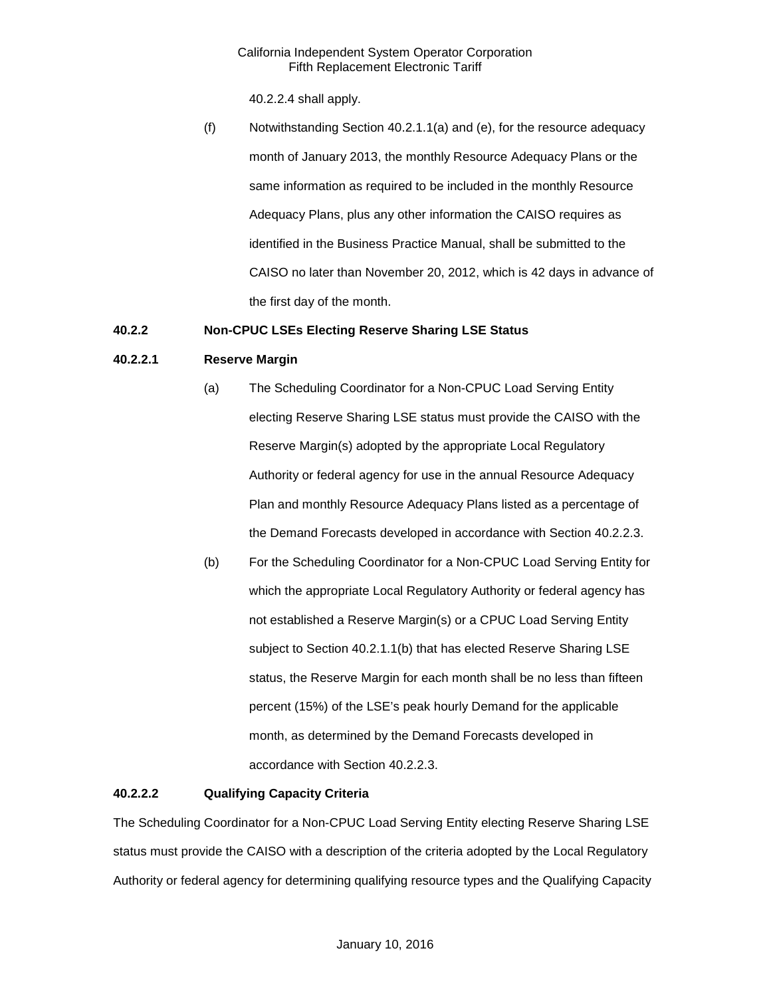40.2.2.4 shall apply.

(f) Notwithstanding Section 40.2.1.1(a) and (e), for the resource adequacy month of January 2013, the monthly Resource Adequacy Plans or the same information as required to be included in the monthly Resource Adequacy Plans, plus any other information the CAISO requires as identified in the Business Practice Manual, shall be submitted to the CAISO no later than November 20, 2012, which is 42 days in advance of the first day of the month.

## <span id="page-4-0"></span>**40.2.2 Non-CPUC LSEs Electing Reserve Sharing LSE Status**

## **40.2.2.1 Reserve Margin**

- (a) The Scheduling Coordinator for a Non-CPUC Load Serving Entity electing Reserve Sharing LSE status must provide the CAISO with the Reserve Margin(s) adopted by the appropriate Local Regulatory Authority or federal agency for use in the annual Resource Adequacy Plan and monthly Resource Adequacy Plans listed as a percentage of the Demand Forecasts developed in accordance with Section 40.2.2.3.
- (b) For the Scheduling Coordinator for a Non-CPUC Load Serving Entity for which the appropriate Local Regulatory Authority or federal agency has not established a Reserve Margin(s) or a CPUC Load Serving Entity subject to Section 40.2.1.1(b) that has elected Reserve Sharing LSE status, the Reserve Margin for each month shall be no less than fifteen percent (15%) of the LSE's peak hourly Demand for the applicable month, as determined by the Demand Forecasts developed in accordance with Section 40.2.2.3.

## **40.2.2.2 Qualifying Capacity Criteria**

The Scheduling Coordinator for a Non-CPUC Load Serving Entity electing Reserve Sharing LSE status must provide the CAISO with a description of the criteria adopted by the Local Regulatory Authority or federal agency for determining qualifying resource types and the Qualifying Capacity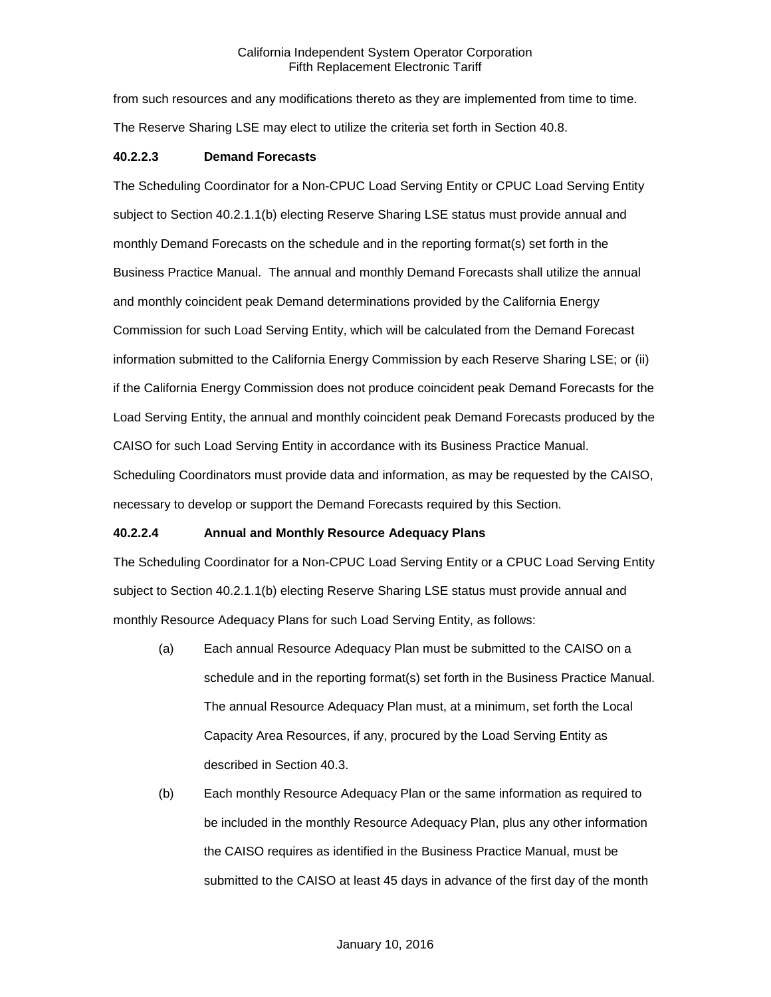from such resources and any modifications thereto as they are implemented from time to time. The Reserve Sharing LSE may elect to utilize the criteria set forth in Section 40.8.

### **40.2.2.3 Demand Forecasts**

The Scheduling Coordinator for a Non-CPUC Load Serving Entity or CPUC Load Serving Entity subject to Section 40.2.1.1(b) electing Reserve Sharing LSE status must provide annual and monthly Demand Forecasts on the schedule and in the reporting format(s) set forth in the Business Practice Manual. The annual and monthly Demand Forecasts shall utilize the annual and monthly coincident peak Demand determinations provided by the California Energy Commission for such Load Serving Entity, which will be calculated from the Demand Forecast information submitted to the California Energy Commission by each Reserve Sharing LSE; or (ii) if the California Energy Commission does not produce coincident peak Demand Forecasts for the Load Serving Entity, the annual and monthly coincident peak Demand Forecasts produced by the CAISO for such Load Serving Entity in accordance with its Business Practice Manual. Scheduling Coordinators must provide data and information, as may be requested by the CAISO, necessary to develop or support the Demand Forecasts required by this Section.

## **40.2.2.4 Annual and Monthly Resource Adequacy Plans**

The Scheduling Coordinator for a Non-CPUC Load Serving Entity or a CPUC Load Serving Entity subject to Section 40.2.1.1(b) electing Reserve Sharing LSE status must provide annual and monthly Resource Adequacy Plans for such Load Serving Entity, as follows:

- (a) Each annual Resource Adequacy Plan must be submitted to the CAISO on a schedule and in the reporting format(s) set forth in the Business Practice Manual. The annual Resource Adequacy Plan must, at a minimum, set forth the Local Capacity Area Resources, if any, procured by the Load Serving Entity as described in Section 40.3.
- (b) Each monthly Resource Adequacy Plan or the same information as required to be included in the monthly Resource Adequacy Plan, plus any other information the CAISO requires as identified in the Business Practice Manual, must be submitted to the CAISO at least 45 days in advance of the first day of the month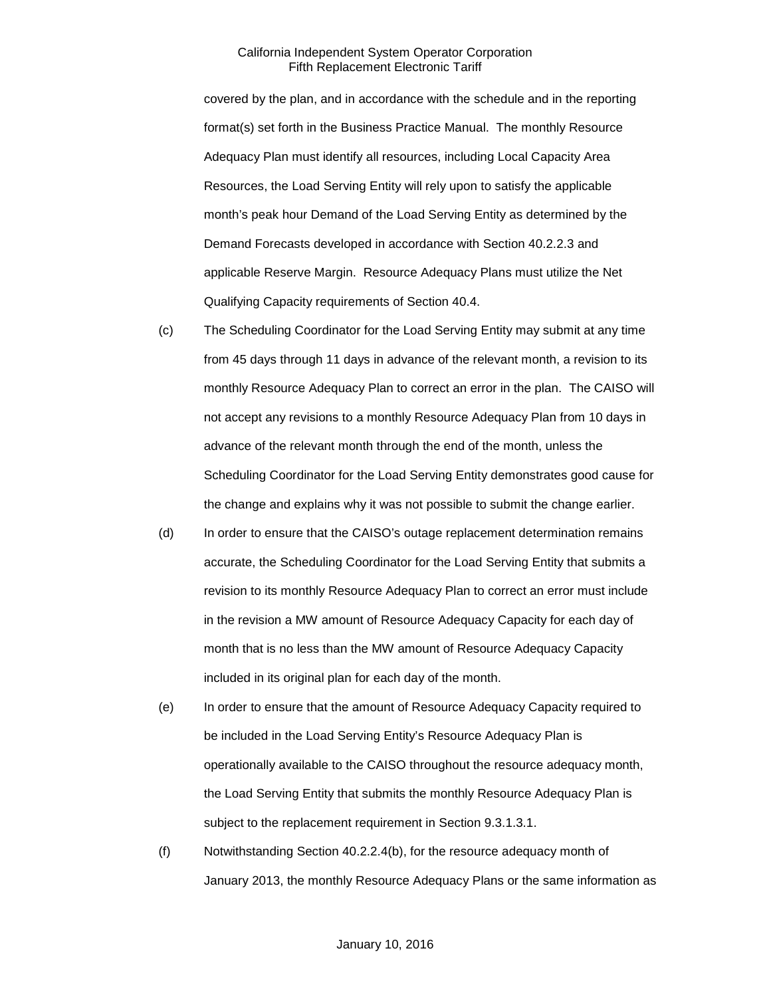covered by the plan, and in accordance with the schedule and in the reporting format(s) set forth in the Business Practice Manual. The monthly Resource Adequacy Plan must identify all resources, including Local Capacity Area Resources, the Load Serving Entity will rely upon to satisfy the applicable month's peak hour Demand of the Load Serving Entity as determined by the Demand Forecasts developed in accordance with Section 40.2.2.3 and applicable Reserve Margin. Resource Adequacy Plans must utilize the Net Qualifying Capacity requirements of Section 40.4.

- (c) The Scheduling Coordinator for the Load Serving Entity may submit at any time from 45 days through 11 days in advance of the relevant month, a revision to its monthly Resource Adequacy Plan to correct an error in the plan. The CAISO will not accept any revisions to a monthly Resource Adequacy Plan from 10 days in advance of the relevant month through the end of the month, unless the Scheduling Coordinator for the Load Serving Entity demonstrates good cause for the change and explains why it was not possible to submit the change earlier.
- (d) In order to ensure that the CAISO's outage replacement determination remains accurate, the Scheduling Coordinator for the Load Serving Entity that submits a revision to its monthly Resource Adequacy Plan to correct an error must include in the revision a MW amount of Resource Adequacy Capacity for each day of month that is no less than the MW amount of Resource Adequacy Capacity included in its original plan for each day of the month.
- (e) In order to ensure that the amount of Resource Adequacy Capacity required to be included in the Load Serving Entity's Resource Adequacy Plan is operationally available to the CAISO throughout the resource adequacy month, the Load Serving Entity that submits the monthly Resource Adequacy Plan is subject to the replacement requirement in Section 9.3.1.3.1.
- (f) Notwithstanding Section 40.2.2.4(b), for the resource adequacy month of January 2013, the monthly Resource Adequacy Plans or the same information as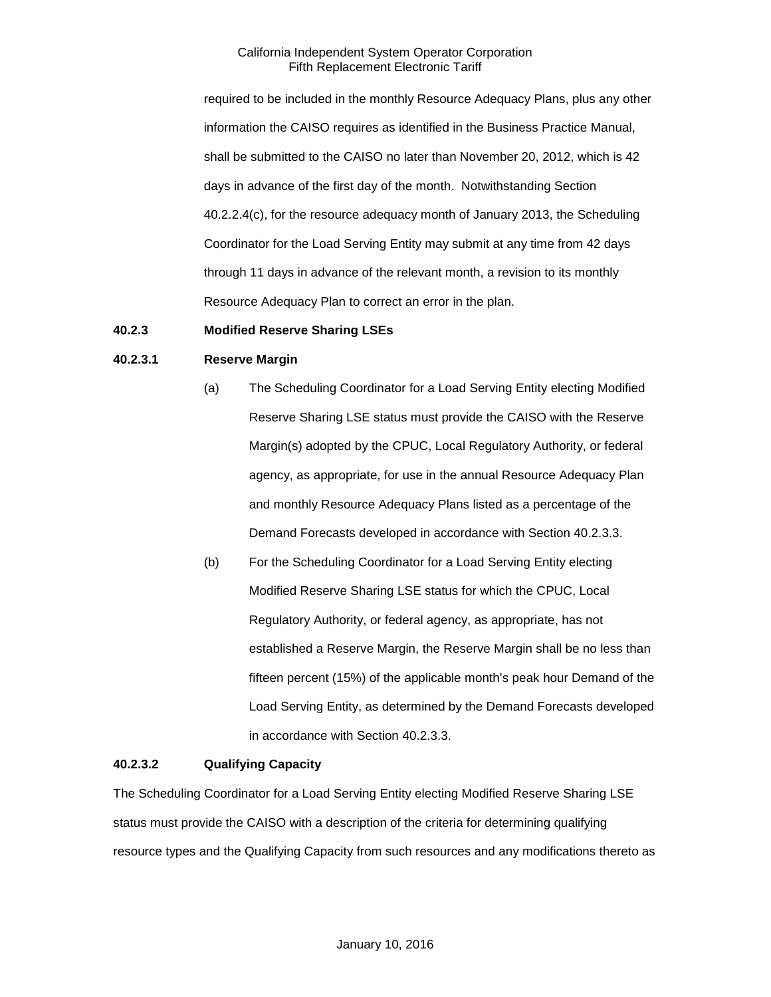required to be included in the monthly Resource Adequacy Plans, plus any other information the CAISO requires as identified in the Business Practice Manual, shall be submitted to the CAISO no later than November 20, 2012, which is 42 days in advance of the first day of the month. Notwithstanding Section 40.2.2.4(c), for the resource adequacy month of January 2013, the Scheduling Coordinator for the Load Serving Entity may submit at any time from 42 days through 11 days in advance of the relevant month, a revision to its monthly Resource Adequacy Plan to correct an error in the plan.

#### <span id="page-7-0"></span>**40.2.3 Modified Reserve Sharing LSEs**

#### **40.2.3.1 Reserve Margin**

- (a) The Scheduling Coordinator for a Load Serving Entity electing Modified Reserve Sharing LSE status must provide the CAISO with the Reserve Margin(s) adopted by the CPUC, Local Regulatory Authority, or federal agency, as appropriate, for use in the annual Resource Adequacy Plan and monthly Resource Adequacy Plans listed as a percentage of the Demand Forecasts developed in accordance with Section 40.2.3.3.
- (b) For the Scheduling Coordinator for a Load Serving Entity electing Modified Reserve Sharing LSE status for which the CPUC, Local Regulatory Authority, or federal agency, as appropriate, has not established a Reserve Margin, the Reserve Margin shall be no less than fifteen percent (15%) of the applicable month's peak hour Demand of the Load Serving Entity, as determined by the Demand Forecasts developed in accordance with Section 40.2.3.3.

#### **40.2.3.2 Qualifying Capacity**

The Scheduling Coordinator for a Load Serving Entity electing Modified Reserve Sharing LSE status must provide the CAISO with a description of the criteria for determining qualifying resource types and the Qualifying Capacity from such resources and any modifications thereto as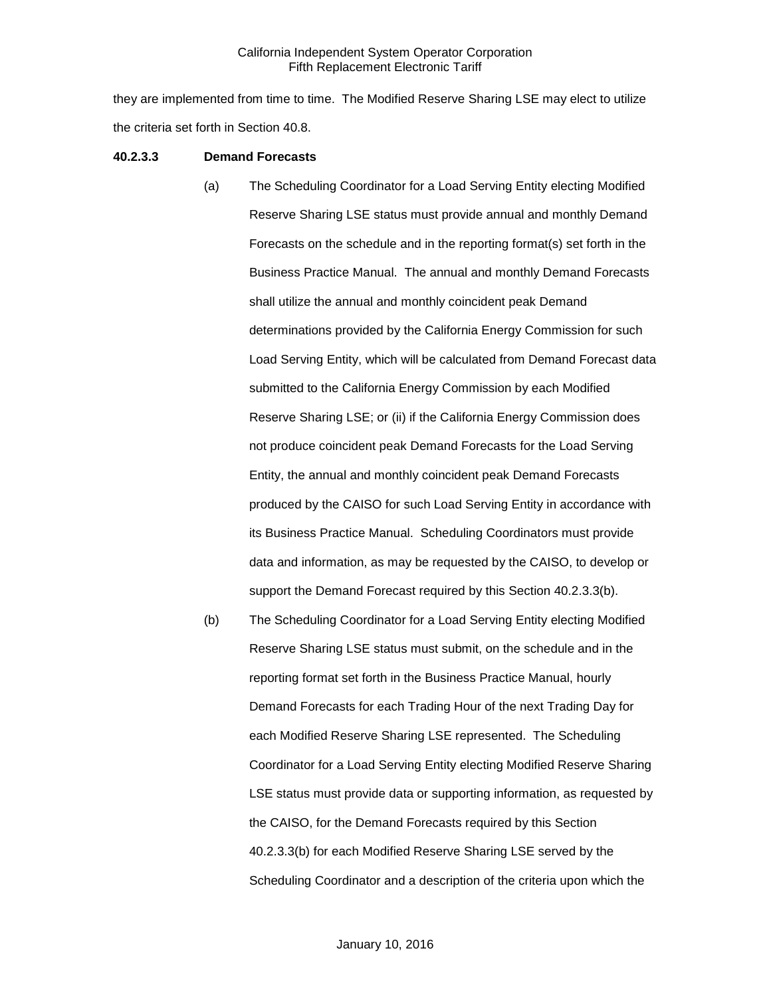they are implemented from time to time. The Modified Reserve Sharing LSE may elect to utilize the criteria set forth in Section 40.8.

#### **40.2.3.3 Demand Forecasts**

- (a) The Scheduling Coordinator for a Load Serving Entity electing Modified Reserve Sharing LSE status must provide annual and monthly Demand Forecasts on the schedule and in the reporting format(s) set forth in the Business Practice Manual. The annual and monthly Demand Forecasts shall utilize the annual and monthly coincident peak Demand determinations provided by the California Energy Commission for such Load Serving Entity, which will be calculated from Demand Forecast data submitted to the California Energy Commission by each Modified Reserve Sharing LSE; or (ii) if the California Energy Commission does not produce coincident peak Demand Forecasts for the Load Serving Entity, the annual and monthly coincident peak Demand Forecasts produced by the CAISO for such Load Serving Entity in accordance with its Business Practice Manual. Scheduling Coordinators must provide data and information, as may be requested by the CAISO, to develop or support the Demand Forecast required by this Section 40.2.3.3(b).
- (b) The Scheduling Coordinator for a Load Serving Entity electing Modified Reserve Sharing LSE status must submit, on the schedule and in the reporting format set forth in the Business Practice Manual, hourly Demand Forecasts for each Trading Hour of the next Trading Day for each Modified Reserve Sharing LSE represented. The Scheduling Coordinator for a Load Serving Entity electing Modified Reserve Sharing LSE status must provide data or supporting information, as requested by the CAISO, for the Demand Forecasts required by this Section 40.2.3.3(b) for each Modified Reserve Sharing LSE served by the Scheduling Coordinator and a description of the criteria upon which the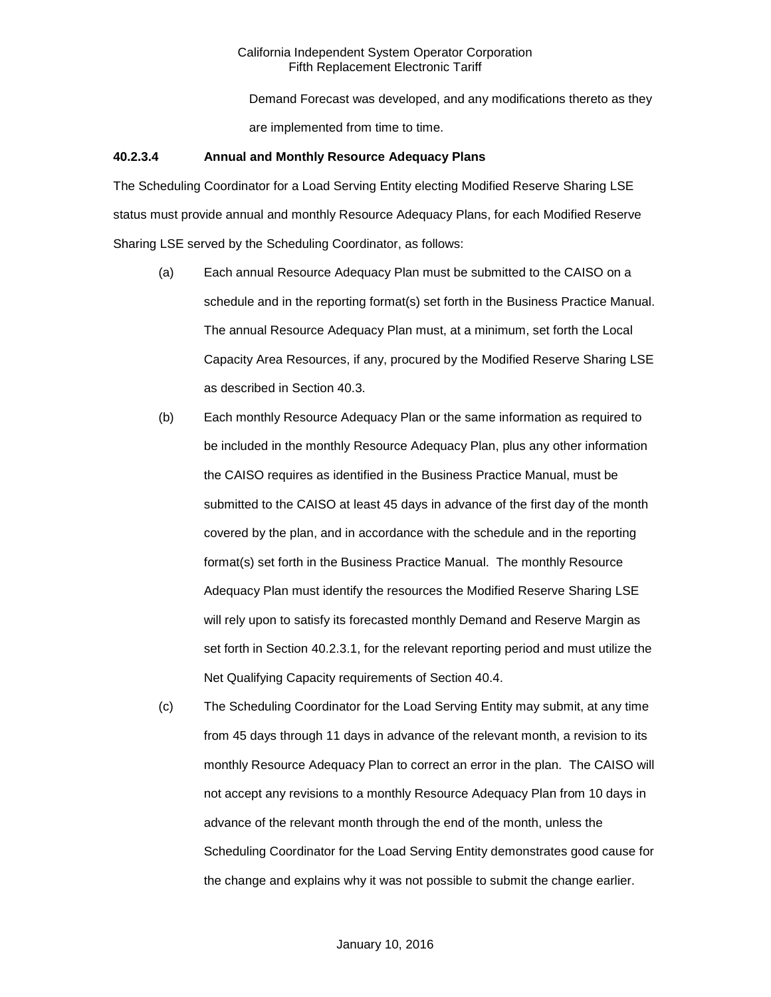Demand Forecast was developed, and any modifications thereto as they are implemented from time to time.

#### **40.2.3.4 Annual and Monthly Resource Adequacy Plans**

The Scheduling Coordinator for a Load Serving Entity electing Modified Reserve Sharing LSE status must provide annual and monthly Resource Adequacy Plans, for each Modified Reserve Sharing LSE served by the Scheduling Coordinator, as follows:

- (a) Each annual Resource Adequacy Plan must be submitted to the CAISO on a schedule and in the reporting format(s) set forth in the Business Practice Manual. The annual Resource Adequacy Plan must, at a minimum, set forth the Local Capacity Area Resources, if any, procured by the Modified Reserve Sharing LSE as described in Section 40.3.
- (b) Each monthly Resource Adequacy Plan or the same information as required to be included in the monthly Resource Adequacy Plan, plus any other information the CAISO requires as identified in the Business Practice Manual, must be submitted to the CAISO at least 45 days in advance of the first day of the month covered by the plan, and in accordance with the schedule and in the reporting format(s) set forth in the Business Practice Manual. The monthly Resource Adequacy Plan must identify the resources the Modified Reserve Sharing LSE will rely upon to satisfy its forecasted monthly Demand and Reserve Margin as set forth in Section 40.2.3.1, for the relevant reporting period and must utilize the Net Qualifying Capacity requirements of Section 40.4.
- (c) The Scheduling Coordinator for the Load Serving Entity may submit, at any time from 45 days through 11 days in advance of the relevant month, a revision to its monthly Resource Adequacy Plan to correct an error in the plan. The CAISO will not accept any revisions to a monthly Resource Adequacy Plan from 10 days in advance of the relevant month through the end of the month, unless the Scheduling Coordinator for the Load Serving Entity demonstrates good cause for the change and explains why it was not possible to submit the change earlier.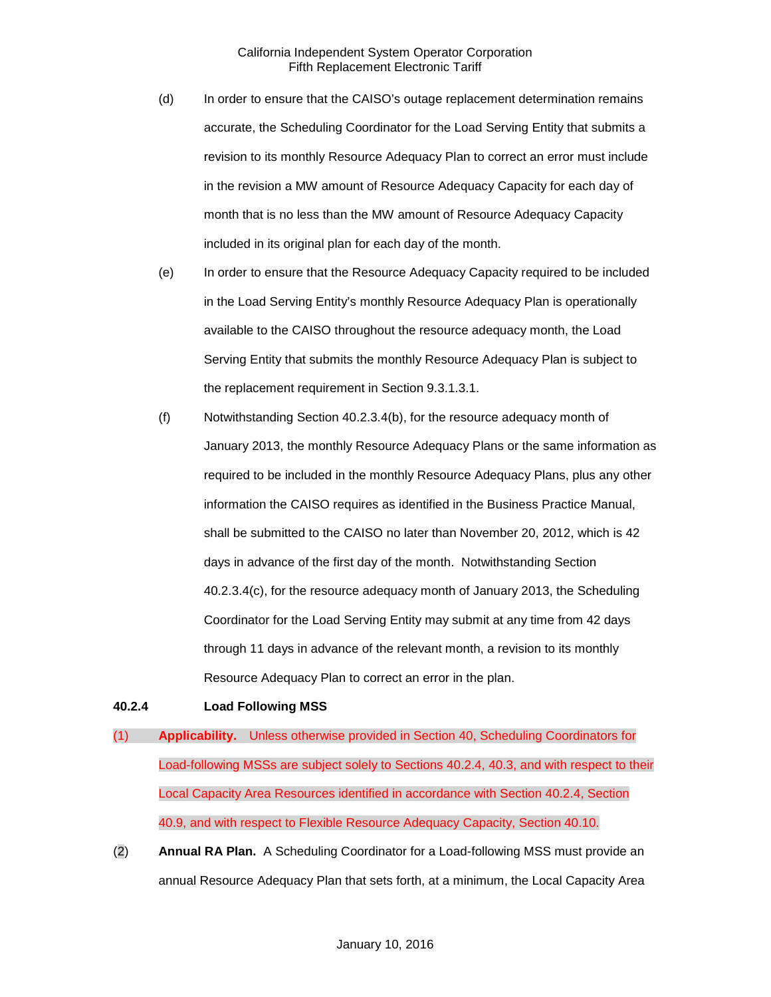- (d) In order to ensure that the CAISO's outage replacement determination remains accurate, the Scheduling Coordinator for the Load Serving Entity that submits a revision to its monthly Resource Adequacy Plan to correct an error must include in the revision a MW amount of Resource Adequacy Capacity for each day of month that is no less than the MW amount of Resource Adequacy Capacity included in its original plan for each day of the month.
- (e) In order to ensure that the Resource Adequacy Capacity required to be included in the Load Serving Entity's monthly Resource Adequacy Plan is operationally available to the CAISO throughout the resource adequacy month, the Load Serving Entity that submits the monthly Resource Adequacy Plan is subject to the replacement requirement in Section 9.3.1.3.1.
- (f) Notwithstanding Section 40.2.3.4(b), for the resource adequacy month of January 2013, the monthly Resource Adequacy Plans or the same information as required to be included in the monthly Resource Adequacy Plans, plus any other information the CAISO requires as identified in the Business Practice Manual, shall be submitted to the CAISO no later than November 20, 2012, which is 42 days in advance of the first day of the month. Notwithstanding Section 40.2.3.4(c), for the resource adequacy month of January 2013, the Scheduling Coordinator for the Load Serving Entity may submit at any time from 42 days through 11 days in advance of the relevant month, a revision to its monthly Resource Adequacy Plan to correct an error in the plan.

## <span id="page-10-0"></span>**40.2.4 Load Following MSS**

- (1) **Applicability.** Unless otherwise provided in Section 40, Scheduling Coordinators for Load-following MSSs are subject solely to Sections 40.2.4, 40.3, and with respect to their Local Capacity Area Resources identified in accordance with Section 40.2.4, Section 40.9, and with respect to Flexible Resource Adequacy Capacity, Section 40.10.
- (2) **Annual RA Plan.** A Scheduling Coordinator for a Load-following MSS must provide an annual Resource Adequacy Plan that sets forth, at a minimum, the Local Capacity Area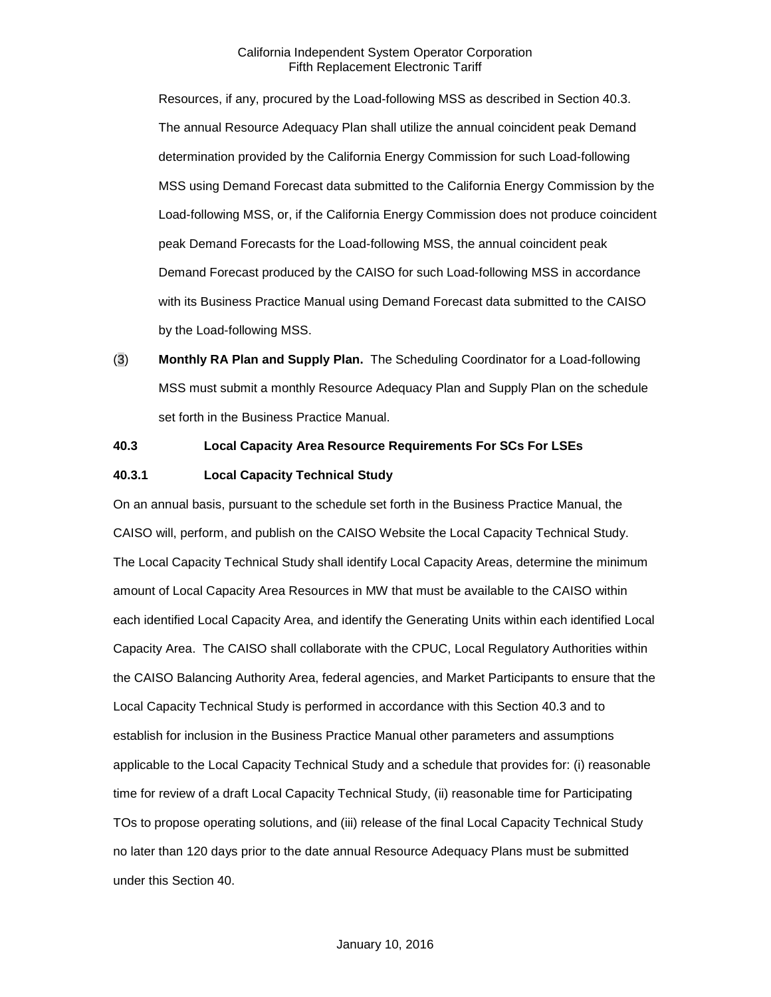Resources, if any, procured by the Load-following MSS as described in Section 40.3. The annual Resource Adequacy Plan shall utilize the annual coincident peak Demand determination provided by the California Energy Commission for such Load-following MSS using Demand Forecast data submitted to the California Energy Commission by the Load-following MSS, or, if the California Energy Commission does not produce coincident peak Demand Forecasts for the Load-following MSS, the annual coincident peak Demand Forecast produced by the CAISO for such Load-following MSS in accordance with its Business Practice Manual using Demand Forecast data submitted to the CAISO by the Load-following MSS.

(3) **Monthly RA Plan and Supply Plan.** The Scheduling Coordinator for a Load-following MSS must submit a monthly Resource Adequacy Plan and Supply Plan on the schedule set forth in the Business Practice Manual.

## <span id="page-11-0"></span>**40.3 Local Capacity Area Resource Requirements For SCs For LSEs**

#### <span id="page-11-1"></span>**40.3.1 Local Capacity Technical Study**

On an annual basis, pursuant to the schedule set forth in the Business Practice Manual, the CAISO will, perform, and publish on the CAISO Website the Local Capacity Technical Study. The Local Capacity Technical Study shall identify Local Capacity Areas, determine the minimum amount of Local Capacity Area Resources in MW that must be available to the CAISO within each identified Local Capacity Area, and identify the Generating Units within each identified Local Capacity Area. The CAISO shall collaborate with the CPUC, Local Regulatory Authorities within the CAISO Balancing Authority Area, federal agencies, and Market Participants to ensure that the Local Capacity Technical Study is performed in accordance with this Section 40.3 and to establish for inclusion in the Business Practice Manual other parameters and assumptions applicable to the Local Capacity Technical Study and a schedule that provides for: (i) reasonable time for review of a draft Local Capacity Technical Study, (ii) reasonable time for Participating TOs to propose operating solutions, and (iii) release of the final Local Capacity Technical Study no later than 120 days prior to the date annual Resource Adequacy Plans must be submitted under this Section 40.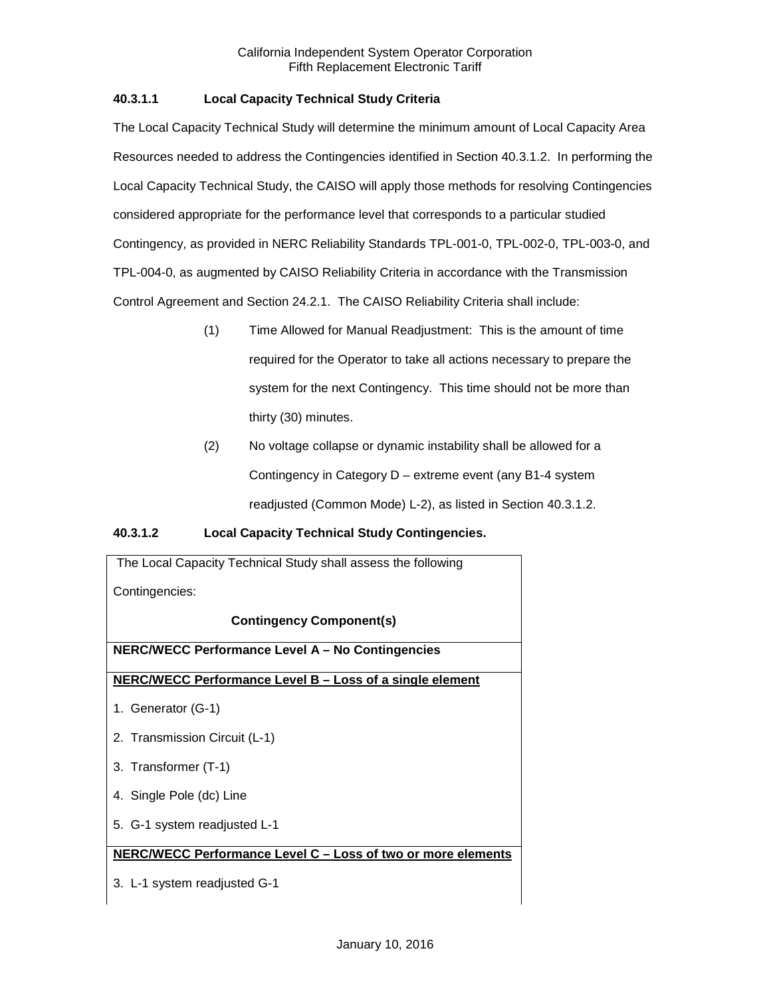# **40.3.1.1 Local Capacity Technical Study Criteria**

The Local Capacity Technical Study will determine the minimum amount of Local Capacity Area Resources needed to address the Contingencies identified in Section 40.3.1.2. In performing the Local Capacity Technical Study, the CAISO will apply those methods for resolving Contingencies considered appropriate for the performance level that corresponds to a particular studied Contingency, as provided in NERC Reliability Standards TPL-001-0, TPL-002-0, TPL-003-0, and TPL-004-0, as augmented by CAISO Reliability Criteria in accordance with the Transmission Control Agreement and Section 24.2.1. The CAISO Reliability Criteria shall include:

- (1) Time Allowed for Manual Readjustment: This is the amount of time required for the Operator to take all actions necessary to prepare the system for the next Contingency. This time should not be more than thirty (30) minutes.
- (2) No voltage collapse or dynamic instability shall be allowed for a Contingency in Category D – extreme event (any B1-4 system readjusted (Common Mode) L-2), as listed in Section 40.3.1.2.

# **40.3.1.2 Local Capacity Technical Study Contingencies.**

| The Local Capacity Technical Study shall assess the following |  |  |
|---------------------------------------------------------------|--|--|
| Contingencies:                                                |  |  |
| <b>Contingency Component(s)</b>                               |  |  |
| <b>NERC/WECC Performance Level A - No Contingencies</b>       |  |  |
| NERC/WECC Performance Level B - Loss of a single element      |  |  |
| 1. Generator (G-1)                                            |  |  |
| 2. Transmission Circuit (L-1)                                 |  |  |
| 3. Transformer (T-1)                                          |  |  |
| 4. Single Pole (dc) Line                                      |  |  |
| 5. G-1 system readjusted L-1                                  |  |  |
| NERC/WECC Performance Level C - Loss of two or more elements  |  |  |
| 3. L-1 system readjusted G-1                                  |  |  |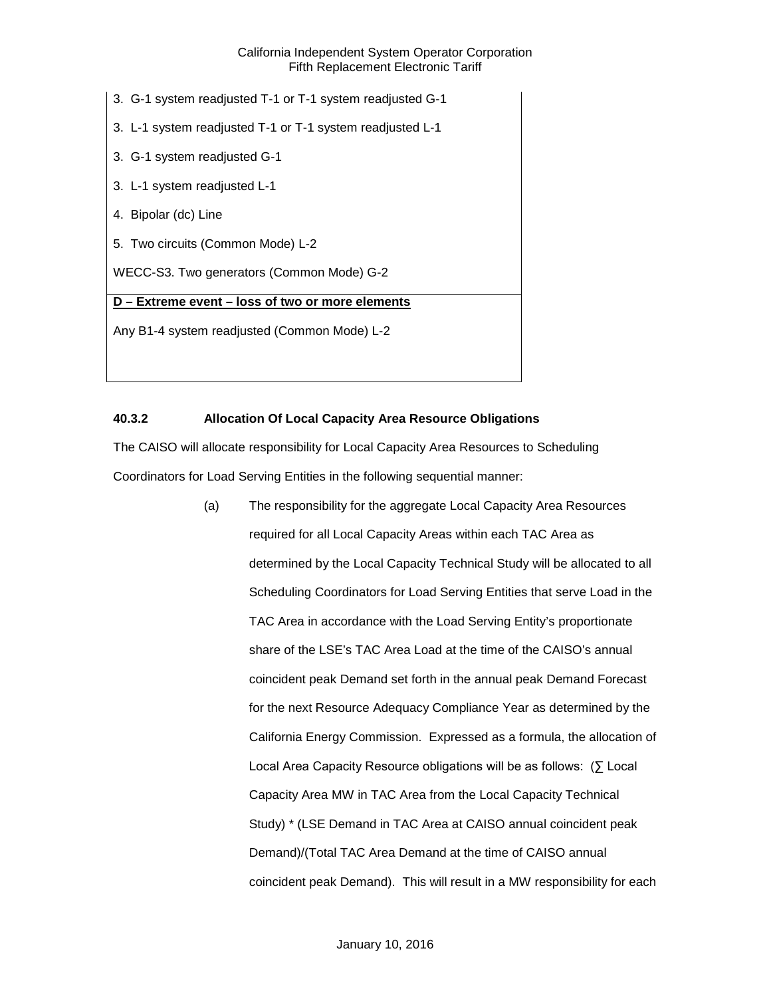- 3. G-1 system readjusted T-1 or T-1 system readjusted G-1
- 3. L-1 system readjusted T-1 or T-1 system readjusted L-1
- 3. G-1 system readjusted G-1
- 3. L-1 system readjusted L-1
- 4. Bipolar (dc) Line
- 5. Two circuits (Common Mode) L-2

WECC-S3. Two generators (Common Mode) G-2

## **D – Extreme event – loss of two or more elements**

Any B1-4 system readjusted (Common Mode) L-2

## <span id="page-13-0"></span>**40.3.2 Allocation Of Local Capacity Area Resource Obligations**

The CAISO will allocate responsibility for Local Capacity Area Resources to Scheduling Coordinators for Load Serving Entities in the following sequential manner:

> (a) The responsibility for the aggregate Local Capacity Area Resources required for all Local Capacity Areas within each TAC Area as determined by the Local Capacity Technical Study will be allocated to all Scheduling Coordinators for Load Serving Entities that serve Load in the TAC Area in accordance with the Load Serving Entity's proportionate share of the LSE's TAC Area Load at the time of the CAISO's annual coincident peak Demand set forth in the annual peak Demand Forecast for the next Resource Adequacy Compliance Year as determined by the California Energy Commission. Expressed as a formula, the allocation of Local Area Capacity Resource obligations will be as follows: (∑ Local Capacity Area MW in TAC Area from the Local Capacity Technical Study) \* (LSE Demand in TAC Area at CAISO annual coincident peak Demand)/(Total TAC Area Demand at the time of CAISO annual coincident peak Demand). This will result in a MW responsibility for each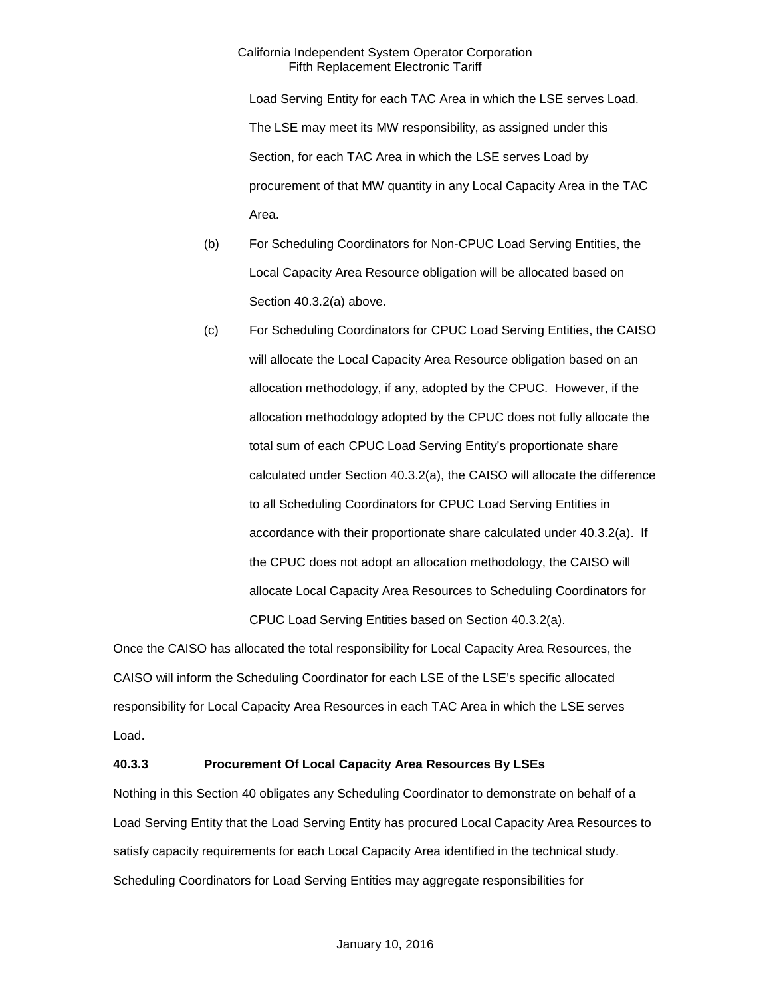Load Serving Entity for each TAC Area in which the LSE serves Load. The LSE may meet its MW responsibility, as assigned under this Section, for each TAC Area in which the LSE serves Load by procurement of that MW quantity in any Local Capacity Area in the TAC Area.

- (b) For Scheduling Coordinators for Non-CPUC Load Serving Entities, the Local Capacity Area Resource obligation will be allocated based on Section 40.3.2(a) above.
- (c) For Scheduling Coordinators for CPUC Load Serving Entities, the CAISO will allocate the Local Capacity Area Resource obligation based on an allocation methodology, if any, adopted by the CPUC. However, if the allocation methodology adopted by the CPUC does not fully allocate the total sum of each CPUC Load Serving Entity's proportionate share calculated under Section 40.3.2(a), the CAISO will allocate the difference to all Scheduling Coordinators for CPUC Load Serving Entities in accordance with their proportionate share calculated under 40.3.2(a). If the CPUC does not adopt an allocation methodology, the CAISO will allocate Local Capacity Area Resources to Scheduling Coordinators for CPUC Load Serving Entities based on Section 40.3.2(a).

Once the CAISO has allocated the total responsibility for Local Capacity Area Resources, the CAISO will inform the Scheduling Coordinator for each LSE of the LSE's specific allocated responsibility for Local Capacity Area Resources in each TAC Area in which the LSE serves Load.

## <span id="page-14-0"></span>**40.3.3 Procurement Of Local Capacity Area Resources By LSEs**

Nothing in this Section 40 obligates any Scheduling Coordinator to demonstrate on behalf of a Load Serving Entity that the Load Serving Entity has procured Local Capacity Area Resources to satisfy capacity requirements for each Local Capacity Area identified in the technical study. Scheduling Coordinators for Load Serving Entities may aggregate responsibilities for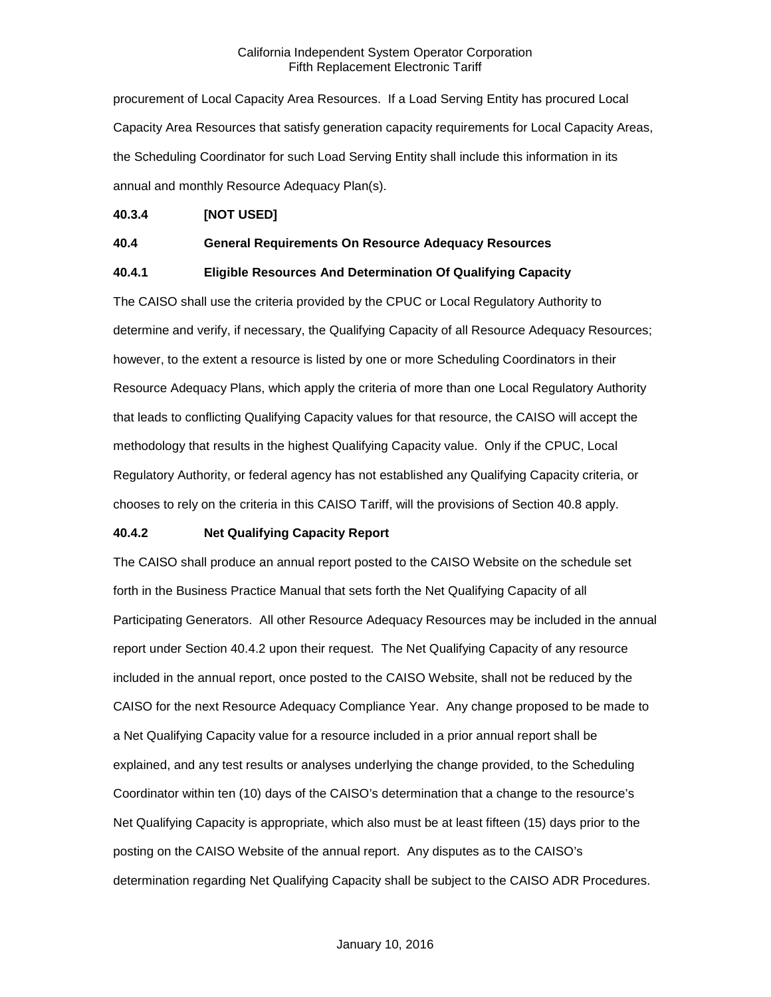procurement of Local Capacity Area Resources. If a Load Serving Entity has procured Local Capacity Area Resources that satisfy generation capacity requirements for Local Capacity Areas, the Scheduling Coordinator for such Load Serving Entity shall include this information in its annual and monthly Resource Adequacy Plan(s).

# <span id="page-15-0"></span>**40.3.4 [NOT USED]**

## <span id="page-15-1"></span>**40.4 General Requirements On Resource Adequacy Resources**

## <span id="page-15-2"></span>**40.4.1 Eligible Resources And Determination Of Qualifying Capacity**

The CAISO shall use the criteria provided by the CPUC or Local Regulatory Authority to determine and verify, if necessary, the Qualifying Capacity of all Resource Adequacy Resources; however, to the extent a resource is listed by one or more Scheduling Coordinators in their Resource Adequacy Plans, which apply the criteria of more than one Local Regulatory Authority that leads to conflicting Qualifying Capacity values for that resource, the CAISO will accept the methodology that results in the highest Qualifying Capacity value. Only if the CPUC, Local Regulatory Authority, or federal agency has not established any Qualifying Capacity criteria, or chooses to rely on the criteria in this CAISO Tariff, will the provisions of Section 40.8 apply.

## <span id="page-15-3"></span>**40.4.2 Net Qualifying Capacity Report**

The CAISO shall produce an annual report posted to the CAISO Website on the schedule set forth in the Business Practice Manual that sets forth the Net Qualifying Capacity of all Participating Generators. All other Resource Adequacy Resources may be included in the annual report under Section 40.4.2 upon their request. The Net Qualifying Capacity of any resource included in the annual report, once posted to the CAISO Website, shall not be reduced by the CAISO for the next Resource Adequacy Compliance Year. Any change proposed to be made to a Net Qualifying Capacity value for a resource included in a prior annual report shall be explained, and any test results or analyses underlying the change provided, to the Scheduling Coordinator within ten (10) days of the CAISO's determination that a change to the resource's Net Qualifying Capacity is appropriate, which also must be at least fifteen (15) days prior to the posting on the CAISO Website of the annual report. Any disputes as to the CAISO's determination regarding Net Qualifying Capacity shall be subject to the CAISO ADR Procedures.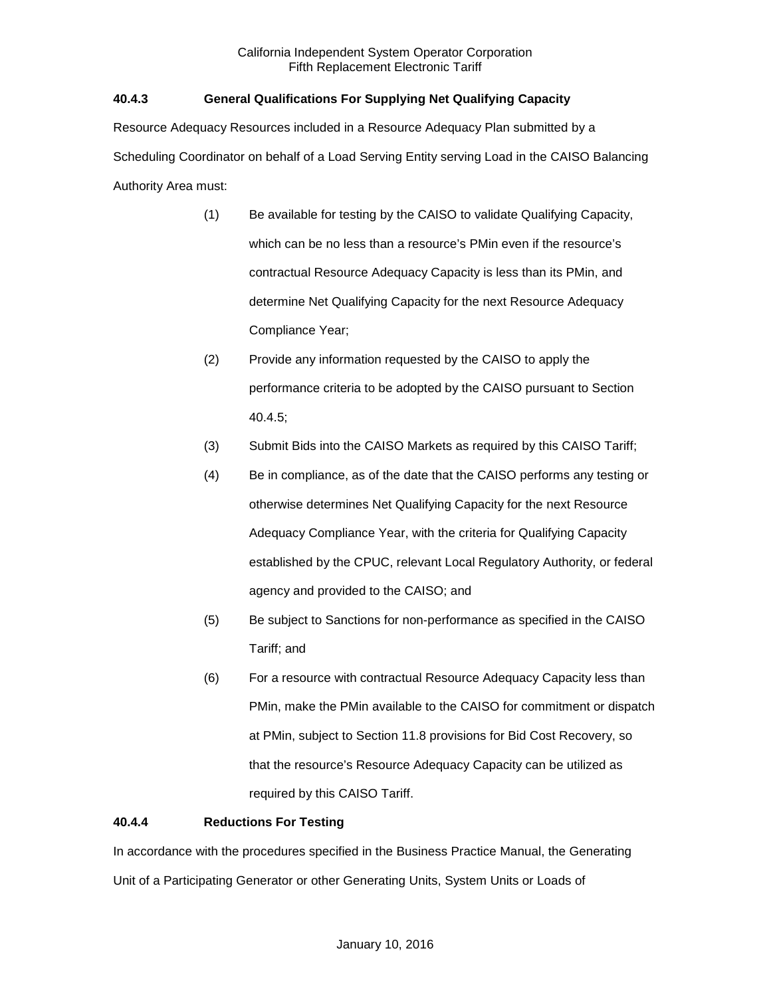# <span id="page-16-0"></span>**40.4.3 General Qualifications For Supplying Net Qualifying Capacity**

Resource Adequacy Resources included in a Resource Adequacy Plan submitted by a Scheduling Coordinator on behalf of a Load Serving Entity serving Load in the CAISO Balancing Authority Area must:

- (1) Be available for testing by the CAISO to validate Qualifying Capacity, which can be no less than a resource's PMin even if the resource's contractual Resource Adequacy Capacity is less than its PMin, and determine Net Qualifying Capacity for the next Resource Adequacy Compliance Year;
- (2) Provide any information requested by the CAISO to apply the performance criteria to be adopted by the CAISO pursuant to Section 40.4.5;
- (3) Submit Bids into the CAISO Markets as required by this CAISO Tariff;
- (4) Be in compliance, as of the date that the CAISO performs any testing or otherwise determines Net Qualifying Capacity for the next Resource Adequacy Compliance Year, with the criteria for Qualifying Capacity established by the CPUC, relevant Local Regulatory Authority, or federal agency and provided to the CAISO; and
- (5) Be subject to Sanctions for non-performance as specified in the CAISO Tariff; and
- (6) For a resource with contractual Resource Adequacy Capacity less than PMin, make the PMin available to the CAISO for commitment or dispatch at PMin, subject to Section 11.8 provisions for Bid Cost Recovery, so that the resource's Resource Adequacy Capacity can be utilized as required by this CAISO Tariff.

# <span id="page-16-1"></span>**40.4.4 Reductions For Testing**

In accordance with the procedures specified in the Business Practice Manual, the Generating Unit of a Participating Generator or other Generating Units, System Units or Loads of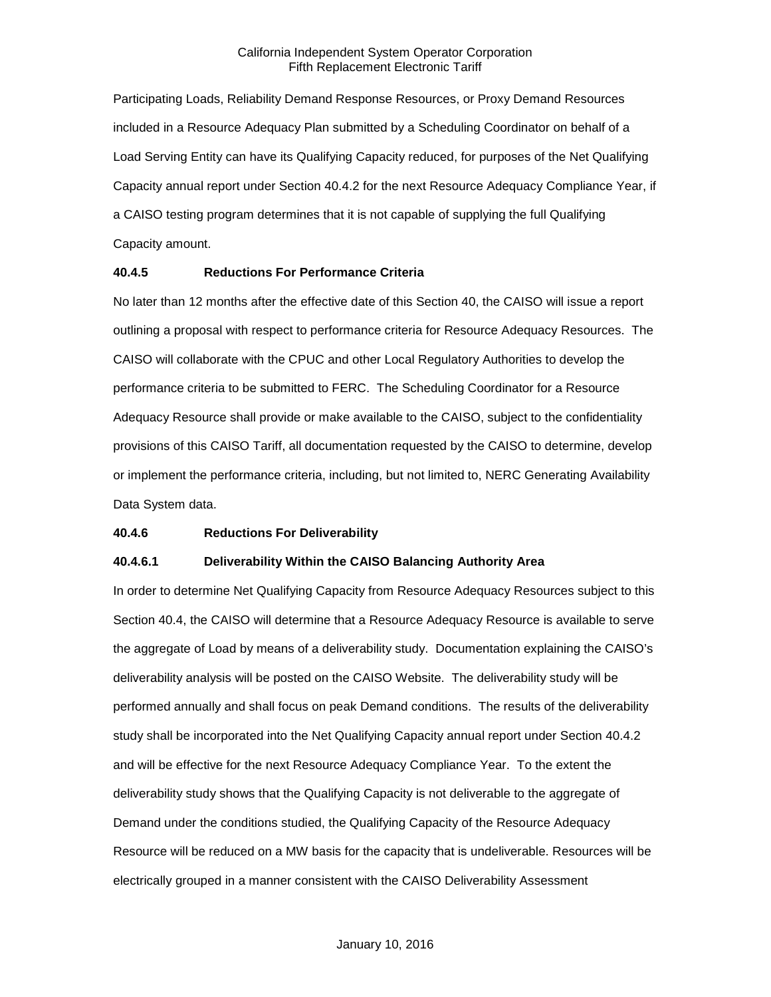Participating Loads, Reliability Demand Response Resources, or Proxy Demand Resources included in a Resource Adequacy Plan submitted by a Scheduling Coordinator on behalf of a Load Serving Entity can have its Qualifying Capacity reduced, for purposes of the Net Qualifying Capacity annual report under Section 40.4.2 for the next Resource Adequacy Compliance Year, if a CAISO testing program determines that it is not capable of supplying the full Qualifying Capacity amount.

## <span id="page-17-0"></span>**40.4.5 Reductions For Performance Criteria**

No later than 12 months after the effective date of this Section 40, the CAISO will issue a report outlining a proposal with respect to performance criteria for Resource Adequacy Resources. The CAISO will collaborate with the CPUC and other Local Regulatory Authorities to develop the performance criteria to be submitted to FERC. The Scheduling Coordinator for a Resource Adequacy Resource shall provide or make available to the CAISO, subject to the confidentiality provisions of this CAISO Tariff, all documentation requested by the CAISO to determine, develop or implement the performance criteria, including, but not limited to, NERC Generating Availability Data System data.

## <span id="page-17-1"></span>**40.4.6 Reductions For Deliverability**

## **40.4.6.1 Deliverability Within the CAISO Balancing Authority Area**

In order to determine Net Qualifying Capacity from Resource Adequacy Resources subject to this Section 40.4, the CAISO will determine that a Resource Adequacy Resource is available to serve the aggregate of Load by means of a deliverability study. Documentation explaining the CAISO's deliverability analysis will be posted on the CAISO Website. The deliverability study will be performed annually and shall focus on peak Demand conditions. The results of the deliverability study shall be incorporated into the Net Qualifying Capacity annual report under Section 40.4.2 and will be effective for the next Resource Adequacy Compliance Year. To the extent the deliverability study shows that the Qualifying Capacity is not deliverable to the aggregate of Demand under the conditions studied, the Qualifying Capacity of the Resource Adequacy Resource will be reduced on a MW basis for the capacity that is undeliverable. Resources will be electrically grouped in a manner consistent with the CAISO Deliverability Assessment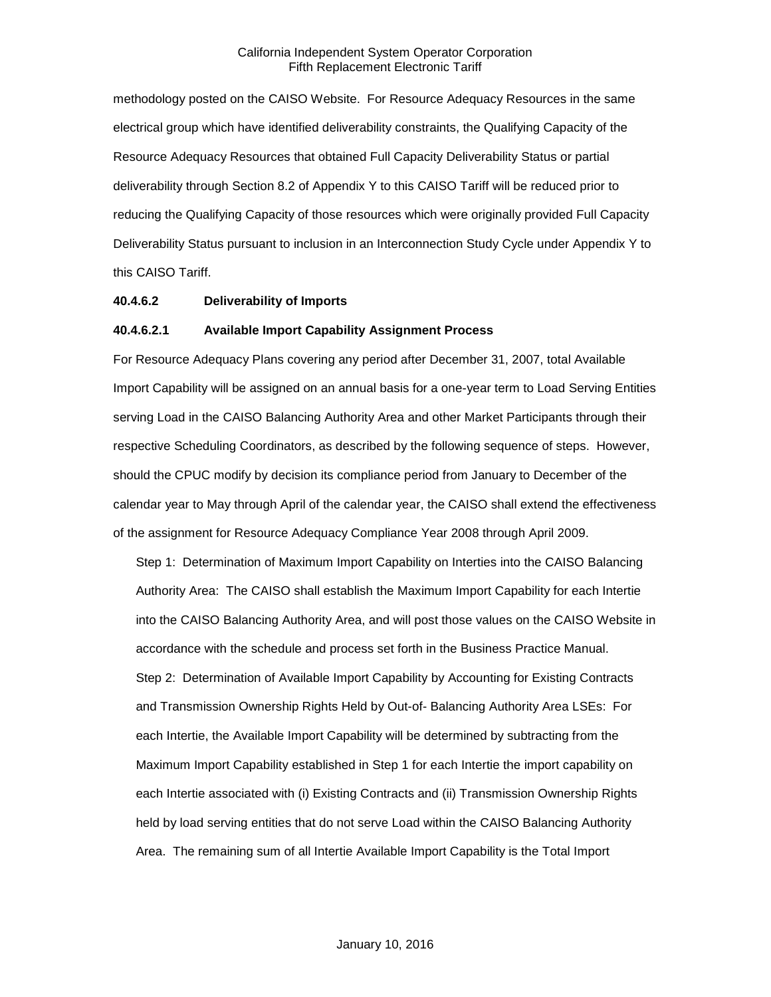methodology posted on the CAISO Website. For Resource Adequacy Resources in the same electrical group which have identified deliverability constraints, the Qualifying Capacity of the Resource Adequacy Resources that obtained Full Capacity Deliverability Status or partial deliverability through Section 8.2 of Appendix Y to this CAISO Tariff will be reduced prior to reducing the Qualifying Capacity of those resources which were originally provided Full Capacity Deliverability Status pursuant to inclusion in an Interconnection Study Cycle under Appendix Y to this CAISO Tariff.

#### **40.4.6.2 Deliverability of Imports**

#### **40.4.6.2.1 Available Import Capability Assignment Process**

For Resource Adequacy Plans covering any period after December 31, 2007, total Available Import Capability will be assigned on an annual basis for a one-year term to Load Serving Entities serving Load in the CAISO Balancing Authority Area and other Market Participants through their respective Scheduling Coordinators, as described by the following sequence of steps. However, should the CPUC modify by decision its compliance period from January to December of the calendar year to May through April of the calendar year, the CAISO shall extend the effectiveness of the assignment for Resource Adequacy Compliance Year 2008 through April 2009.

Step 1: Determination of Maximum Import Capability on Interties into the CAISO Balancing Authority Area: The CAISO shall establish the Maximum Import Capability for each Intertie into the CAISO Balancing Authority Area, and will post those values on the CAISO Website in accordance with the schedule and process set forth in the Business Practice Manual. Step 2: Determination of Available Import Capability by Accounting for Existing Contracts and Transmission Ownership Rights Held by Out-of- Balancing Authority Area LSEs: For each Intertie, the Available Import Capability will be determined by subtracting from the Maximum Import Capability established in Step 1 for each Intertie the import capability on each Intertie associated with (i) Existing Contracts and (ii) Transmission Ownership Rights held by load serving entities that do not serve Load within the CAISO Balancing Authority Area. The remaining sum of all Intertie Available Import Capability is the Total Import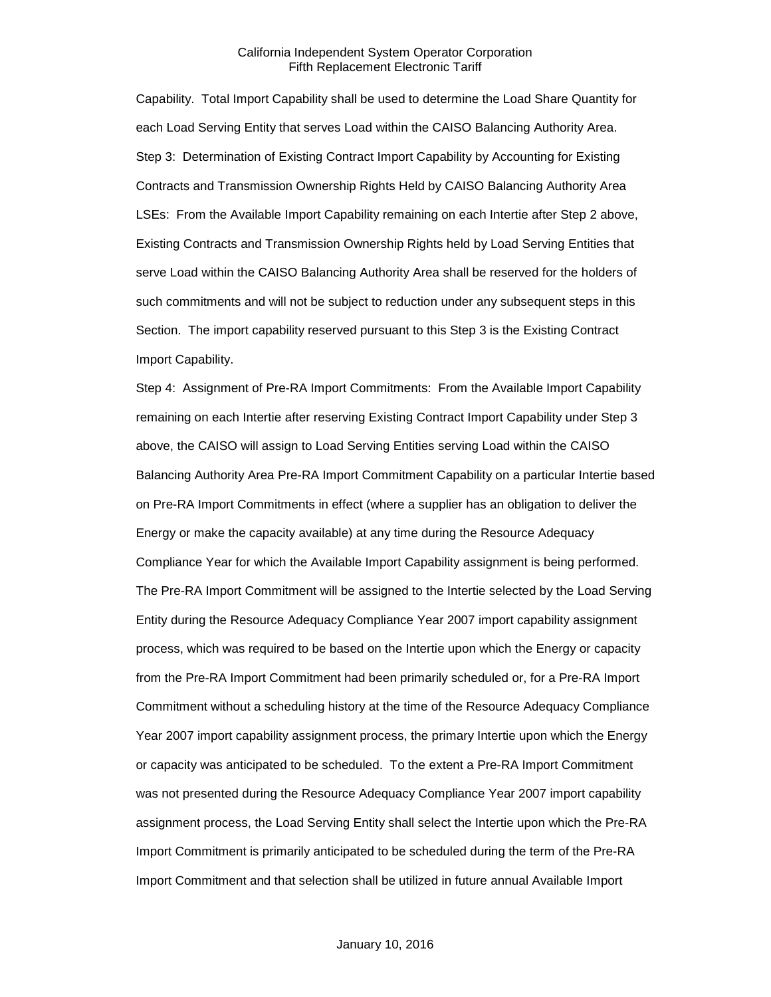Capability. Total Import Capability shall be used to determine the Load Share Quantity for each Load Serving Entity that serves Load within the CAISO Balancing Authority Area. Step 3: Determination of Existing Contract Import Capability by Accounting for Existing Contracts and Transmission Ownership Rights Held by CAISO Balancing Authority Area LSEs: From the Available Import Capability remaining on each Intertie after Step 2 above, Existing Contracts and Transmission Ownership Rights held by Load Serving Entities that serve Load within the CAISO Balancing Authority Area shall be reserved for the holders of such commitments and will not be subject to reduction under any subsequent steps in this Section. The import capability reserved pursuant to this Step 3 is the Existing Contract Import Capability.

Step 4: Assignment of Pre-RA Import Commitments: From the Available Import Capability remaining on each Intertie after reserving Existing Contract Import Capability under Step 3 above, the CAISO will assign to Load Serving Entities serving Load within the CAISO Balancing Authority Area Pre-RA Import Commitment Capability on a particular Intertie based on Pre-RA Import Commitments in effect (where a supplier has an obligation to deliver the Energy or make the capacity available) at any time during the Resource Adequacy Compliance Year for which the Available Import Capability assignment is being performed. The Pre-RA Import Commitment will be assigned to the Intertie selected by the Load Serving Entity during the Resource Adequacy Compliance Year 2007 import capability assignment process, which was required to be based on the Intertie upon which the Energy or capacity from the Pre-RA Import Commitment had been primarily scheduled or, for a Pre-RA Import Commitment without a scheduling history at the time of the Resource Adequacy Compliance Year 2007 import capability assignment process, the primary Intertie upon which the Energy or capacity was anticipated to be scheduled. To the extent a Pre-RA Import Commitment was not presented during the Resource Adequacy Compliance Year 2007 import capability assignment process, the Load Serving Entity shall select the Intertie upon which the Pre-RA Import Commitment is primarily anticipated to be scheduled during the term of the Pre-RA Import Commitment and that selection shall be utilized in future annual Available Import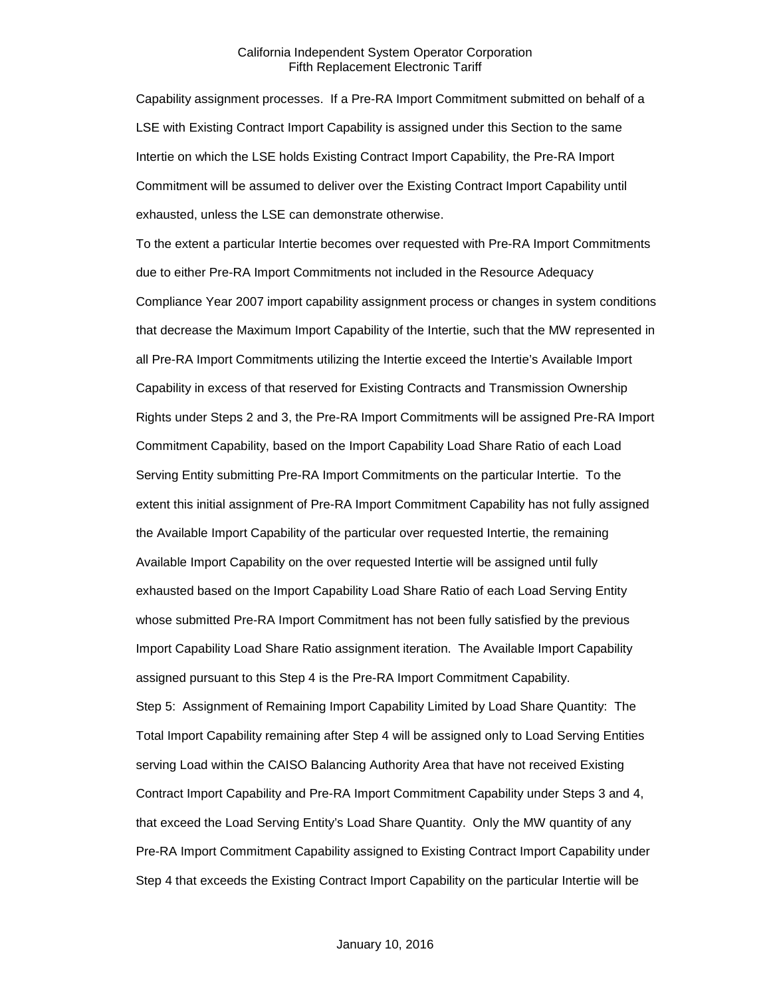Capability assignment processes. If a Pre-RA Import Commitment submitted on behalf of a LSE with Existing Contract Import Capability is assigned under this Section to the same Intertie on which the LSE holds Existing Contract Import Capability, the Pre-RA Import Commitment will be assumed to deliver over the Existing Contract Import Capability until exhausted, unless the LSE can demonstrate otherwise.

To the extent a particular Intertie becomes over requested with Pre-RA Import Commitments due to either Pre-RA Import Commitments not included in the Resource Adequacy Compliance Year 2007 import capability assignment process or changes in system conditions that decrease the Maximum Import Capability of the Intertie, such that the MW represented in all Pre-RA Import Commitments utilizing the Intertie exceed the Intertie's Available Import Capability in excess of that reserved for Existing Contracts and Transmission Ownership Rights under Steps 2 and 3, the Pre-RA Import Commitments will be assigned Pre-RA Import Commitment Capability, based on the Import Capability Load Share Ratio of each Load Serving Entity submitting Pre-RA Import Commitments on the particular Intertie. To the extent this initial assignment of Pre-RA Import Commitment Capability has not fully assigned the Available Import Capability of the particular over requested Intertie, the remaining Available Import Capability on the over requested Intertie will be assigned until fully exhausted based on the Import Capability Load Share Ratio of each Load Serving Entity whose submitted Pre-RA Import Commitment has not been fully satisfied by the previous Import Capability Load Share Ratio assignment iteration. The Available Import Capability assigned pursuant to this Step 4 is the Pre-RA Import Commitment Capability. Step 5: Assignment of Remaining Import Capability Limited by Load Share Quantity: The Total Import Capability remaining after Step 4 will be assigned only to Load Serving Entities serving Load within the CAISO Balancing Authority Area that have not received Existing Contract Import Capability and Pre-RA Import Commitment Capability under Steps 3 and 4, that exceed the Load Serving Entity's Load Share Quantity. Only the MW quantity of any Pre-RA Import Commitment Capability assigned to Existing Contract Import Capability under Step 4 that exceeds the Existing Contract Import Capability on the particular Intertie will be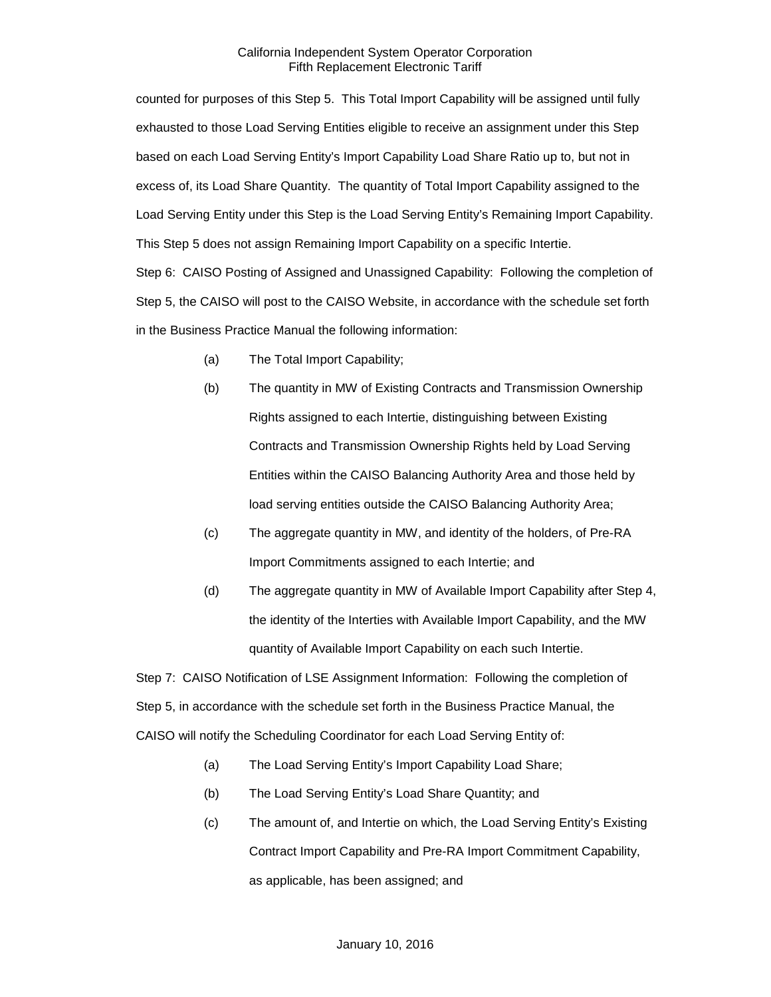counted for purposes of this Step 5. This Total Import Capability will be assigned until fully exhausted to those Load Serving Entities eligible to receive an assignment under this Step based on each Load Serving Entity's Import Capability Load Share Ratio up to, but not in excess of, its Load Share Quantity. The quantity of Total Import Capability assigned to the Load Serving Entity under this Step is the Load Serving Entity's Remaining Import Capability. This Step 5 does not assign Remaining Import Capability on a specific Intertie.

Step 6: CAISO Posting of Assigned and Unassigned Capability: Following the completion of Step 5, the CAISO will post to the CAISO Website, in accordance with the schedule set forth in the Business Practice Manual the following information:

- (a) The Total Import Capability;
- (b) The quantity in MW of Existing Contracts and Transmission Ownership Rights assigned to each Intertie, distinguishing between Existing Contracts and Transmission Ownership Rights held by Load Serving Entities within the CAISO Balancing Authority Area and those held by load serving entities outside the CAISO Balancing Authority Area;
- (c) The aggregate quantity in MW, and identity of the holders, of Pre-RA Import Commitments assigned to each Intertie; and
- (d) The aggregate quantity in MW of Available Import Capability after Step 4, the identity of the Interties with Available Import Capability, and the MW quantity of Available Import Capability on each such Intertie.

Step 7: CAISO Notification of LSE Assignment Information: Following the completion of Step 5, in accordance with the schedule set forth in the Business Practice Manual, the CAISO will notify the Scheduling Coordinator for each Load Serving Entity of:

- (a) The Load Serving Entity's Import Capability Load Share;
- (b) The Load Serving Entity's Load Share Quantity; and
- (c) The amount of, and Intertie on which, the Load Serving Entity's Existing Contract Import Capability and Pre-RA Import Commitment Capability, as applicable, has been assigned; and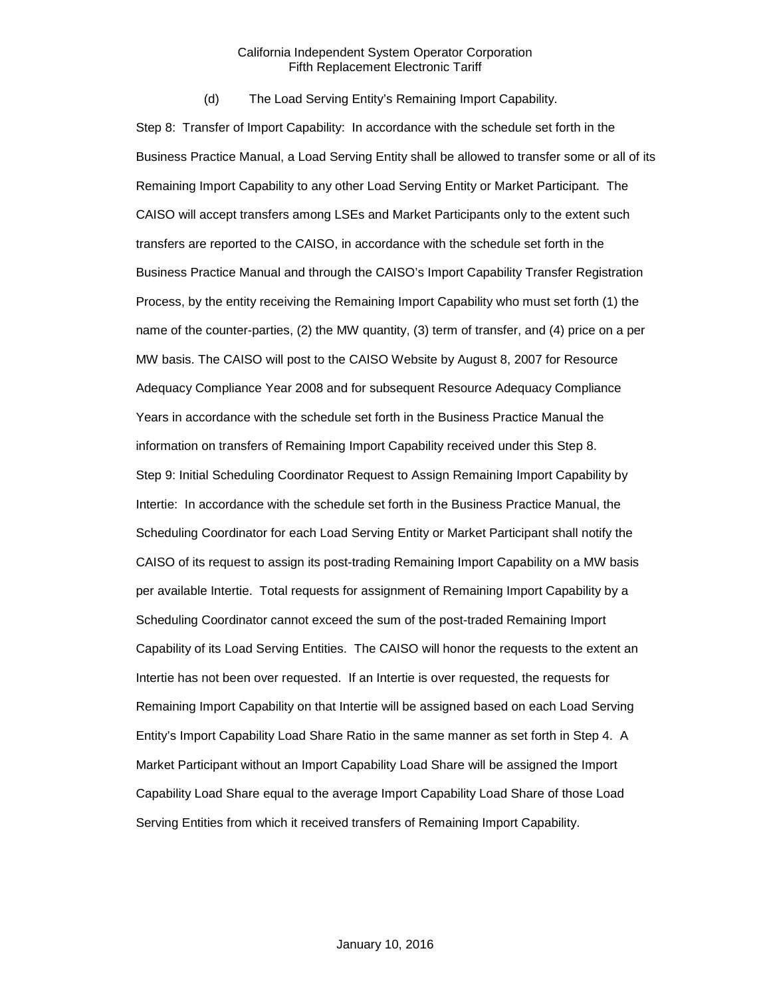(d) The Load Serving Entity's Remaining Import Capability.

Step 8: Transfer of Import Capability: In accordance with the schedule set forth in the Business Practice Manual, a Load Serving Entity shall be allowed to transfer some or all of its Remaining Import Capability to any other Load Serving Entity or Market Participant. The CAISO will accept transfers among LSEs and Market Participants only to the extent such transfers are reported to the CAISO, in accordance with the schedule set forth in the Business Practice Manual and through the CAISO's Import Capability Transfer Registration Process, by the entity receiving the Remaining Import Capability who must set forth (1) the name of the counter-parties, (2) the MW quantity, (3) term of transfer, and (4) price on a per MW basis. The CAISO will post to the CAISO Website by August 8, 2007 for Resource Adequacy Compliance Year 2008 and for subsequent Resource Adequacy Compliance Years in accordance with the schedule set forth in the Business Practice Manual the information on transfers of Remaining Import Capability received under this Step 8. Step 9: Initial Scheduling Coordinator Request to Assign Remaining Import Capability by Intertie: In accordance with the schedule set forth in the Business Practice Manual, the Scheduling Coordinator for each Load Serving Entity or Market Participant shall notify the CAISO of its request to assign its post-trading Remaining Import Capability on a MW basis per available Intertie. Total requests for assignment of Remaining Import Capability by a Scheduling Coordinator cannot exceed the sum of the post-traded Remaining Import Capability of its Load Serving Entities. The CAISO will honor the requests to the extent an Intertie has not been over requested. If an Intertie is over requested, the requests for Remaining Import Capability on that Intertie will be assigned based on each Load Serving Entity's Import Capability Load Share Ratio in the same manner as set forth in Step 4. A Market Participant without an Import Capability Load Share will be assigned the Import Capability Load Share equal to the average Import Capability Load Share of those Load Serving Entities from which it received transfers of Remaining Import Capability.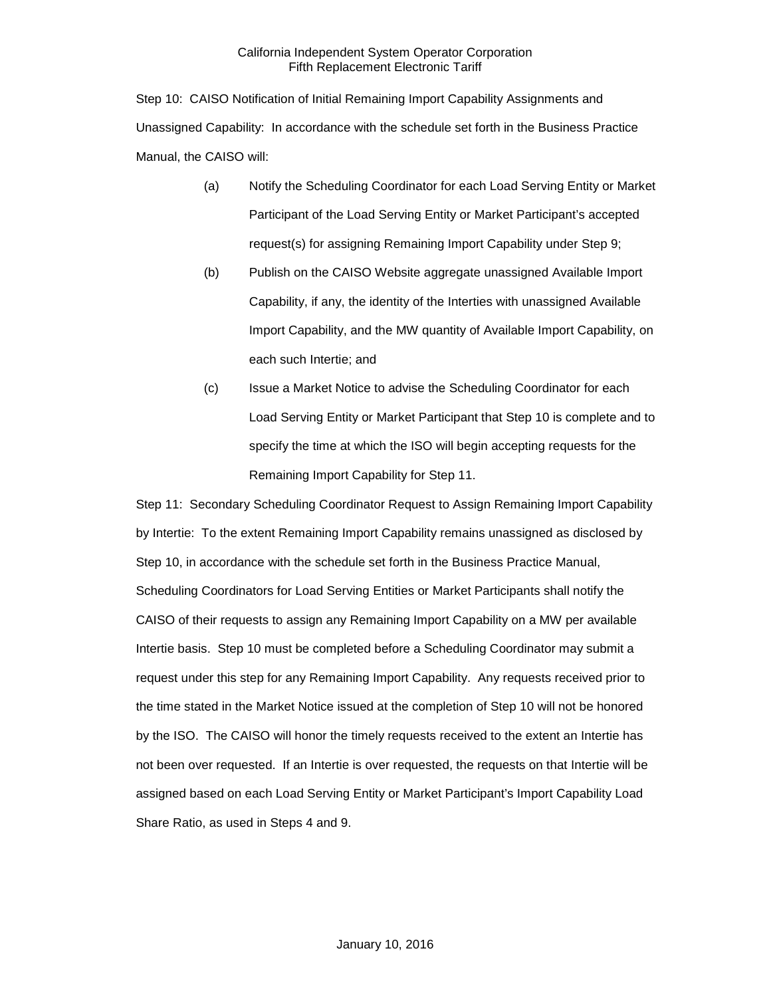Step 10: CAISO Notification of Initial Remaining Import Capability Assignments and Unassigned Capability: In accordance with the schedule set forth in the Business Practice Manual, the CAISO will:

- (a) Notify the Scheduling Coordinator for each Load Serving Entity or Market Participant of the Load Serving Entity or Market Participant's accepted request(s) for assigning Remaining Import Capability under Step 9;
- (b) Publish on the CAISO Website aggregate unassigned Available Import Capability, if any, the identity of the Interties with unassigned Available Import Capability, and the MW quantity of Available Import Capability, on each such Intertie; and
- (c) Issue a Market Notice to advise the Scheduling Coordinator for each Load Serving Entity or Market Participant that Step 10 is complete and to specify the time at which the ISO will begin accepting requests for the Remaining Import Capability for Step 11.

Step 11: Secondary Scheduling Coordinator Request to Assign Remaining Import Capability by Intertie: To the extent Remaining Import Capability remains unassigned as disclosed by Step 10, in accordance with the schedule set forth in the Business Practice Manual, Scheduling Coordinators for Load Serving Entities or Market Participants shall notify the CAISO of their requests to assign any Remaining Import Capability on a MW per available Intertie basis. Step 10 must be completed before a Scheduling Coordinator may submit a request under this step for any Remaining Import Capability. Any requests received prior to the time stated in the Market Notice issued at the completion of Step 10 will not be honored by the ISO. The CAISO will honor the timely requests received to the extent an Intertie has not been over requested. If an Intertie is over requested, the requests on that Intertie will be assigned based on each Load Serving Entity or Market Participant's Import Capability Load Share Ratio, as used in Steps 4 and 9.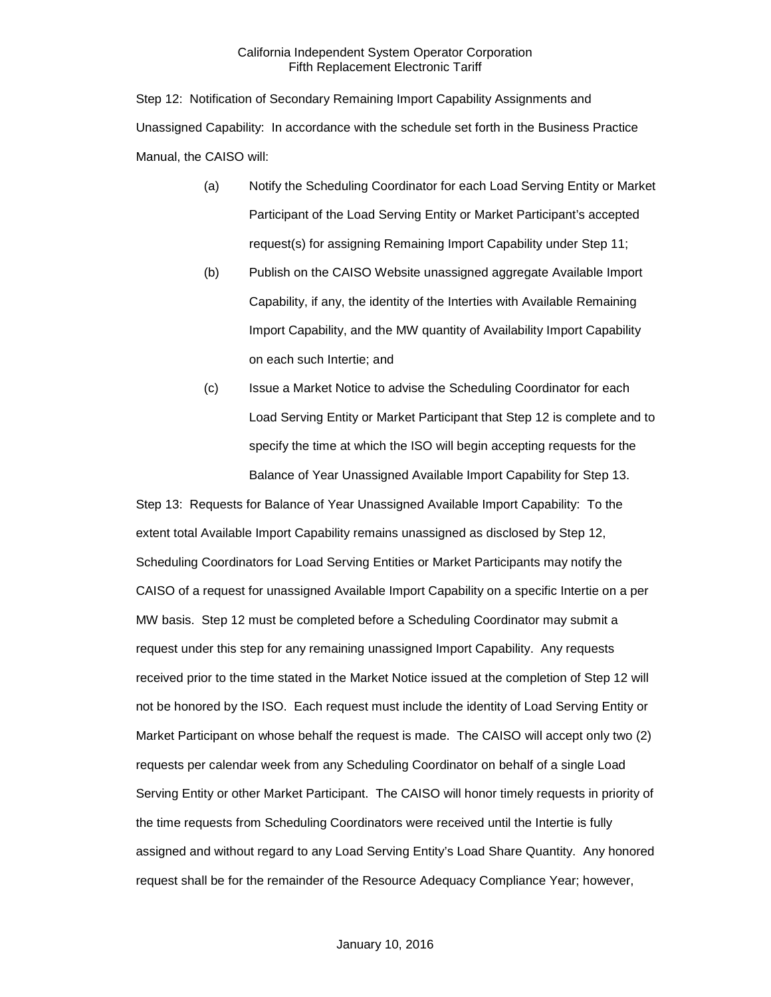Step 12: Notification of Secondary Remaining Import Capability Assignments and Unassigned Capability: In accordance with the schedule set forth in the Business Practice Manual, the CAISO will:

- (a) Notify the Scheduling Coordinator for each Load Serving Entity or Market Participant of the Load Serving Entity or Market Participant's accepted request(s) for assigning Remaining Import Capability under Step 11;
- (b) Publish on the CAISO Website unassigned aggregate Available Import Capability, if any, the identity of the Interties with Available Remaining Import Capability, and the MW quantity of Availability Import Capability on each such Intertie; and
- (c) Issue a Market Notice to advise the Scheduling Coordinator for each Load Serving Entity or Market Participant that Step 12 is complete and to specify the time at which the ISO will begin accepting requests for the Balance of Year Unassigned Available Import Capability for Step 13.

Step 13: Requests for Balance of Year Unassigned Available Import Capability: To the extent total Available Import Capability remains unassigned as disclosed by Step 12, Scheduling Coordinators for Load Serving Entities or Market Participants may notify the CAISO of a request for unassigned Available Import Capability on a specific Intertie on a per MW basis. Step 12 must be completed before a Scheduling Coordinator may submit a request under this step for any remaining unassigned Import Capability. Any requests received prior to the time stated in the Market Notice issued at the completion of Step 12 will not be honored by the ISO. Each request must include the identity of Load Serving Entity or Market Participant on whose behalf the request is made. The CAISO will accept only two (2) requests per calendar week from any Scheduling Coordinator on behalf of a single Load Serving Entity or other Market Participant. The CAISO will honor timely requests in priority of the time requests from Scheduling Coordinators were received until the Intertie is fully assigned and without regard to any Load Serving Entity's Load Share Quantity. Any honored request shall be for the remainder of the Resource Adequacy Compliance Year; however,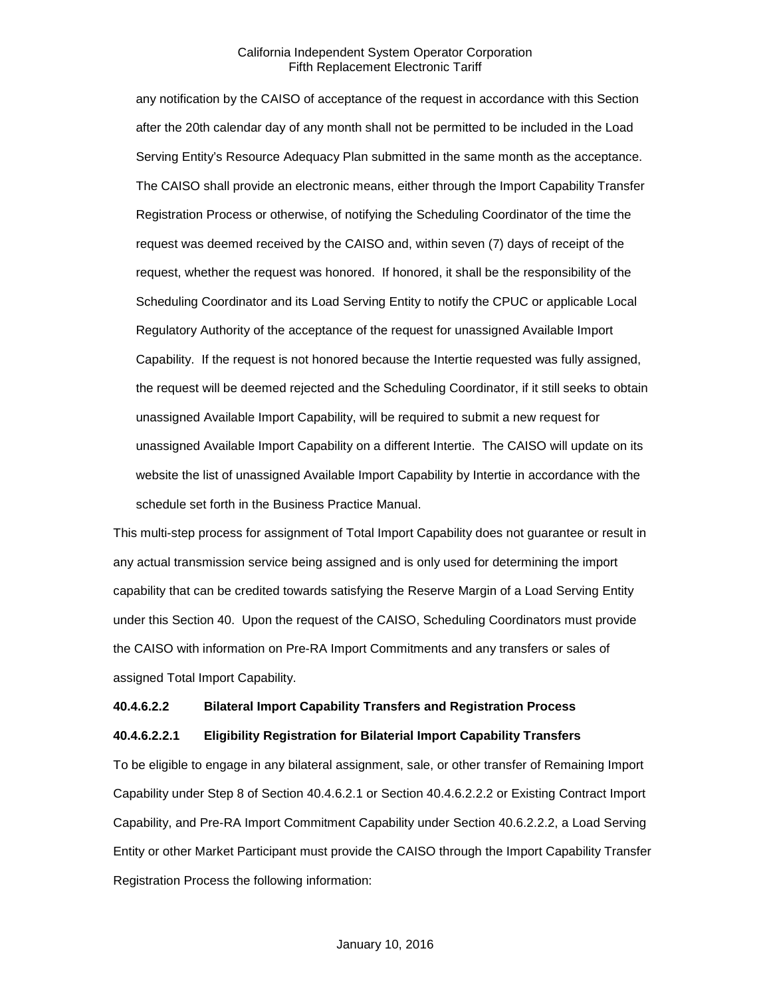any notification by the CAISO of acceptance of the request in accordance with this Section after the 20th calendar day of any month shall not be permitted to be included in the Load Serving Entity's Resource Adequacy Plan submitted in the same month as the acceptance. The CAISO shall provide an electronic means, either through the Import Capability Transfer Registration Process or otherwise, of notifying the Scheduling Coordinator of the time the request was deemed received by the CAISO and, within seven (7) days of receipt of the request, whether the request was honored. If honored, it shall be the responsibility of the Scheduling Coordinator and its Load Serving Entity to notify the CPUC or applicable Local Regulatory Authority of the acceptance of the request for unassigned Available Import Capability. If the request is not honored because the Intertie requested was fully assigned, the request will be deemed rejected and the Scheduling Coordinator, if it still seeks to obtain unassigned Available Import Capability, will be required to submit a new request for unassigned Available Import Capability on a different Intertie. The CAISO will update on its website the list of unassigned Available Import Capability by Intertie in accordance with the schedule set forth in the Business Practice Manual.

This multi-step process for assignment of Total Import Capability does not guarantee or result in any actual transmission service being assigned and is only used for determining the import capability that can be credited towards satisfying the Reserve Margin of a Load Serving Entity under this Section 40. Upon the request of the CAISO, Scheduling Coordinators must provide the CAISO with information on Pre-RA Import Commitments and any transfers or sales of assigned Total Import Capability.

#### **40.4.6.2.2 Bilateral Import Capability Transfers and Registration Process**

#### **40.4.6.2.2.1 Eligibility Registration for Bilaterial Import Capability Transfers**

To be eligible to engage in any bilateral assignment, sale, or other transfer of Remaining Import Capability under Step 8 of Section 40.4.6.2.1 or Section 40.4.6.2.2.2 or Existing Contract Import Capability, and Pre-RA Import Commitment Capability under Section 40.6.2.2.2, a Load Serving Entity or other Market Participant must provide the CAISO through the Import Capability Transfer Registration Process the following information: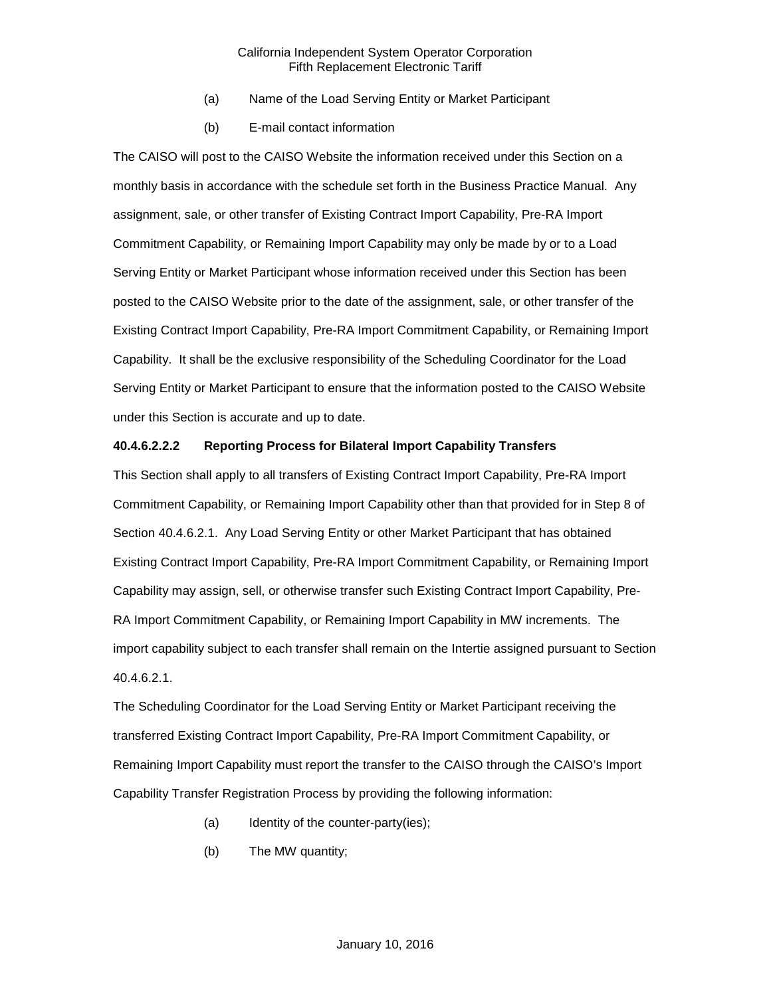- (a) Name of the Load Serving Entity or Market Participant
- (b) E-mail contact information

The CAISO will post to the CAISO Website the information received under this Section on a monthly basis in accordance with the schedule set forth in the Business Practice Manual. Any assignment, sale, or other transfer of Existing Contract Import Capability, Pre-RA Import Commitment Capability, or Remaining Import Capability may only be made by or to a Load Serving Entity or Market Participant whose information received under this Section has been posted to the CAISO Website prior to the date of the assignment, sale, or other transfer of the Existing Contract Import Capability, Pre-RA Import Commitment Capability, or Remaining Import Capability. It shall be the exclusive responsibility of the Scheduling Coordinator for the Load Serving Entity or Market Participant to ensure that the information posted to the CAISO Website under this Section is accurate and up to date.

#### **40.4.6.2.2.2 Reporting Process for Bilateral Import Capability Transfers**

This Section shall apply to all transfers of Existing Contract Import Capability, Pre-RA Import Commitment Capability, or Remaining Import Capability other than that provided for in Step 8 of Section 40.4.6.2.1. Any Load Serving Entity or other Market Participant that has obtained Existing Contract Import Capability, Pre-RA Import Commitment Capability, or Remaining Import Capability may assign, sell, or otherwise transfer such Existing Contract Import Capability, Pre-RA Import Commitment Capability, or Remaining Import Capability in MW increments. The import capability subject to each transfer shall remain on the Intertie assigned pursuant to Section 40.4.6.2.1.

The Scheduling Coordinator for the Load Serving Entity or Market Participant receiving the transferred Existing Contract Import Capability, Pre-RA Import Commitment Capability, or Remaining Import Capability must report the transfer to the CAISO through the CAISO's Import Capability Transfer Registration Process by providing the following information:

- (a) Identity of the counter-party(ies);
- (b) The MW quantity;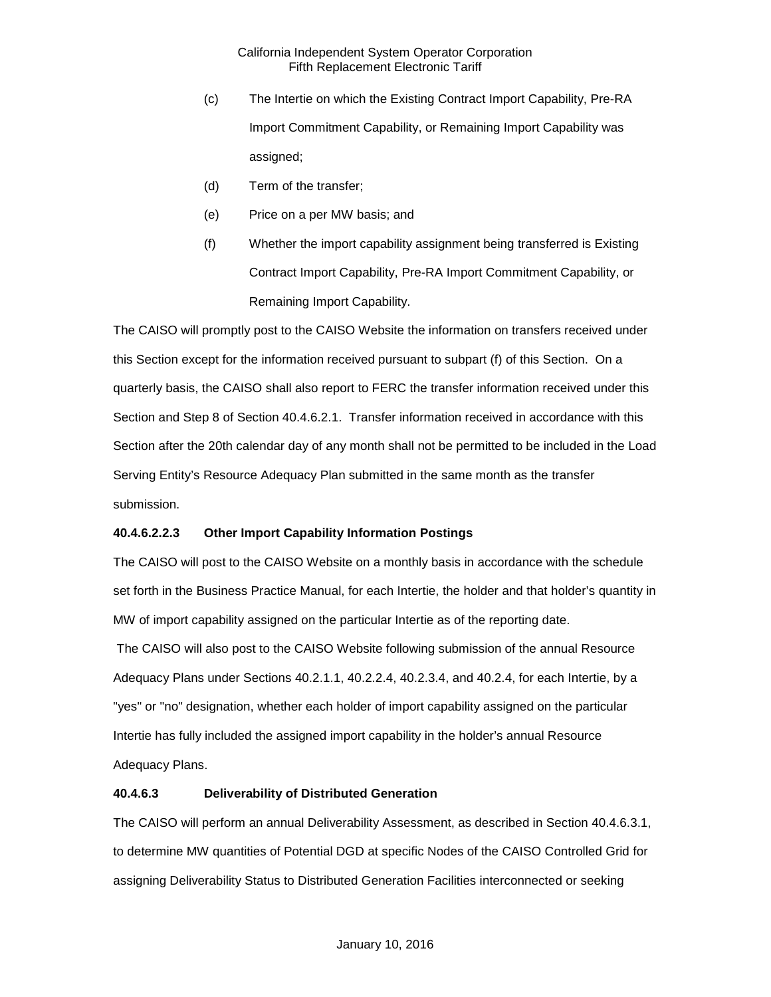- (c) The Intertie on which the Existing Contract Import Capability, Pre-RA Import Commitment Capability, or Remaining Import Capability was assigned;
- (d) Term of the transfer;
- (e) Price on a per MW basis; and
- (f) Whether the import capability assignment being transferred is Existing Contract Import Capability, Pre-RA Import Commitment Capability, or Remaining Import Capability.

The CAISO will promptly post to the CAISO Website the information on transfers received under this Section except for the information received pursuant to subpart (f) of this Section. On a quarterly basis, the CAISO shall also report to FERC the transfer information received under this Section and Step 8 of Section 40.4.6.2.1. Transfer information received in accordance with this Section after the 20th calendar day of any month shall not be permitted to be included in the Load Serving Entity's Resource Adequacy Plan submitted in the same month as the transfer submission.

# **40.4.6.2.2.3 Other Import Capability Information Postings**

The CAISO will post to the CAISO Website on a monthly basis in accordance with the schedule set forth in the Business Practice Manual, for each Intertie, the holder and that holder's quantity in MW of import capability assigned on the particular Intertie as of the reporting date. The CAISO will also post to the CAISO Website following submission of the annual Resource Adequacy Plans under Sections 40.2.1.1, 40.2.2.4, 40.2.3.4, and 40.2.4, for each Intertie, by a "yes" or "no" designation, whether each holder of import capability assigned on the particular Intertie has fully included the assigned import capability in the holder's annual Resource Adequacy Plans.

## **40.4.6.3 Deliverability of Distributed Generation**

The CAISO will perform an annual Deliverability Assessment, as described in Section 40.4.6.3.1, to determine MW quantities of Potential DGD at specific Nodes of the CAISO Controlled Grid for assigning Deliverability Status to Distributed Generation Facilities interconnected or seeking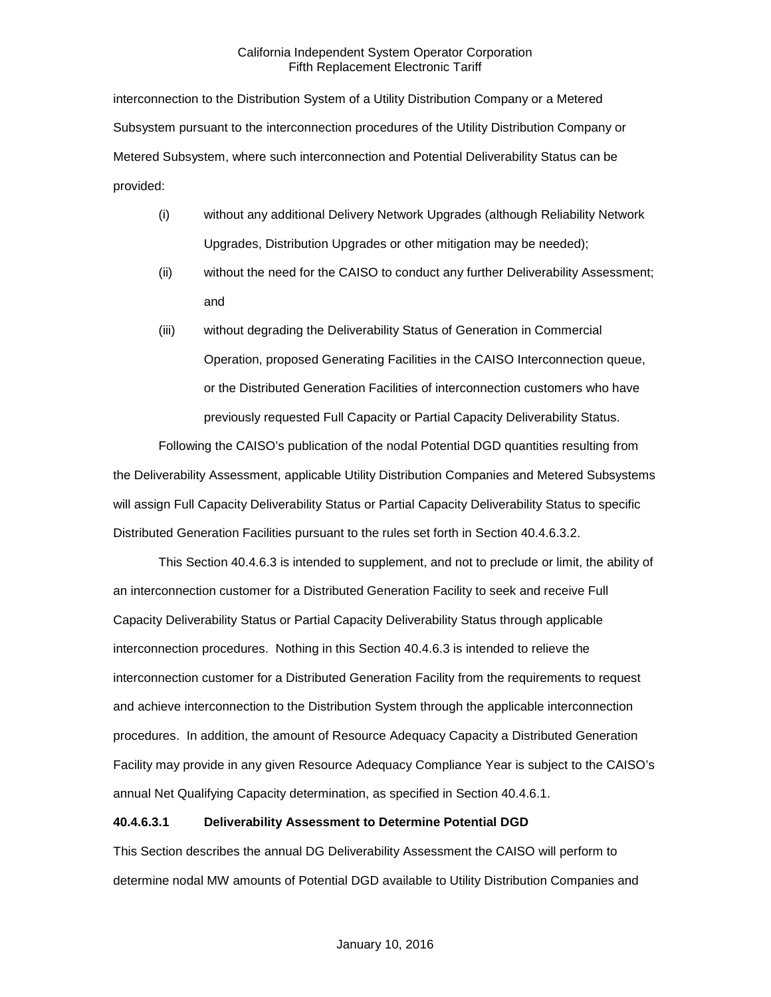interconnection to the Distribution System of a Utility Distribution Company or a Metered Subsystem pursuant to the interconnection procedures of the Utility Distribution Company or Metered Subsystem, where such interconnection and Potential Deliverability Status can be provided:

- (i) without any additional Delivery Network Upgrades (although Reliability Network Upgrades, Distribution Upgrades or other mitigation may be needed);
- (ii) without the need for the CAISO to conduct any further Deliverability Assessment; and
- (iii) without degrading the Deliverability Status of Generation in Commercial Operation, proposed Generating Facilities in the CAISO Interconnection queue, or the Distributed Generation Facilities of interconnection customers who have previously requested Full Capacity or Partial Capacity Deliverability Status.

Following the CAISO's publication of the nodal Potential DGD quantities resulting from the Deliverability Assessment, applicable Utility Distribution Companies and Metered Subsystems will assign Full Capacity Deliverability Status or Partial Capacity Deliverability Status to specific Distributed Generation Facilities pursuant to the rules set forth in Section 40.4.6.3.2.

This Section 40.4.6.3 is intended to supplement, and not to preclude or limit, the ability of an interconnection customer for a Distributed Generation Facility to seek and receive Full Capacity Deliverability Status or Partial Capacity Deliverability Status through applicable interconnection procedures. Nothing in this Section 40.4.6.3 is intended to relieve the interconnection customer for a Distributed Generation Facility from the requirements to request and achieve interconnection to the Distribution System through the applicable interconnection procedures. In addition, the amount of Resource Adequacy Capacity a Distributed Generation Facility may provide in any given Resource Adequacy Compliance Year is subject to the CAISO's annual Net Qualifying Capacity determination, as specified in Section 40.4.6.1.

## **40.4.6.3.1 Deliverability Assessment to Determine Potential DGD**

This Section describes the annual DG Deliverability Assessment the CAISO will perform to determine nodal MW amounts of Potential DGD available to Utility Distribution Companies and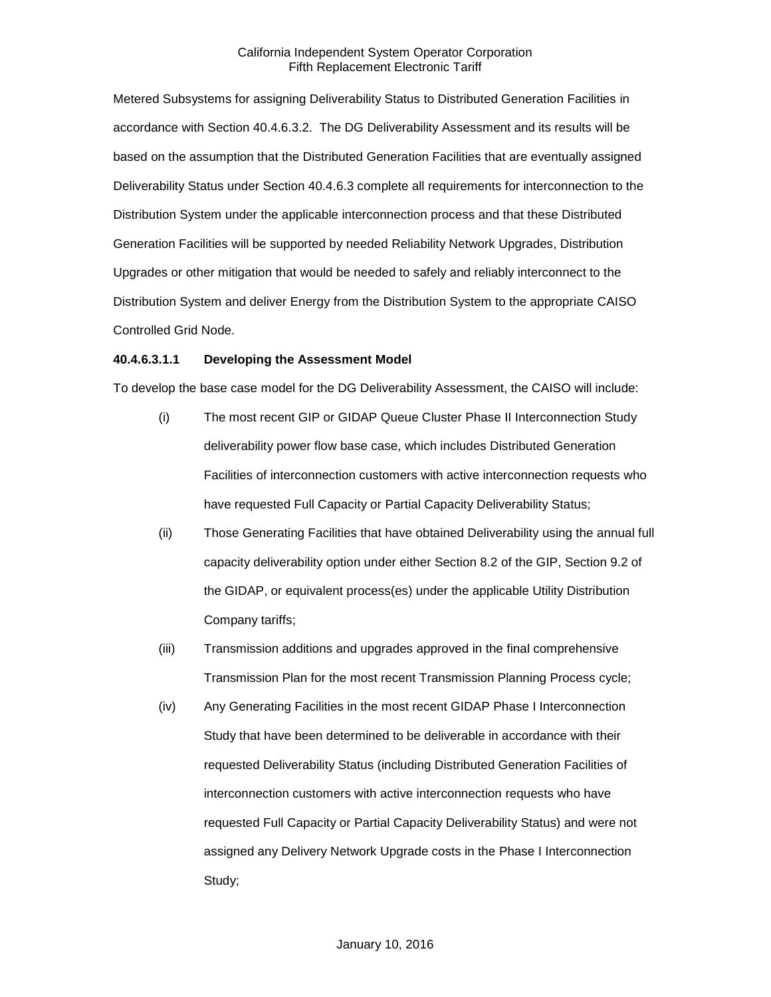Metered Subsystems for assigning Deliverability Status to Distributed Generation Facilities in accordance with Section 40.4.6.3.2. The DG Deliverability Assessment and its results will be based on the assumption that the Distributed Generation Facilities that are eventually assigned Deliverability Status under Section 40.4.6.3 complete all requirements for interconnection to the Distribution System under the applicable interconnection process and that these Distributed Generation Facilities will be supported by needed Reliability Network Upgrades, Distribution Upgrades or other mitigation that would be needed to safely and reliably interconnect to the Distribution System and deliver Energy from the Distribution System to the appropriate CAISO Controlled Grid Node.

#### **40.4.6.3.1.1 Developing the Assessment Model**

To develop the base case model for the DG Deliverability Assessment, the CAISO will include:

- (i) The most recent GIP or GIDAP Queue Cluster Phase II Interconnection Study deliverability power flow base case, which includes Distributed Generation Facilities of interconnection customers with active interconnection requests who have requested Full Capacity or Partial Capacity Deliverability Status;
- (ii) Those Generating Facilities that have obtained Deliverability using the annual full capacity deliverability option under either Section 8.2 of the GIP, Section 9.2 of the GIDAP, or equivalent process(es) under the applicable Utility Distribution Company tariffs;
- (iii) Transmission additions and upgrades approved in the final comprehensive Transmission Plan for the most recent Transmission Planning Process cycle;
- (iv) Any Generating Facilities in the most recent GIDAP Phase I Interconnection Study that have been determined to be deliverable in accordance with their requested Deliverability Status (including Distributed Generation Facilities of interconnection customers with active interconnection requests who have requested Full Capacity or Partial Capacity Deliverability Status) and were not assigned any Delivery Network Upgrade costs in the Phase I Interconnection Study;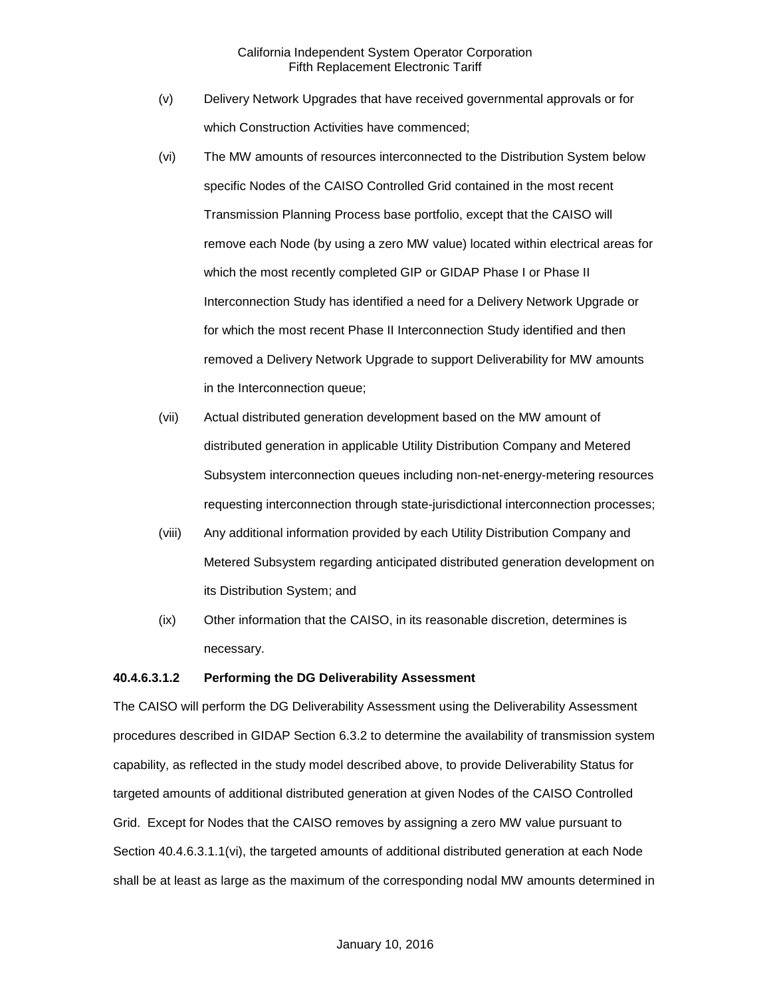- (v) Delivery Network Upgrades that have received governmental approvals or for which Construction Activities have commenced;
- (vi) The MW amounts of resources interconnected to the Distribution System below specific Nodes of the CAISO Controlled Grid contained in the most recent Transmission Planning Process base portfolio, except that the CAISO will remove each Node (by using a zero MW value) located within electrical areas for which the most recently completed GIP or GIDAP Phase I or Phase II Interconnection Study has identified a need for a Delivery Network Upgrade or for which the most recent Phase II Interconnection Study identified and then removed a Delivery Network Upgrade to support Deliverability for MW amounts in the Interconnection queue;
- (vii) Actual distributed generation development based on the MW amount of distributed generation in applicable Utility Distribution Company and Metered Subsystem interconnection queues including non-net-energy-metering resources requesting interconnection through state-jurisdictional interconnection processes;
- (viii) Any additional information provided by each Utility Distribution Company and Metered Subsystem regarding anticipated distributed generation development on its Distribution System; and
- (ix) Other information that the CAISO, in its reasonable discretion, determines is necessary.

## **40.4.6.3.1.2 Performing the DG Deliverability Assessment**

The CAISO will perform the DG Deliverability Assessment using the Deliverability Assessment procedures described in GIDAP Section 6.3.2 to determine the availability of transmission system capability, as reflected in the study model described above, to provide Deliverability Status for targeted amounts of additional distributed generation at given Nodes of the CAISO Controlled Grid. Except for Nodes that the CAISO removes by assigning a zero MW value pursuant to Section 40.4.6.3.1.1(vi), the targeted amounts of additional distributed generation at each Node shall be at least as large as the maximum of the corresponding nodal MW amounts determined in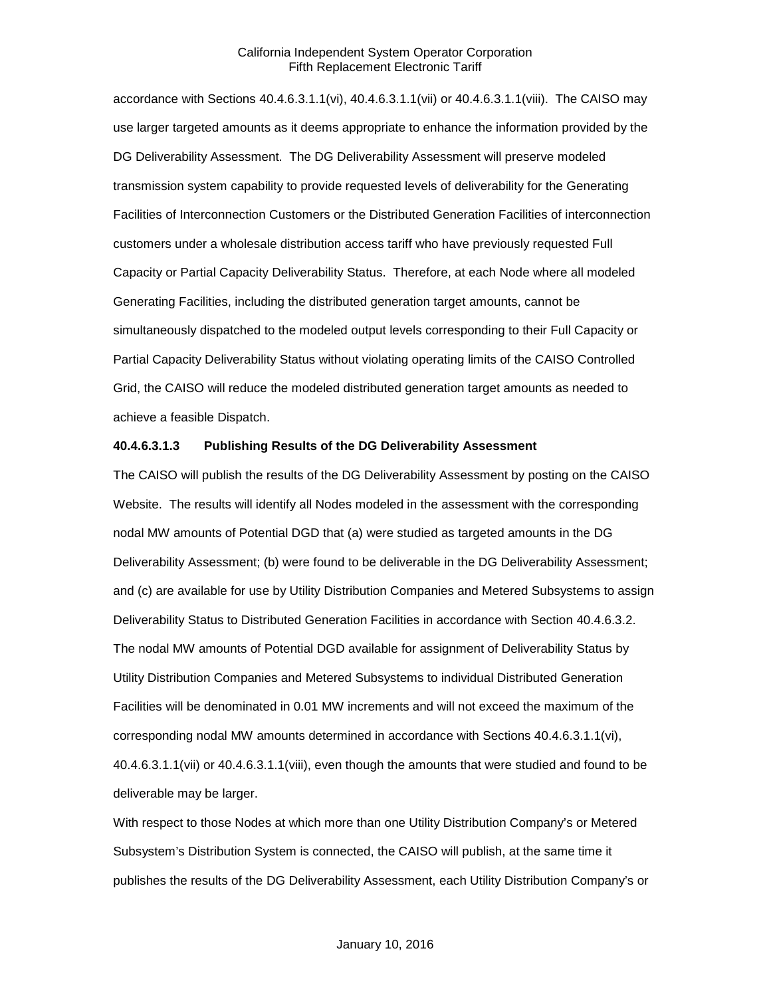accordance with Sections 40.4.6.3.1.1(vi), 40.4.6.3.1.1(vii) or 40.4.6.3.1.1(viii). The CAISO may use larger targeted amounts as it deems appropriate to enhance the information provided by the DG Deliverability Assessment. The DG Deliverability Assessment will preserve modeled transmission system capability to provide requested levels of deliverability for the Generating Facilities of Interconnection Customers or the Distributed Generation Facilities of interconnection customers under a wholesale distribution access tariff who have previously requested Full Capacity or Partial Capacity Deliverability Status. Therefore, at each Node where all modeled Generating Facilities, including the distributed generation target amounts, cannot be simultaneously dispatched to the modeled output levels corresponding to their Full Capacity or Partial Capacity Deliverability Status without violating operating limits of the CAISO Controlled Grid, the CAISO will reduce the modeled distributed generation target amounts as needed to achieve a feasible Dispatch.

### **40.4.6.3.1.3 Publishing Results of the DG Deliverability Assessment**

The CAISO will publish the results of the DG Deliverability Assessment by posting on the CAISO Website. The results will identify all Nodes modeled in the assessment with the corresponding nodal MW amounts of Potential DGD that (a) were studied as targeted amounts in the DG Deliverability Assessment; (b) were found to be deliverable in the DG Deliverability Assessment; and (c) are available for use by Utility Distribution Companies and Metered Subsystems to assign Deliverability Status to Distributed Generation Facilities in accordance with Section 40.4.6.3.2. The nodal MW amounts of Potential DGD available for assignment of Deliverability Status by Utility Distribution Companies and Metered Subsystems to individual Distributed Generation Facilities will be denominated in 0.01 MW increments and will not exceed the maximum of the corresponding nodal MW amounts determined in accordance with Sections 40.4.6.3.1.1(vi), 40.4.6.3.1.1(vii) or 40.4.6.3.1.1(viii), even though the amounts that were studied and found to be deliverable may be larger.

With respect to those Nodes at which more than one Utility Distribution Company's or Metered Subsystem's Distribution System is connected, the CAISO will publish, at the same time it publishes the results of the DG Deliverability Assessment, each Utility Distribution Company's or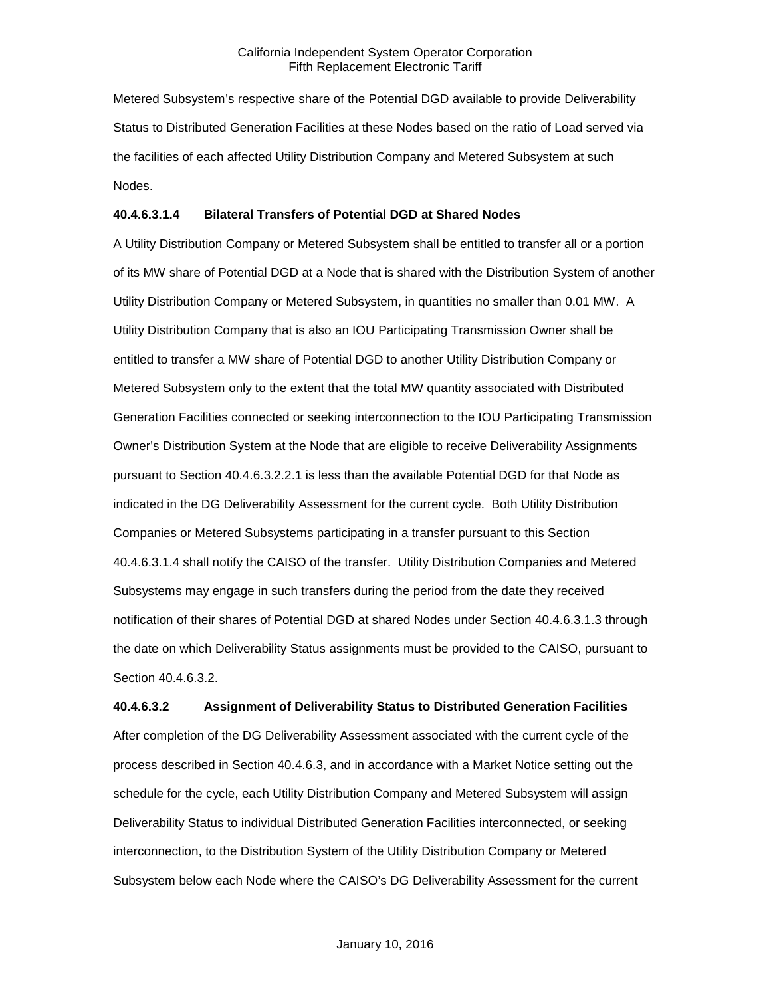Metered Subsystem's respective share of the Potential DGD available to provide Deliverability Status to Distributed Generation Facilities at these Nodes based on the ratio of Load served via the facilities of each affected Utility Distribution Company and Metered Subsystem at such Nodes.

## **40.4.6.3.1.4 Bilateral Transfers of Potential DGD at Shared Nodes**

A Utility Distribution Company or Metered Subsystem shall be entitled to transfer all or a portion of its MW share of Potential DGD at a Node that is shared with the Distribution System of another Utility Distribution Company or Metered Subsystem, in quantities no smaller than 0.01 MW. A Utility Distribution Company that is also an IOU Participating Transmission Owner shall be entitled to transfer a MW share of Potential DGD to another Utility Distribution Company or Metered Subsystem only to the extent that the total MW quantity associated with Distributed Generation Facilities connected or seeking interconnection to the IOU Participating Transmission Owner's Distribution System at the Node that are eligible to receive Deliverability Assignments pursuant to Section 40.4.6.3.2.2.1 is less than the available Potential DGD for that Node as indicated in the DG Deliverability Assessment for the current cycle. Both Utility Distribution Companies or Metered Subsystems participating in a transfer pursuant to this Section 40.4.6.3.1.4 shall notify the CAISO of the transfer. Utility Distribution Companies and Metered Subsystems may engage in such transfers during the period from the date they received notification of their shares of Potential DGD at shared Nodes under Section 40.4.6.3.1.3 through the date on which Deliverability Status assignments must be provided to the CAISO, pursuant to Section 40.4.6.3.2.

**40.4.6.3.2 Assignment of Deliverability Status to Distributed Generation Facilities** After completion of the DG Deliverability Assessment associated with the current cycle of the process described in Section 40.4.6.3, and in accordance with a Market Notice setting out the schedule for the cycle, each Utility Distribution Company and Metered Subsystem will assign Deliverability Status to individual Distributed Generation Facilities interconnected, or seeking interconnection, to the Distribution System of the Utility Distribution Company or Metered Subsystem below each Node where the CAISO's DG Deliverability Assessment for the current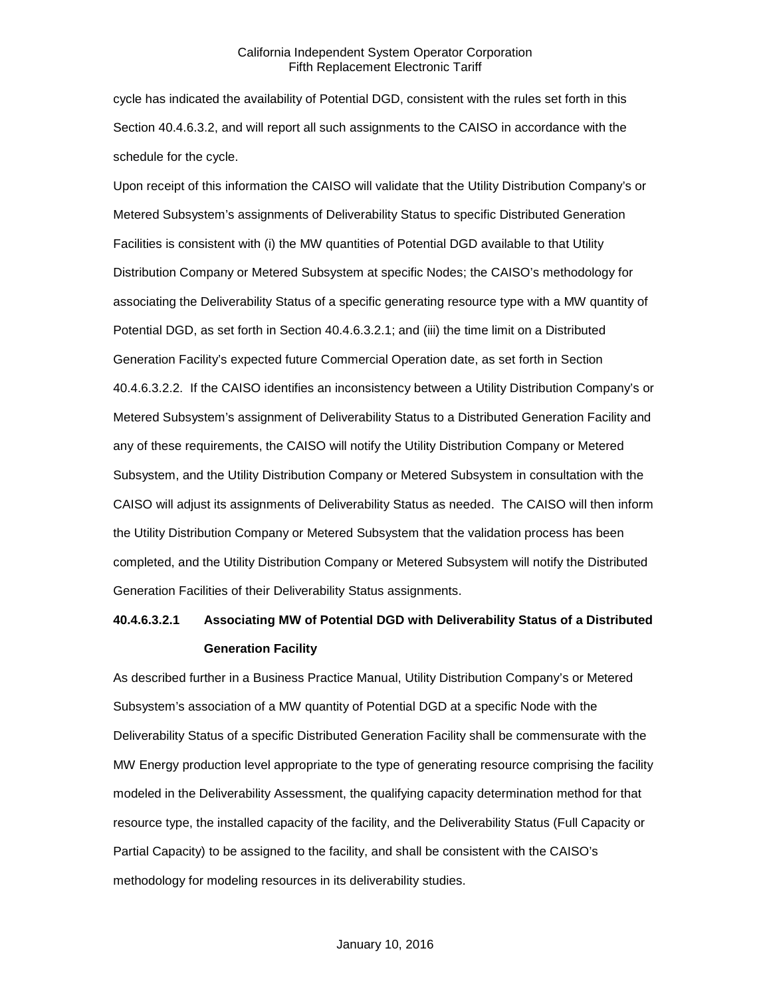cycle has indicated the availability of Potential DGD, consistent with the rules set forth in this Section 40.4.6.3.2, and will report all such assignments to the CAISO in accordance with the schedule for the cycle.

Upon receipt of this information the CAISO will validate that the Utility Distribution Company's or Metered Subsystem's assignments of Deliverability Status to specific Distributed Generation Facilities is consistent with (i) the MW quantities of Potential DGD available to that Utility Distribution Company or Metered Subsystem at specific Nodes; the CAISO's methodology for associating the Deliverability Status of a specific generating resource type with a MW quantity of Potential DGD, as set forth in Section 40.4.6.3.2.1; and (iii) the time limit on a Distributed Generation Facility's expected future Commercial Operation date, as set forth in Section 40.4.6.3.2.2. If the CAISO identifies an inconsistency between a Utility Distribution Company's or Metered Subsystem's assignment of Deliverability Status to a Distributed Generation Facility and any of these requirements, the CAISO will notify the Utility Distribution Company or Metered Subsystem, and the Utility Distribution Company or Metered Subsystem in consultation with the CAISO will adjust its assignments of Deliverability Status as needed. The CAISO will then inform the Utility Distribution Company or Metered Subsystem that the validation process has been completed, and the Utility Distribution Company or Metered Subsystem will notify the Distributed Generation Facilities of their Deliverability Status assignments.

# **40.4.6.3.2.1 Associating MW of Potential DGD with Deliverability Status of a Distributed Generation Facility**

As described further in a Business Practice Manual, Utility Distribution Company's or Metered Subsystem's association of a MW quantity of Potential DGD at a specific Node with the Deliverability Status of a specific Distributed Generation Facility shall be commensurate with the MW Energy production level appropriate to the type of generating resource comprising the facility modeled in the Deliverability Assessment, the qualifying capacity determination method for that resource type, the installed capacity of the facility, and the Deliverability Status (Full Capacity or Partial Capacity) to be assigned to the facility, and shall be consistent with the CAISO's methodology for modeling resources in its deliverability studies.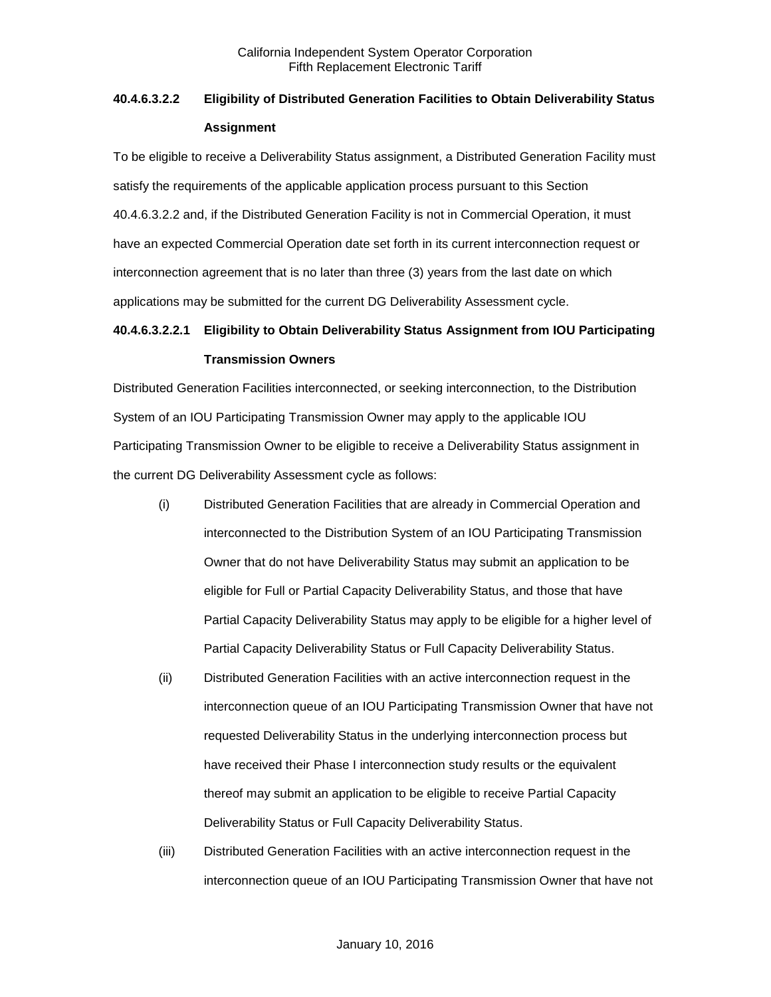# **40.4.6.3.2.2 Eligibility of Distributed Generation Facilities to Obtain Deliverability Status Assignment**

To be eligible to receive a Deliverability Status assignment, a Distributed Generation Facility must satisfy the requirements of the applicable application process pursuant to this Section 40.4.6.3.2.2 and, if the Distributed Generation Facility is not in Commercial Operation, it must have an expected Commercial Operation date set forth in its current interconnection request or interconnection agreement that is no later than three (3) years from the last date on which applications may be submitted for the current DG Deliverability Assessment cycle.

# **40.4.6.3.2.2.1 Eligibility to Obtain Deliverability Status Assignment from IOU Participating Transmission Owners**

Distributed Generation Facilities interconnected, or seeking interconnection, to the Distribution System of an IOU Participating Transmission Owner may apply to the applicable IOU Participating Transmission Owner to be eligible to receive a Deliverability Status assignment in the current DG Deliverability Assessment cycle as follows:

- (i) Distributed Generation Facilities that are already in Commercial Operation and interconnected to the Distribution System of an IOU Participating Transmission Owner that do not have Deliverability Status may submit an application to be eligible for Full or Partial Capacity Deliverability Status, and those that have Partial Capacity Deliverability Status may apply to be eligible for a higher level of Partial Capacity Deliverability Status or Full Capacity Deliverability Status.
- (ii) Distributed Generation Facilities with an active interconnection request in the interconnection queue of an IOU Participating Transmission Owner that have not requested Deliverability Status in the underlying interconnection process but have received their Phase I interconnection study results or the equivalent thereof may submit an application to be eligible to receive Partial Capacity Deliverability Status or Full Capacity Deliverability Status.
- (iii) Distributed Generation Facilities with an active interconnection request in the interconnection queue of an IOU Participating Transmission Owner that have not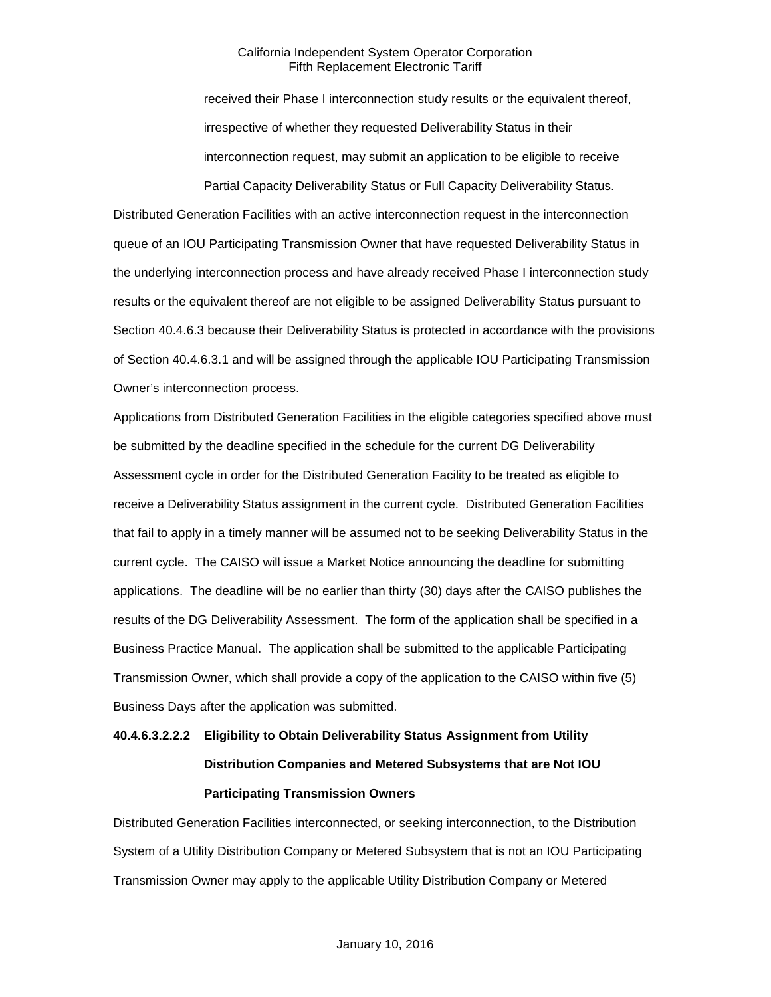received their Phase I interconnection study results or the equivalent thereof, irrespective of whether they requested Deliverability Status in their interconnection request, may submit an application to be eligible to receive Partial Capacity Deliverability Status or Full Capacity Deliverability Status.

Distributed Generation Facilities with an active interconnection request in the interconnection queue of an IOU Participating Transmission Owner that have requested Deliverability Status in the underlying interconnection process and have already received Phase I interconnection study results or the equivalent thereof are not eligible to be assigned Deliverability Status pursuant to Section 40.4.6.3 because their Deliverability Status is protected in accordance with the provisions of Section 40.4.6.3.1 and will be assigned through the applicable IOU Participating Transmission Owner's interconnection process.

Applications from Distributed Generation Facilities in the eligible categories specified above must be submitted by the deadline specified in the schedule for the current DG Deliverability Assessment cycle in order for the Distributed Generation Facility to be treated as eligible to receive a Deliverability Status assignment in the current cycle. Distributed Generation Facilities that fail to apply in a timely manner will be assumed not to be seeking Deliverability Status in the current cycle. The CAISO will issue a Market Notice announcing the deadline for submitting applications. The deadline will be no earlier than thirty (30) days after the CAISO publishes the results of the DG Deliverability Assessment. The form of the application shall be specified in a Business Practice Manual. The application shall be submitted to the applicable Participating Transmission Owner, which shall provide a copy of the application to the CAISO within five (5) Business Days after the application was submitted.

# **40.4.6.3.2.2.2 Eligibility to Obtain Deliverability Status Assignment from Utility Distribution Companies and Metered Subsystems that are Not IOU Participating Transmission Owners**

Distributed Generation Facilities interconnected, or seeking interconnection, to the Distribution System of a Utility Distribution Company or Metered Subsystem that is not an IOU Participating Transmission Owner may apply to the applicable Utility Distribution Company or Metered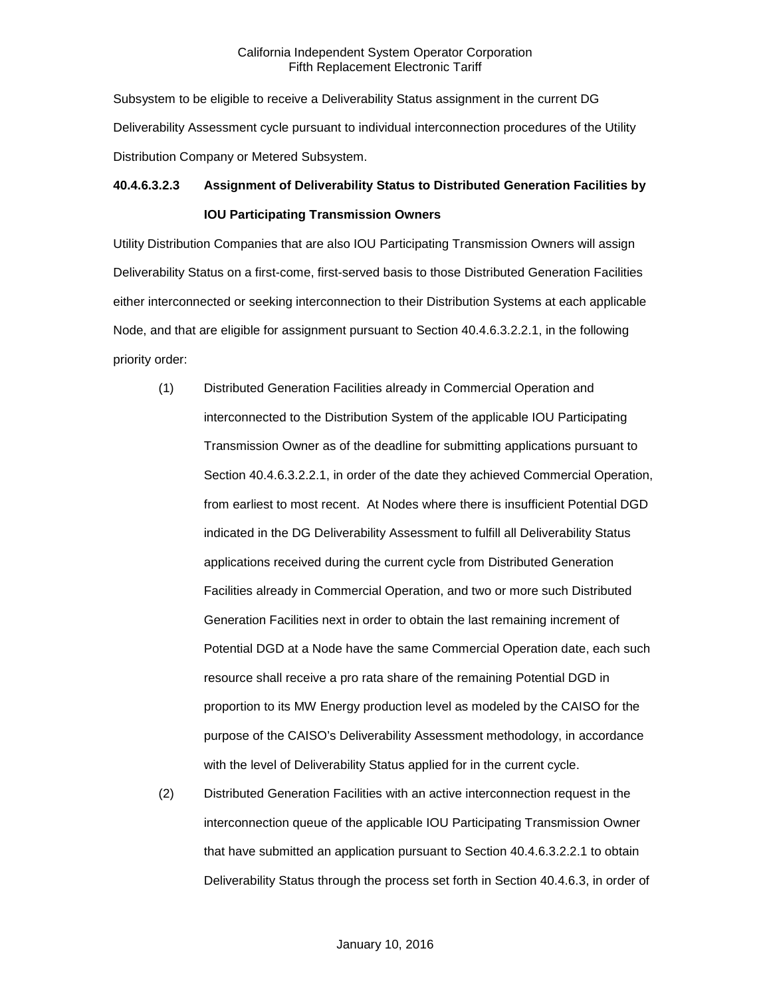Subsystem to be eligible to receive a Deliverability Status assignment in the current DG Deliverability Assessment cycle pursuant to individual interconnection procedures of the Utility Distribution Company or Metered Subsystem.

# **40.4.6.3.2.3 Assignment of Deliverability Status to Distributed Generation Facilities by IOU Participating Transmission Owners**

Utility Distribution Companies that are also IOU Participating Transmission Owners will assign Deliverability Status on a first-come, first-served basis to those Distributed Generation Facilities either interconnected or seeking interconnection to their Distribution Systems at each applicable Node, and that are eligible for assignment pursuant to Section 40.4.6.3.2.2.1, in the following priority order:

- (1) Distributed Generation Facilities already in Commercial Operation and interconnected to the Distribution System of the applicable IOU Participating Transmission Owner as of the deadline for submitting applications pursuant to Section 40.4.6.3.2.2.1, in order of the date they achieved Commercial Operation, from earliest to most recent. At Nodes where there is insufficient Potential DGD indicated in the DG Deliverability Assessment to fulfill all Deliverability Status applications received during the current cycle from Distributed Generation Facilities already in Commercial Operation, and two or more such Distributed Generation Facilities next in order to obtain the last remaining increment of Potential DGD at a Node have the same Commercial Operation date, each such resource shall receive a pro rata share of the remaining Potential DGD in proportion to its MW Energy production level as modeled by the CAISO for the purpose of the CAISO's Deliverability Assessment methodology, in accordance with the level of Deliverability Status applied for in the current cycle.
- (2) Distributed Generation Facilities with an active interconnection request in the interconnection queue of the applicable IOU Participating Transmission Owner that have submitted an application pursuant to Section 40.4.6.3.2.2.1 to obtain Deliverability Status through the process set forth in Section 40.4.6.3, in order of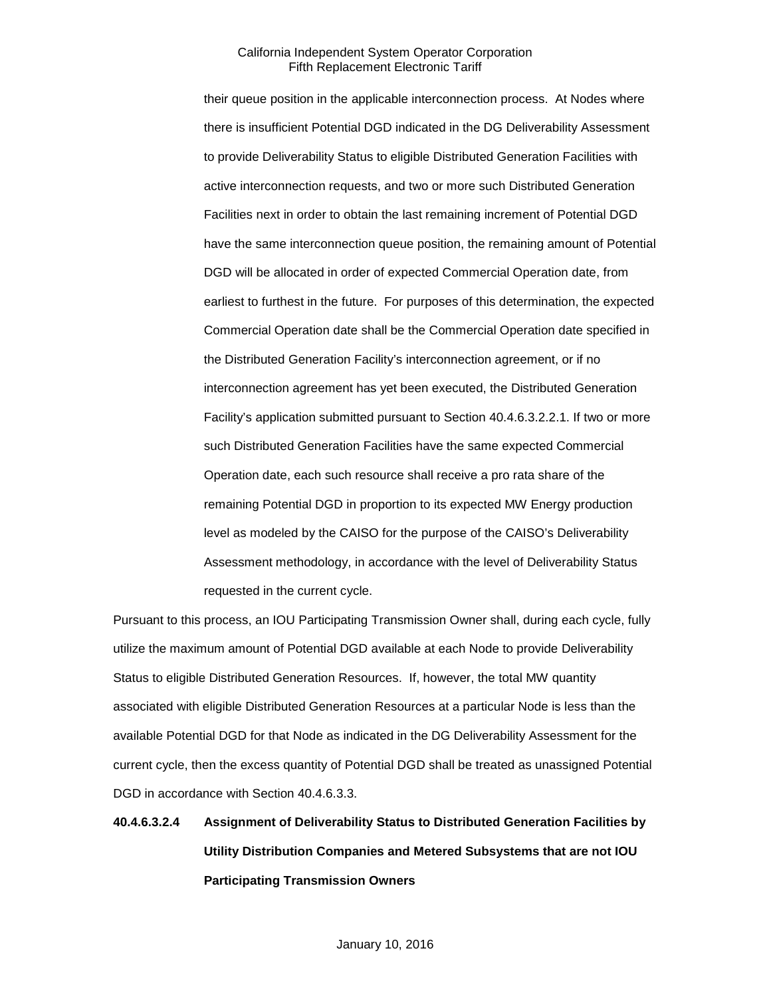their queue position in the applicable interconnection process. At Nodes where there is insufficient Potential DGD indicated in the DG Deliverability Assessment to provide Deliverability Status to eligible Distributed Generation Facilities with active interconnection requests, and two or more such Distributed Generation Facilities next in order to obtain the last remaining increment of Potential DGD have the same interconnection queue position, the remaining amount of Potential DGD will be allocated in order of expected Commercial Operation date, from earliest to furthest in the future. For purposes of this determination, the expected Commercial Operation date shall be the Commercial Operation date specified in the Distributed Generation Facility's interconnection agreement, or if no interconnection agreement has yet been executed, the Distributed Generation Facility's application submitted pursuant to Section 40.4.6.3.2.2.1. If two or more such Distributed Generation Facilities have the same expected Commercial Operation date, each such resource shall receive a pro rata share of the remaining Potential DGD in proportion to its expected MW Energy production level as modeled by the CAISO for the purpose of the CAISO's Deliverability Assessment methodology, in accordance with the level of Deliverability Status requested in the current cycle.

Pursuant to this process, an IOU Participating Transmission Owner shall, during each cycle, fully utilize the maximum amount of Potential DGD available at each Node to provide Deliverability Status to eligible Distributed Generation Resources. If, however, the total MW quantity associated with eligible Distributed Generation Resources at a particular Node is less than the available Potential DGD for that Node as indicated in the DG Deliverability Assessment for the current cycle, then the excess quantity of Potential DGD shall be treated as unassigned Potential DGD in accordance with Section 40.4.6.3.3.

# **40.4.6.3.2.4 Assignment of Deliverability Status to Distributed Generation Facilities by Utility Distribution Companies and Metered Subsystems that are not IOU Participating Transmission Owners**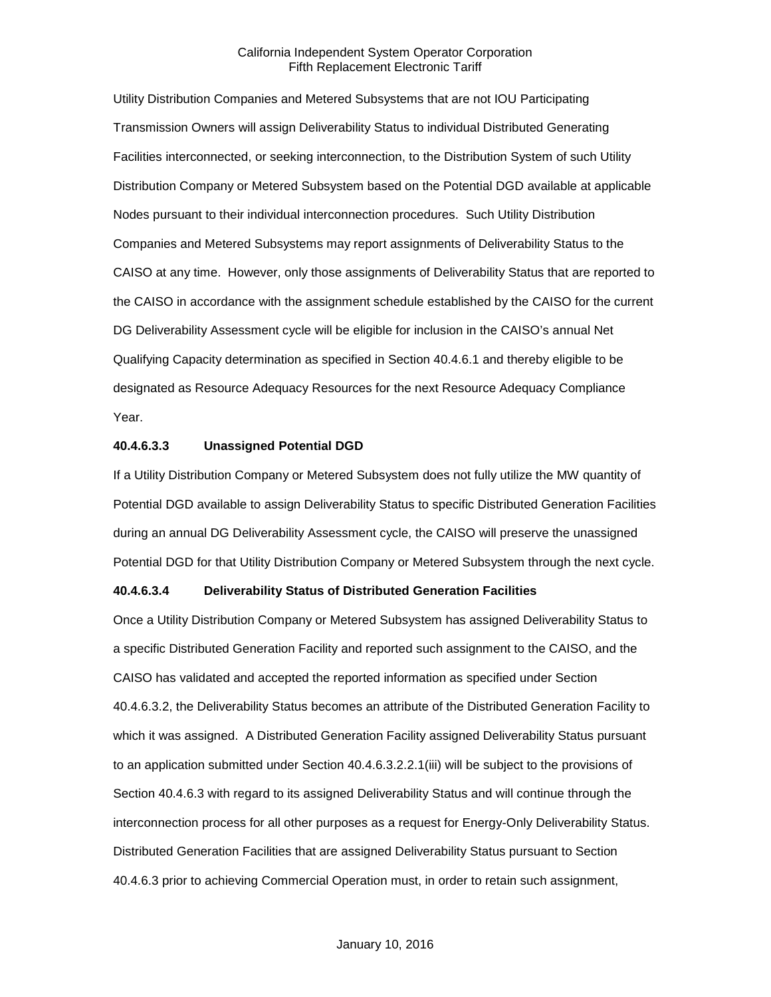Utility Distribution Companies and Metered Subsystems that are not IOU Participating Transmission Owners will assign Deliverability Status to individual Distributed Generating Facilities interconnected, or seeking interconnection, to the Distribution System of such Utility Distribution Company or Metered Subsystem based on the Potential DGD available at applicable Nodes pursuant to their individual interconnection procedures. Such Utility Distribution Companies and Metered Subsystems may report assignments of Deliverability Status to the CAISO at any time. However, only those assignments of Deliverability Status that are reported to the CAISO in accordance with the assignment schedule established by the CAISO for the current DG Deliverability Assessment cycle will be eligible for inclusion in the CAISO's annual Net Qualifying Capacity determination as specified in Section 40.4.6.1 and thereby eligible to be designated as Resource Adequacy Resources for the next Resource Adequacy Compliance Year.

#### **40.4.6.3.3 Unassigned Potential DGD**

If a Utility Distribution Company or Metered Subsystem does not fully utilize the MW quantity of Potential DGD available to assign Deliverability Status to specific Distributed Generation Facilities during an annual DG Deliverability Assessment cycle, the CAISO will preserve the unassigned Potential DGD for that Utility Distribution Company or Metered Subsystem through the next cycle.

#### **40.4.6.3.4 Deliverability Status of Distributed Generation Facilities**

Once a Utility Distribution Company or Metered Subsystem has assigned Deliverability Status to a specific Distributed Generation Facility and reported such assignment to the CAISO, and the CAISO has validated and accepted the reported information as specified under Section 40.4.6.3.2, the Deliverability Status becomes an attribute of the Distributed Generation Facility to which it was assigned. A Distributed Generation Facility assigned Deliverability Status pursuant to an application submitted under Section 40.4.6.3.2.2.1(iii) will be subject to the provisions of Section 40.4.6.3 with regard to its assigned Deliverability Status and will continue through the interconnection process for all other purposes as a request for Energy-Only Deliverability Status. Distributed Generation Facilities that are assigned Deliverability Status pursuant to Section 40.4.6.3 prior to achieving Commercial Operation must, in order to retain such assignment,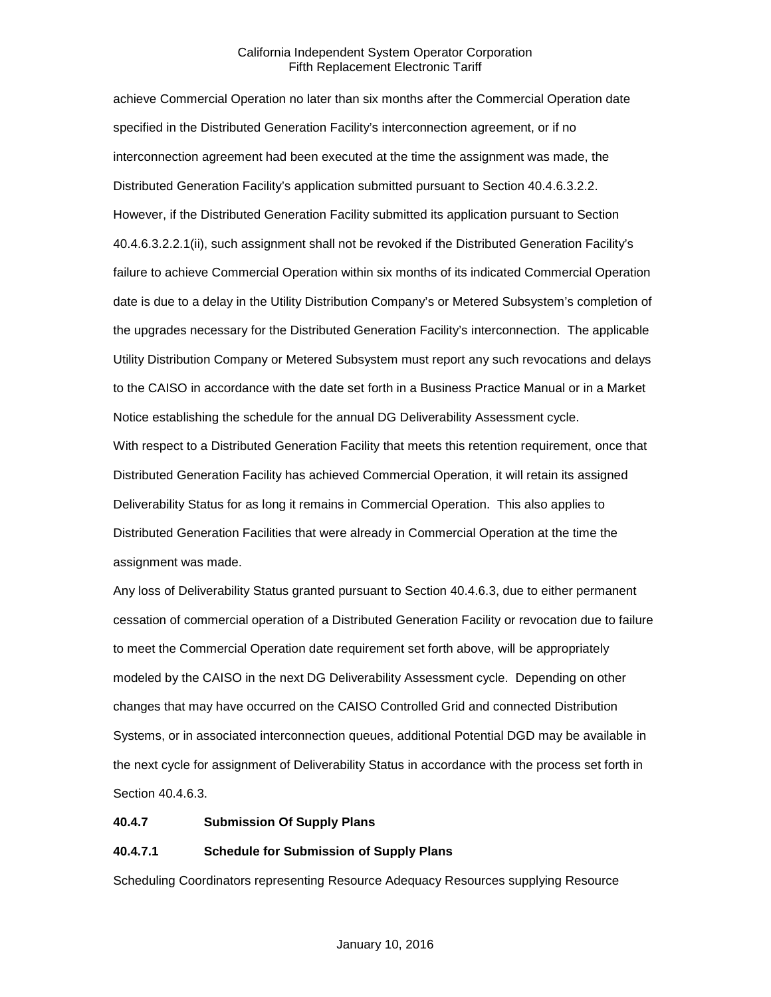achieve Commercial Operation no later than six months after the Commercial Operation date specified in the Distributed Generation Facility's interconnection agreement, or if no interconnection agreement had been executed at the time the assignment was made, the Distributed Generation Facility's application submitted pursuant to Section 40.4.6.3.2.2. However, if the Distributed Generation Facility submitted its application pursuant to Section 40.4.6.3.2.2.1(ii), such assignment shall not be revoked if the Distributed Generation Facility's failure to achieve Commercial Operation within six months of its indicated Commercial Operation date is due to a delay in the Utility Distribution Company's or Metered Subsystem's completion of the upgrades necessary for the Distributed Generation Facility's interconnection. The applicable Utility Distribution Company or Metered Subsystem must report any such revocations and delays to the CAISO in accordance with the date set forth in a Business Practice Manual or in a Market Notice establishing the schedule for the annual DG Deliverability Assessment cycle. With respect to a Distributed Generation Facility that meets this retention requirement, once that Distributed Generation Facility has achieved Commercial Operation, it will retain its assigned Deliverability Status for as long it remains in Commercial Operation. This also applies to Distributed Generation Facilities that were already in Commercial Operation at the time the assignment was made.

Any loss of Deliverability Status granted pursuant to Section 40.4.6.3, due to either permanent cessation of commercial operation of a Distributed Generation Facility or revocation due to failure to meet the Commercial Operation date requirement set forth above, will be appropriately modeled by the CAISO in the next DG Deliverability Assessment cycle. Depending on other changes that may have occurred on the CAISO Controlled Grid and connected Distribution Systems, or in associated interconnection queues, additional Potential DGD may be available in the next cycle for assignment of Deliverability Status in accordance with the process set forth in Section 40.4.6.3.

#### **40.4.7 Submission Of Supply Plans**

# **40.4.7.1 Schedule for Submission of Supply Plans**

Scheduling Coordinators representing Resource Adequacy Resources supplying Resource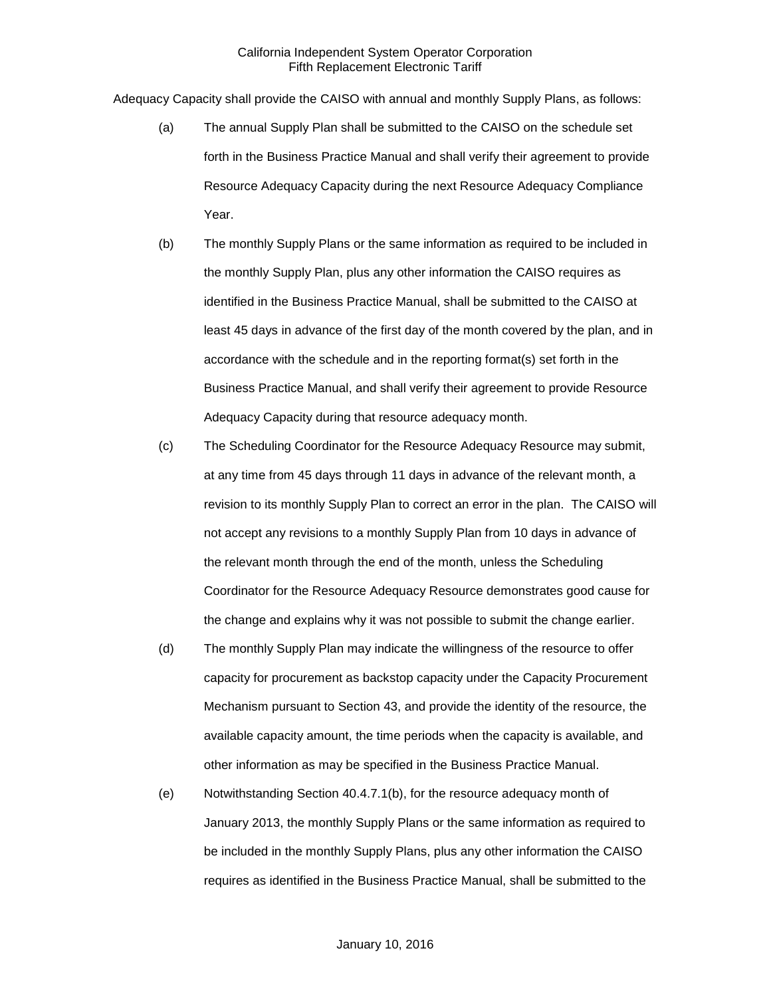Adequacy Capacity shall provide the CAISO with annual and monthly Supply Plans, as follows:

- (a) The annual Supply Plan shall be submitted to the CAISO on the schedule set forth in the Business Practice Manual and shall verify their agreement to provide Resource Adequacy Capacity during the next Resource Adequacy Compliance Year.
- (b) The monthly Supply Plans or the same information as required to be included in the monthly Supply Plan, plus any other information the CAISO requires as identified in the Business Practice Manual, shall be submitted to the CAISO at least 45 days in advance of the first day of the month covered by the plan, and in accordance with the schedule and in the reporting format(s) set forth in the Business Practice Manual, and shall verify their agreement to provide Resource Adequacy Capacity during that resource adequacy month.
- (c) The Scheduling Coordinator for the Resource Adequacy Resource may submit, at any time from 45 days through 11 days in advance of the relevant month, a revision to its monthly Supply Plan to correct an error in the plan. The CAISO will not accept any revisions to a monthly Supply Plan from 10 days in advance of the relevant month through the end of the month, unless the Scheduling Coordinator for the Resource Adequacy Resource demonstrates good cause for the change and explains why it was not possible to submit the change earlier.
- (d) The monthly Supply Plan may indicate the willingness of the resource to offer capacity for procurement as backstop capacity under the Capacity Procurement Mechanism pursuant to Section 43, and provide the identity of the resource, the available capacity amount, the time periods when the capacity is available, and other information as may be specified in the Business Practice Manual.
- (e) Notwithstanding Section 40.4.7.1(b), for the resource adequacy month of January 2013, the monthly Supply Plans or the same information as required to be included in the monthly Supply Plans, plus any other information the CAISO requires as identified in the Business Practice Manual, shall be submitted to the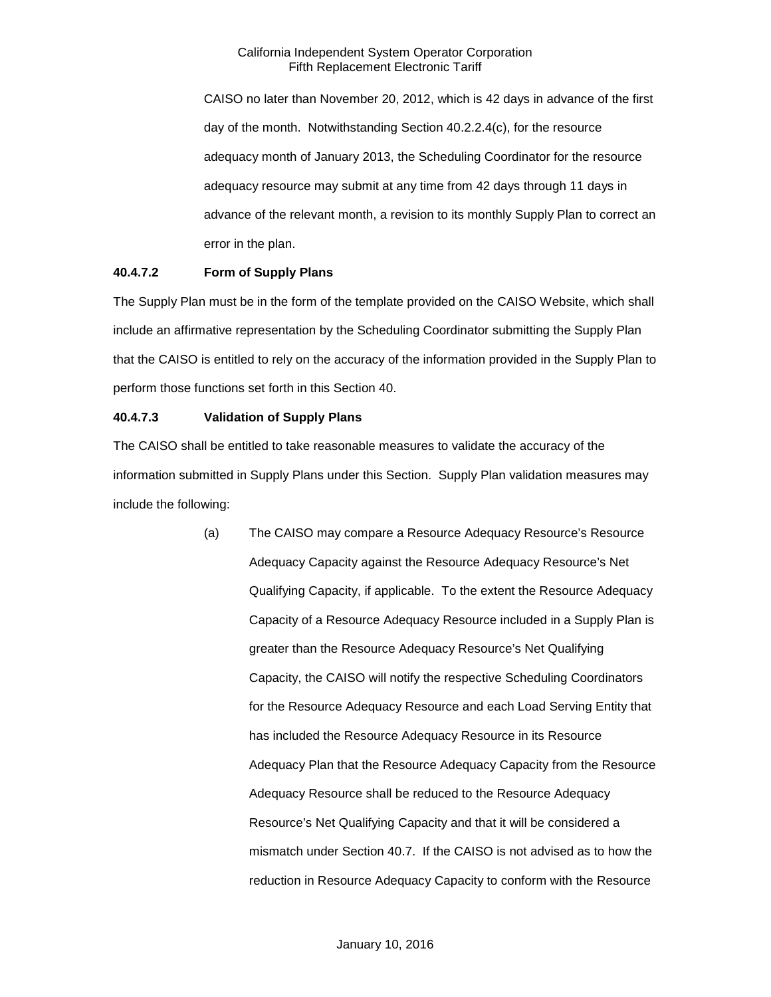CAISO no later than November 20, 2012, which is 42 days in advance of the first day of the month. Notwithstanding Section 40.2.2.4(c), for the resource adequacy month of January 2013, the Scheduling Coordinator for the resource adequacy resource may submit at any time from 42 days through 11 days in advance of the relevant month, a revision to its monthly Supply Plan to correct an error in the plan.

# **40.4.7.2 Form of Supply Plans**

The Supply Plan must be in the form of the template provided on the CAISO Website, which shall include an affirmative representation by the Scheduling Coordinator submitting the Supply Plan that the CAISO is entitled to rely on the accuracy of the information provided in the Supply Plan to perform those functions set forth in this Section 40.

# **40.4.7.3 Validation of Supply Plans**

The CAISO shall be entitled to take reasonable measures to validate the accuracy of the information submitted in Supply Plans under this Section. Supply Plan validation measures may include the following:

> (a) The CAISO may compare a Resource Adequacy Resource's Resource Adequacy Capacity against the Resource Adequacy Resource's Net Qualifying Capacity, if applicable. To the extent the Resource Adequacy Capacity of a Resource Adequacy Resource included in a Supply Plan is greater than the Resource Adequacy Resource's Net Qualifying Capacity, the CAISO will notify the respective Scheduling Coordinators for the Resource Adequacy Resource and each Load Serving Entity that has included the Resource Adequacy Resource in its Resource Adequacy Plan that the Resource Adequacy Capacity from the Resource Adequacy Resource shall be reduced to the Resource Adequacy Resource's Net Qualifying Capacity and that it will be considered a mismatch under Section 40.7. If the CAISO is not advised as to how the reduction in Resource Adequacy Capacity to conform with the Resource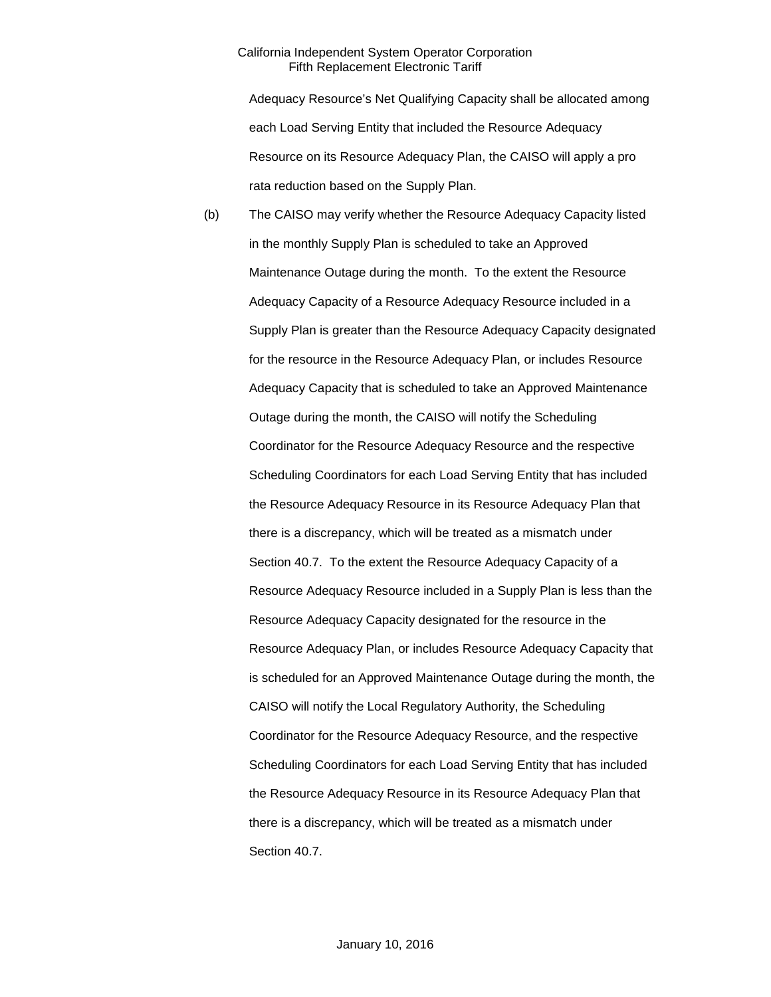Adequacy Resource's Net Qualifying Capacity shall be allocated among each Load Serving Entity that included the Resource Adequacy Resource on its Resource Adequacy Plan, the CAISO will apply a pro rata reduction based on the Supply Plan.

(b) The CAISO may verify whether the Resource Adequacy Capacity listed in the monthly Supply Plan is scheduled to take an Approved Maintenance Outage during the month. To the extent the Resource Adequacy Capacity of a Resource Adequacy Resource included in a Supply Plan is greater than the Resource Adequacy Capacity designated for the resource in the Resource Adequacy Plan, or includes Resource Adequacy Capacity that is scheduled to take an Approved Maintenance Outage during the month, the CAISO will notify the Scheduling Coordinator for the Resource Adequacy Resource and the respective Scheduling Coordinators for each Load Serving Entity that has included the Resource Adequacy Resource in its Resource Adequacy Plan that there is a discrepancy, which will be treated as a mismatch under Section 40.7. To the extent the Resource Adequacy Capacity of a Resource Adequacy Resource included in a Supply Plan is less than the Resource Adequacy Capacity designated for the resource in the Resource Adequacy Plan, or includes Resource Adequacy Capacity that is scheduled for an Approved Maintenance Outage during the month, the CAISO will notify the Local Regulatory Authority, the Scheduling Coordinator for the Resource Adequacy Resource, and the respective Scheduling Coordinators for each Load Serving Entity that has included the Resource Adequacy Resource in its Resource Adequacy Plan that there is a discrepancy, which will be treated as a mismatch under Section 40.7.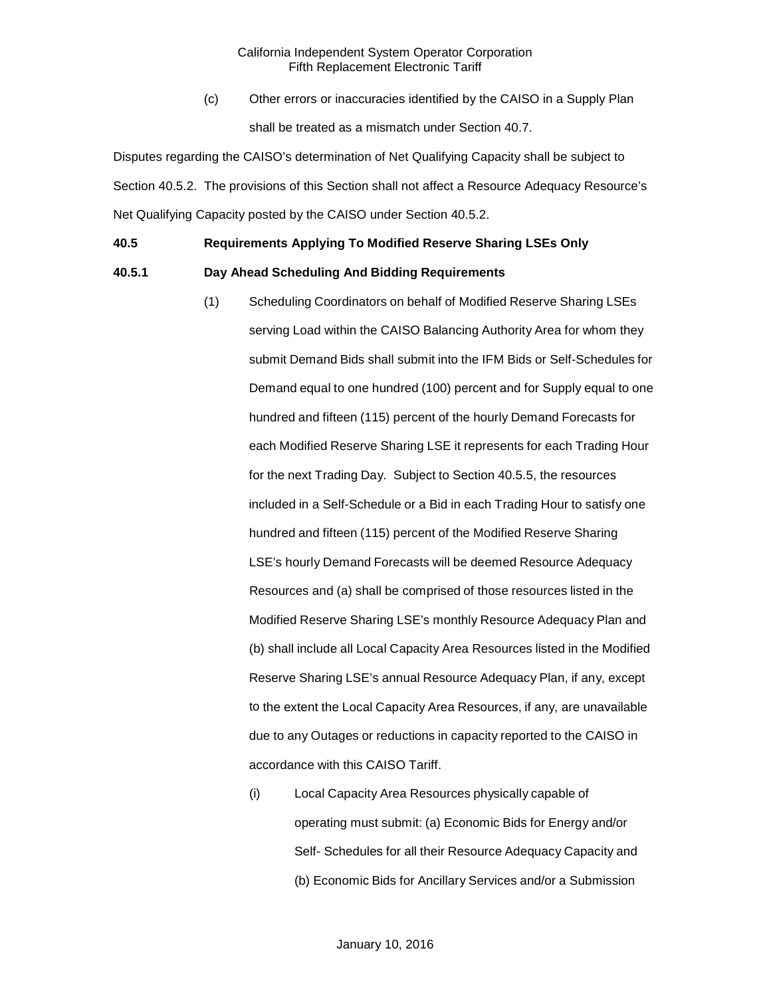(c) Other errors or inaccuracies identified by the CAISO in a Supply Plan shall be treated as a mismatch under Section 40.7.

Disputes regarding the CAISO's determination of Net Qualifying Capacity shall be subject to Section 40.5.2. The provisions of this Section shall not affect a Resource Adequacy Resource's Net Qualifying Capacity posted by the CAISO under Section 40.5.2.

# **40.5 Requirements Applying To Modified Reserve Sharing LSEs Only**

#### **40.5.1 Day Ahead Scheduling And Bidding Requirements**

- (1) Scheduling Coordinators on behalf of Modified Reserve Sharing LSEs serving Load within the CAISO Balancing Authority Area for whom they submit Demand Bids shall submit into the IFM Bids or Self-Schedules for Demand equal to one hundred (100) percent and for Supply equal to one hundred and fifteen (115) percent of the hourly Demand Forecasts for each Modified Reserve Sharing LSE it represents for each Trading Hour for the next Trading Day. Subject to Section 40.5.5, the resources included in a Self-Schedule or a Bid in each Trading Hour to satisfy one hundred and fifteen (115) percent of the Modified Reserve Sharing LSE's hourly Demand Forecasts will be deemed Resource Adequacy Resources and (a) shall be comprised of those resources listed in the Modified Reserve Sharing LSE's monthly Resource Adequacy Plan and (b) shall include all Local Capacity Area Resources listed in the Modified Reserve Sharing LSE's annual Resource Adequacy Plan, if any, except to the extent the Local Capacity Area Resources, if any, are unavailable due to any Outages or reductions in capacity reported to the CAISO in accordance with this CAISO Tariff.
	- (i) Local Capacity Area Resources physically capable of operating must submit: (a) Economic Bids for Energy and/or Self- Schedules for all their Resource Adequacy Capacity and (b) Economic Bids for Ancillary Services and/or a Submission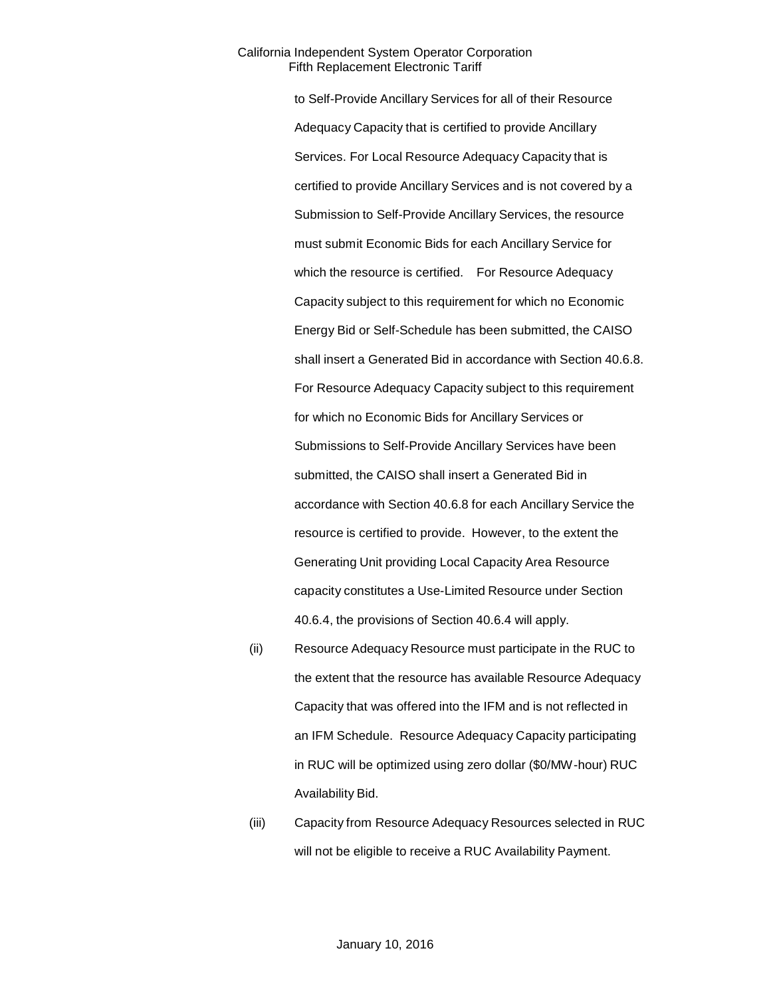to Self-Provide Ancillary Services for all of their Resource Adequacy Capacity that is certified to provide Ancillary Services. For Local Resource Adequacy Capacity that is certified to provide Ancillary Services and is not covered by a Submission to Self-Provide Ancillary Services, the resource must submit Economic Bids for each Ancillary Service for which the resource is certified. For Resource Adequacy Capacity subject to this requirement for which no Economic Energy Bid or Self-Schedule has been submitted, the CAISO shall insert a Generated Bid in accordance with Section 40.6.8. For Resource Adequacy Capacity subject to this requirement for which no Economic Bids for Ancillary Services or Submissions to Self-Provide Ancillary Services have been submitted, the CAISO shall insert a Generated Bid in accordance with Section 40.6.8 for each Ancillary Service the resource is certified to provide. However, to the extent the Generating Unit providing Local Capacity Area Resource capacity constitutes a Use-Limited Resource under Section 40.6.4, the provisions of Section 40.6.4 will apply.

- (ii) Resource Adequacy Resource must participate in the RUC to the extent that the resource has available Resource Adequacy Capacity that was offered into the IFM and is not reflected in an IFM Schedule. Resource Adequacy Capacity participating in RUC will be optimized using zero dollar (\$0/MW-hour) RUC Availability Bid.
- (iii) Capacity from Resource Adequacy Resources selected in RUC will not be eligible to receive a RUC Availability Payment.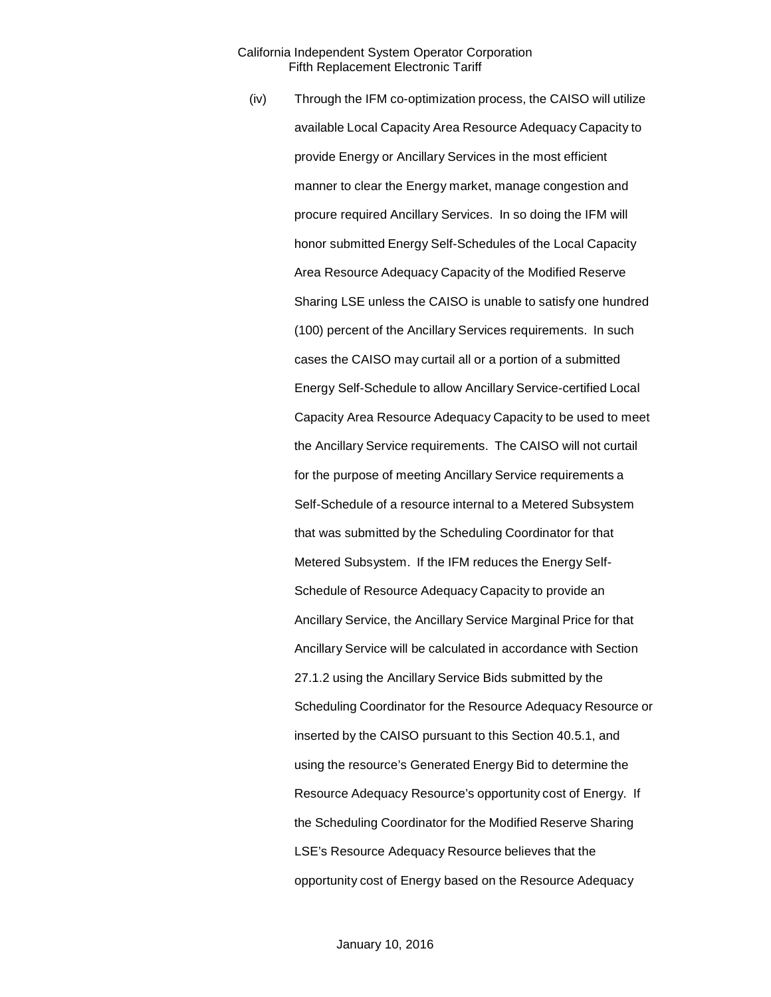(iv) Through the IFM co-optimization process, the CAISO will utilize available Local Capacity Area Resource Adequacy Capacity to provide Energy or Ancillary Services in the most efficient manner to clear the Energy market, manage congestion and procure required Ancillary Services. In so doing the IFM will honor submitted Energy Self-Schedules of the Local Capacity Area Resource Adequacy Capacity of the Modified Reserve Sharing LSE unless the CAISO is unable to satisfy one hundred (100) percent of the Ancillary Services requirements. In such cases the CAISO may curtail all or a portion of a submitted Energy Self-Schedule to allow Ancillary Service-certified Local Capacity Area Resource Adequacy Capacity to be used to meet the Ancillary Service requirements. The CAISO will not curtail for the purpose of meeting Ancillary Service requirements a Self-Schedule of a resource internal to a Metered Subsystem that was submitted by the Scheduling Coordinator for that Metered Subsystem. If the IFM reduces the Energy Self-Schedule of Resource Adequacy Capacity to provide an Ancillary Service, the Ancillary Service Marginal Price for that Ancillary Service will be calculated in accordance with Section 27.1.2 using the Ancillary Service Bids submitted by the Scheduling Coordinator for the Resource Adequacy Resource or inserted by the CAISO pursuant to this Section 40.5.1, and using the resource's Generated Energy Bid to determine the Resource Adequacy Resource's opportunity cost of Energy. If the Scheduling Coordinator for the Modified Reserve Sharing LSE's Resource Adequacy Resource believes that the opportunity cost of Energy based on the Resource Adequacy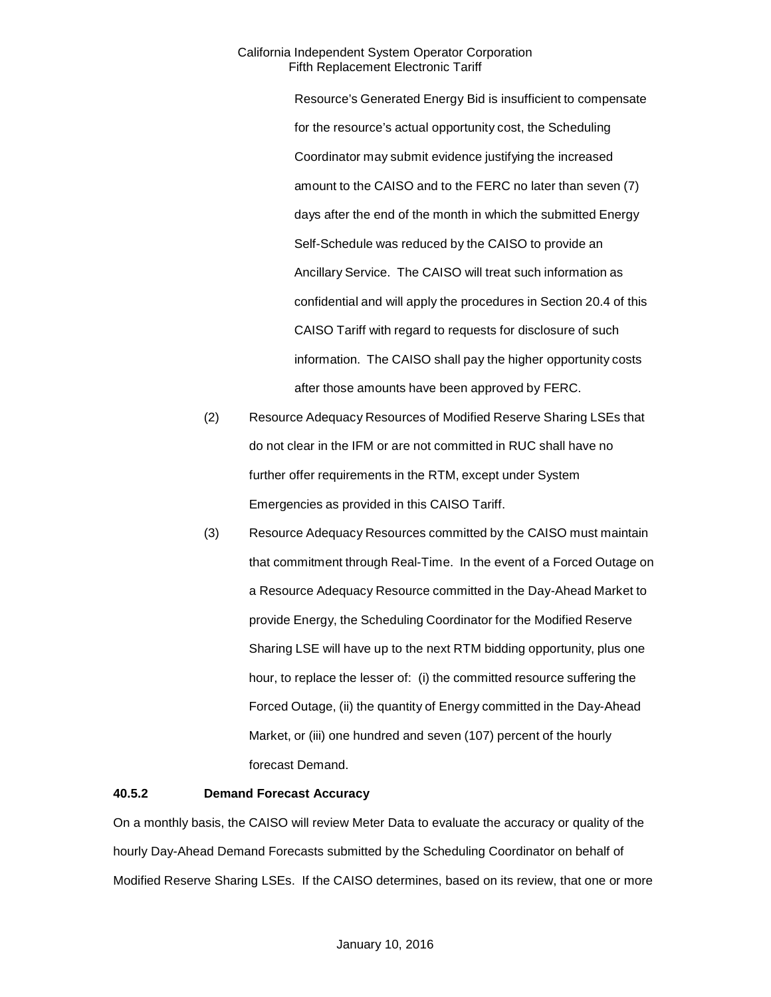Resource's Generated Energy Bid is insufficient to compensate for the resource's actual opportunity cost, the Scheduling Coordinator may submit evidence justifying the increased amount to the CAISO and to the FERC no later than seven (7) days after the end of the month in which the submitted Energy Self-Schedule was reduced by the CAISO to provide an Ancillary Service. The CAISO will treat such information as confidential and will apply the procedures in Section 20.4 of this CAISO Tariff with regard to requests for disclosure of such information. The CAISO shall pay the higher opportunity costs after those amounts have been approved by FERC.

- (2) Resource Adequacy Resources of Modified Reserve Sharing LSEs that do not clear in the IFM or are not committed in RUC shall have no further offer requirements in the RTM, except under System Emergencies as provided in this CAISO Tariff.
- (3) Resource Adequacy Resources committed by the CAISO must maintain that commitment through Real-Time. In the event of a Forced Outage on a Resource Adequacy Resource committed in the Day-Ahead Market to provide Energy, the Scheduling Coordinator for the Modified Reserve Sharing LSE will have up to the next RTM bidding opportunity, plus one hour, to replace the lesser of: (i) the committed resource suffering the Forced Outage, (ii) the quantity of Energy committed in the Day-Ahead Market, or (iii) one hundred and seven (107) percent of the hourly forecast Demand.

#### **40.5.2 Demand Forecast Accuracy**

On a monthly basis, the CAISO will review Meter Data to evaluate the accuracy or quality of the hourly Day-Ahead Demand Forecasts submitted by the Scheduling Coordinator on behalf of Modified Reserve Sharing LSEs. If the CAISO determines, based on its review, that one or more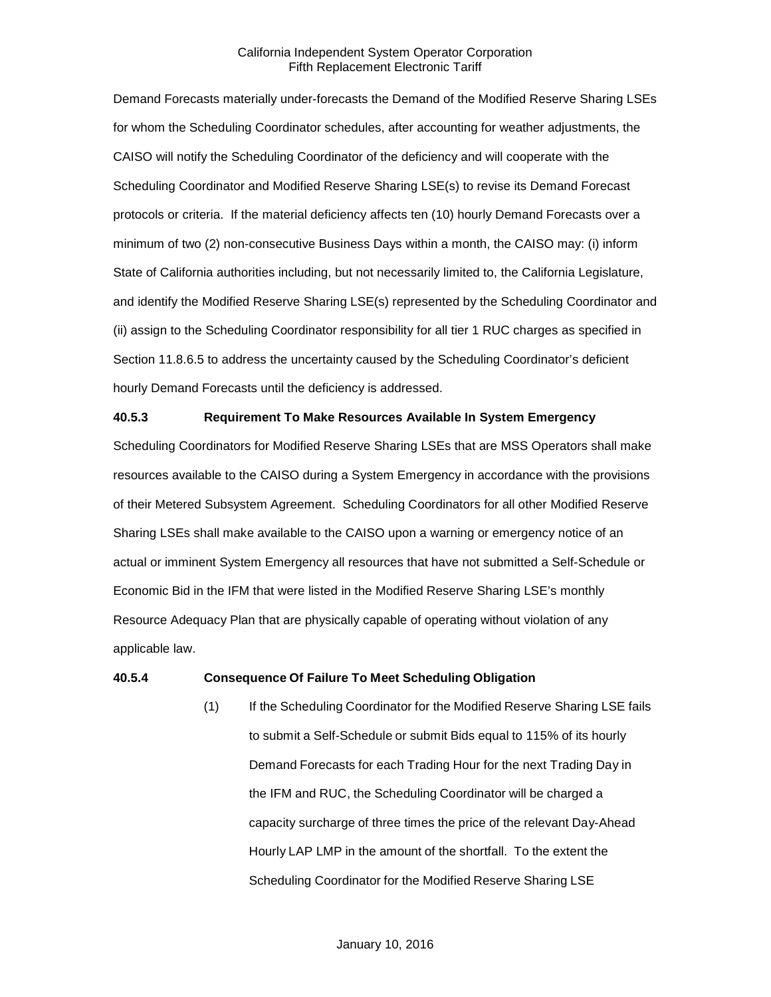Demand Forecasts materially under-forecasts the Demand of the Modified Reserve Sharing LSEs for whom the Scheduling Coordinator schedules, after accounting for weather adjustments, the CAISO will notify the Scheduling Coordinator of the deficiency and will cooperate with the Scheduling Coordinator and Modified Reserve Sharing LSE(s) to revise its Demand Forecast protocols or criteria. If the material deficiency affects ten (10) hourly Demand Forecasts over a minimum of two (2) non-consecutive Business Days within a month, the CAISO may: (i) inform State of California authorities including, but not necessarily limited to, the California Legislature, and identify the Modified Reserve Sharing LSE(s) represented by the Scheduling Coordinator and (ii) assign to the Scheduling Coordinator responsibility for all tier 1 RUC charges as specified in Section 11.8.6.5 to address the uncertainty caused by the Scheduling Coordinator's deficient hourly Demand Forecasts until the deficiency is addressed.

#### **40.5.3 Requirement To Make Resources Available In System Emergency**

Scheduling Coordinators for Modified Reserve Sharing LSEs that are MSS Operators shall make resources available to the CAISO during a System Emergency in accordance with the provisions of their Metered Subsystem Agreement. Scheduling Coordinators for all other Modified Reserve Sharing LSEs shall make available to the CAISO upon a warning or emergency notice of an actual or imminent System Emergency all resources that have not submitted a Self-Schedule or Economic Bid in the IFM that were listed in the Modified Reserve Sharing LSE's monthly Resource Adequacy Plan that are physically capable of operating without violation of any applicable law.

#### **40.5.4 Consequence Of Failure To Meet Scheduling Obligation**

(1) If the Scheduling Coordinator for the Modified Reserve Sharing LSE fails to submit a Self-Schedule or submit Bids equal to 115% of its hourly Demand Forecasts for each Trading Hour for the next Trading Day in the IFM and RUC, the Scheduling Coordinator will be charged a capacity surcharge of three times the price of the relevant Day-Ahead Hourly LAP LMP in the amount of the shortfall. To the extent the Scheduling Coordinator for the Modified Reserve Sharing LSE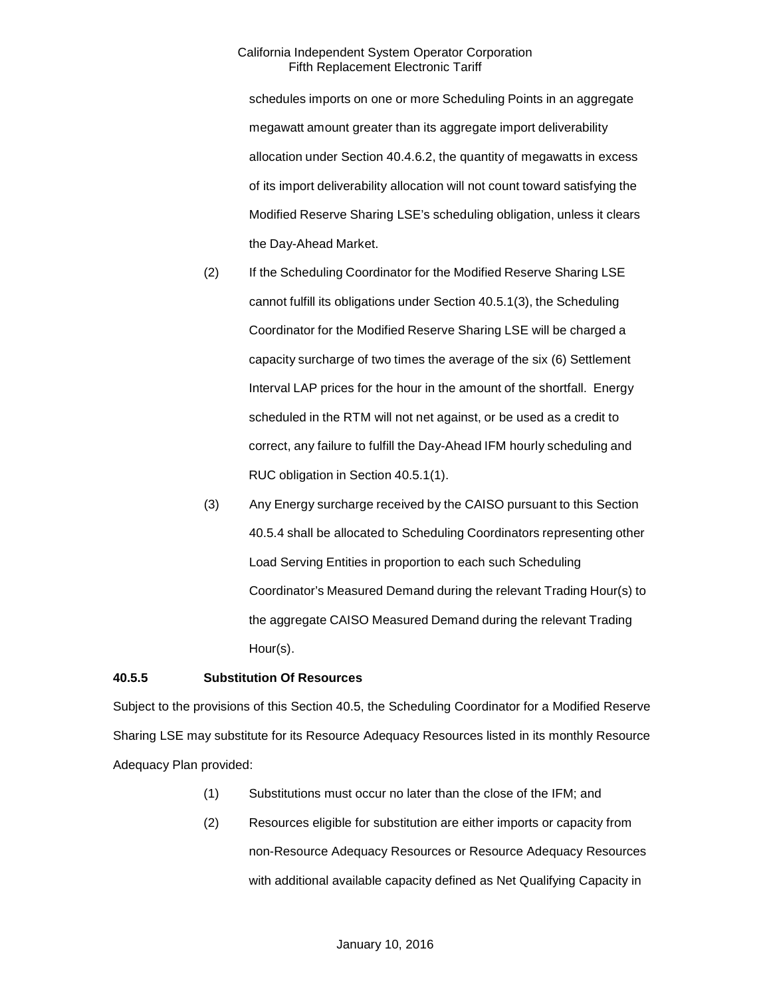schedules imports on one or more Scheduling Points in an aggregate megawatt amount greater than its aggregate import deliverability allocation under Section 40.4.6.2, the quantity of megawatts in excess of its import deliverability allocation will not count toward satisfying the Modified Reserve Sharing LSE's scheduling obligation, unless it clears the Day-Ahead Market.

- (2) If the Scheduling Coordinator for the Modified Reserve Sharing LSE cannot fulfill its obligations under Section 40.5.1(3), the Scheduling Coordinator for the Modified Reserve Sharing LSE will be charged a capacity surcharge of two times the average of the six (6) Settlement Interval LAP prices for the hour in the amount of the shortfall. Energy scheduled in the RTM will not net against, or be used as a credit to correct, any failure to fulfill the Day-Ahead IFM hourly scheduling and RUC obligation in Section 40.5.1(1).
- (3) Any Energy surcharge received by the CAISO pursuant to this Section 40.5.4 shall be allocated to Scheduling Coordinators representing other Load Serving Entities in proportion to each such Scheduling Coordinator's Measured Demand during the relevant Trading Hour(s) to the aggregate CAISO Measured Demand during the relevant Trading Hour(s).

# **40.5.5 Substitution Of Resources**

Subject to the provisions of this Section 40.5, the Scheduling Coordinator for a Modified Reserve Sharing LSE may substitute for its Resource Adequacy Resources listed in its monthly Resource Adequacy Plan provided:

- (1) Substitutions must occur no later than the close of the IFM; and
- (2) Resources eligible for substitution are either imports or capacity from non-Resource Adequacy Resources or Resource Adequacy Resources with additional available capacity defined as Net Qualifying Capacity in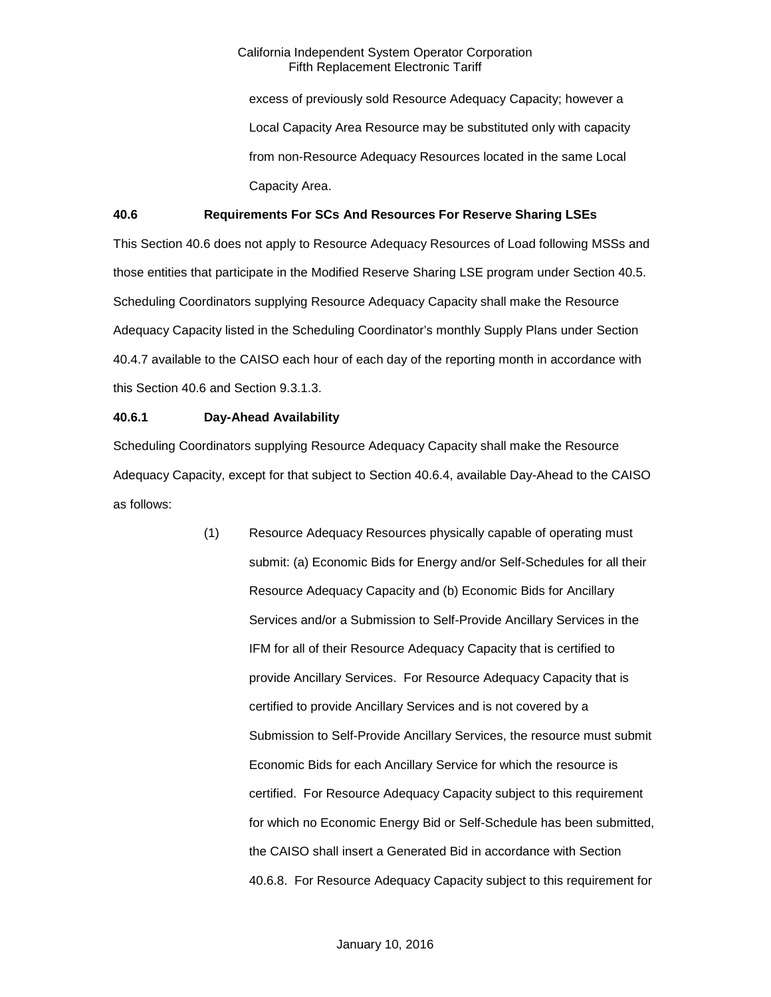excess of previously sold Resource Adequacy Capacity; however a Local Capacity Area Resource may be substituted only with capacity from non-Resource Adequacy Resources located in the same Local Capacity Area.

# **40.6 Requirements For SCs And Resources For Reserve Sharing LSEs**

This Section 40.6 does not apply to Resource Adequacy Resources of Load following MSSs and those entities that participate in the Modified Reserve Sharing LSE program under Section 40.5. Scheduling Coordinators supplying Resource Adequacy Capacity shall make the Resource Adequacy Capacity listed in the Scheduling Coordinator's monthly Supply Plans under Section 40.4.7 available to the CAISO each hour of each day of the reporting month in accordance with this Section 40.6 and Section 9.3.1.3.

#### **40.6.1 Day-Ahead Availability**

Scheduling Coordinators supplying Resource Adequacy Capacity shall make the Resource Adequacy Capacity, except for that subject to Section 40.6.4, available Day-Ahead to the CAISO as follows:

> (1) Resource Adequacy Resources physically capable of operating must submit: (a) Economic Bids for Energy and/or Self-Schedules for all their Resource Adequacy Capacity and (b) Economic Bids for Ancillary Services and/or a Submission to Self-Provide Ancillary Services in the IFM for all of their Resource Adequacy Capacity that is certified to provide Ancillary Services. For Resource Adequacy Capacity that is certified to provide Ancillary Services and is not covered by a Submission to Self-Provide Ancillary Services, the resource must submit Economic Bids for each Ancillary Service for which the resource is certified. For Resource Adequacy Capacity subject to this requirement for which no Economic Energy Bid or Self-Schedule has been submitted, the CAISO shall insert a Generated Bid in accordance with Section 40.6.8. For Resource Adequacy Capacity subject to this requirement for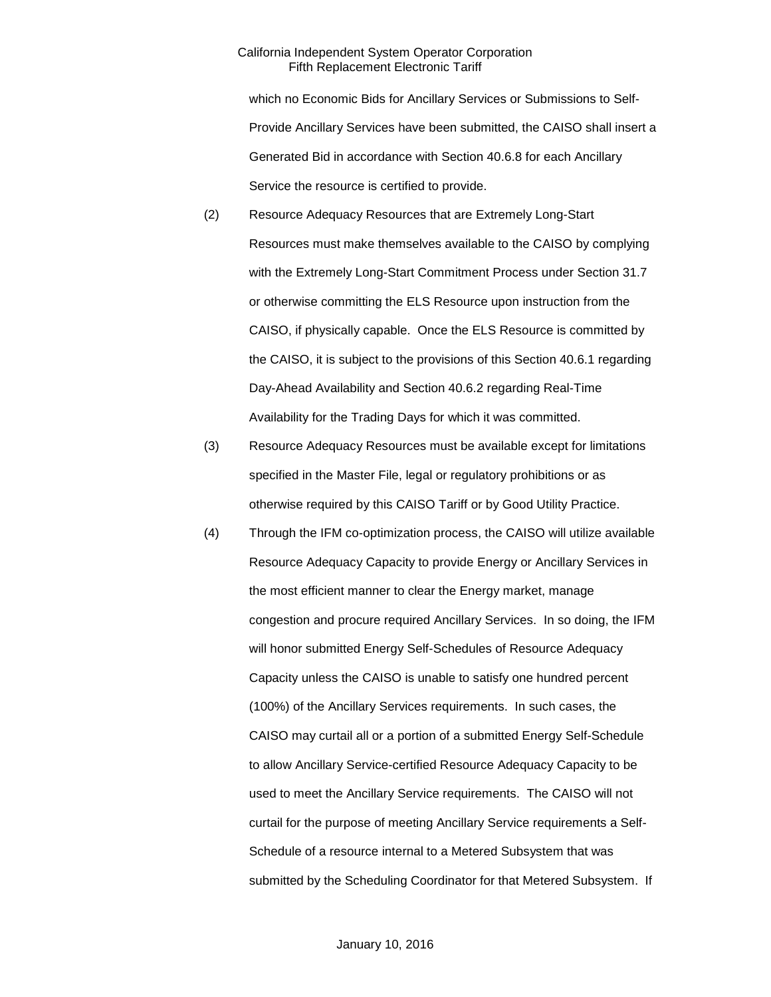which no Economic Bids for Ancillary Services or Submissions to Self-Provide Ancillary Services have been submitted, the CAISO shall insert a Generated Bid in accordance with Section 40.6.8 for each Ancillary Service the resource is certified to provide.

- (2) Resource Adequacy Resources that are Extremely Long-Start Resources must make themselves available to the CAISO by complying with the Extremely Long-Start Commitment Process under Section 31.7 or otherwise committing the ELS Resource upon instruction from the CAISO, if physically capable. Once the ELS Resource is committed by the CAISO, it is subject to the provisions of this Section 40.6.1 regarding Day-Ahead Availability and Section 40.6.2 regarding Real-Time Availability for the Trading Days for which it was committed.
- (3) Resource Adequacy Resources must be available except for limitations specified in the Master File, legal or regulatory prohibitions or as otherwise required by this CAISO Tariff or by Good Utility Practice.
- (4) Through the IFM co-optimization process, the CAISO will utilize available Resource Adequacy Capacity to provide Energy or Ancillary Services in the most efficient manner to clear the Energy market, manage congestion and procure required Ancillary Services. In so doing, the IFM will honor submitted Energy Self-Schedules of Resource Adequacy Capacity unless the CAISO is unable to satisfy one hundred percent (100%) of the Ancillary Services requirements. In such cases, the CAISO may curtail all or a portion of a submitted Energy Self-Schedule to allow Ancillary Service-certified Resource Adequacy Capacity to be used to meet the Ancillary Service requirements. The CAISO will not curtail for the purpose of meeting Ancillary Service requirements a Self-Schedule of a resource internal to a Metered Subsystem that was submitted by the Scheduling Coordinator for that Metered Subsystem. If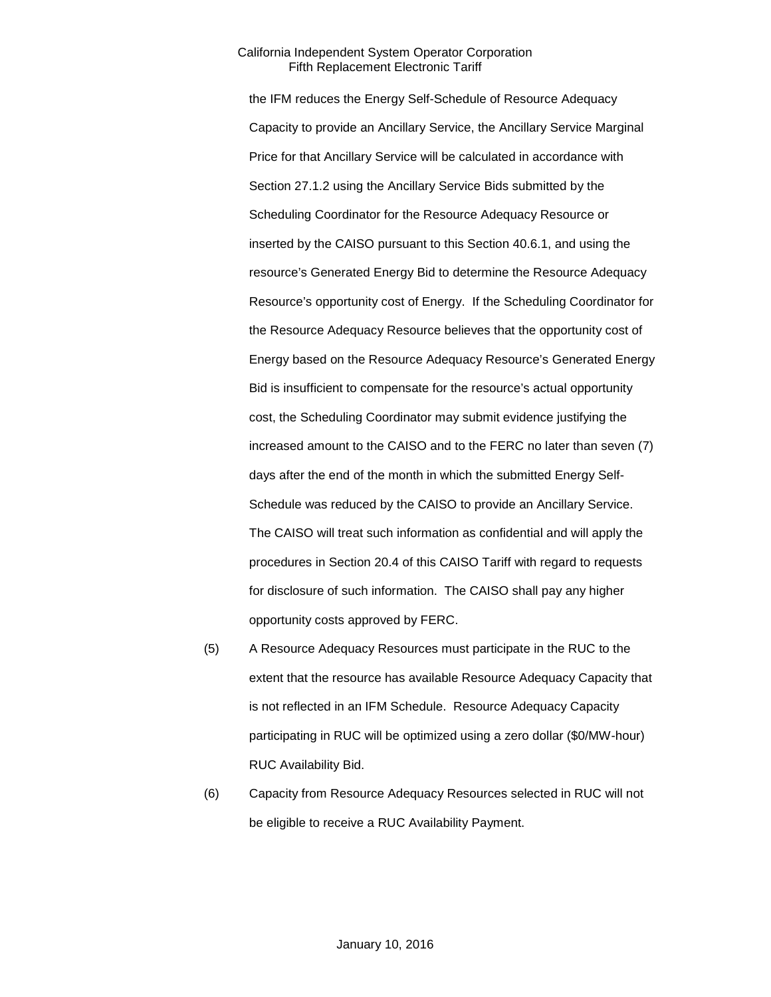the IFM reduces the Energy Self-Schedule of Resource Adequacy Capacity to provide an Ancillary Service, the Ancillary Service Marginal Price for that Ancillary Service will be calculated in accordance with Section 27.1.2 using the Ancillary Service Bids submitted by the Scheduling Coordinator for the Resource Adequacy Resource or inserted by the CAISO pursuant to this Section 40.6.1, and using the resource's Generated Energy Bid to determine the Resource Adequacy Resource's opportunity cost of Energy. If the Scheduling Coordinator for the Resource Adequacy Resource believes that the opportunity cost of Energy based on the Resource Adequacy Resource's Generated Energy Bid is insufficient to compensate for the resource's actual opportunity cost, the Scheduling Coordinator may submit evidence justifying the increased amount to the CAISO and to the FERC no later than seven (7) days after the end of the month in which the submitted Energy Self-Schedule was reduced by the CAISO to provide an Ancillary Service. The CAISO will treat such information as confidential and will apply the procedures in Section 20.4 of this CAISO Tariff with regard to requests for disclosure of such information. The CAISO shall pay any higher opportunity costs approved by FERC.

- (5) A Resource Adequacy Resources must participate in the RUC to the extent that the resource has available Resource Adequacy Capacity that is not reflected in an IFM Schedule. Resource Adequacy Capacity participating in RUC will be optimized using a zero dollar (\$0/MW-hour) RUC Availability Bid.
- (6) Capacity from Resource Adequacy Resources selected in RUC will not be eligible to receive a RUC Availability Payment.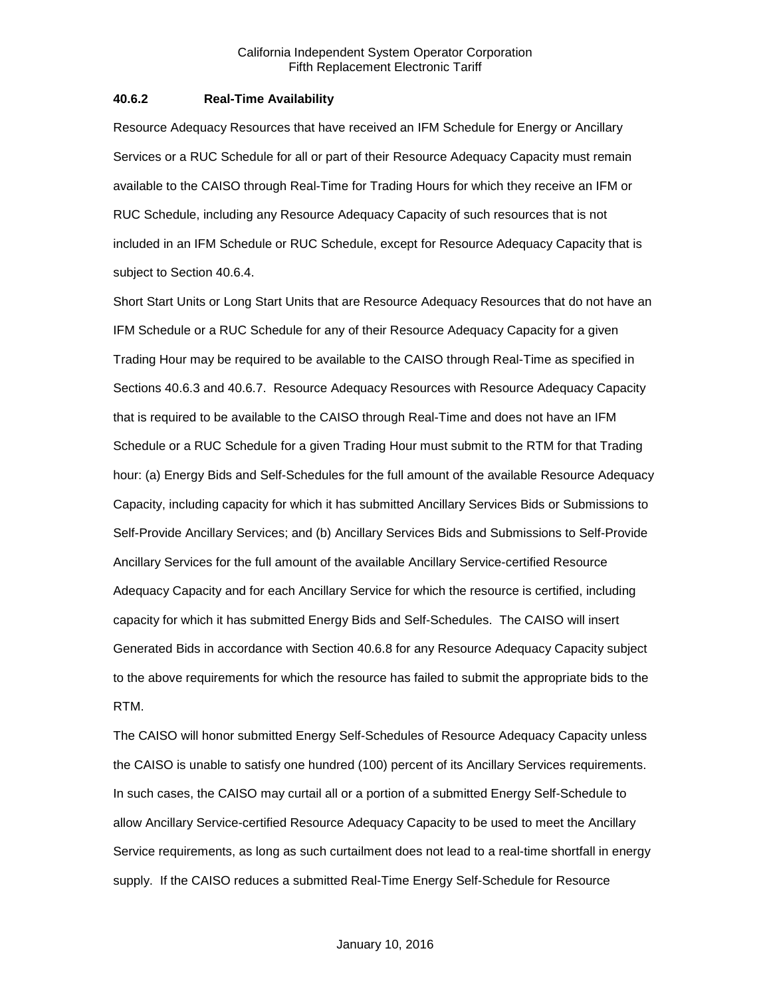#### **40.6.2 Real-Time Availability**

Resource Adequacy Resources that have received an IFM Schedule for Energy or Ancillary Services or a RUC Schedule for all or part of their Resource Adequacy Capacity must remain available to the CAISO through Real-Time for Trading Hours for which they receive an IFM or RUC Schedule, including any Resource Adequacy Capacity of such resources that is not included in an IFM Schedule or RUC Schedule, except for Resource Adequacy Capacity that is subject to Section 40.6.4.

Short Start Units or Long Start Units that are Resource Adequacy Resources that do not have an IFM Schedule or a RUC Schedule for any of their Resource Adequacy Capacity for a given Trading Hour may be required to be available to the CAISO through Real-Time as specified in Sections 40.6.3 and 40.6.7. Resource Adequacy Resources with Resource Adequacy Capacity that is required to be available to the CAISO through Real-Time and does not have an IFM Schedule or a RUC Schedule for a given Trading Hour must submit to the RTM for that Trading hour: (a) Energy Bids and Self-Schedules for the full amount of the available Resource Adequacy Capacity, including capacity for which it has submitted Ancillary Services Bids or Submissions to Self-Provide Ancillary Services; and (b) Ancillary Services Bids and Submissions to Self-Provide Ancillary Services for the full amount of the available Ancillary Service-certified Resource Adequacy Capacity and for each Ancillary Service for which the resource is certified, including capacity for which it has submitted Energy Bids and Self-Schedules. The CAISO will insert Generated Bids in accordance with Section 40.6.8 for any Resource Adequacy Capacity subject to the above requirements for which the resource has failed to submit the appropriate bids to the RTM.

The CAISO will honor submitted Energy Self-Schedules of Resource Adequacy Capacity unless the CAISO is unable to satisfy one hundred (100) percent of its Ancillary Services requirements. In such cases, the CAISO may curtail all or a portion of a submitted Energy Self-Schedule to allow Ancillary Service-certified Resource Adequacy Capacity to be used to meet the Ancillary Service requirements, as long as such curtailment does not lead to a real-time shortfall in energy supply. If the CAISO reduces a submitted Real-Time Energy Self-Schedule for Resource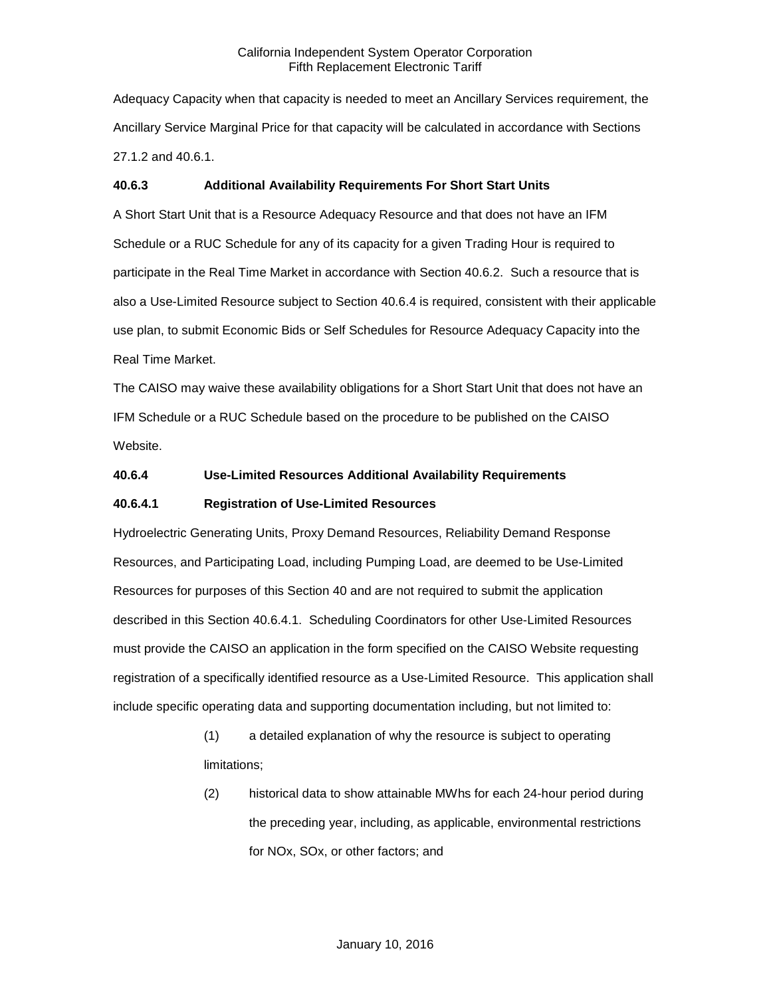Adequacy Capacity when that capacity is needed to meet an Ancillary Services requirement, the Ancillary Service Marginal Price for that capacity will be calculated in accordance with Sections 27.1.2 and 40.6.1.

# **40.6.3 Additional Availability Requirements For Short Start Units**

A Short Start Unit that is a Resource Adequacy Resource and that does not have an IFM Schedule or a RUC Schedule for any of its capacity for a given Trading Hour is required to participate in the Real Time Market in accordance with Section 40.6.2. Such a resource that is also a Use-Limited Resource subject to Section 40.6.4 is required, consistent with their applicable use plan, to submit Economic Bids or Self Schedules for Resource Adequacy Capacity into the Real Time Market.

The CAISO may waive these availability obligations for a Short Start Unit that does not have an IFM Schedule or a RUC Schedule based on the procedure to be published on the CAISO Website.

# **40.6.4 Use-Limited Resources Additional Availability Requirements**

# **40.6.4.1 Registration of Use-Limited Resources**

Hydroelectric Generating Units, Proxy Demand Resources, Reliability Demand Response Resources, and Participating Load, including Pumping Load, are deemed to be Use-Limited Resources for purposes of this Section 40 and are not required to submit the application described in this Section 40.6.4.1. Scheduling Coordinators for other Use-Limited Resources must provide the CAISO an application in the form specified on the CAISO Website requesting registration of a specifically identified resource as a Use-Limited Resource. This application shall include specific operating data and supporting documentation including, but not limited to:

- (1) a detailed explanation of why the resource is subject to operating limitations;
- (2) historical data to show attainable MWhs for each 24-hour period during the preceding year, including, as applicable, environmental restrictions for NOx, SOx, or other factors; and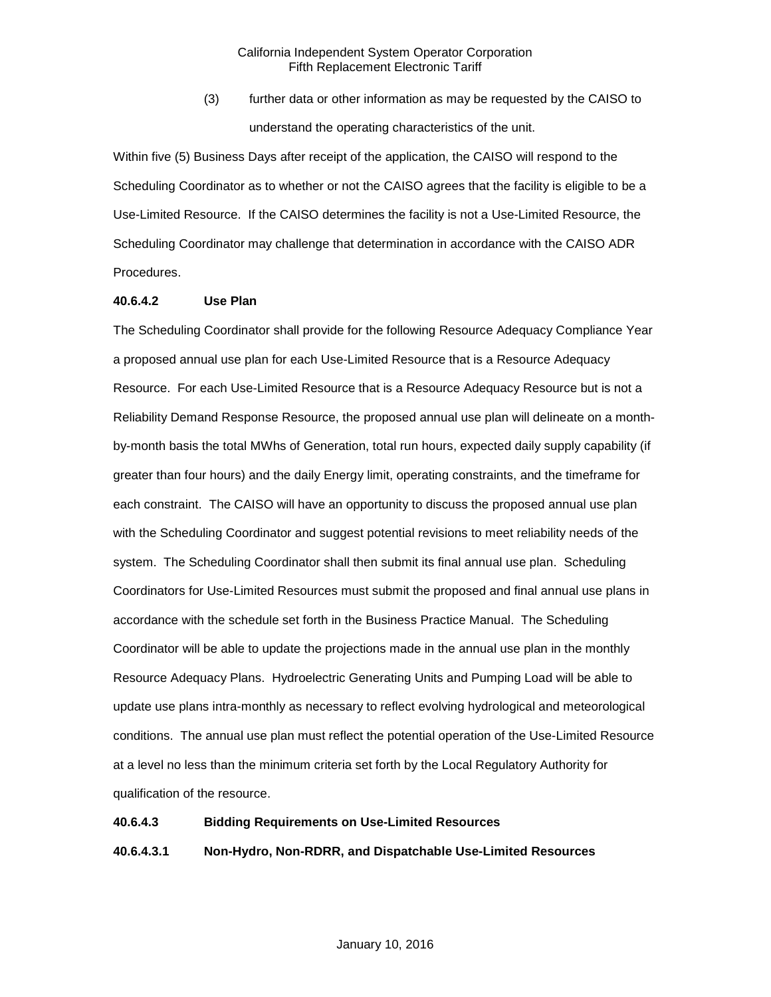(3) further data or other information as may be requested by the CAISO to understand the operating characteristics of the unit.

Within five (5) Business Days after receipt of the application, the CAISO will respond to the Scheduling Coordinator as to whether or not the CAISO agrees that the facility is eligible to be a Use-Limited Resource. If the CAISO determines the facility is not a Use-Limited Resource, the Scheduling Coordinator may challenge that determination in accordance with the CAISO ADR Procedures.

#### **40.6.4.2 Use Plan**

The Scheduling Coordinator shall provide for the following Resource Adequacy Compliance Year a proposed annual use plan for each Use-Limited Resource that is a Resource Adequacy Resource. For each Use-Limited Resource that is a Resource Adequacy Resource but is not a Reliability Demand Response Resource, the proposed annual use plan will delineate on a monthby-month basis the total MWhs of Generation, total run hours, expected daily supply capability (if greater than four hours) and the daily Energy limit, operating constraints, and the timeframe for each constraint. The CAISO will have an opportunity to discuss the proposed annual use plan with the Scheduling Coordinator and suggest potential revisions to meet reliability needs of the system. The Scheduling Coordinator shall then submit its final annual use plan. Scheduling Coordinators for Use-Limited Resources must submit the proposed and final annual use plans in accordance with the schedule set forth in the Business Practice Manual. The Scheduling Coordinator will be able to update the projections made in the annual use plan in the monthly Resource Adequacy Plans. Hydroelectric Generating Units and Pumping Load will be able to update use plans intra-monthly as necessary to reflect evolving hydrological and meteorological conditions. The annual use plan must reflect the potential operation of the Use-Limited Resource at a level no less than the minimum criteria set forth by the Local Regulatory Authority for qualification of the resource.

#### **40.6.4.3 Bidding Requirements on Use-Limited Resources**

# **40.6.4.3.1 Non-Hydro, Non-RDRR, and Dispatchable Use-Limited Resources**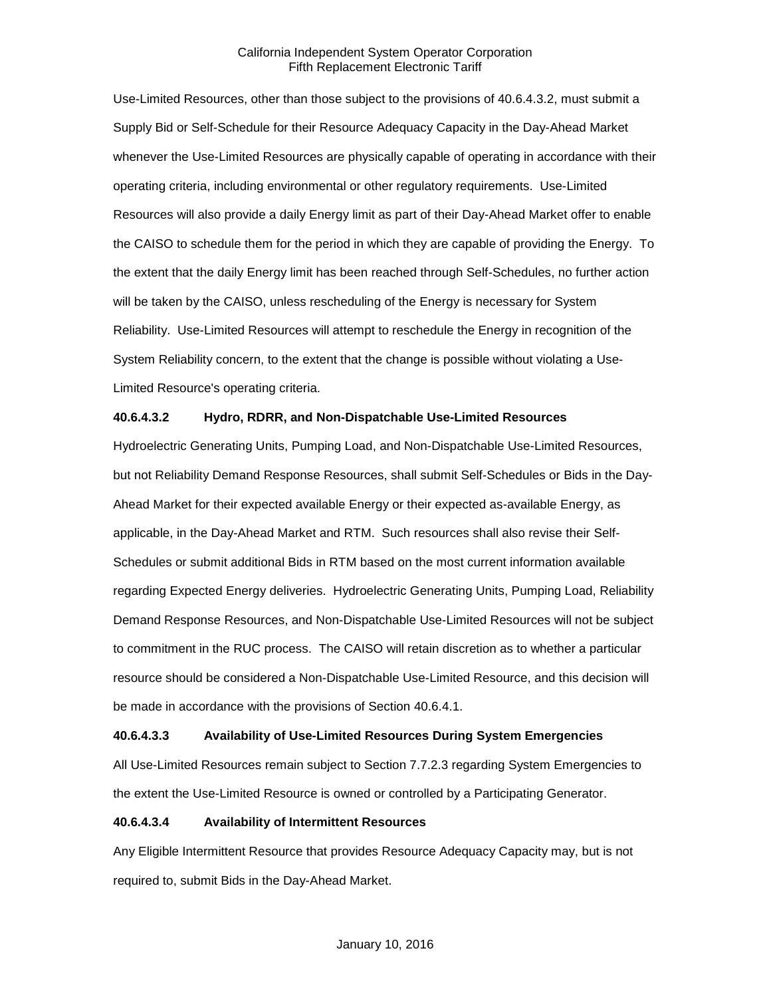Use-Limited Resources, other than those subject to the provisions of 40.6.4.3.2, must submit a Supply Bid or Self-Schedule for their Resource Adequacy Capacity in the Day-Ahead Market whenever the Use-Limited Resources are physically capable of operating in accordance with their operating criteria, including environmental or other regulatory requirements. Use-Limited Resources will also provide a daily Energy limit as part of their Day-Ahead Market offer to enable the CAISO to schedule them for the period in which they are capable of providing the Energy. To the extent that the daily Energy limit has been reached through Self-Schedules, no further action will be taken by the CAISO, unless rescheduling of the Energy is necessary for System Reliability. Use-Limited Resources will attempt to reschedule the Energy in recognition of the System Reliability concern, to the extent that the change is possible without violating a Use-Limited Resource's operating criteria.

#### **40.6.4.3.2 Hydro, RDRR, and Non-Dispatchable Use-Limited Resources**

Hydroelectric Generating Units, Pumping Load, and Non-Dispatchable Use-Limited Resources, but not Reliability Demand Response Resources, shall submit Self-Schedules or Bids in the Day-Ahead Market for their expected available Energy or their expected as-available Energy, as applicable, in the Day-Ahead Market and RTM. Such resources shall also revise their Self-Schedules or submit additional Bids in RTM based on the most current information available regarding Expected Energy deliveries. Hydroelectric Generating Units, Pumping Load, Reliability Demand Response Resources, and Non-Dispatchable Use-Limited Resources will not be subject to commitment in the RUC process. The CAISO will retain discretion as to whether a particular resource should be considered a Non-Dispatchable Use-Limited Resource, and this decision will be made in accordance with the provisions of Section 40.6.4.1.

# **40.6.4.3.3 Availability of Use-Limited Resources During System Emergencies**

All Use-Limited Resources remain subject to Section 7.7.2.3 regarding System Emergencies to the extent the Use-Limited Resource is owned or controlled by a Participating Generator.

#### **40.6.4.3.4 Availability of Intermittent Resources**

Any Eligible Intermittent Resource that provides Resource Adequacy Capacity may, but is not required to, submit Bids in the Day-Ahead Market.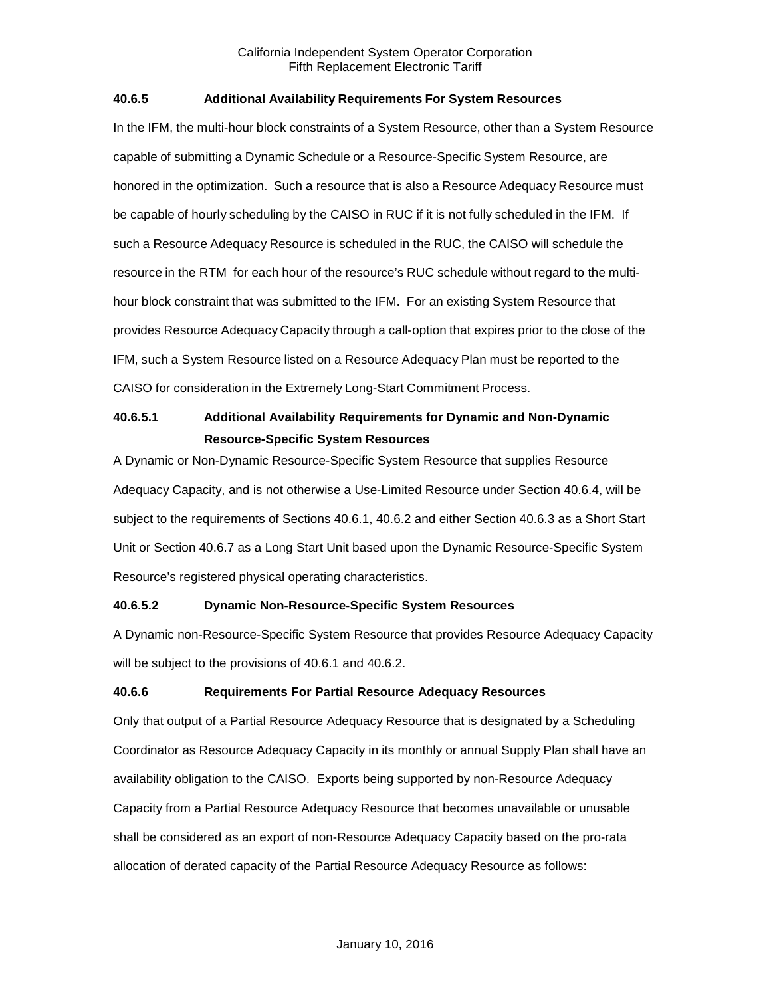# **40.6.5 Additional Availability Requirements For System Resources**

In the IFM, the multi-hour block constraints of a System Resource, other than a System Resource capable of submitting a Dynamic Schedule or a Resource-Specific System Resource, are honored in the optimization. Such a resource that is also a Resource Adequacy Resource must be capable of hourly scheduling by the CAISO in RUC if it is not fully scheduled in the IFM. If such a Resource Adequacy Resource is scheduled in the RUC, the CAISO will schedule the resource in the RTM for each hour of the resource's RUC schedule without regard to the multihour block constraint that was submitted to the IFM. For an existing System Resource that provides Resource Adequacy Capacity through a call-option that expires prior to the close of the IFM, such a System Resource listed on a Resource Adequacy Plan must be reported to the CAISO for consideration in the Extremely Long-Start Commitment Process.

# **40.6.5.1 Additional Availability Requirements for Dynamic and Non-Dynamic Resource-Specific System Resources**

A Dynamic or Non-Dynamic Resource-Specific System Resource that supplies Resource Adequacy Capacity, and is not otherwise a Use-Limited Resource under Section 40.6.4, will be subject to the requirements of Sections 40.6.1, 40.6.2 and either Section 40.6.3 as a Short Start Unit or Section 40.6.7 as a Long Start Unit based upon the Dynamic Resource-Specific System Resource's registered physical operating characteristics.

# **40.6.5.2 Dynamic Non-Resource-Specific System Resources**

A Dynamic non-Resource-Specific System Resource that provides Resource Adequacy Capacity will be subject to the provisions of 40.6.1 and 40.6.2.

# **40.6.6 Requirements For Partial Resource Adequacy Resources**

Only that output of a Partial Resource Adequacy Resource that is designated by a Scheduling Coordinator as Resource Adequacy Capacity in its monthly or annual Supply Plan shall have an availability obligation to the CAISO. Exports being supported by non-Resource Adequacy Capacity from a Partial Resource Adequacy Resource that becomes unavailable or unusable shall be considered as an export of non-Resource Adequacy Capacity based on the pro-rata allocation of derated capacity of the Partial Resource Adequacy Resource as follows: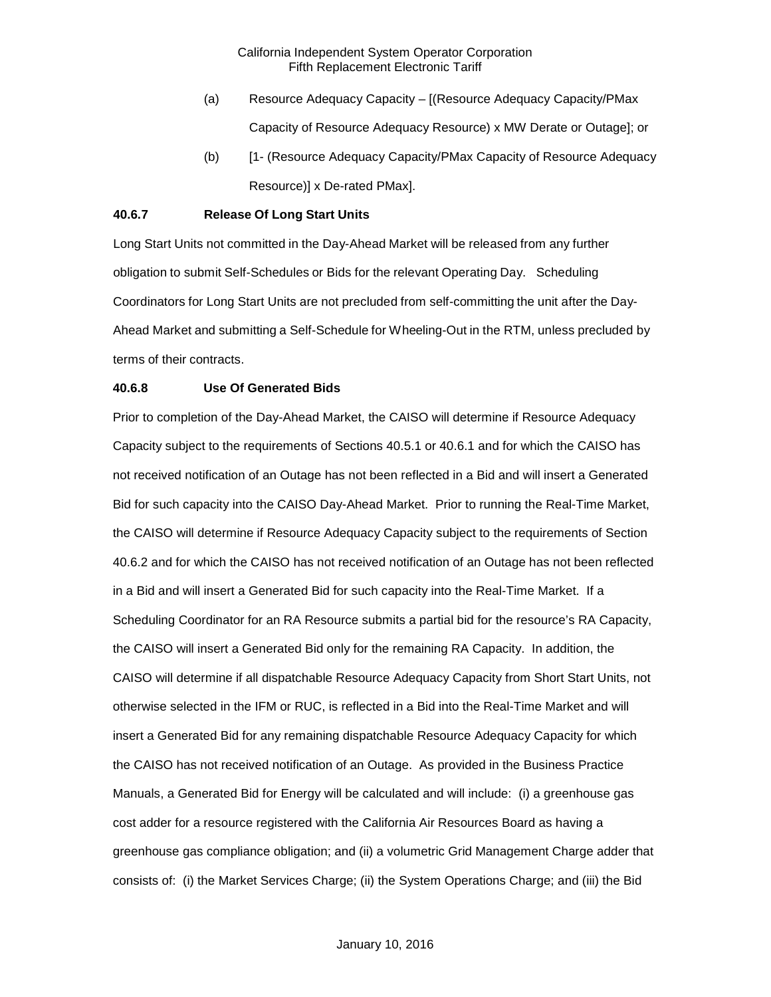- (a) Resource Adequacy Capacity [(Resource Adequacy Capacity/PMax Capacity of Resource Adequacy Resource) x MW Derate or Outage]; or
- (b) [1- (Resource Adequacy Capacity/PMax Capacity of Resource Adequacy Resource)] x De-rated PMax].

# **40.6.7 Release Of Long Start Units**

Long Start Units not committed in the Day-Ahead Market will be released from any further obligation to submit Self-Schedules or Bids for the relevant Operating Day. Scheduling Coordinators for Long Start Units are not precluded from self-committing the unit after the Day-Ahead Market and submitting a Self-Schedule for Wheeling-Out in the RTM, unless precluded by terms of their contracts.

#### **40.6.8 Use Of Generated Bids**

Prior to completion of the Day-Ahead Market, the CAISO will determine if Resource Adequacy Capacity subject to the requirements of Sections 40.5.1 or 40.6.1 and for which the CAISO has not received notification of an Outage has not been reflected in a Bid and will insert a Generated Bid for such capacity into the CAISO Day-Ahead Market. Prior to running the Real-Time Market, the CAISO will determine if Resource Adequacy Capacity subject to the requirements of Section 40.6.2 and for which the CAISO has not received notification of an Outage has not been reflected in a Bid and will insert a Generated Bid for such capacity into the Real-Time Market. If a Scheduling Coordinator for an RA Resource submits a partial bid for the resource's RA Capacity, the CAISO will insert a Generated Bid only for the remaining RA Capacity. In addition, the CAISO will determine if all dispatchable Resource Adequacy Capacity from Short Start Units, not otherwise selected in the IFM or RUC, is reflected in a Bid into the Real-Time Market and will insert a Generated Bid for any remaining dispatchable Resource Adequacy Capacity for which the CAISO has not received notification of an Outage. As provided in the Business Practice Manuals, a Generated Bid for Energy will be calculated and will include: (i) a greenhouse gas cost adder for a resource registered with the California Air Resources Board as having a greenhouse gas compliance obligation; and (ii) a volumetric Grid Management Charge adder that consists of: (i) the Market Services Charge; (ii) the System Operations Charge; and (iii) the Bid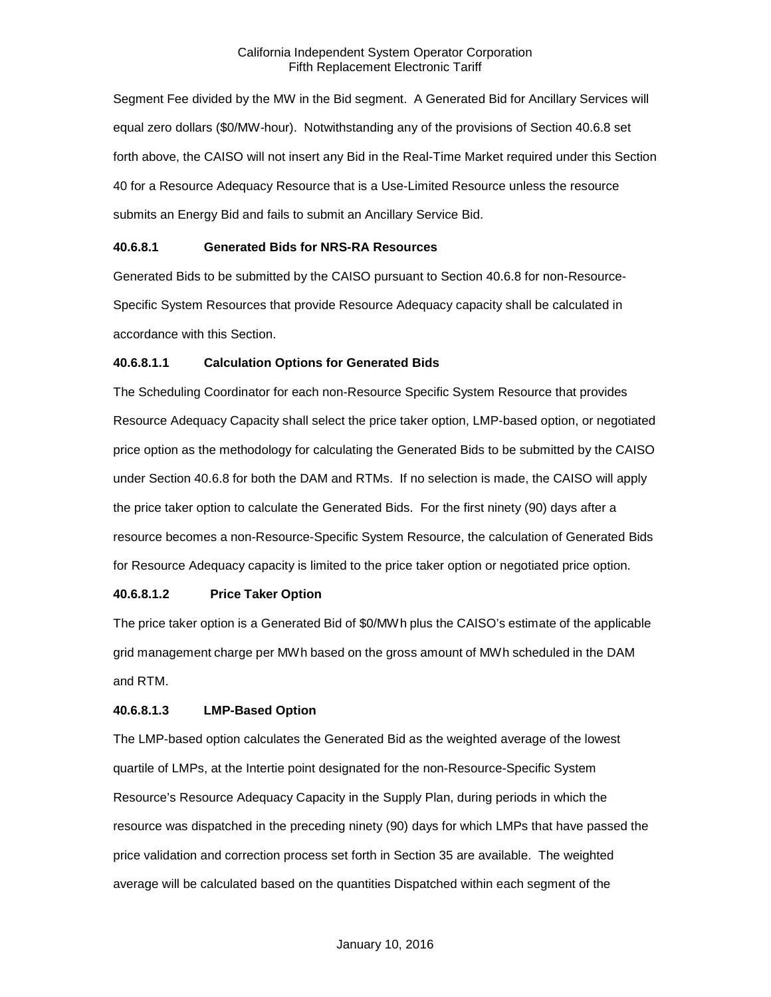Segment Fee divided by the MW in the Bid segment. A Generated Bid for Ancillary Services will equal zero dollars (\$0/MW-hour). Notwithstanding any of the provisions of Section 40.6.8 set forth above, the CAISO will not insert any Bid in the Real-Time Market required under this Section 40 for a Resource Adequacy Resource that is a Use-Limited Resource unless the resource submits an Energy Bid and fails to submit an Ancillary Service Bid.

# **40.6.8.1 Generated Bids for NRS-RA Resources**

Generated Bids to be submitted by the CAISO pursuant to Section 40.6.8 for non-Resource-Specific System Resources that provide Resource Adequacy capacity shall be calculated in accordance with this Section.

# **40.6.8.1.1 Calculation Options for Generated Bids**

The Scheduling Coordinator for each non-Resource Specific System Resource that provides Resource Adequacy Capacity shall select the price taker option, LMP-based option, or negotiated price option as the methodology for calculating the Generated Bids to be submitted by the CAISO under Section 40.6.8 for both the DAM and RTMs. If no selection is made, the CAISO will apply the price taker option to calculate the Generated Bids. For the first ninety (90) days after a resource becomes a non-Resource-Specific System Resource, the calculation of Generated Bids for Resource Adequacy capacity is limited to the price taker option or negotiated price option.

# **40.6.8.1.2 Price Taker Option**

The price taker option is a Generated Bid of \$0/MWh plus the CAISO's estimate of the applicable grid management charge per MWh based on the gross amount of MWh scheduled in the DAM and RTM.

#### **40.6.8.1.3 LMP-Based Option**

The LMP-based option calculates the Generated Bid as the weighted average of the lowest quartile of LMPs, at the Intertie point designated for the non-Resource-Specific System Resource's Resource Adequacy Capacity in the Supply Plan, during periods in which the resource was dispatched in the preceding ninety (90) days for which LMPs that have passed the price validation and correction process set forth in Section 35 are available. The weighted average will be calculated based on the quantities Dispatched within each segment of the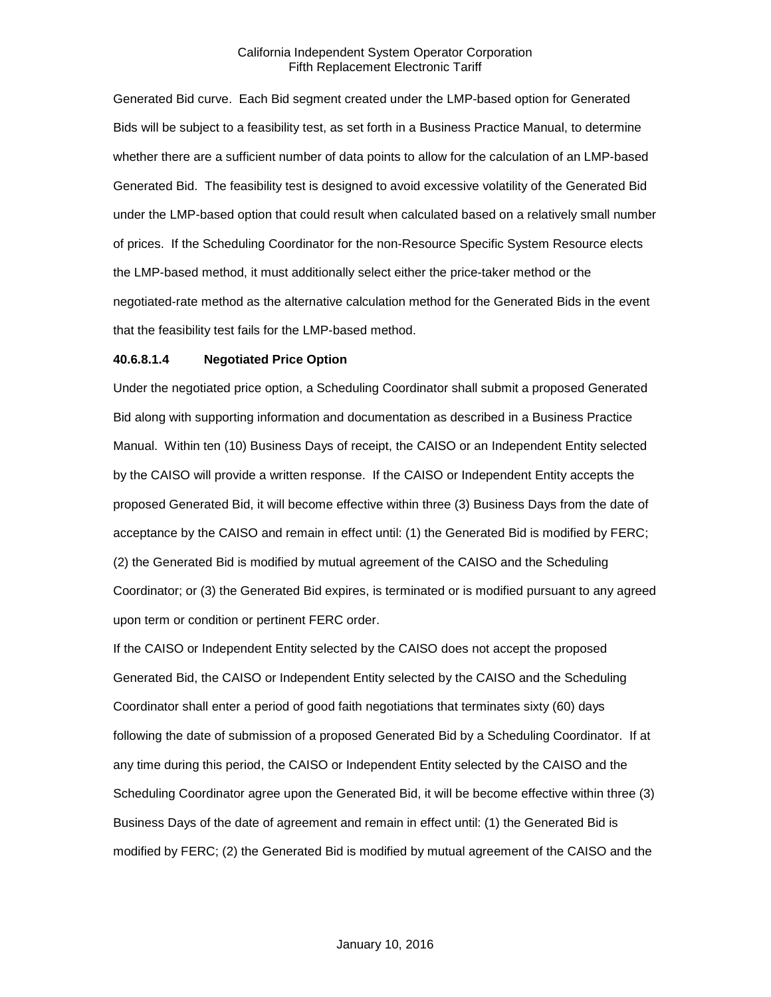Generated Bid curve. Each Bid segment created under the LMP-based option for Generated Bids will be subject to a feasibility test, as set forth in a Business Practice Manual, to determine whether there are a sufficient number of data points to allow for the calculation of an LMP-based Generated Bid. The feasibility test is designed to avoid excessive volatility of the Generated Bid under the LMP-based option that could result when calculated based on a relatively small number of prices. If the Scheduling Coordinator for the non-Resource Specific System Resource elects the LMP-based method, it must additionally select either the price-taker method or the negotiated-rate method as the alternative calculation method for the Generated Bids in the event that the feasibility test fails for the LMP-based method.

### **40.6.8.1.4 Negotiated Price Option**

Under the negotiated price option, a Scheduling Coordinator shall submit a proposed Generated Bid along with supporting information and documentation as described in a Business Practice Manual. Within ten (10) Business Days of receipt, the CAISO or an Independent Entity selected by the CAISO will provide a written response. If the CAISO or Independent Entity accepts the proposed Generated Bid, it will become effective within three (3) Business Days from the date of acceptance by the CAISO and remain in effect until: (1) the Generated Bid is modified by FERC; (2) the Generated Bid is modified by mutual agreement of the CAISO and the Scheduling Coordinator; or (3) the Generated Bid expires, is terminated or is modified pursuant to any agreed upon term or condition or pertinent FERC order.

If the CAISO or Independent Entity selected by the CAISO does not accept the proposed Generated Bid, the CAISO or Independent Entity selected by the CAISO and the Scheduling Coordinator shall enter a period of good faith negotiations that terminates sixty (60) days following the date of submission of a proposed Generated Bid by a Scheduling Coordinator. If at any time during this period, the CAISO or Independent Entity selected by the CAISO and the Scheduling Coordinator agree upon the Generated Bid, it will be become effective within three (3) Business Days of the date of agreement and remain in effect until: (1) the Generated Bid is modified by FERC; (2) the Generated Bid is modified by mutual agreement of the CAISO and the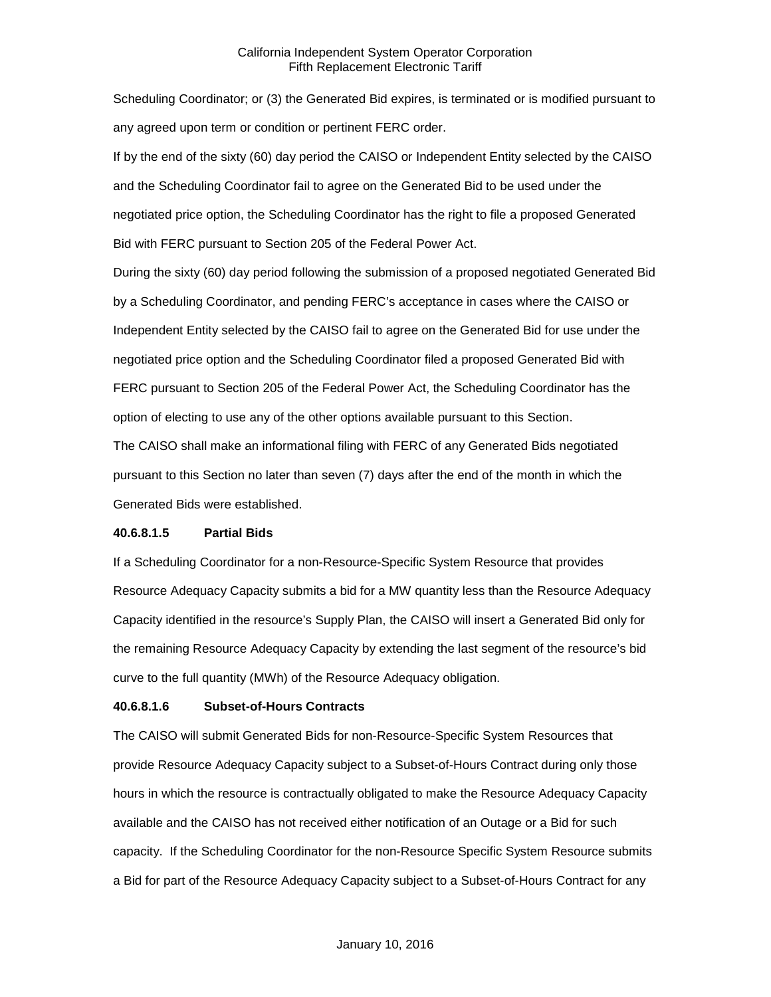Scheduling Coordinator; or (3) the Generated Bid expires, is terminated or is modified pursuant to any agreed upon term or condition or pertinent FERC order.

If by the end of the sixty (60) day period the CAISO or Independent Entity selected by the CAISO and the Scheduling Coordinator fail to agree on the Generated Bid to be used under the negotiated price option, the Scheduling Coordinator has the right to file a proposed Generated Bid with FERC pursuant to Section 205 of the Federal Power Act.

During the sixty (60) day period following the submission of a proposed negotiated Generated Bid by a Scheduling Coordinator, and pending FERC's acceptance in cases where the CAISO or Independent Entity selected by the CAISO fail to agree on the Generated Bid for use under the negotiated price option and the Scheduling Coordinator filed a proposed Generated Bid with FERC pursuant to Section 205 of the Federal Power Act, the Scheduling Coordinator has the option of electing to use any of the other options available pursuant to this Section.

The CAISO shall make an informational filing with FERC of any Generated Bids negotiated pursuant to this Section no later than seven (7) days after the end of the month in which the Generated Bids were established.

# **40.6.8.1.5 Partial Bids**

If a Scheduling Coordinator for a non-Resource-Specific System Resource that provides Resource Adequacy Capacity submits a bid for a MW quantity less than the Resource Adequacy Capacity identified in the resource's Supply Plan, the CAISO will insert a Generated Bid only for the remaining Resource Adequacy Capacity by extending the last segment of the resource's bid curve to the full quantity (MWh) of the Resource Adequacy obligation.

# **40.6.8.1.6 Subset-of-Hours Contracts**

The CAISO will submit Generated Bids for non-Resource-Specific System Resources that provide Resource Adequacy Capacity subject to a Subset-of-Hours Contract during only those hours in which the resource is contractually obligated to make the Resource Adequacy Capacity available and the CAISO has not received either notification of an Outage or a Bid for such capacity. If the Scheduling Coordinator for the non-Resource Specific System Resource submits a Bid for part of the Resource Adequacy Capacity subject to a Subset-of-Hours Contract for any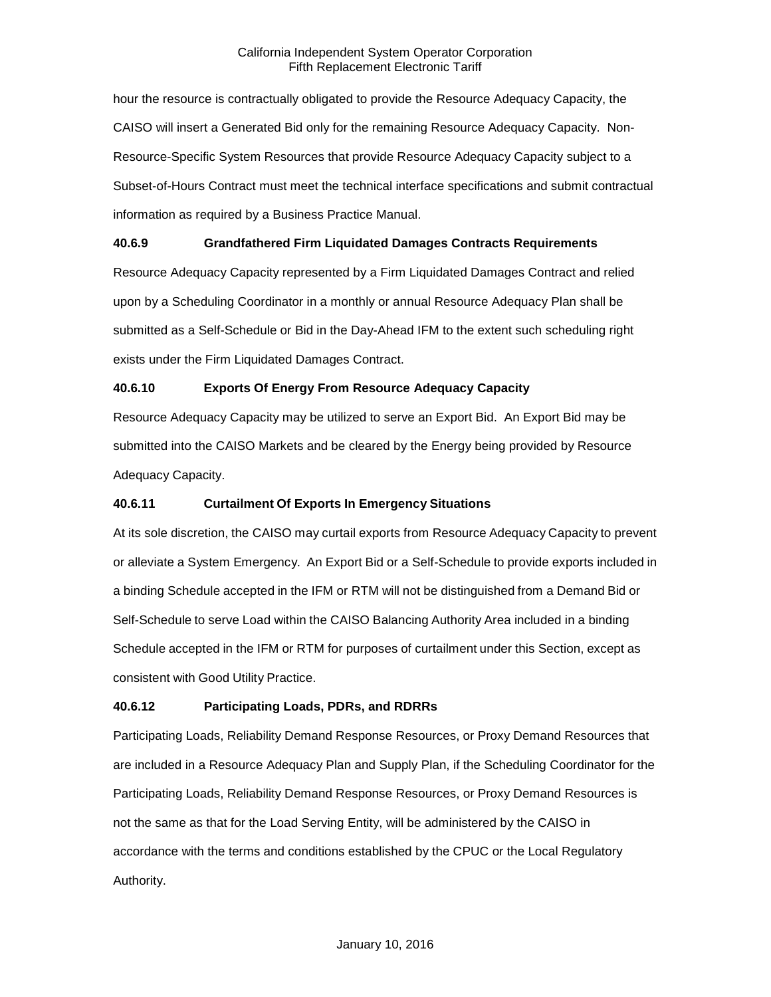hour the resource is contractually obligated to provide the Resource Adequacy Capacity, the CAISO will insert a Generated Bid only for the remaining Resource Adequacy Capacity. Non-Resource-Specific System Resources that provide Resource Adequacy Capacity subject to a Subset-of-Hours Contract must meet the technical interface specifications and submit contractual information as required by a Business Practice Manual.

# **40.6.9 Grandfathered Firm Liquidated Damages Contracts Requirements**

Resource Adequacy Capacity represented by a Firm Liquidated Damages Contract and relied upon by a Scheduling Coordinator in a monthly or annual Resource Adequacy Plan shall be submitted as a Self-Schedule or Bid in the Day-Ahead IFM to the extent such scheduling right exists under the Firm Liquidated Damages Contract.

# **40.6.10 Exports Of Energy From Resource Adequacy Capacity**

Resource Adequacy Capacity may be utilized to serve an Export Bid. An Export Bid may be submitted into the CAISO Markets and be cleared by the Energy being provided by Resource Adequacy Capacity.

# **40.6.11 Curtailment Of Exports In Emergency Situations**

At its sole discretion, the CAISO may curtail exports from Resource Adequacy Capacity to prevent or alleviate a System Emergency. An Export Bid or a Self-Schedule to provide exports included in a binding Schedule accepted in the IFM or RTM will not be distinguished from a Demand Bid or Self-Schedule to serve Load within the CAISO Balancing Authority Area included in a binding Schedule accepted in the IFM or RTM for purposes of curtailment under this Section, except as consistent with Good Utility Practice.

# **40.6.12 Participating Loads, PDRs, and RDRRs**

Participating Loads, Reliability Demand Response Resources, or Proxy Demand Resources that are included in a Resource Adequacy Plan and Supply Plan, if the Scheduling Coordinator for the Participating Loads, Reliability Demand Response Resources, or Proxy Demand Resources is not the same as that for the Load Serving Entity, will be administered by the CAISO in accordance with the terms and conditions established by the CPUC or the Local Regulatory Authority.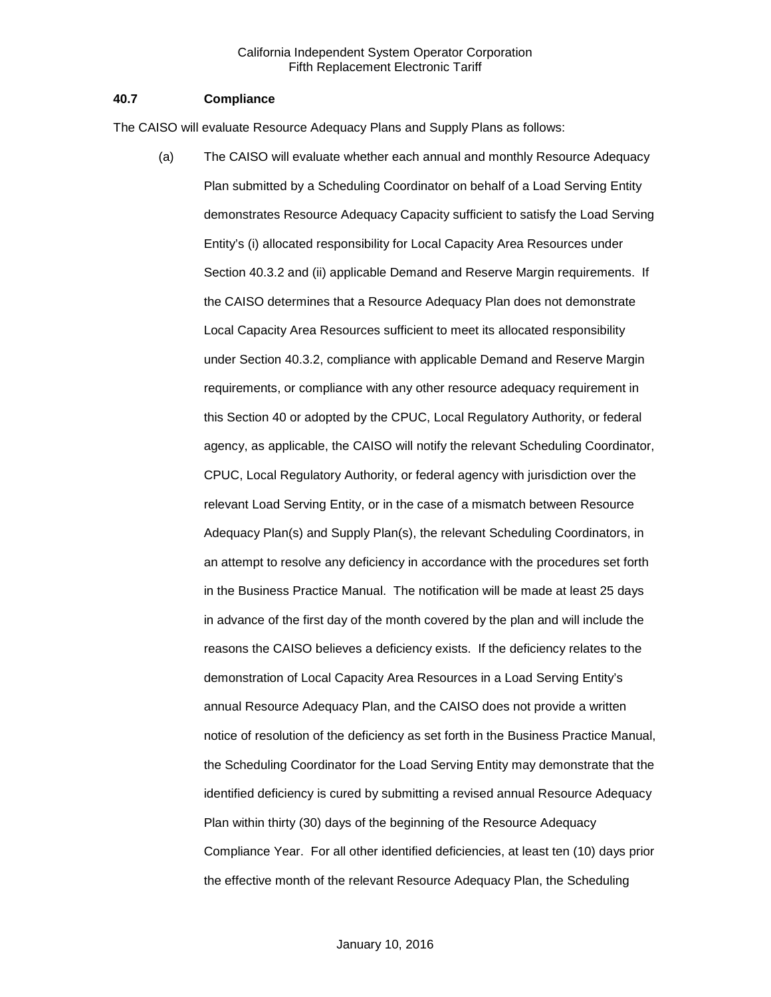# **40.7 Compliance**

The CAISO will evaluate Resource Adequacy Plans and Supply Plans as follows:

(a) The CAISO will evaluate whether each annual and monthly Resource Adequacy Plan submitted by a Scheduling Coordinator on behalf of a Load Serving Entity demonstrates Resource Adequacy Capacity sufficient to satisfy the Load Serving Entity's (i) allocated responsibility for Local Capacity Area Resources under Section 40.3.2 and (ii) applicable Demand and Reserve Margin requirements. If the CAISO determines that a Resource Adequacy Plan does not demonstrate Local Capacity Area Resources sufficient to meet its allocated responsibility under Section 40.3.2, compliance with applicable Demand and Reserve Margin requirements, or compliance with any other resource adequacy requirement in this Section 40 or adopted by the CPUC, Local Regulatory Authority, or federal agency, as applicable, the CAISO will notify the relevant Scheduling Coordinator, CPUC, Local Regulatory Authority, or federal agency with jurisdiction over the relevant Load Serving Entity, or in the case of a mismatch between Resource Adequacy Plan(s) and Supply Plan(s), the relevant Scheduling Coordinators, in an attempt to resolve any deficiency in accordance with the procedures set forth in the Business Practice Manual. The notification will be made at least 25 days in advance of the first day of the month covered by the plan and will include the reasons the CAISO believes a deficiency exists. If the deficiency relates to the demonstration of Local Capacity Area Resources in a Load Serving Entity's annual Resource Adequacy Plan, and the CAISO does not provide a written notice of resolution of the deficiency as set forth in the Business Practice Manual, the Scheduling Coordinator for the Load Serving Entity may demonstrate that the identified deficiency is cured by submitting a revised annual Resource Adequacy Plan within thirty (30) days of the beginning of the Resource Adequacy Compliance Year. For all other identified deficiencies, at least ten (10) days prior the effective month of the relevant Resource Adequacy Plan, the Scheduling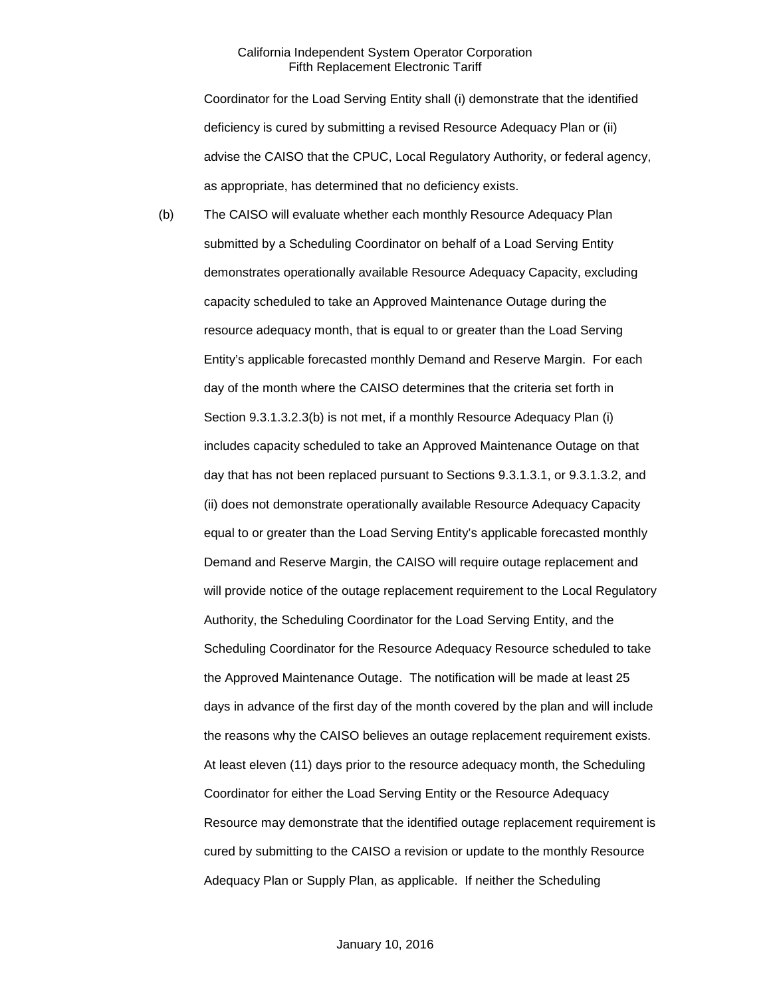Coordinator for the Load Serving Entity shall (i) demonstrate that the identified deficiency is cured by submitting a revised Resource Adequacy Plan or (ii) advise the CAISO that the CPUC, Local Regulatory Authority, or federal agency, as appropriate, has determined that no deficiency exists.

(b) The CAISO will evaluate whether each monthly Resource Adequacy Plan submitted by a Scheduling Coordinator on behalf of a Load Serving Entity demonstrates operationally available Resource Adequacy Capacity, excluding capacity scheduled to take an Approved Maintenance Outage during the resource adequacy month, that is equal to or greater than the Load Serving Entity's applicable forecasted monthly Demand and Reserve Margin. For each day of the month where the CAISO determines that the criteria set forth in Section 9.3.1.3.2.3(b) is not met, if a monthly Resource Adequacy Plan (i) includes capacity scheduled to take an Approved Maintenance Outage on that day that has not been replaced pursuant to Sections 9.3.1.3.1, or 9.3.1.3.2, and (ii) does not demonstrate operationally available Resource Adequacy Capacity equal to or greater than the Load Serving Entity's applicable forecasted monthly Demand and Reserve Margin, the CAISO will require outage replacement and will provide notice of the outage replacement requirement to the Local Regulatory Authority, the Scheduling Coordinator for the Load Serving Entity, and the Scheduling Coordinator for the Resource Adequacy Resource scheduled to take the Approved Maintenance Outage. The notification will be made at least 25 days in advance of the first day of the month covered by the plan and will include the reasons why the CAISO believes an outage replacement requirement exists. At least eleven (11) days prior to the resource adequacy month, the Scheduling Coordinator for either the Load Serving Entity or the Resource Adequacy Resource may demonstrate that the identified outage replacement requirement is cured by submitting to the CAISO a revision or update to the monthly Resource Adequacy Plan or Supply Plan, as applicable. If neither the Scheduling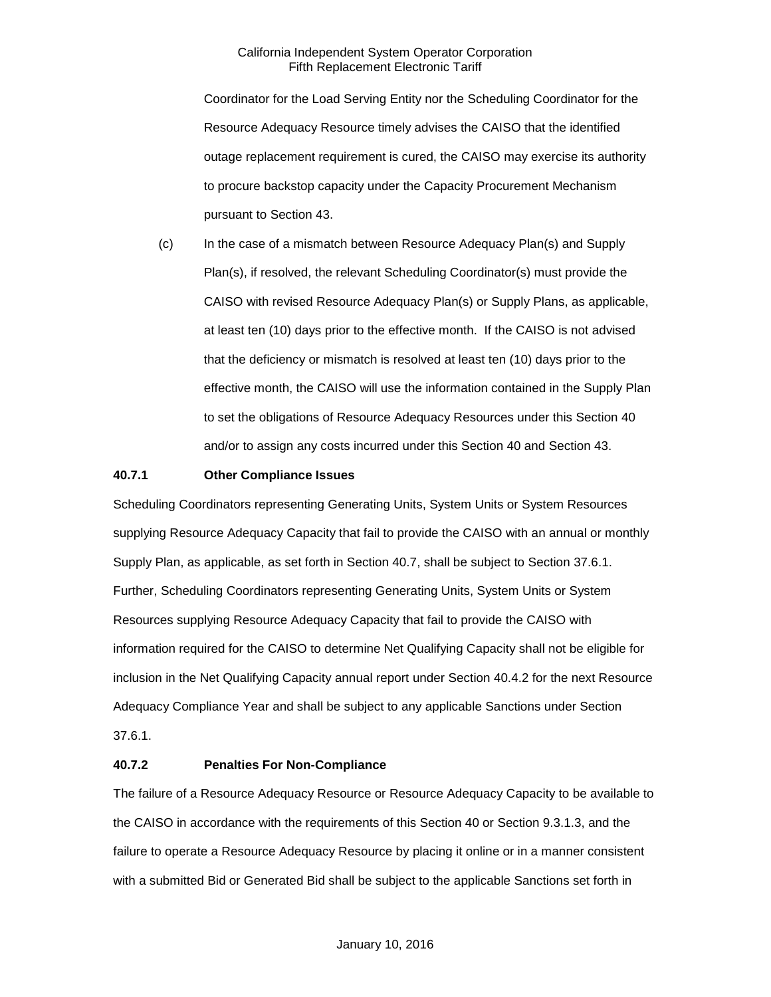Coordinator for the Load Serving Entity nor the Scheduling Coordinator for the Resource Adequacy Resource timely advises the CAISO that the identified outage replacement requirement is cured, the CAISO may exercise its authority to procure backstop capacity under the Capacity Procurement Mechanism pursuant to Section 43.

(c) In the case of a mismatch between Resource Adequacy Plan(s) and Supply Plan(s), if resolved, the relevant Scheduling Coordinator(s) must provide the CAISO with revised Resource Adequacy Plan(s) or Supply Plans, as applicable, at least ten (10) days prior to the effective month. If the CAISO is not advised that the deficiency or mismatch is resolved at least ten (10) days prior to the effective month, the CAISO will use the information contained in the Supply Plan to set the obligations of Resource Adequacy Resources under this Section 40 and/or to assign any costs incurred under this Section 40 and Section 43.

# **40.7.1 Other Compliance Issues**

Scheduling Coordinators representing Generating Units, System Units or System Resources supplying Resource Adequacy Capacity that fail to provide the CAISO with an annual or monthly Supply Plan, as applicable, as set forth in Section 40.7, shall be subject to Section 37.6.1. Further, Scheduling Coordinators representing Generating Units, System Units or System Resources supplying Resource Adequacy Capacity that fail to provide the CAISO with information required for the CAISO to determine Net Qualifying Capacity shall not be eligible for inclusion in the Net Qualifying Capacity annual report under Section 40.4.2 for the next Resource Adequacy Compliance Year and shall be subject to any applicable Sanctions under Section 37.6.1.

# **40.7.2 Penalties For Non-Compliance**

The failure of a Resource Adequacy Resource or Resource Adequacy Capacity to be available to the CAISO in accordance with the requirements of this Section 40 or Section 9.3.1.3, and the failure to operate a Resource Adequacy Resource by placing it online or in a manner consistent with a submitted Bid or Generated Bid shall be subject to the applicable Sanctions set forth in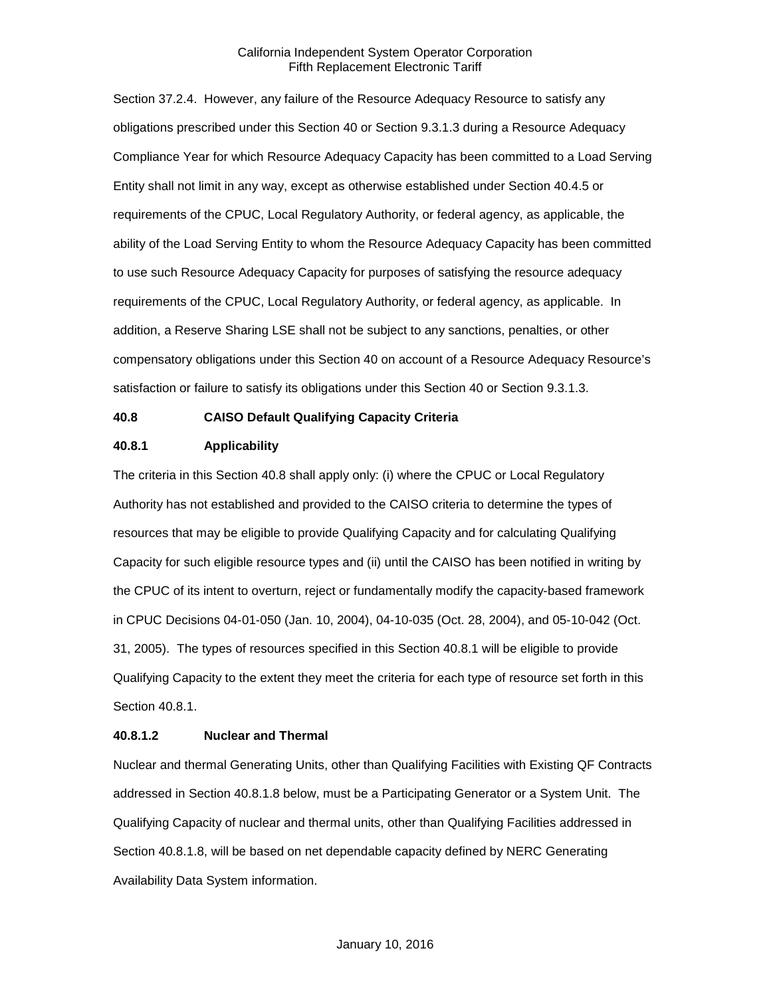Section 37.2.4. However, any failure of the Resource Adequacy Resource to satisfy any obligations prescribed under this Section 40 or Section 9.3.1.3 during a Resource Adequacy Compliance Year for which Resource Adequacy Capacity has been committed to a Load Serving Entity shall not limit in any way, except as otherwise established under Section 40.4.5 or requirements of the CPUC, Local Regulatory Authority, or federal agency, as applicable, the ability of the Load Serving Entity to whom the Resource Adequacy Capacity has been committed to use such Resource Adequacy Capacity for purposes of satisfying the resource adequacy requirements of the CPUC, Local Regulatory Authority, or federal agency, as applicable. In addition, a Reserve Sharing LSE shall not be subject to any sanctions, penalties, or other compensatory obligations under this Section 40 on account of a Resource Adequacy Resource's satisfaction or failure to satisfy its obligations under this Section 40 or Section 9.3.1.3.

# **40.8 CAISO Default Qualifying Capacity Criteria**

# **40.8.1 Applicability**

The criteria in this Section 40.8 shall apply only: (i) where the CPUC or Local Regulatory Authority has not established and provided to the CAISO criteria to determine the types of resources that may be eligible to provide Qualifying Capacity and for calculating Qualifying Capacity for such eligible resource types and (ii) until the CAISO has been notified in writing by the CPUC of its intent to overturn, reject or fundamentally modify the capacity-based framework in CPUC Decisions 04-01-050 (Jan. 10, 2004), 04-10-035 (Oct. 28, 2004), and 05-10-042 (Oct. 31, 2005). The types of resources specified in this Section 40.8.1 will be eligible to provide Qualifying Capacity to the extent they meet the criteria for each type of resource set forth in this Section 40.8.1.

#### **40.8.1.2 Nuclear and Thermal**

Nuclear and thermal Generating Units, other than Qualifying Facilities with Existing QF Contracts addressed in Section 40.8.1.8 below, must be a Participating Generator or a System Unit. The Qualifying Capacity of nuclear and thermal units, other than Qualifying Facilities addressed in Section 40.8.1.8, will be based on net dependable capacity defined by NERC Generating Availability Data System information.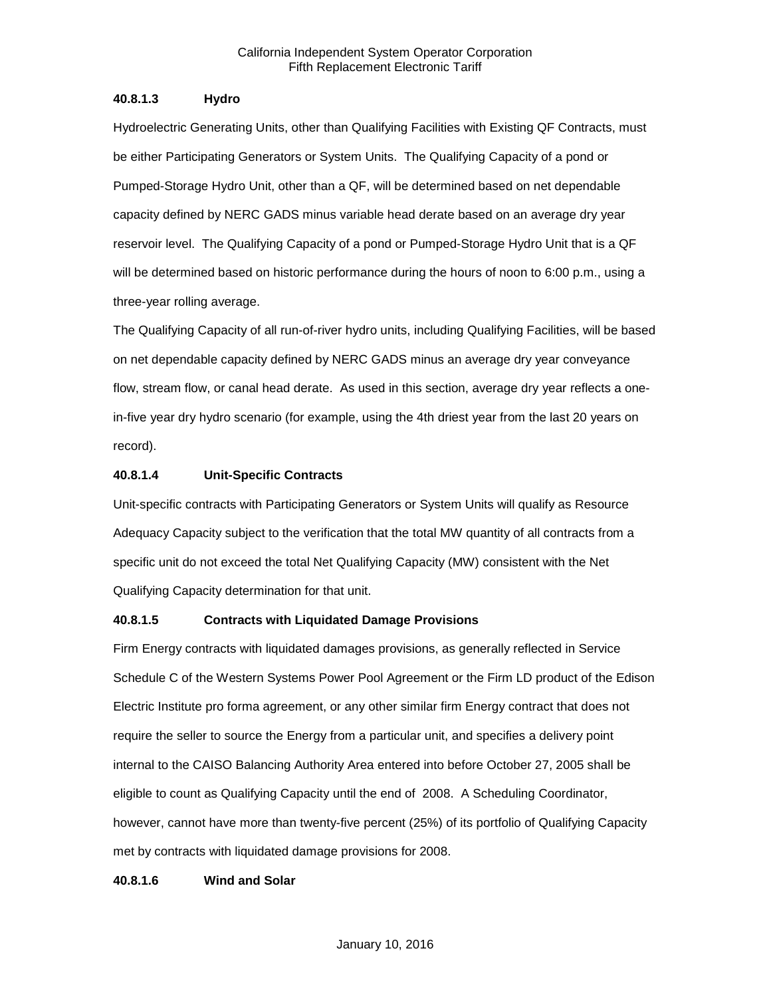# **40.8.1.3 Hydro**

Hydroelectric Generating Units, other than Qualifying Facilities with Existing QF Contracts, must be either Participating Generators or System Units. The Qualifying Capacity of a pond or Pumped-Storage Hydro Unit, other than a QF, will be determined based on net dependable capacity defined by NERC GADS minus variable head derate based on an average dry year reservoir level. The Qualifying Capacity of a pond or Pumped-Storage Hydro Unit that is a QF will be determined based on historic performance during the hours of noon to 6:00 p.m., using a three-year rolling average.

The Qualifying Capacity of all run-of-river hydro units, including Qualifying Facilities, will be based on net dependable capacity defined by NERC GADS minus an average dry year conveyance flow, stream flow, or canal head derate. As used in this section, average dry year reflects a onein-five year dry hydro scenario (for example, using the 4th driest year from the last 20 years on record).

# **40.8.1.4 Unit-Specific Contracts**

Unit-specific contracts with Participating Generators or System Units will qualify as Resource Adequacy Capacity subject to the verification that the total MW quantity of all contracts from a specific unit do not exceed the total Net Qualifying Capacity (MW) consistent with the Net Qualifying Capacity determination for that unit.

# **40.8.1.5 Contracts with Liquidated Damage Provisions**

Firm Energy contracts with liquidated damages provisions, as generally reflected in Service Schedule C of the Western Systems Power Pool Agreement or the Firm LD product of the Edison Electric Institute pro forma agreement, or any other similar firm Energy contract that does not require the seller to source the Energy from a particular unit, and specifies a delivery point internal to the CAISO Balancing Authority Area entered into before October 27, 2005 shall be eligible to count as Qualifying Capacity until the end of 2008. A Scheduling Coordinator, however, cannot have more than twenty-five percent (25%) of its portfolio of Qualifying Capacity met by contracts with liquidated damage provisions for 2008.

# **40.8.1.6 Wind and Solar**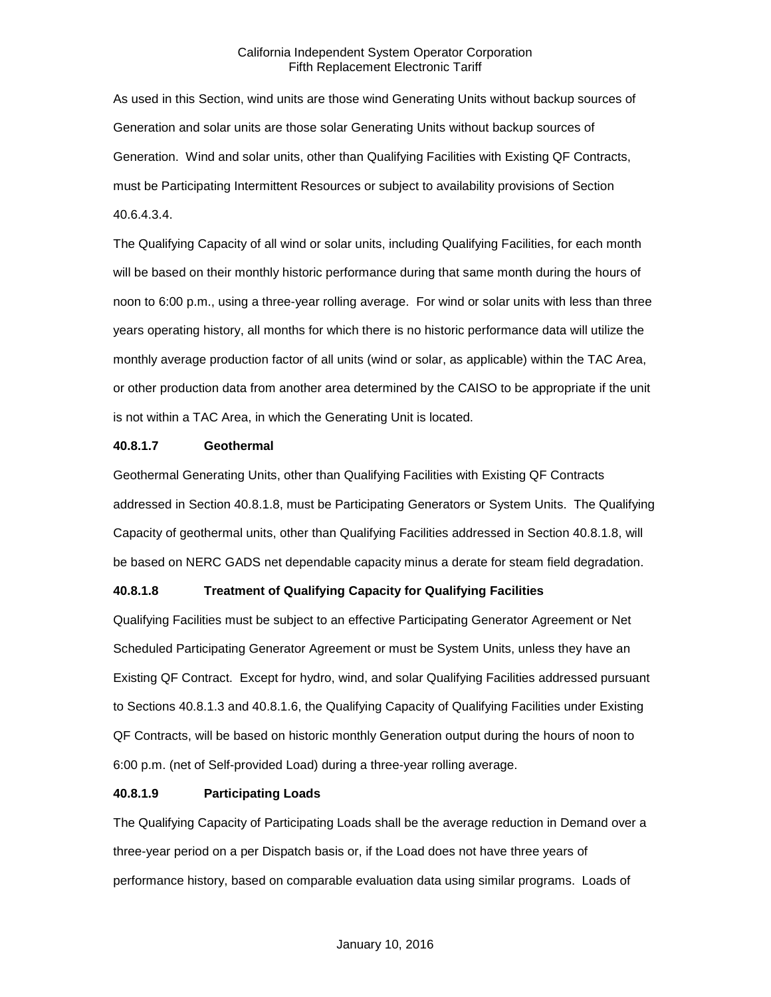As used in this Section, wind units are those wind Generating Units without backup sources of Generation and solar units are those solar Generating Units without backup sources of Generation. Wind and solar units, other than Qualifying Facilities with Existing QF Contracts, must be Participating Intermittent Resources or subject to availability provisions of Section 40.6.4.3.4.

The Qualifying Capacity of all wind or solar units, including Qualifying Facilities, for each month will be based on their monthly historic performance during that same month during the hours of noon to 6:00 p.m., using a three-year rolling average. For wind or solar units with less than three years operating history, all months for which there is no historic performance data will utilize the monthly average production factor of all units (wind or solar, as applicable) within the TAC Area, or other production data from another area determined by the CAISO to be appropriate if the unit is not within a TAC Area, in which the Generating Unit is located.

#### **40.8.1.7 Geothermal**

Geothermal Generating Units, other than Qualifying Facilities with Existing QF Contracts addressed in Section 40.8.1.8, must be Participating Generators or System Units. The Qualifying Capacity of geothermal units, other than Qualifying Facilities addressed in Section 40.8.1.8, will be based on NERC GADS net dependable capacity minus a derate for steam field degradation.

# **40.8.1.8 Treatment of Qualifying Capacity for Qualifying Facilities**

Qualifying Facilities must be subject to an effective Participating Generator Agreement or Net Scheduled Participating Generator Agreement or must be System Units, unless they have an Existing QF Contract. Except for hydro, wind, and solar Qualifying Facilities addressed pursuant to Sections 40.8.1.3 and 40.8.1.6, the Qualifying Capacity of Qualifying Facilities under Existing QF Contracts, will be based on historic monthly Generation output during the hours of noon to 6:00 p.m. (net of Self-provided Load) during a three-year rolling average.

#### **40.8.1.9 Participating Loads**

The Qualifying Capacity of Participating Loads shall be the average reduction in Demand over a three-year period on a per Dispatch basis or, if the Load does not have three years of performance history, based on comparable evaluation data using similar programs. Loads of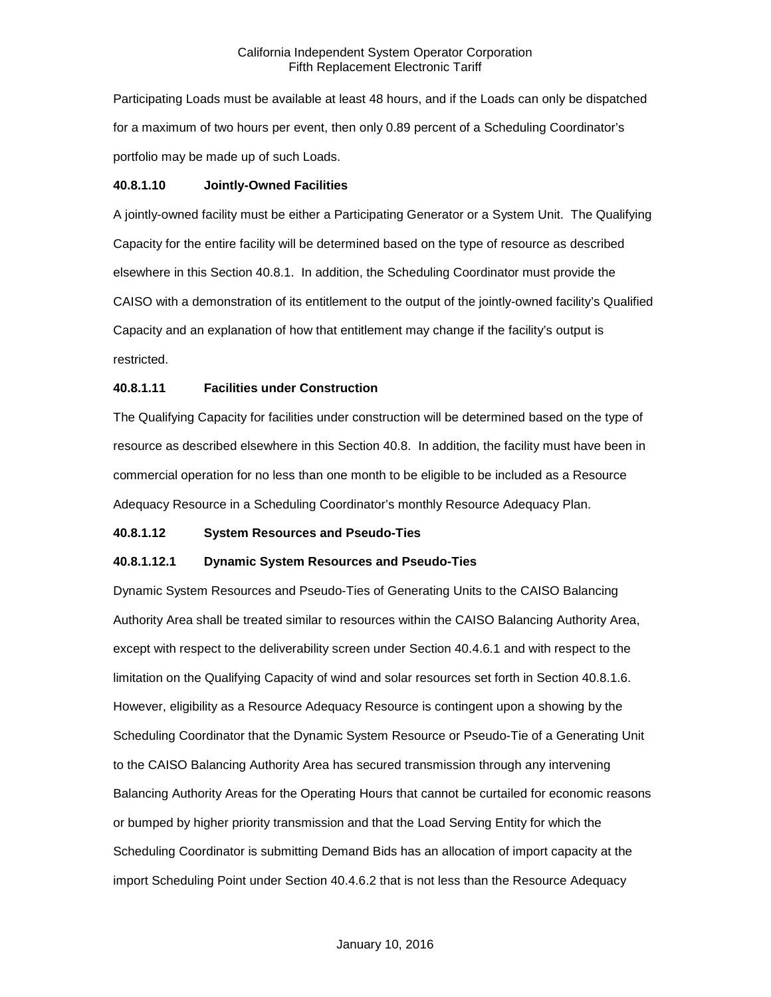Participating Loads must be available at least 48 hours, and if the Loads can only be dispatched for a maximum of two hours per event, then only 0.89 percent of a Scheduling Coordinator's portfolio may be made up of such Loads.

#### **40.8.1.10 Jointly-Owned Facilities**

A jointly-owned facility must be either a Participating Generator or a System Unit. The Qualifying Capacity for the entire facility will be determined based on the type of resource as described elsewhere in this Section 40.8.1. In addition, the Scheduling Coordinator must provide the CAISO with a demonstration of its entitlement to the output of the jointly-owned facility's Qualified Capacity and an explanation of how that entitlement may change if the facility's output is restricted.

#### **40.8.1.11 Facilities under Construction**

The Qualifying Capacity for facilities under construction will be determined based on the type of resource as described elsewhere in this Section 40.8. In addition, the facility must have been in commercial operation for no less than one month to be eligible to be included as a Resource Adequacy Resource in a Scheduling Coordinator's monthly Resource Adequacy Plan.

#### **40.8.1.12 System Resources and Pseudo-Ties**

#### **40.8.1.12.1 Dynamic System Resources and Pseudo-Ties**

Dynamic System Resources and Pseudo-Ties of Generating Units to the CAISO Balancing Authority Area shall be treated similar to resources within the CAISO Balancing Authority Area, except with respect to the deliverability screen under Section 40.4.6.1 and with respect to the limitation on the Qualifying Capacity of wind and solar resources set forth in Section 40.8.1.6. However, eligibility as a Resource Adequacy Resource is contingent upon a showing by the Scheduling Coordinator that the Dynamic System Resource or Pseudo-Tie of a Generating Unit to the CAISO Balancing Authority Area has secured transmission through any intervening Balancing Authority Areas for the Operating Hours that cannot be curtailed for economic reasons or bumped by higher priority transmission and that the Load Serving Entity for which the Scheduling Coordinator is submitting Demand Bids has an allocation of import capacity at the import Scheduling Point under Section 40.4.6.2 that is not less than the Resource Adequacy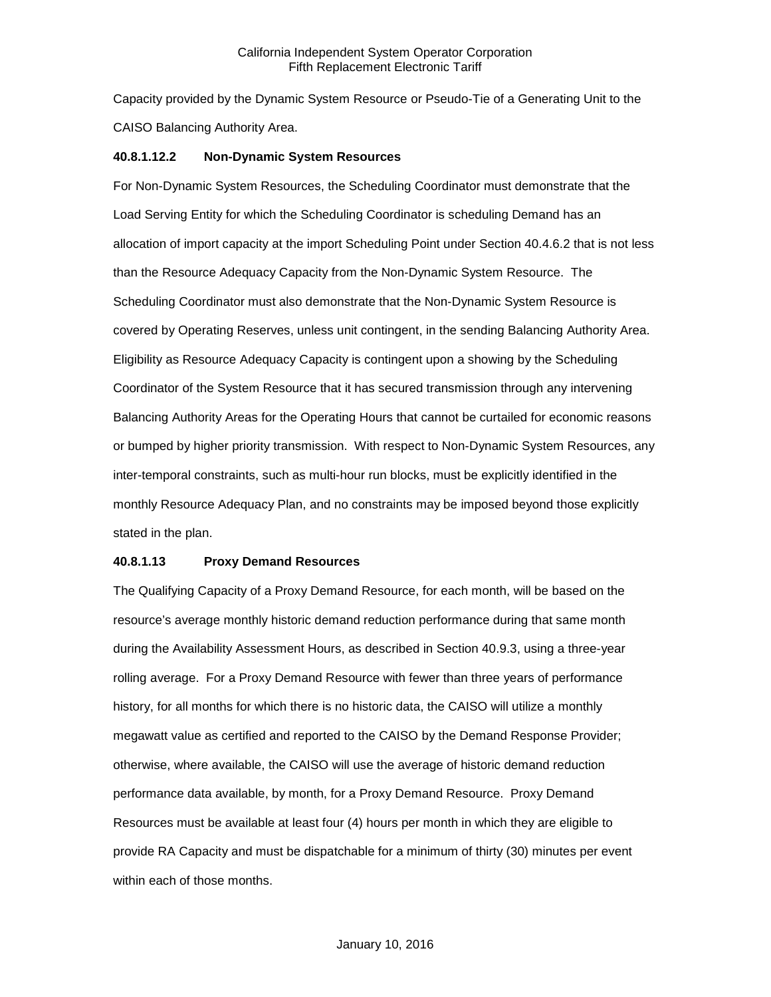Capacity provided by the Dynamic System Resource or Pseudo-Tie of a Generating Unit to the CAISO Balancing Authority Area.

#### **40.8.1.12.2 Non-Dynamic System Resources**

For Non-Dynamic System Resources, the Scheduling Coordinator must demonstrate that the Load Serving Entity for which the Scheduling Coordinator is scheduling Demand has an allocation of import capacity at the import Scheduling Point under Section 40.4.6.2 that is not less than the Resource Adequacy Capacity from the Non-Dynamic System Resource. The Scheduling Coordinator must also demonstrate that the Non-Dynamic System Resource is covered by Operating Reserves, unless unit contingent, in the sending Balancing Authority Area. Eligibility as Resource Adequacy Capacity is contingent upon a showing by the Scheduling Coordinator of the System Resource that it has secured transmission through any intervening Balancing Authority Areas for the Operating Hours that cannot be curtailed for economic reasons or bumped by higher priority transmission. With respect to Non-Dynamic System Resources, any inter-temporal constraints, such as multi-hour run blocks, must be explicitly identified in the monthly Resource Adequacy Plan, and no constraints may be imposed beyond those explicitly stated in the plan.

#### **40.8.1.13 Proxy Demand Resources**

The Qualifying Capacity of a Proxy Demand Resource, for each month, will be based on the resource's average monthly historic demand reduction performance during that same month during the Availability Assessment Hours, as described in Section 40.9.3, using a three-year rolling average. For a Proxy Demand Resource with fewer than three years of performance history, for all months for which there is no historic data, the CAISO will utilize a monthly megawatt value as certified and reported to the CAISO by the Demand Response Provider; otherwise, where available, the CAISO will use the average of historic demand reduction performance data available, by month, for a Proxy Demand Resource. Proxy Demand Resources must be available at least four (4) hours per month in which they are eligible to provide RA Capacity and must be dispatchable for a minimum of thirty (30) minutes per event within each of those months.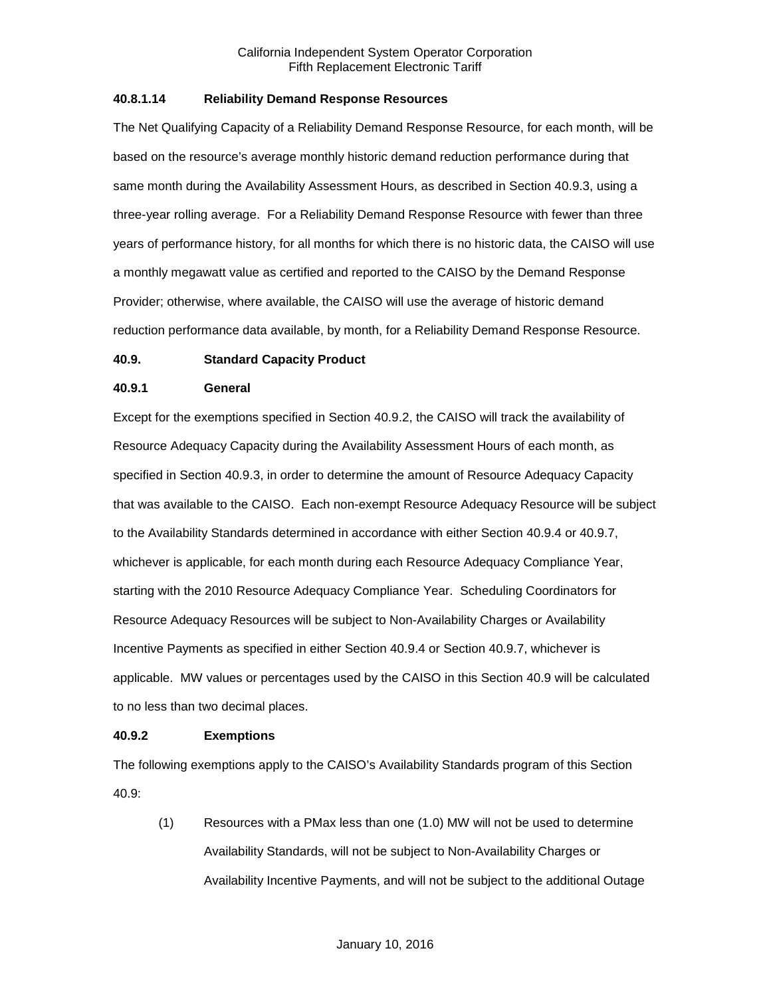#### **40.8.1.14 Reliability Demand Response Resources**

The Net Qualifying Capacity of a Reliability Demand Response Resource, for each month, will be based on the resource's average monthly historic demand reduction performance during that same month during the Availability Assessment Hours, as described in Section 40.9.3, using a three-year rolling average. For a Reliability Demand Response Resource with fewer than three years of performance history, for all months for which there is no historic data, the CAISO will use a monthly megawatt value as certified and reported to the CAISO by the Demand Response Provider; otherwise, where available, the CAISO will use the average of historic demand reduction performance data available, by month, for a Reliability Demand Response Resource.

### **40.9. Standard Capacity Product**

#### **40.9.1 General**

Except for the exemptions specified in Section 40.9.2, the CAISO will track the availability of Resource Adequacy Capacity during the Availability Assessment Hours of each month, as specified in Section 40.9.3, in order to determine the amount of Resource Adequacy Capacity that was available to the CAISO. Each non-exempt Resource Adequacy Resource will be subject to the Availability Standards determined in accordance with either Section 40.9.4 or 40.9.7, whichever is applicable, for each month during each Resource Adequacy Compliance Year, starting with the 2010 Resource Adequacy Compliance Year. Scheduling Coordinators for Resource Adequacy Resources will be subject to Non-Availability Charges or Availability Incentive Payments as specified in either Section 40.9.4 or Section 40.9.7, whichever is applicable. MW values or percentages used by the CAISO in this Section 40.9 will be calculated to no less than two decimal places.

#### **40.9.2 Exemptions**

The following exemptions apply to the CAISO's Availability Standards program of this Section 40.9:

(1) Resources with a PMax less than one (1.0) MW will not be used to determine Availability Standards, will not be subject to Non-Availability Charges or Availability Incentive Payments, and will not be subject to the additional Outage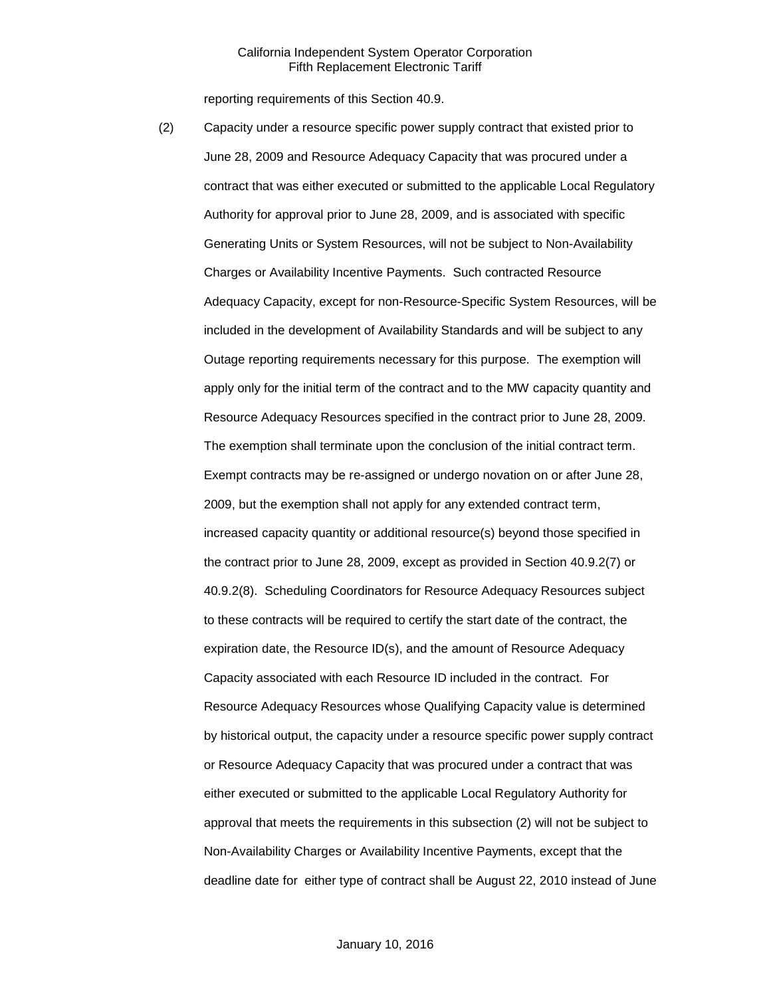reporting requirements of this Section 40.9.

(2) Capacity under a resource specific power supply contract that existed prior to June 28, 2009 and Resource Adequacy Capacity that was procured under a contract that was either executed or submitted to the applicable Local Regulatory Authority for approval prior to June 28, 2009, and is associated with specific Generating Units or System Resources, will not be subject to Non-Availability Charges or Availability Incentive Payments. Such contracted Resource Adequacy Capacity, except for non-Resource-Specific System Resources, will be included in the development of Availability Standards and will be subject to any Outage reporting requirements necessary for this purpose. The exemption will apply only for the initial term of the contract and to the MW capacity quantity and Resource Adequacy Resources specified in the contract prior to June 28, 2009. The exemption shall terminate upon the conclusion of the initial contract term. Exempt contracts may be re-assigned or undergo novation on or after June 28, 2009, but the exemption shall not apply for any extended contract term, increased capacity quantity or additional resource(s) beyond those specified in the contract prior to June 28, 2009, except as provided in Section 40.9.2(7) or 40.9.2(8). Scheduling Coordinators for Resource Adequacy Resources subject to these contracts will be required to certify the start date of the contract, the expiration date, the Resource ID(s), and the amount of Resource Adequacy Capacity associated with each Resource ID included in the contract. For Resource Adequacy Resources whose Qualifying Capacity value is determined by historical output, the capacity under a resource specific power supply contract or Resource Adequacy Capacity that was procured under a contract that was either executed or submitted to the applicable Local Regulatory Authority for approval that meets the requirements in this subsection (2) will not be subject to Non-Availability Charges or Availability Incentive Payments, except that the deadline date for either type of contract shall be August 22, 2010 instead of June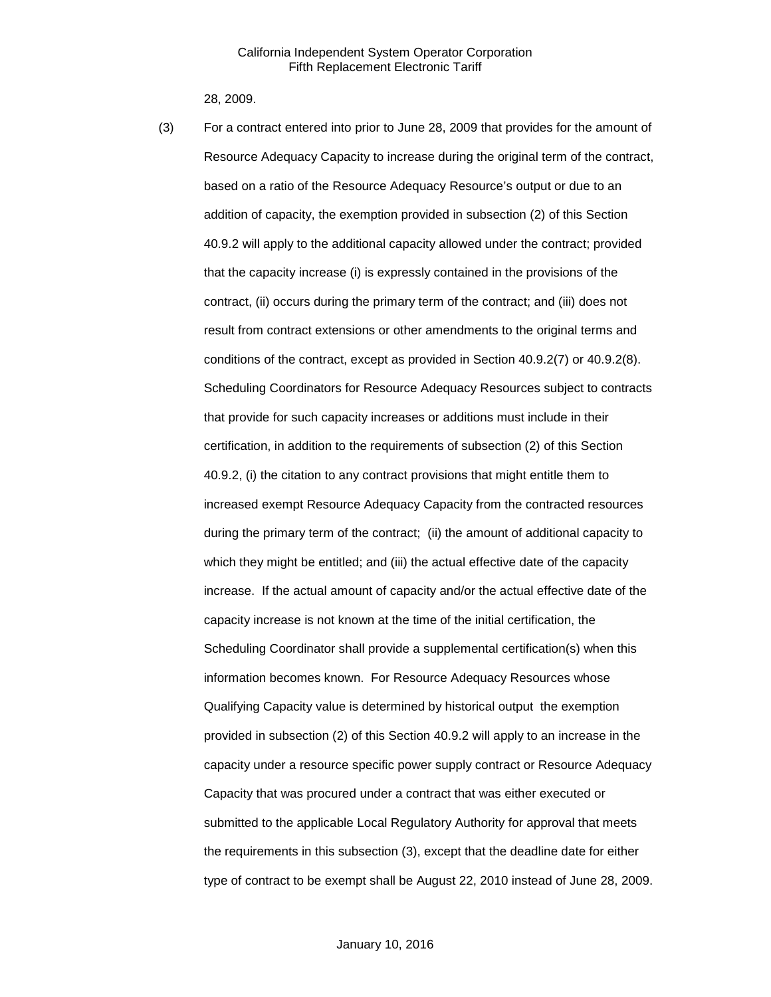28, 2009.

(3) For a contract entered into prior to June 28, 2009 that provides for the amount of Resource Adequacy Capacity to increase during the original term of the contract, based on a ratio of the Resource Adequacy Resource's output or due to an addition of capacity, the exemption provided in subsection (2) of this Section 40.9.2 will apply to the additional capacity allowed under the contract; provided that the capacity increase (i) is expressly contained in the provisions of the contract, (ii) occurs during the primary term of the contract; and (iii) does not result from contract extensions or other amendments to the original terms and conditions of the contract, except as provided in Section 40.9.2(7) or 40.9.2(8). Scheduling Coordinators for Resource Adequacy Resources subject to contracts that provide for such capacity increases or additions must include in their certification, in addition to the requirements of subsection (2) of this Section 40.9.2, (i) the citation to any contract provisions that might entitle them to increased exempt Resource Adequacy Capacity from the contracted resources during the primary term of the contract; (ii) the amount of additional capacity to which they might be entitled; and (iii) the actual effective date of the capacity increase. If the actual amount of capacity and/or the actual effective date of the capacity increase is not known at the time of the initial certification, the Scheduling Coordinator shall provide a supplemental certification(s) when this information becomes known. For Resource Adequacy Resources whose Qualifying Capacity value is determined by historical output the exemption provided in subsection (2) of this Section 40.9.2 will apply to an increase in the capacity under a resource specific power supply contract or Resource Adequacy Capacity that was procured under a contract that was either executed or submitted to the applicable Local Regulatory Authority for approval that meets the requirements in this subsection (3), except that the deadline date for either type of contract to be exempt shall be August 22, 2010 instead of June 28, 2009.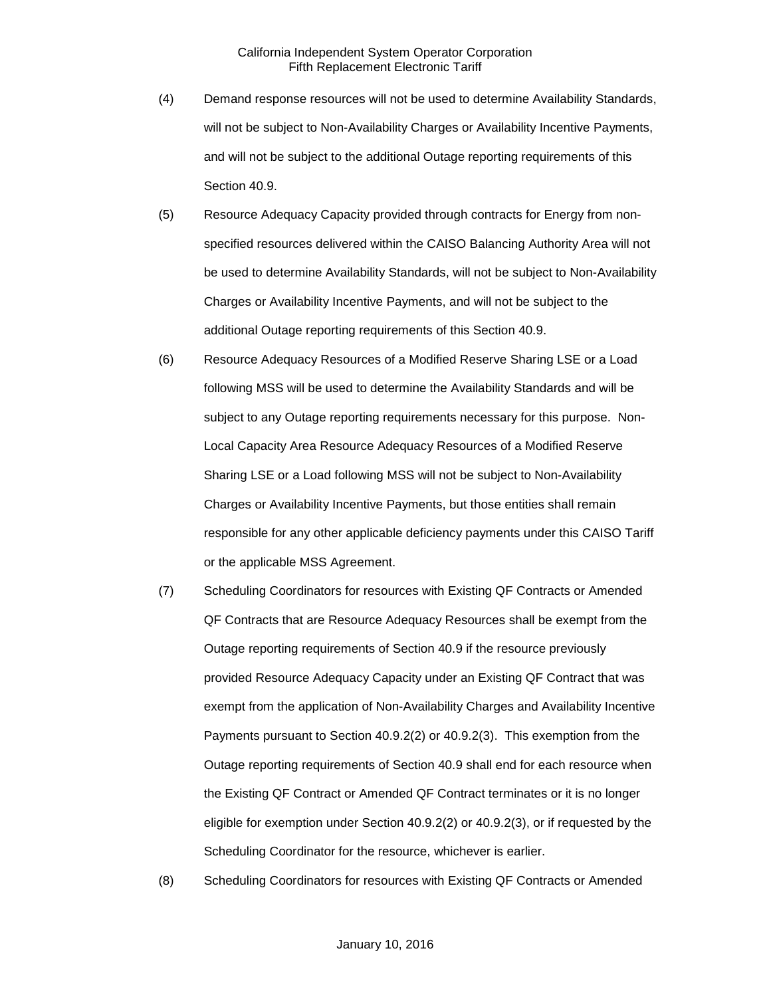- (4) Demand response resources will not be used to determine Availability Standards, will not be subject to Non-Availability Charges or Availability Incentive Payments, and will not be subject to the additional Outage reporting requirements of this Section 40.9.
- (5) Resource Adequacy Capacity provided through contracts for Energy from nonspecified resources delivered within the CAISO Balancing Authority Area will not be used to determine Availability Standards, will not be subject to Non-Availability Charges or Availability Incentive Payments, and will not be subject to the additional Outage reporting requirements of this Section 40.9.
- (6) Resource Adequacy Resources of a Modified Reserve Sharing LSE or a Load following MSS will be used to determine the Availability Standards and will be subject to any Outage reporting requirements necessary for this purpose. Non-Local Capacity Area Resource Adequacy Resources of a Modified Reserve Sharing LSE or a Load following MSS will not be subject to Non-Availability Charges or Availability Incentive Payments, but those entities shall remain responsible for any other applicable deficiency payments under this CAISO Tariff or the applicable MSS Agreement.
- (7) Scheduling Coordinators for resources with Existing QF Contracts or Amended QF Contracts that are Resource Adequacy Resources shall be exempt from the Outage reporting requirements of Section 40.9 if the resource previously provided Resource Adequacy Capacity under an Existing QF Contract that was exempt from the application of Non-Availability Charges and Availability Incentive Payments pursuant to Section 40.9.2(2) or 40.9.2(3). This exemption from the Outage reporting requirements of Section 40.9 shall end for each resource when the Existing QF Contract or Amended QF Contract terminates or it is no longer eligible for exemption under Section 40.9.2(2) or 40.9.2(3), or if requested by the Scheduling Coordinator for the resource, whichever is earlier.
- (8) Scheduling Coordinators for resources with Existing QF Contracts or Amended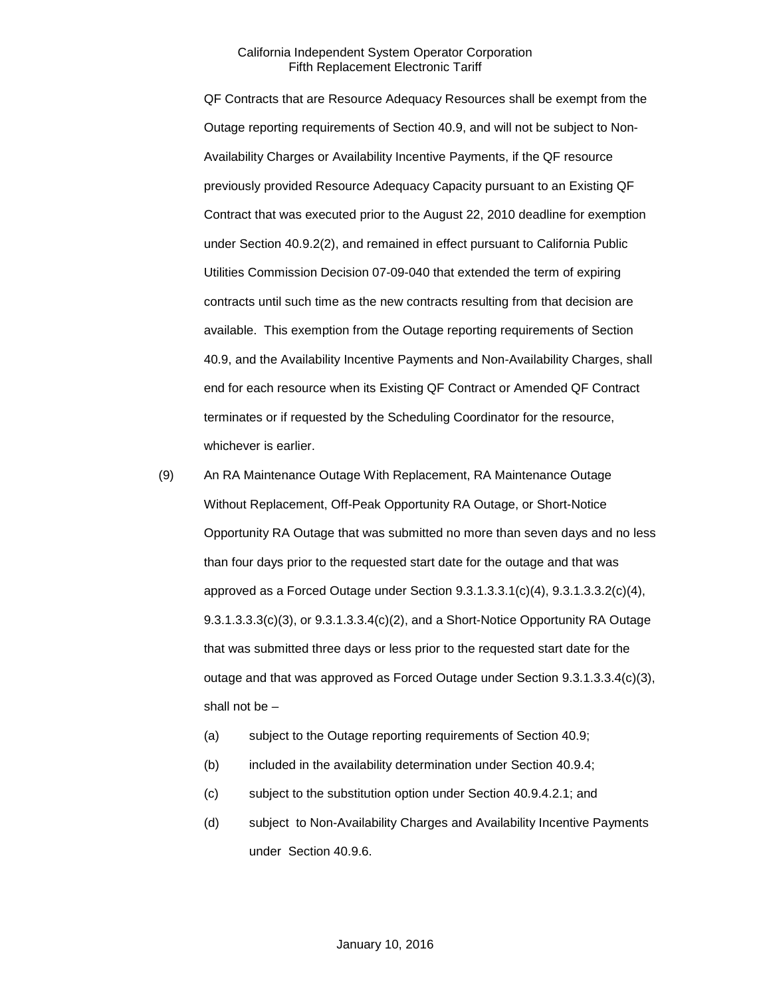QF Contracts that are Resource Adequacy Resources shall be exempt from the Outage reporting requirements of Section 40.9, and will not be subject to Non-Availability Charges or Availability Incentive Payments, if the QF resource previously provided Resource Adequacy Capacity pursuant to an Existing QF Contract that was executed prior to the August 22, 2010 deadline for exemption under Section 40.9.2(2), and remained in effect pursuant to California Public Utilities Commission Decision 07-09-040 that extended the term of expiring contracts until such time as the new contracts resulting from that decision are available. This exemption from the Outage reporting requirements of Section 40.9, and the Availability Incentive Payments and Non-Availability Charges, shall end for each resource when its Existing QF Contract or Amended QF Contract terminates or if requested by the Scheduling Coordinator for the resource, whichever is earlier.

- (9) An RA Maintenance Outage With Replacement, RA Maintenance Outage Without Replacement, Off-Peak Opportunity RA Outage, or Short-Notice Opportunity RA Outage that was submitted no more than seven days and no less than four days prior to the requested start date for the outage and that was approved as a Forced Outage under Section 9.3.1.3.3.1(c)(4), 9.3.1.3.3.2(c)(4),  $9.3.1.3.3.3(c)(3)$ , or  $9.3.1.3.3.4(c)(2)$ , and a Short-Notice Opportunity RA Outage that was submitted three days or less prior to the requested start date for the outage and that was approved as Forced Outage under Section 9.3.1.3.3.4(c)(3), shall not be –
	- (a) subject to the Outage reporting requirements of Section 40.9;
	- (b) included in the availability determination under Section 40.9.4;
	- (c) subject to the substitution option under Section 40.9.4.2.1; and
	- (d) subject to Non-Availability Charges and Availability Incentive Payments under Section 40.9.6.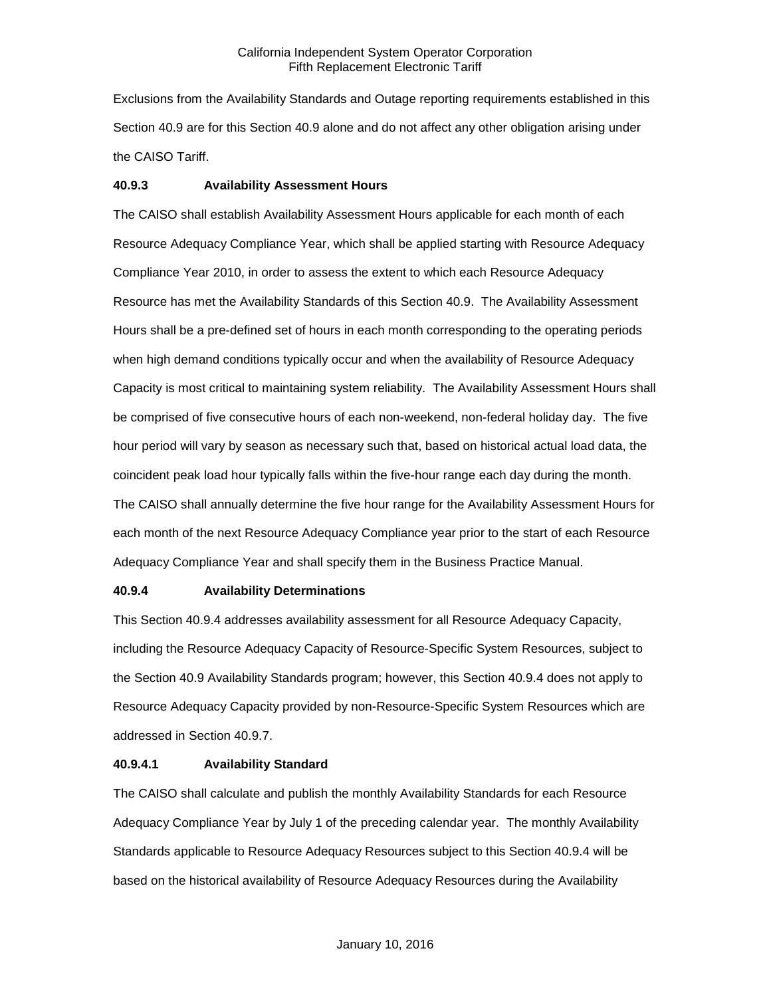Exclusions from the Availability Standards and Outage reporting requirements established in this Section 40.9 are for this Section 40.9 alone and do not affect any other obligation arising under the CAISO Tariff.

# **40.9.3 Availability Assessment Hours**

The CAISO shall establish Availability Assessment Hours applicable for each month of each Resource Adequacy Compliance Year, which shall be applied starting with Resource Adequacy Compliance Year 2010, in order to assess the extent to which each Resource Adequacy Resource has met the Availability Standards of this Section 40.9. The Availability Assessment Hours shall be a pre-defined set of hours in each month corresponding to the operating periods when high demand conditions typically occur and when the availability of Resource Adequacy Capacity is most critical to maintaining system reliability. The Availability Assessment Hours shall be comprised of five consecutive hours of each non-weekend, non-federal holiday day. The five hour period will vary by season as necessary such that, based on historical actual load data, the coincident peak load hour typically falls within the five-hour range each day during the month. The CAISO shall annually determine the five hour range for the Availability Assessment Hours for each month of the next Resource Adequacy Compliance year prior to the start of each Resource Adequacy Compliance Year and shall specify them in the Business Practice Manual.

# **40.9.4 Availability Determinations**

This Section 40.9.4 addresses availability assessment for all Resource Adequacy Capacity, including the Resource Adequacy Capacity of Resource-Specific System Resources, subject to the Section 40.9 Availability Standards program; however, this Section 40.9.4 does not apply to Resource Adequacy Capacity provided by non-Resource-Specific System Resources which are addressed in Section 40.9.7.

# **40.9.4.1 Availability Standard**

The CAISO shall calculate and publish the monthly Availability Standards for each Resource Adequacy Compliance Year by July 1 of the preceding calendar year. The monthly Availability Standards applicable to Resource Adequacy Resources subject to this Section 40.9.4 will be based on the historical availability of Resource Adequacy Resources during the Availability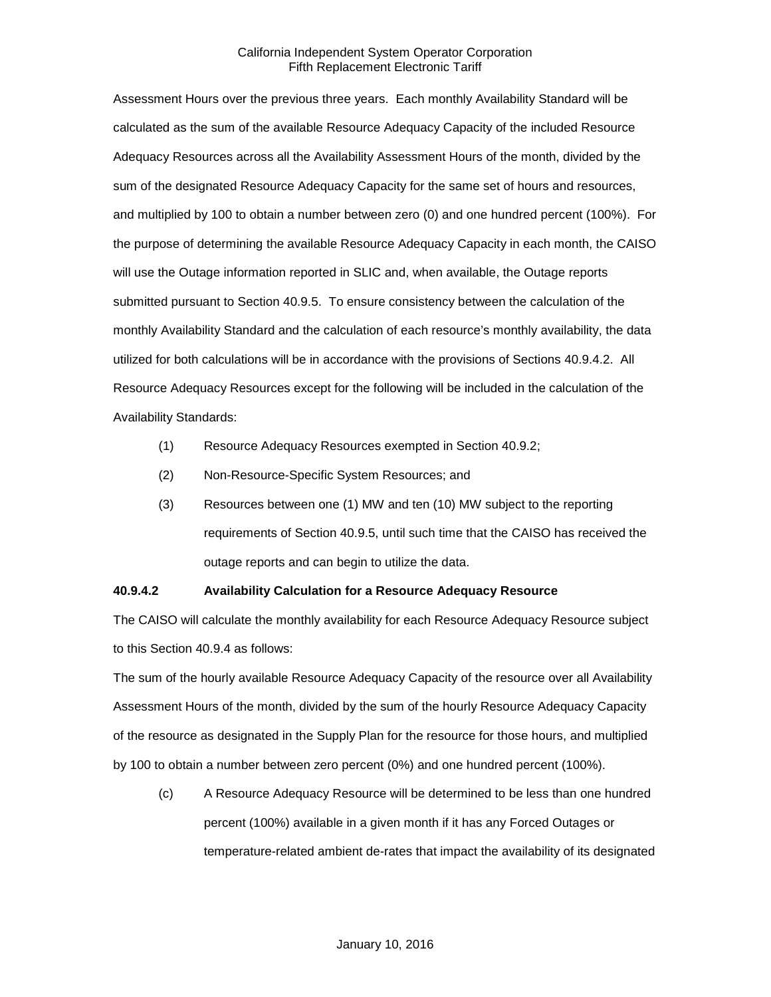Assessment Hours over the previous three years. Each monthly Availability Standard will be calculated as the sum of the available Resource Adequacy Capacity of the included Resource Adequacy Resources across all the Availability Assessment Hours of the month, divided by the sum of the designated Resource Adequacy Capacity for the same set of hours and resources, and multiplied by 100 to obtain a number between zero (0) and one hundred percent (100%). For the purpose of determining the available Resource Adequacy Capacity in each month, the CAISO will use the Outage information reported in SLIC and, when available, the Outage reports submitted pursuant to Section 40.9.5. To ensure consistency between the calculation of the monthly Availability Standard and the calculation of each resource's monthly availability, the data utilized for both calculations will be in accordance with the provisions of Sections 40.9.4.2. All Resource Adequacy Resources except for the following will be included in the calculation of the Availability Standards:

- (1) Resource Adequacy Resources exempted in Section 40.9.2;
- (2) Non-Resource-Specific System Resources; and
- (3) Resources between one (1) MW and ten (10) MW subject to the reporting requirements of Section 40.9.5, until such time that the CAISO has received the outage reports and can begin to utilize the data.

# **40.9.4.2 Availability Calculation for a Resource Adequacy Resource**

The CAISO will calculate the monthly availability for each Resource Adequacy Resource subject to this Section 40.9.4 as follows:

The sum of the hourly available Resource Adequacy Capacity of the resource over all Availability Assessment Hours of the month, divided by the sum of the hourly Resource Adequacy Capacity of the resource as designated in the Supply Plan for the resource for those hours, and multiplied by 100 to obtain a number between zero percent (0%) and one hundred percent (100%).

(c) A Resource Adequacy Resource will be determined to be less than one hundred percent (100%) available in a given month if it has any Forced Outages or temperature-related ambient de-rates that impact the availability of its designated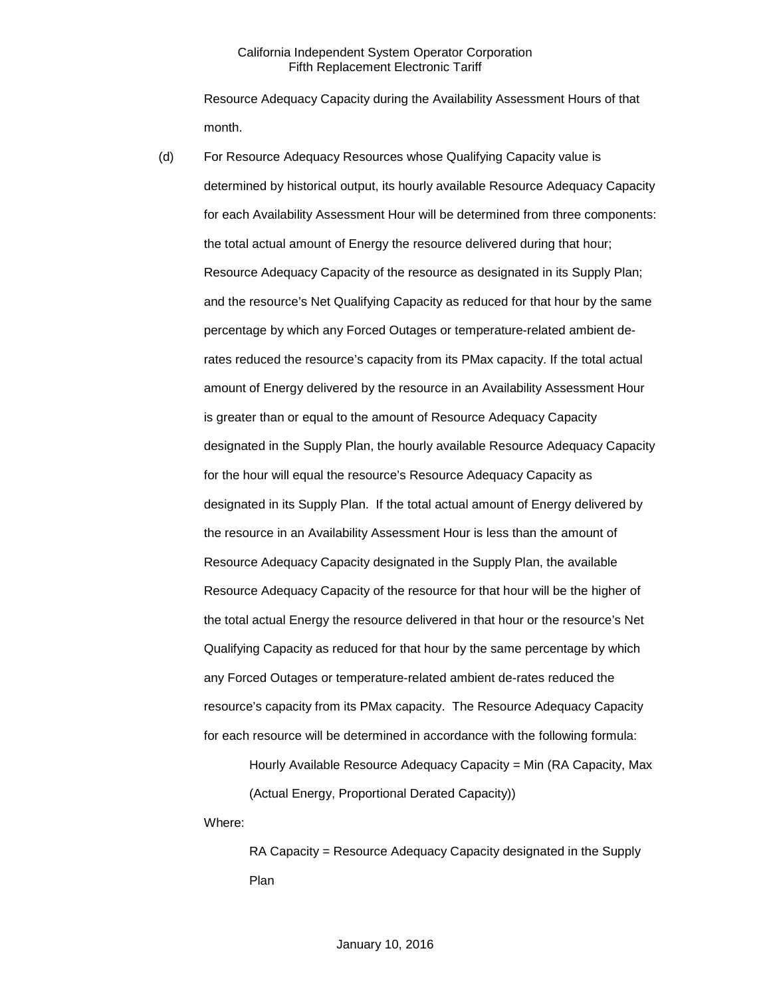Resource Adequacy Capacity during the Availability Assessment Hours of that month.

(d) For Resource Adequacy Resources whose Qualifying Capacity value is determined by historical output, its hourly available Resource Adequacy Capacity for each Availability Assessment Hour will be determined from three components: the total actual amount of Energy the resource delivered during that hour; Resource Adequacy Capacity of the resource as designated in its Supply Plan; and the resource's Net Qualifying Capacity as reduced for that hour by the same percentage by which any Forced Outages or temperature-related ambient derates reduced the resource's capacity from its PMax capacity. If the total actual amount of Energy delivered by the resource in an Availability Assessment Hour is greater than or equal to the amount of Resource Adequacy Capacity designated in the Supply Plan, the hourly available Resource Adequacy Capacity for the hour will equal the resource's Resource Adequacy Capacity as designated in its Supply Plan. If the total actual amount of Energy delivered by the resource in an Availability Assessment Hour is less than the amount of Resource Adequacy Capacity designated in the Supply Plan, the available Resource Adequacy Capacity of the resource for that hour will be the higher of the total actual Energy the resource delivered in that hour or the resource's Net Qualifying Capacity as reduced for that hour by the same percentage by which any Forced Outages or temperature-related ambient de-rates reduced the resource's capacity from its PMax capacity. The Resource Adequacy Capacity for each resource will be determined in accordance with the following formula:

> Hourly Available Resource Adequacy Capacity = Min (RA Capacity, Max (Actual Energy, Proportional Derated Capacity))

Where:

RA Capacity = Resource Adequacy Capacity designated in the Supply Plan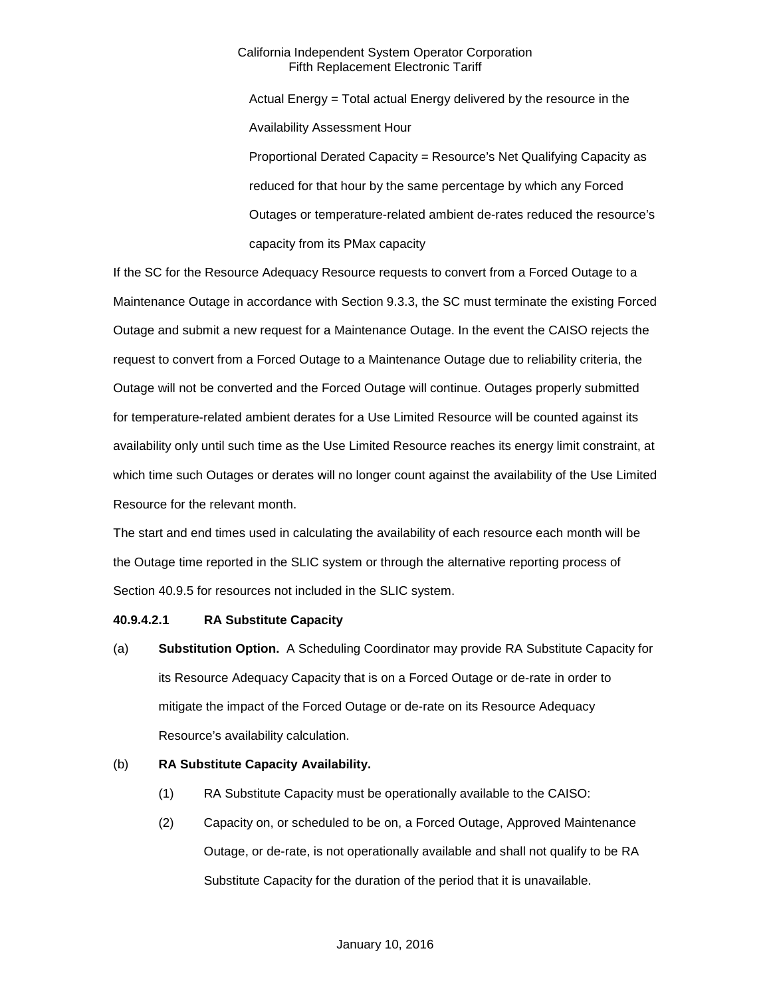Actual Energy = Total actual Energy delivered by the resource in the Availability Assessment Hour Proportional Derated Capacity = Resource's Net Qualifying Capacity as reduced for that hour by the same percentage by which any Forced Outages or temperature-related ambient de-rates reduced the resource's capacity from its PMax capacity

If the SC for the Resource Adequacy Resource requests to convert from a Forced Outage to a Maintenance Outage in accordance with Section 9.3.3, the SC must terminate the existing Forced Outage and submit a new request for a Maintenance Outage. In the event the CAISO rejects the request to convert from a Forced Outage to a Maintenance Outage due to reliability criteria, the Outage will not be converted and the Forced Outage will continue. Outages properly submitted for temperature-related ambient derates for a Use Limited Resource will be counted against its availability only until such time as the Use Limited Resource reaches its energy limit constraint, at which time such Outages or derates will no longer count against the availability of the Use Limited Resource for the relevant month.

The start and end times used in calculating the availability of each resource each month will be the Outage time reported in the SLIC system or through the alternative reporting process of Section 40.9.5 for resources not included in the SLIC system.

# **40.9.4.2.1 RA Substitute Capacity**

(a) **Substitution Option.** A Scheduling Coordinator may provide RA Substitute Capacity for its Resource Adequacy Capacity that is on a Forced Outage or de-rate in order to mitigate the impact of the Forced Outage or de-rate on its Resource Adequacy Resource's availability calculation.

# (b) **RA Substitute Capacity Availability.**

- (1) RA Substitute Capacity must be operationally available to the CAISO:
- (2) Capacity on, or scheduled to be on, a Forced Outage, Approved Maintenance Outage, or de-rate, is not operationally available and shall not qualify to be RA Substitute Capacity for the duration of the period that it is unavailable.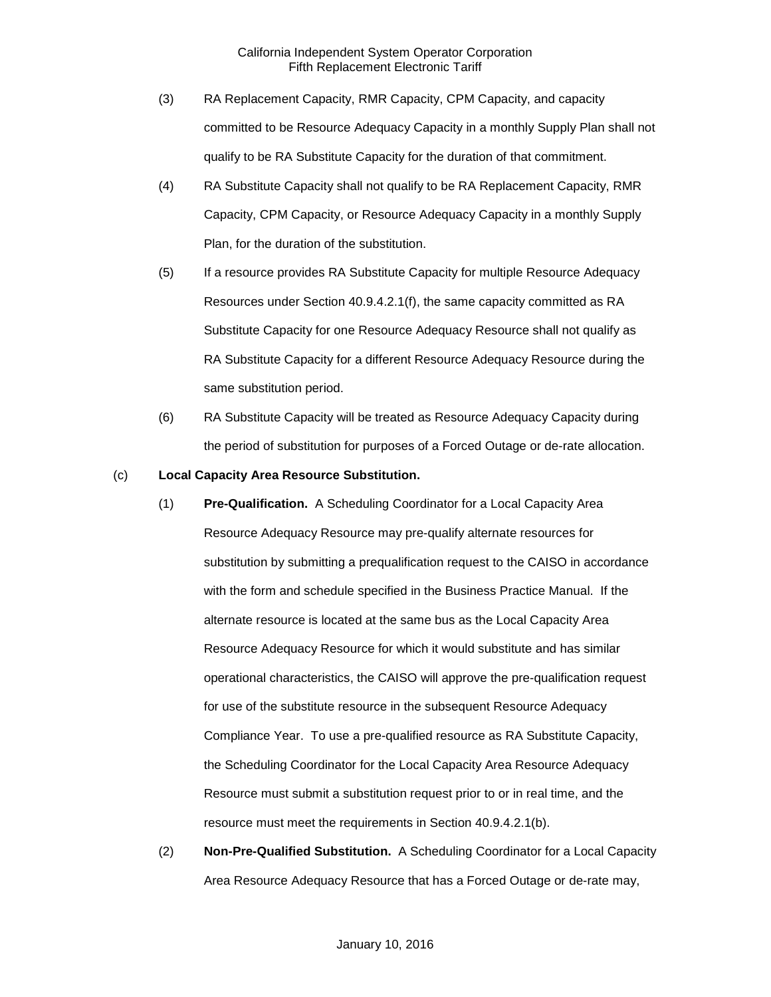- (3) RA Replacement Capacity, RMR Capacity, CPM Capacity, and capacity committed to be Resource Adequacy Capacity in a monthly Supply Plan shall not qualify to be RA Substitute Capacity for the duration of that commitment.
- (4) RA Substitute Capacity shall not qualify to be RA Replacement Capacity, RMR Capacity, CPM Capacity, or Resource Adequacy Capacity in a monthly Supply Plan, for the duration of the substitution.
- (5) If a resource provides RA Substitute Capacity for multiple Resource Adequacy Resources under Section 40.9.4.2.1(f), the same capacity committed as RA Substitute Capacity for one Resource Adequacy Resource shall not qualify as RA Substitute Capacity for a different Resource Adequacy Resource during the same substitution period.
- (6) RA Substitute Capacity will be treated as Resource Adequacy Capacity during the period of substitution for purposes of a Forced Outage or de-rate allocation.

#### (c) **Local Capacity Area Resource Substitution.**

- (1) **Pre-Qualification.** A Scheduling Coordinator for a Local Capacity Area Resource Adequacy Resource may pre-qualify alternate resources for substitution by submitting a prequalification request to the CAISO in accordance with the form and schedule specified in the Business Practice Manual. If the alternate resource is located at the same bus as the Local Capacity Area Resource Adequacy Resource for which it would substitute and has similar operational characteristics, the CAISO will approve the pre-qualification request for use of the substitute resource in the subsequent Resource Adequacy Compliance Year. To use a pre-qualified resource as RA Substitute Capacity, the Scheduling Coordinator for the Local Capacity Area Resource Adequacy Resource must submit a substitution request prior to or in real time, and the resource must meet the requirements in Section 40.9.4.2.1(b).
- (2) **Non-Pre-Qualified Substitution.** A Scheduling Coordinator for a Local Capacity Area Resource Adequacy Resource that has a Forced Outage or de-rate may,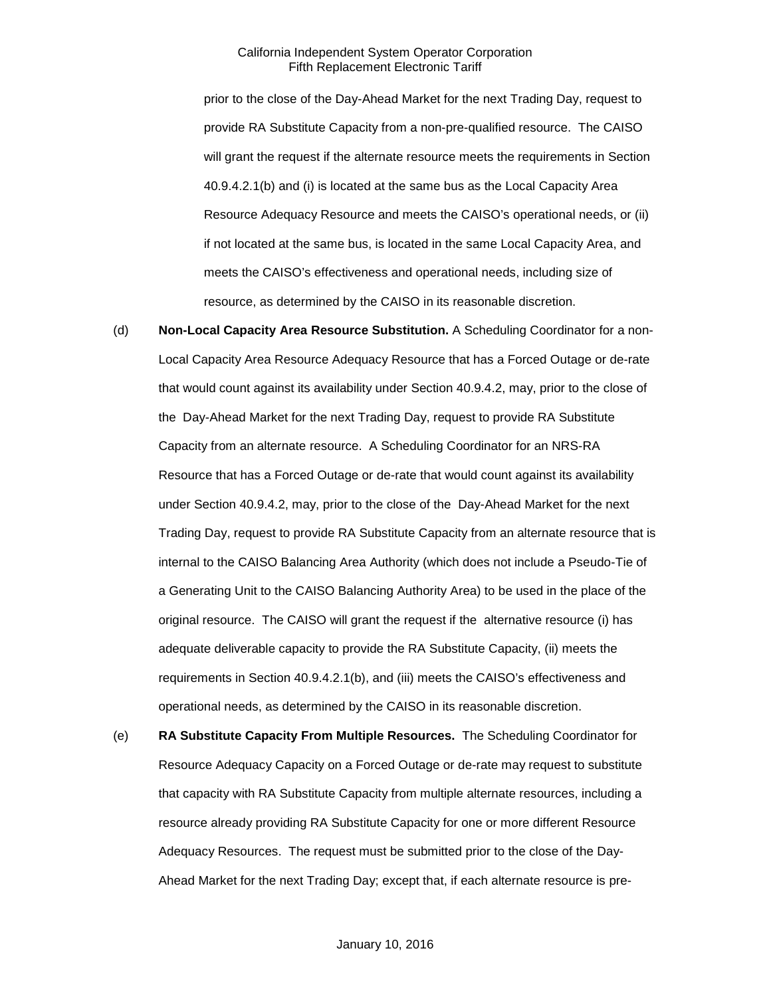prior to the close of the Day-Ahead Market for the next Trading Day, request to provide RA Substitute Capacity from a non-pre-qualified resource. The CAISO will grant the request if the alternate resource meets the requirements in Section 40.9.4.2.1(b) and (i) is located at the same bus as the Local Capacity Area Resource Adequacy Resource and meets the CAISO's operational needs, or (ii) if not located at the same bus, is located in the same Local Capacity Area, and meets the CAISO's effectiveness and operational needs, including size of resource, as determined by the CAISO in its reasonable discretion.

- (d) **Non-Local Capacity Area Resource Substitution.** A Scheduling Coordinator for a non-Local Capacity Area Resource Adequacy Resource that has a Forced Outage or de-rate that would count against its availability under Section 40.9.4.2, may, prior to the close of the Day-Ahead Market for the next Trading Day, request to provide RA Substitute Capacity from an alternate resource. A Scheduling Coordinator for an NRS-RA Resource that has a Forced Outage or de-rate that would count against its availability under Section 40.9.4.2, may, prior to the close of the Day-Ahead Market for the next Trading Day, request to provide RA Substitute Capacity from an alternate resource that is internal to the CAISO Balancing Area Authority (which does not include a Pseudo-Tie of a Generating Unit to the CAISO Balancing Authority Area) to be used in the place of the original resource. The CAISO will grant the request if the alternative resource (i) has adequate deliverable capacity to provide the RA Substitute Capacity, (ii) meets the requirements in Section 40.9.4.2.1(b), and (iii) meets the CAISO's effectiveness and operational needs, as determined by the CAISO in its reasonable discretion.
- (e) **RA Substitute Capacity From Multiple Resources.** The Scheduling Coordinator for Resource Adequacy Capacity on a Forced Outage or de-rate may request to substitute that capacity with RA Substitute Capacity from multiple alternate resources, including a resource already providing RA Substitute Capacity for one or more different Resource Adequacy Resources. The request must be submitted prior to the close of the Day-Ahead Market for the next Trading Day; except that, if each alternate resource is pre-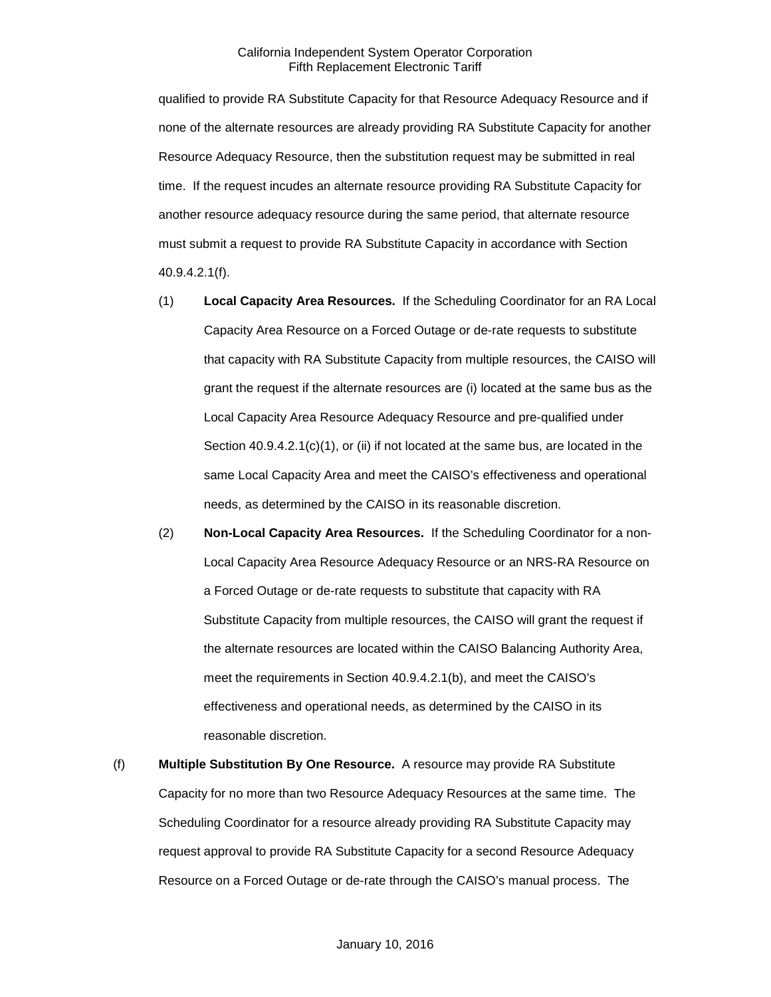qualified to provide RA Substitute Capacity for that Resource Adequacy Resource and if none of the alternate resources are already providing RA Substitute Capacity for another Resource Adequacy Resource, then the substitution request may be submitted in real time. If the request incudes an alternate resource providing RA Substitute Capacity for another resource adequacy resource during the same period, that alternate resource must submit a request to provide RA Substitute Capacity in accordance with Section 40.9.4.2.1(f).

- (1) **Local Capacity Area Resources.** If the Scheduling Coordinator for an RA Local Capacity Area Resource on a Forced Outage or de-rate requests to substitute that capacity with RA Substitute Capacity from multiple resources, the CAISO will grant the request if the alternate resources are (i) located at the same bus as the Local Capacity Area Resource Adequacy Resource and pre-qualified under Section 40.9.4.2.1(c)(1), or (ii) if not located at the same bus, are located in the same Local Capacity Area and meet the CAISO's effectiveness and operational needs, as determined by the CAISO in its reasonable discretion.
- (2) **Non-Local Capacity Area Resources.** If the Scheduling Coordinator for a non-Local Capacity Area Resource Adequacy Resource or an NRS-RA Resource on a Forced Outage or de-rate requests to substitute that capacity with RA Substitute Capacity from multiple resources, the CAISO will grant the request if the alternate resources are located within the CAISO Balancing Authority Area, meet the requirements in Section 40.9.4.2.1(b), and meet the CAISO's effectiveness and operational needs, as determined by the CAISO in its reasonable discretion.
- (f) **Multiple Substitution By One Resource.** A resource may provide RA Substitute Capacity for no more than two Resource Adequacy Resources at the same time. The Scheduling Coordinator for a resource already providing RA Substitute Capacity may request approval to provide RA Substitute Capacity for a second Resource Adequacy Resource on a Forced Outage or de-rate through the CAISO's manual process. The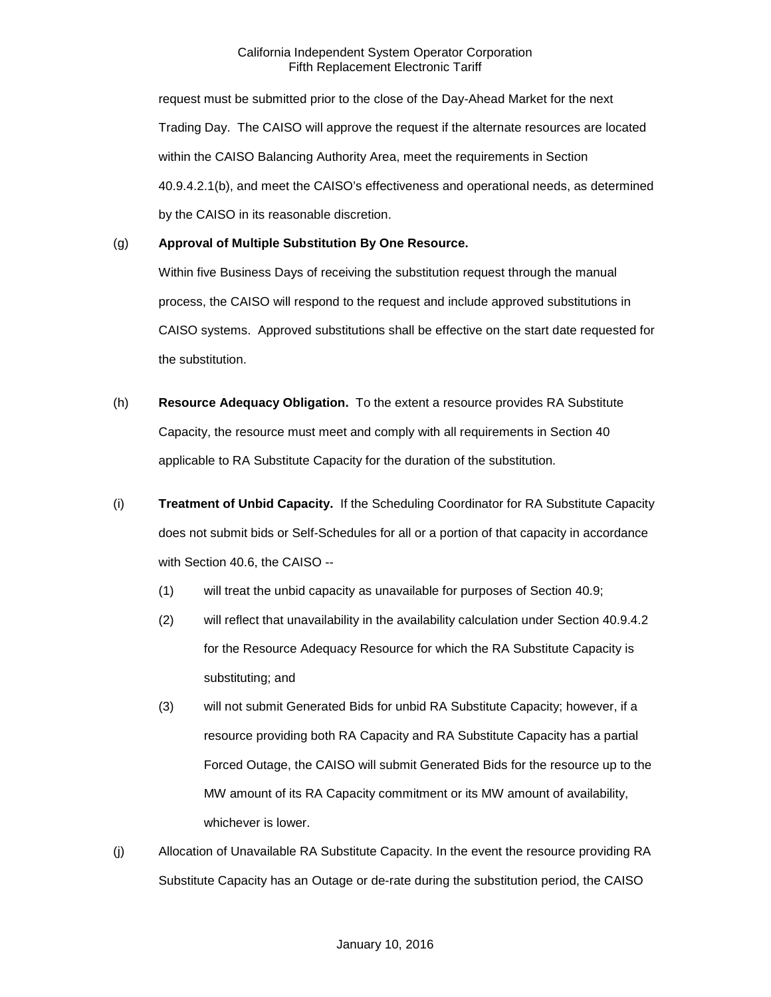request must be submitted prior to the close of the Day-Ahead Market for the next Trading Day. The CAISO will approve the request if the alternate resources are located within the CAISO Balancing Authority Area, meet the requirements in Section 40.9.4.2.1(b), and meet the CAISO's effectiveness and operational needs, as determined by the CAISO in its reasonable discretion.

# (g) **Approval of Multiple Substitution By One Resource.**

Within five Business Days of receiving the substitution request through the manual process, the CAISO will respond to the request and include approved substitutions in CAISO systems. Approved substitutions shall be effective on the start date requested for the substitution.

- (h) **Resource Adequacy Obligation.** To the extent a resource provides RA Substitute Capacity, the resource must meet and comply with all requirements in Section 40 applicable to RA Substitute Capacity for the duration of the substitution.
- (i) **Treatment of Unbid Capacity.** If the Scheduling Coordinator for RA Substitute Capacity does not submit bids or Self-Schedules for all or a portion of that capacity in accordance with Section 40.6, the CAISO --
	- (1) will treat the unbid capacity as unavailable for purposes of Section 40.9;
	- (2) will reflect that unavailability in the availability calculation under Section 40.9.4.2 for the Resource Adequacy Resource for which the RA Substitute Capacity is substituting; and
	- (3) will not submit Generated Bids for unbid RA Substitute Capacity; however, if a resource providing both RA Capacity and RA Substitute Capacity has a partial Forced Outage, the CAISO will submit Generated Bids for the resource up to the MW amount of its RA Capacity commitment or its MW amount of availability, whichever is lower.
- (j) Allocation of Unavailable RA Substitute Capacity. In the event the resource providing RA Substitute Capacity has an Outage or de-rate during the substitution period, the CAISO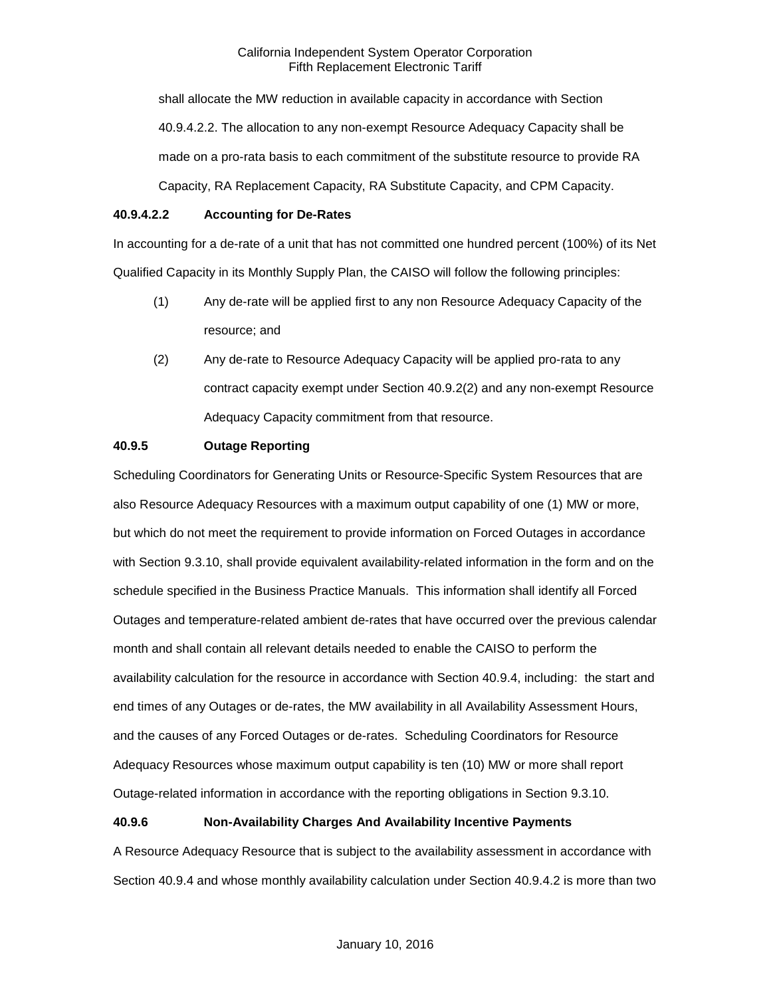shall allocate the MW reduction in available capacity in accordance with Section 40.9.4.2.2. The allocation to any non-exempt Resource Adequacy Capacity shall be made on a pro-rata basis to each commitment of the substitute resource to provide RA Capacity, RA Replacement Capacity, RA Substitute Capacity, and CPM Capacity.

# **40.9.4.2.2 Accounting for De-Rates**

In accounting for a de-rate of a unit that has not committed one hundred percent (100%) of its Net Qualified Capacity in its Monthly Supply Plan, the CAISO will follow the following principles:

- (1) Any de-rate will be applied first to any non Resource Adequacy Capacity of the resource; and
- (2) Any de-rate to Resource Adequacy Capacity will be applied pro-rata to any contract capacity exempt under Section 40.9.2(2) and any non-exempt Resource Adequacy Capacity commitment from that resource.

# **40.9.5 Outage Reporting**

Scheduling Coordinators for Generating Units or Resource-Specific System Resources that are also Resource Adequacy Resources with a maximum output capability of one (1) MW or more, but which do not meet the requirement to provide information on Forced Outages in accordance with Section 9.3.10, shall provide equivalent availability-related information in the form and on the schedule specified in the Business Practice Manuals. This information shall identify all Forced Outages and temperature-related ambient de-rates that have occurred over the previous calendar month and shall contain all relevant details needed to enable the CAISO to perform the availability calculation for the resource in accordance with Section 40.9.4, including: the start and end times of any Outages or de-rates, the MW availability in all Availability Assessment Hours, and the causes of any Forced Outages or de-rates. Scheduling Coordinators for Resource Adequacy Resources whose maximum output capability is ten (10) MW or more shall report Outage-related information in accordance with the reporting obligations in Section 9.3.10.

# **40.9.6 Non-Availability Charges And Availability Incentive Payments**

A Resource Adequacy Resource that is subject to the availability assessment in accordance with Section 40.9.4 and whose monthly availability calculation under Section 40.9.4.2 is more than two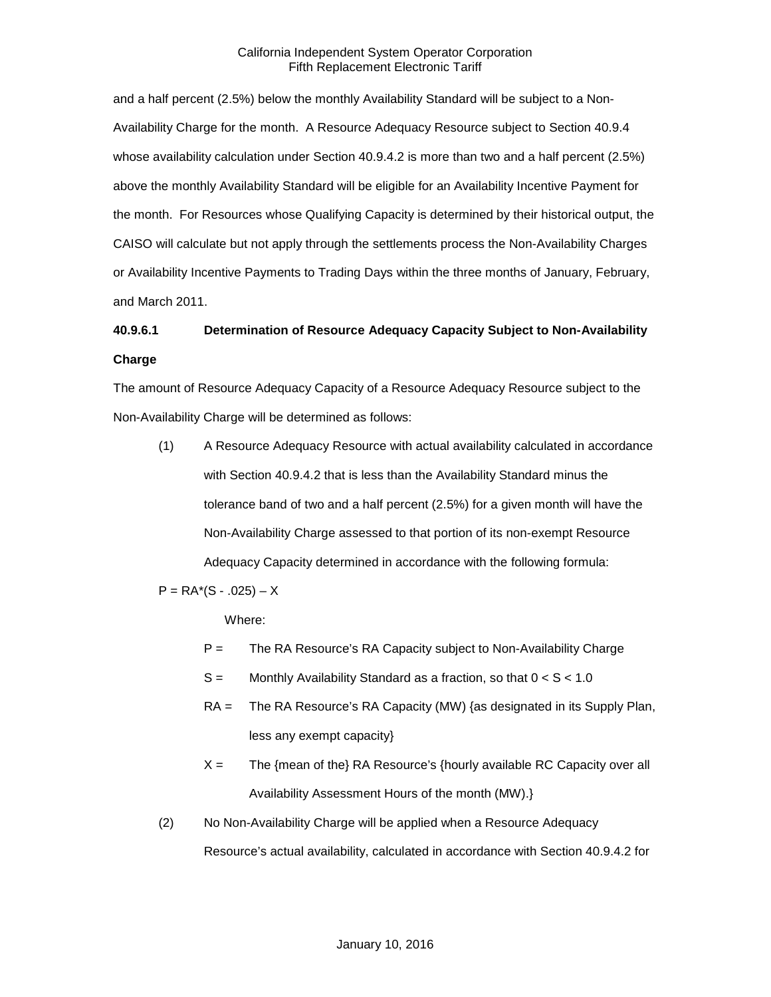and a half percent (2.5%) below the monthly Availability Standard will be subject to a Non-Availability Charge for the month. A Resource Adequacy Resource subject to Section 40.9.4 whose availability calculation under Section 40.9.4.2 is more than two and a half percent (2.5%) above the monthly Availability Standard will be eligible for an Availability Incentive Payment for the month. For Resources whose Qualifying Capacity is determined by their historical output, the CAISO will calculate but not apply through the settlements process the Non-Availability Charges or Availability Incentive Payments to Trading Days within the three months of January, February, and March 2011.

# **40.9.6.1 Determination of Resource Adequacy Capacity Subject to Non-Availability Charge**

The amount of Resource Adequacy Capacity of a Resource Adequacy Resource subject to the Non-Availability Charge will be determined as follows:

(1) A Resource Adequacy Resource with actual availability calculated in accordance with Section 40.9.4.2 that is less than the Availability Standard minus the tolerance band of two and a half percent (2.5%) for a given month will have the Non-Availability Charge assessed to that portion of its non-exempt Resource Adequacy Capacity determined in accordance with the following formula:

 $P = RA<sup>*</sup>(S - .025) - X$ 

Where:

- P = The RA Resource's RA Capacity subject to Non-Availability Charge
- $S =$  Monthly Availability Standard as a fraction, so that  $0 < S < 1.0$
- RA = The RA Resource's RA Capacity (MW) {as designated in its Supply Plan, less any exempt capacity}
- $X =$  The {mean of the} RA Resource's {hourly available RC Capacity over all Availability Assessment Hours of the month (MW).}
- (2) No Non-Availability Charge will be applied when a Resource Adequacy Resource's actual availability, calculated in accordance with Section 40.9.4.2 for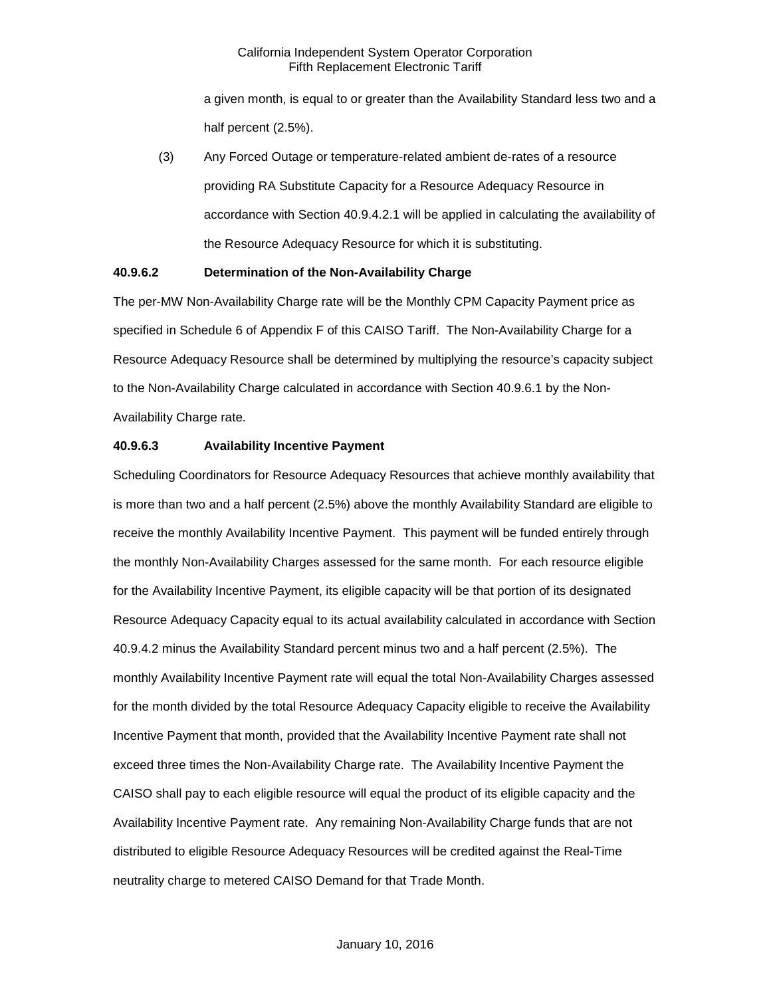a given month, is equal to or greater than the Availability Standard less two and a half percent (2.5%).

(3) Any Forced Outage or temperature-related ambient de-rates of a resource providing RA Substitute Capacity for a Resource Adequacy Resource in accordance with Section 40.9.4.2.1 will be applied in calculating the availability of the Resource Adequacy Resource for which it is substituting.

# **40.9.6.2 Determination of the Non-Availability Charge**

The per-MW Non-Availability Charge rate will be the Monthly CPM Capacity Payment price as specified in Schedule 6 of Appendix F of this CAISO Tariff. The Non-Availability Charge for a Resource Adequacy Resource shall be determined by multiplying the resource's capacity subject to the Non-Availability Charge calculated in accordance with Section 40.9.6.1 by the Non-Availability Charge rate.

#### **40.9.6.3 Availability Incentive Payment**

Scheduling Coordinators for Resource Adequacy Resources that achieve monthly availability that is more than two and a half percent (2.5%) above the monthly Availability Standard are eligible to receive the monthly Availability Incentive Payment. This payment will be funded entirely through the monthly Non-Availability Charges assessed for the same month. For each resource eligible for the Availability Incentive Payment, its eligible capacity will be that portion of its designated Resource Adequacy Capacity equal to its actual availability calculated in accordance with Section 40.9.4.2 minus the Availability Standard percent minus two and a half percent (2.5%). The monthly Availability Incentive Payment rate will equal the total Non-Availability Charges assessed for the month divided by the total Resource Adequacy Capacity eligible to receive the Availability Incentive Payment that month, provided that the Availability Incentive Payment rate shall not exceed three times the Non-Availability Charge rate. The Availability Incentive Payment the CAISO shall pay to each eligible resource will equal the product of its eligible capacity and the Availability Incentive Payment rate. Any remaining Non-Availability Charge funds that are not distributed to eligible Resource Adequacy Resources will be credited against the Real-Time neutrality charge to metered CAISO Demand for that Trade Month.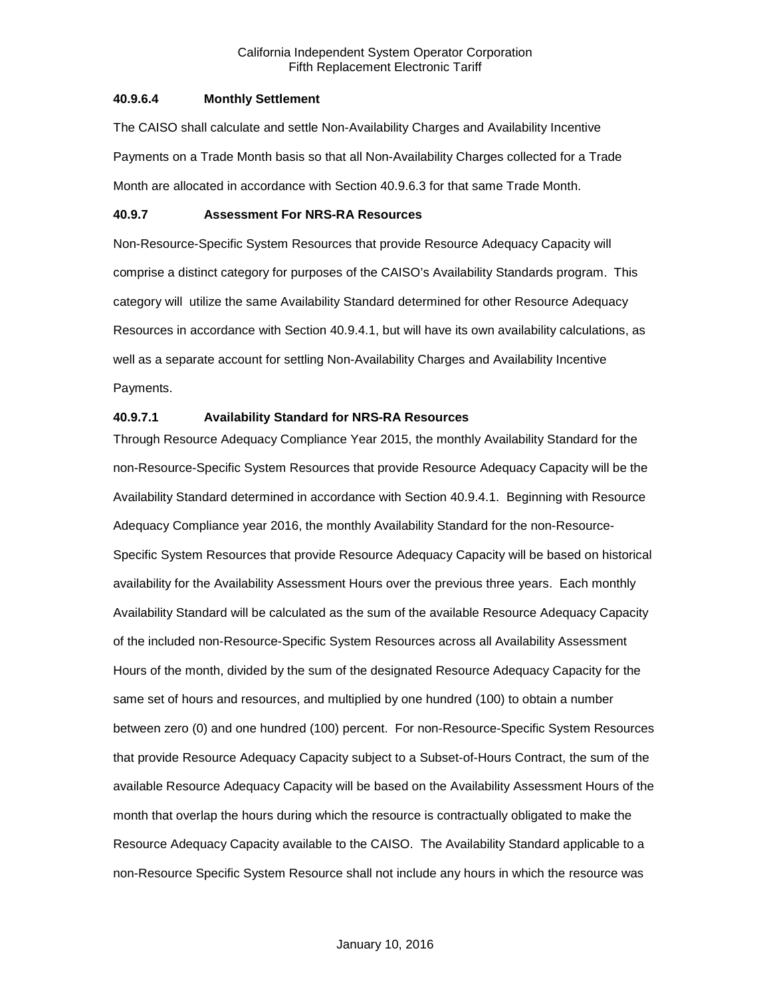#### **40.9.6.4 Monthly Settlement**

The CAISO shall calculate and settle Non-Availability Charges and Availability Incentive Payments on a Trade Month basis so that all Non-Availability Charges collected for a Trade Month are allocated in accordance with Section 40.9.6.3 for that same Trade Month.

# **40.9.7 Assessment For NRS-RA Resources**

Non-Resource-Specific System Resources that provide Resource Adequacy Capacity will comprise a distinct category for purposes of the CAISO's Availability Standards program. This category will utilize the same Availability Standard determined for other Resource Adequacy Resources in accordance with Section 40.9.4.1, but will have its own availability calculations, as well as a separate account for settling Non-Availability Charges and Availability Incentive Payments.

# **40.9.7.1 Availability Standard for NRS-RA Resources**

Through Resource Adequacy Compliance Year 2015, the monthly Availability Standard for the non-Resource-Specific System Resources that provide Resource Adequacy Capacity will be the Availability Standard determined in accordance with Section 40.9.4.1. Beginning with Resource Adequacy Compliance year 2016, the monthly Availability Standard for the non-Resource-Specific System Resources that provide Resource Adequacy Capacity will be based on historical availability for the Availability Assessment Hours over the previous three years. Each monthly Availability Standard will be calculated as the sum of the available Resource Adequacy Capacity of the included non-Resource-Specific System Resources across all Availability Assessment Hours of the month, divided by the sum of the designated Resource Adequacy Capacity for the same set of hours and resources, and multiplied by one hundred (100) to obtain a number between zero (0) and one hundred (100) percent. For non-Resource-Specific System Resources that provide Resource Adequacy Capacity subject to a Subset-of-Hours Contract, the sum of the available Resource Adequacy Capacity will be based on the Availability Assessment Hours of the month that overlap the hours during which the resource is contractually obligated to make the Resource Adequacy Capacity available to the CAISO. The Availability Standard applicable to a non-Resource Specific System Resource shall not include any hours in which the resource was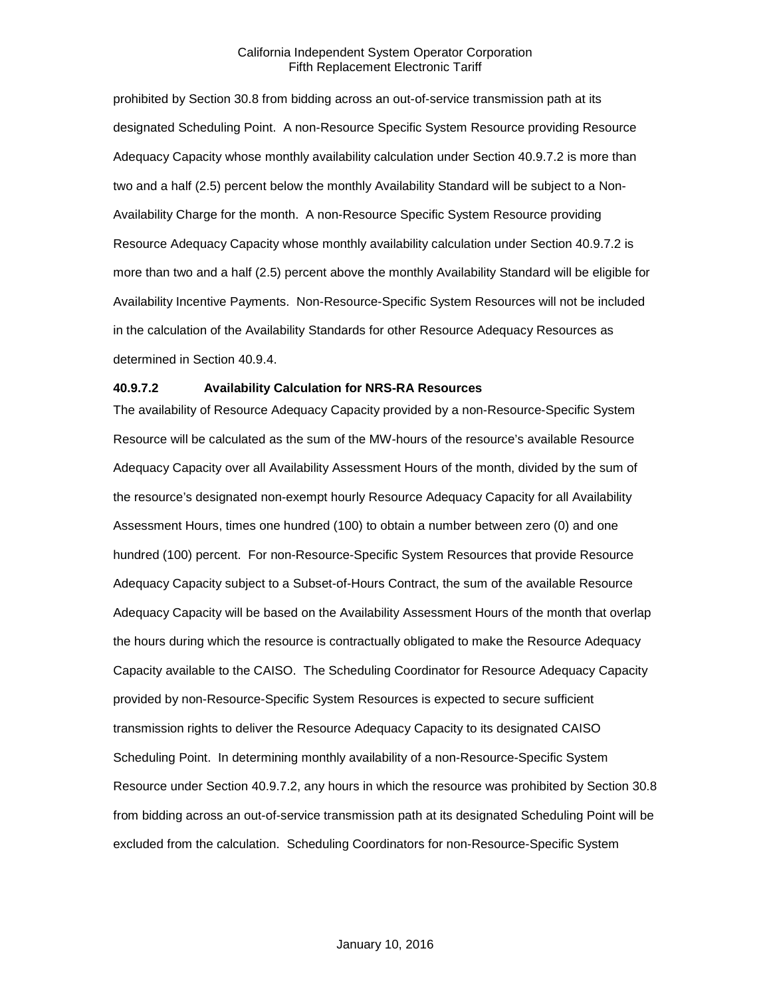prohibited by Section 30.8 from bidding across an out-of-service transmission path at its designated Scheduling Point. A non-Resource Specific System Resource providing Resource Adequacy Capacity whose monthly availability calculation under Section 40.9.7.2 is more than two and a half (2.5) percent below the monthly Availability Standard will be subject to a Non-Availability Charge for the month. A non-Resource Specific System Resource providing Resource Adequacy Capacity whose monthly availability calculation under Section 40.9.7.2 is more than two and a half (2.5) percent above the monthly Availability Standard will be eligible for Availability Incentive Payments. Non-Resource-Specific System Resources will not be included in the calculation of the Availability Standards for other Resource Adequacy Resources as determined in Section 40.9.4.

## **40.9.7.2 Availability Calculation for NRS-RA Resources**

The availability of Resource Adequacy Capacity provided by a non-Resource-Specific System Resource will be calculated as the sum of the MW-hours of the resource's available Resource Adequacy Capacity over all Availability Assessment Hours of the month, divided by the sum of the resource's designated non-exempt hourly Resource Adequacy Capacity for all Availability Assessment Hours, times one hundred (100) to obtain a number between zero (0) and one hundred (100) percent. For non-Resource-Specific System Resources that provide Resource Adequacy Capacity subject to a Subset-of-Hours Contract, the sum of the available Resource Adequacy Capacity will be based on the Availability Assessment Hours of the month that overlap the hours during which the resource is contractually obligated to make the Resource Adequacy Capacity available to the CAISO. The Scheduling Coordinator for Resource Adequacy Capacity provided by non-Resource-Specific System Resources is expected to secure sufficient transmission rights to deliver the Resource Adequacy Capacity to its designated CAISO Scheduling Point. In determining monthly availability of a non-Resource-Specific System Resource under Section 40.9.7.2, any hours in which the resource was prohibited by Section 30.8 from bidding across an out-of-service transmission path at its designated Scheduling Point will be excluded from the calculation. Scheduling Coordinators for non-Resource-Specific System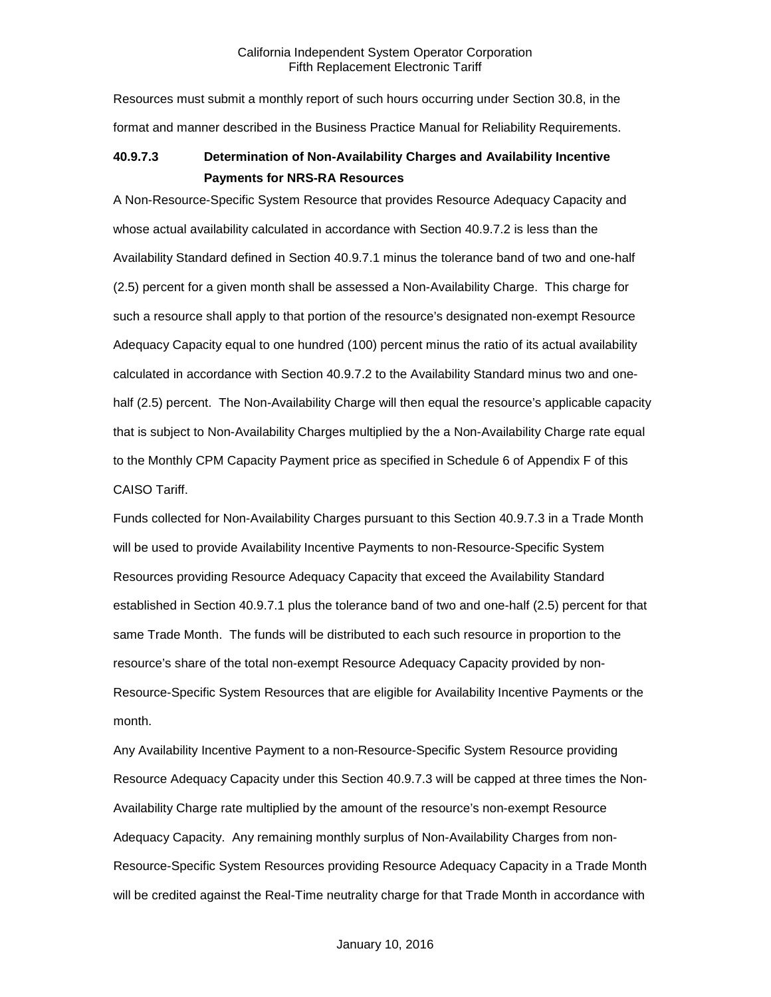Resources must submit a monthly report of such hours occurring under Section 30.8, in the format and manner described in the Business Practice Manual for Reliability Requirements.

# **40.9.7.3 Determination of Non-Availability Charges and Availability Incentive Payments for NRS-RA Resources**

A Non-Resource-Specific System Resource that provides Resource Adequacy Capacity and whose actual availability calculated in accordance with Section 40.9.7.2 is less than the Availability Standard defined in Section 40.9.7.1 minus the tolerance band of two and one-half (2.5) percent for a given month shall be assessed a Non-Availability Charge. This charge for such a resource shall apply to that portion of the resource's designated non-exempt Resource Adequacy Capacity equal to one hundred (100) percent minus the ratio of its actual availability calculated in accordance with Section 40.9.7.2 to the Availability Standard minus two and onehalf (2.5) percent. The Non-Availability Charge will then equal the resource's applicable capacity that is subject to Non-Availability Charges multiplied by the a Non-Availability Charge rate equal to the Monthly CPM Capacity Payment price as specified in Schedule 6 of Appendix F of this CAISO Tariff.

Funds collected for Non-Availability Charges pursuant to this Section 40.9.7.3 in a Trade Month will be used to provide Availability Incentive Payments to non-Resource-Specific System Resources providing Resource Adequacy Capacity that exceed the Availability Standard established in Section 40.9.7.1 plus the tolerance band of two and one-half (2.5) percent for that same Trade Month. The funds will be distributed to each such resource in proportion to the resource's share of the total non-exempt Resource Adequacy Capacity provided by non-Resource-Specific System Resources that are eligible for Availability Incentive Payments or the month.

Any Availability Incentive Payment to a non-Resource-Specific System Resource providing Resource Adequacy Capacity under this Section 40.9.7.3 will be capped at three times the Non-Availability Charge rate multiplied by the amount of the resource's non-exempt Resource Adequacy Capacity. Any remaining monthly surplus of Non-Availability Charges from non-Resource-Specific System Resources providing Resource Adequacy Capacity in a Trade Month will be credited against the Real-Time neutrality charge for that Trade Month in accordance with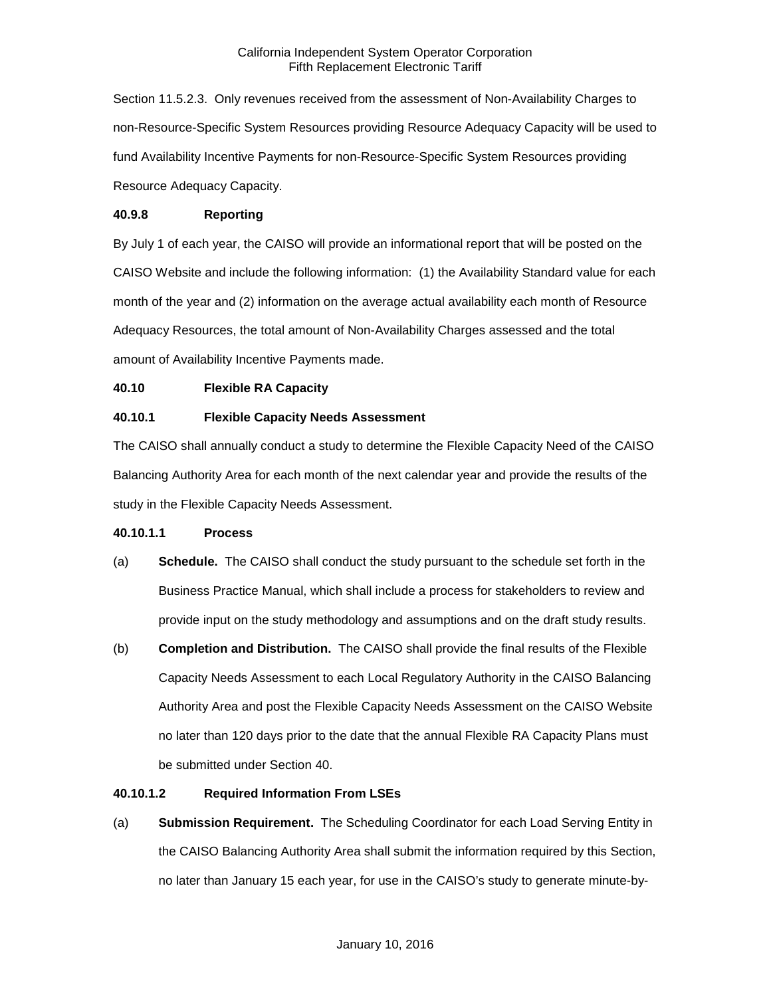Section 11.5.2.3. Only revenues received from the assessment of Non-Availability Charges to non-Resource-Specific System Resources providing Resource Adequacy Capacity will be used to fund Availability Incentive Payments for non-Resource-Specific System Resources providing Resource Adequacy Capacity.

# **40.9.8 Reporting**

By July 1 of each year, the CAISO will provide an informational report that will be posted on the CAISO Website and include the following information: (1) the Availability Standard value for each month of the year and (2) information on the average actual availability each month of Resource Adequacy Resources, the total amount of Non-Availability Charges assessed and the total amount of Availability Incentive Payments made.

# **40.10 Flexible RA Capacity**

# **40.10.1 Flexible Capacity Needs Assessment**

The CAISO shall annually conduct a study to determine the Flexible Capacity Need of the CAISO Balancing Authority Area for each month of the next calendar year and provide the results of the study in the Flexible Capacity Needs Assessment.

# **40.10.1.1 Process**

- (a) **Schedule.** The CAISO shall conduct the study pursuant to the schedule set forth in the Business Practice Manual, which shall include a process for stakeholders to review and provide input on the study methodology and assumptions and on the draft study results.
- (b) **Completion and Distribution.** The CAISO shall provide the final results of the Flexible Capacity Needs Assessment to each Local Regulatory Authority in the CAISO Balancing Authority Area and post the Flexible Capacity Needs Assessment on the CAISO Website no later than 120 days prior to the date that the annual Flexible RA Capacity Plans must be submitted under Section 40.

# **40.10.1.2 Required Information From LSEs**

(a) **Submission Requirement.** The Scheduling Coordinator for each Load Serving Entity in the CAISO Balancing Authority Area shall submit the information required by this Section, no later than January 15 each year, for use in the CAISO's study to generate minute-by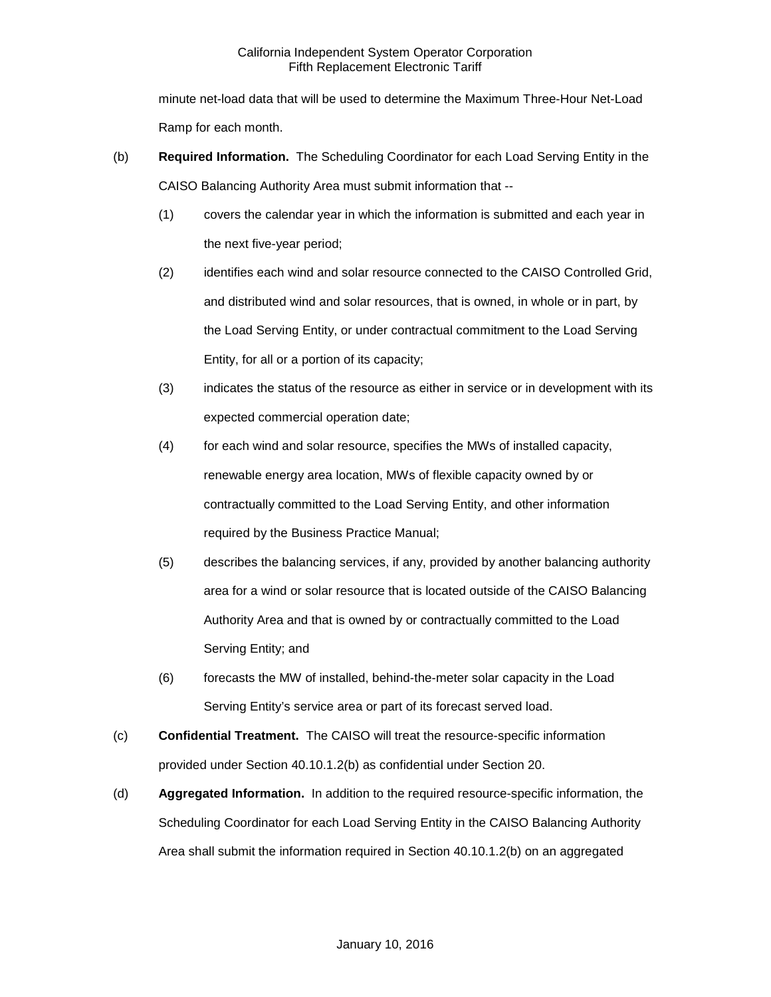minute net-load data that will be used to determine the Maximum Three-Hour Net-Load Ramp for each month.

- (b) **Required Information.** The Scheduling Coordinator for each Load Serving Entity in the CAISO Balancing Authority Area must submit information that --
	- (1) covers the calendar year in which the information is submitted and each year in the next five-year period;
	- (2) identifies each wind and solar resource connected to the CAISO Controlled Grid, and distributed wind and solar resources, that is owned, in whole or in part, by the Load Serving Entity, or under contractual commitment to the Load Serving Entity, for all or a portion of its capacity;
	- (3) indicates the status of the resource as either in service or in development with its expected commercial operation date;
	- (4) for each wind and solar resource, specifies the MWs of installed capacity, renewable energy area location, MWs of flexible capacity owned by or contractually committed to the Load Serving Entity, and other information required by the Business Practice Manual;
	- (5) describes the balancing services, if any, provided by another balancing authority area for a wind or solar resource that is located outside of the CAISO Balancing Authority Area and that is owned by or contractually committed to the Load Serving Entity; and
	- (6) forecasts the MW of installed, behind-the-meter solar capacity in the Load Serving Entity's service area or part of its forecast served load.
- (c) **Confidential Treatment.** The CAISO will treat the resource-specific information provided under Section 40.10.1.2(b) as confidential under Section 20.
- (d) **Aggregated Information.** In addition to the required resource-specific information, the Scheduling Coordinator for each Load Serving Entity in the CAISO Balancing Authority Area shall submit the information required in Section 40.10.1.2(b) on an aggregated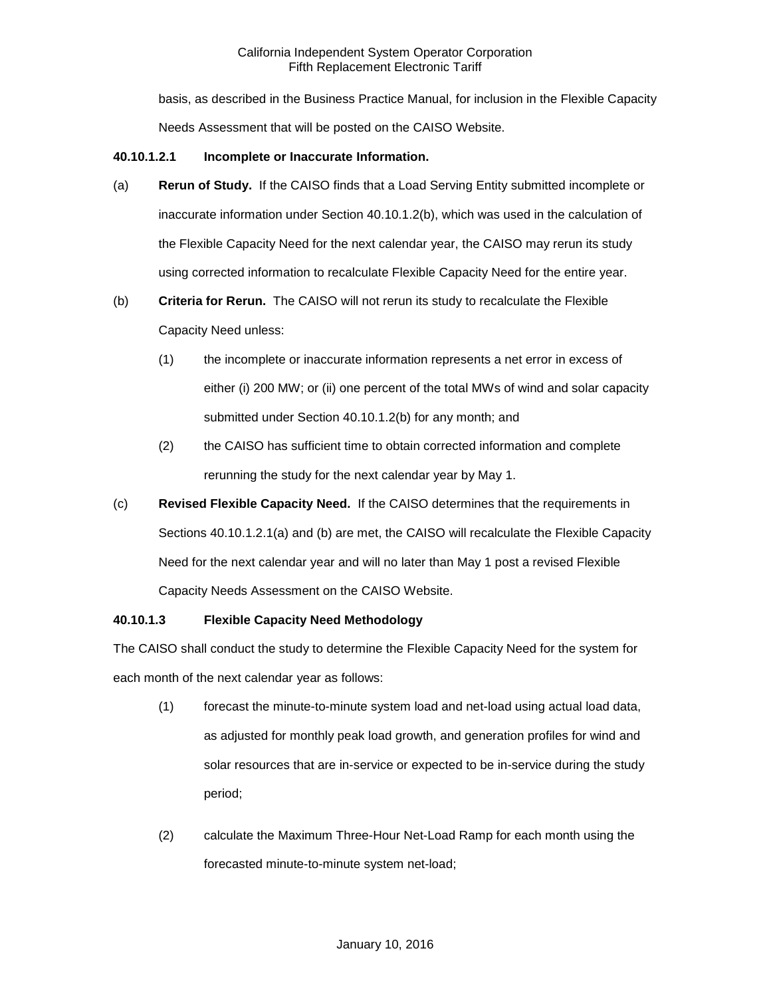basis, as described in the Business Practice Manual, for inclusion in the Flexible Capacity Needs Assessment that will be posted on the CAISO Website.

# **40.10.1.2.1 Incomplete or Inaccurate Information.**

- (a) **Rerun of Study.** If the CAISO finds that a Load Serving Entity submitted incomplete or inaccurate information under Section 40.10.1.2(b), which was used in the calculation of the Flexible Capacity Need for the next calendar year, the CAISO may rerun its study using corrected information to recalculate Flexible Capacity Need for the entire year.
- (b) **Criteria for Rerun.** The CAISO will not rerun its study to recalculate the Flexible Capacity Need unless:
	- (1) the incomplete or inaccurate information represents a net error in excess of either (i) 200 MW; or (ii) one percent of the total MWs of wind and solar capacity submitted under Section 40.10.1.2(b) for any month; and
	- (2) the CAISO has sufficient time to obtain corrected information and complete rerunning the study for the next calendar year by May 1.
- (c) **Revised Flexible Capacity Need.** If the CAISO determines that the requirements in Sections 40.10.1.2.1(a) and (b) are met, the CAISO will recalculate the Flexible Capacity Need for the next calendar year and will no later than May 1 post a revised Flexible Capacity Needs Assessment on the CAISO Website.

# **40.10.1.3 Flexible Capacity Need Methodology**

The CAISO shall conduct the study to determine the Flexible Capacity Need for the system for each month of the next calendar year as follows:

- (1) forecast the minute-to-minute system load and net-load using actual load data, as adjusted for monthly peak load growth, and generation profiles for wind and solar resources that are in-service or expected to be in-service during the study period;
- (2) calculate the Maximum Three-Hour Net-Load Ramp for each month using the forecasted minute-to-minute system net-load;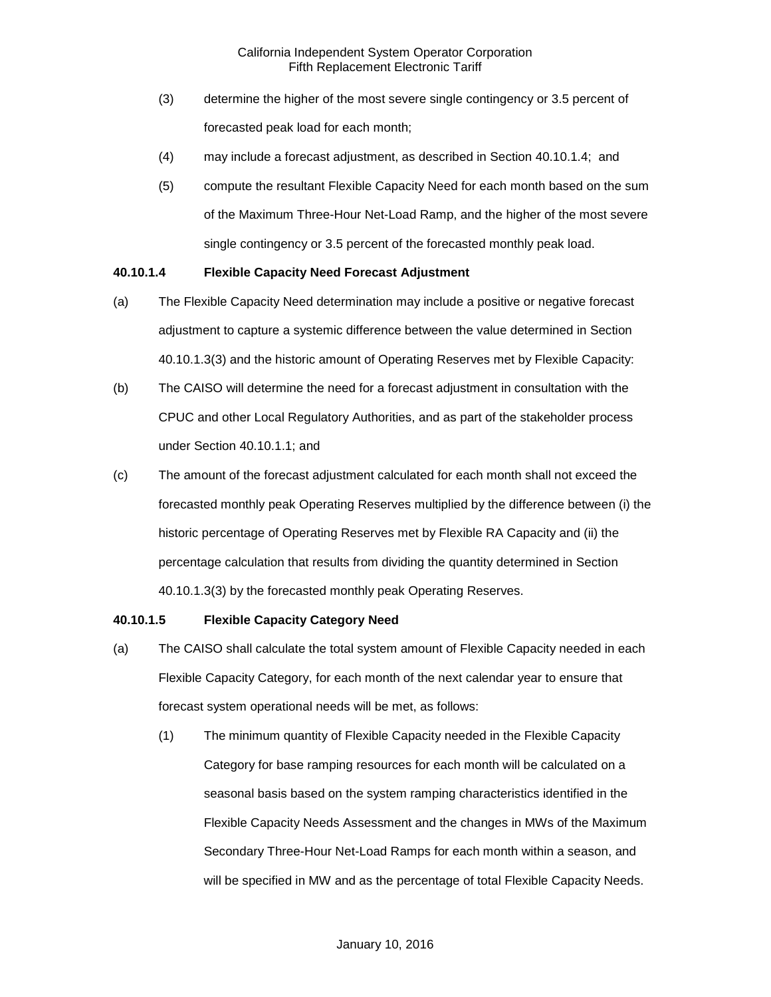- (3) determine the higher of the most severe single contingency or 3.5 percent of forecasted peak load for each month;
- (4) may include a forecast adjustment, as described in Section 40.10.1.4; and
- (5) compute the resultant Flexible Capacity Need for each month based on the sum of the Maximum Three-Hour Net-Load Ramp, and the higher of the most severe single contingency or 3.5 percent of the forecasted monthly peak load.

## **40.10.1.4 Flexible Capacity Need Forecast Adjustment**

- (a) The Flexible Capacity Need determination may include a positive or negative forecast adjustment to capture a systemic difference between the value determined in Section 40.10.1.3(3) and the historic amount of Operating Reserves met by Flexible Capacity:
- (b) The CAISO will determine the need for a forecast adjustment in consultation with the CPUC and other Local Regulatory Authorities, and as part of the stakeholder process under Section 40.10.1.1; and
- (c) The amount of the forecast adjustment calculated for each month shall not exceed the forecasted monthly peak Operating Reserves multiplied by the difference between (i) the historic percentage of Operating Reserves met by Flexible RA Capacity and (ii) the percentage calculation that results from dividing the quantity determined in Section 40.10.1.3(3) by the forecasted monthly peak Operating Reserves.

# **40.10.1.5 Flexible Capacity Category Need**

- (a) The CAISO shall calculate the total system amount of Flexible Capacity needed in each Flexible Capacity Category, for each month of the next calendar year to ensure that forecast system operational needs will be met, as follows:
	- (1) The minimum quantity of Flexible Capacity needed in the Flexible Capacity Category for base ramping resources for each month will be calculated on a seasonal basis based on the system ramping characteristics identified in the Flexible Capacity Needs Assessment and the changes in MWs of the Maximum Secondary Three-Hour Net-Load Ramps for each month within a season, and will be specified in MW and as the percentage of total Flexible Capacity Needs.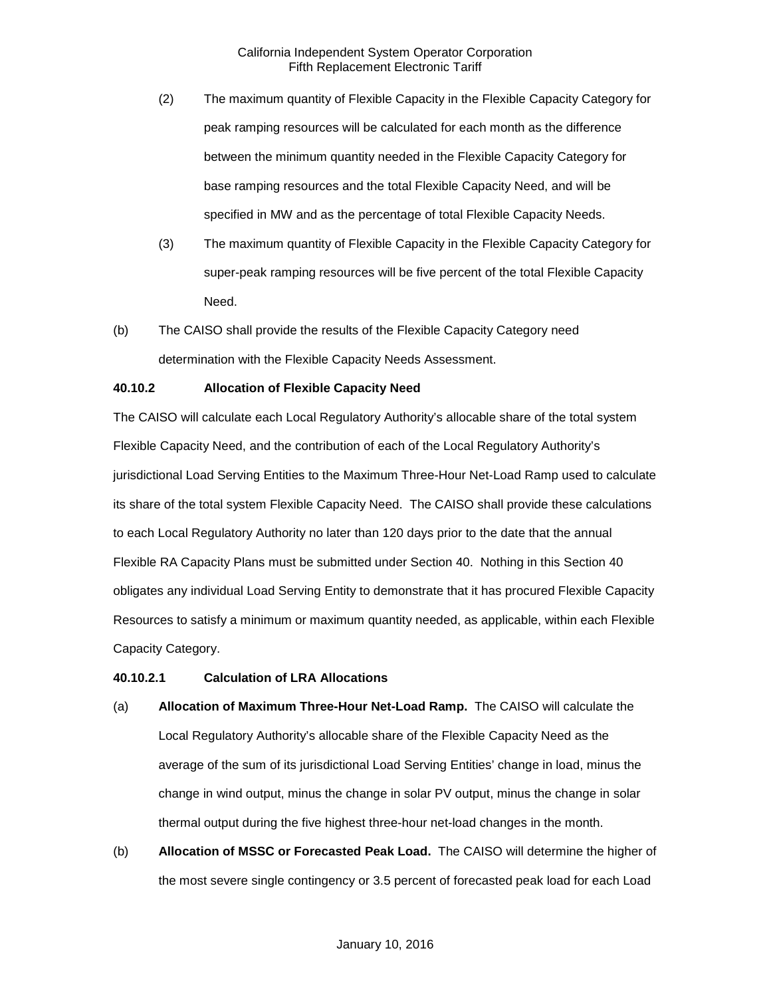- (2) The maximum quantity of Flexible Capacity in the Flexible Capacity Category for peak ramping resources will be calculated for each month as the difference between the minimum quantity needed in the Flexible Capacity Category for base ramping resources and the total Flexible Capacity Need, and will be specified in MW and as the percentage of total Flexible Capacity Needs.
- (3) The maximum quantity of Flexible Capacity in the Flexible Capacity Category for super-peak ramping resources will be five percent of the total Flexible Capacity Need.
- (b) The CAISO shall provide the results of the Flexible Capacity Category need determination with the Flexible Capacity Needs Assessment.

# **40.10.2 Allocation of Flexible Capacity Need**

The CAISO will calculate each Local Regulatory Authority's allocable share of the total system Flexible Capacity Need, and the contribution of each of the Local Regulatory Authority's jurisdictional Load Serving Entities to the Maximum Three-Hour Net-Load Ramp used to calculate its share of the total system Flexible Capacity Need. The CAISO shall provide these calculations to each Local Regulatory Authority no later than 120 days prior to the date that the annual Flexible RA Capacity Plans must be submitted under Section 40. Nothing in this Section 40 obligates any individual Load Serving Entity to demonstrate that it has procured Flexible Capacity Resources to satisfy a minimum or maximum quantity needed, as applicable, within each Flexible Capacity Category.

# **40.10.2.1 Calculation of LRA Allocations**

- (a) **Allocation of Maximum Three-Hour Net-Load Ramp.** The CAISO will calculate the Local Regulatory Authority's allocable share of the Flexible Capacity Need as the average of the sum of its jurisdictional Load Serving Entities' change in load, minus the change in wind output, minus the change in solar PV output, minus the change in solar thermal output during the five highest three-hour net-load changes in the month.
- (b) **Allocation of MSSC or Forecasted Peak Load.** The CAISO will determine the higher of the most severe single contingency or 3.5 percent of forecasted peak load for each Load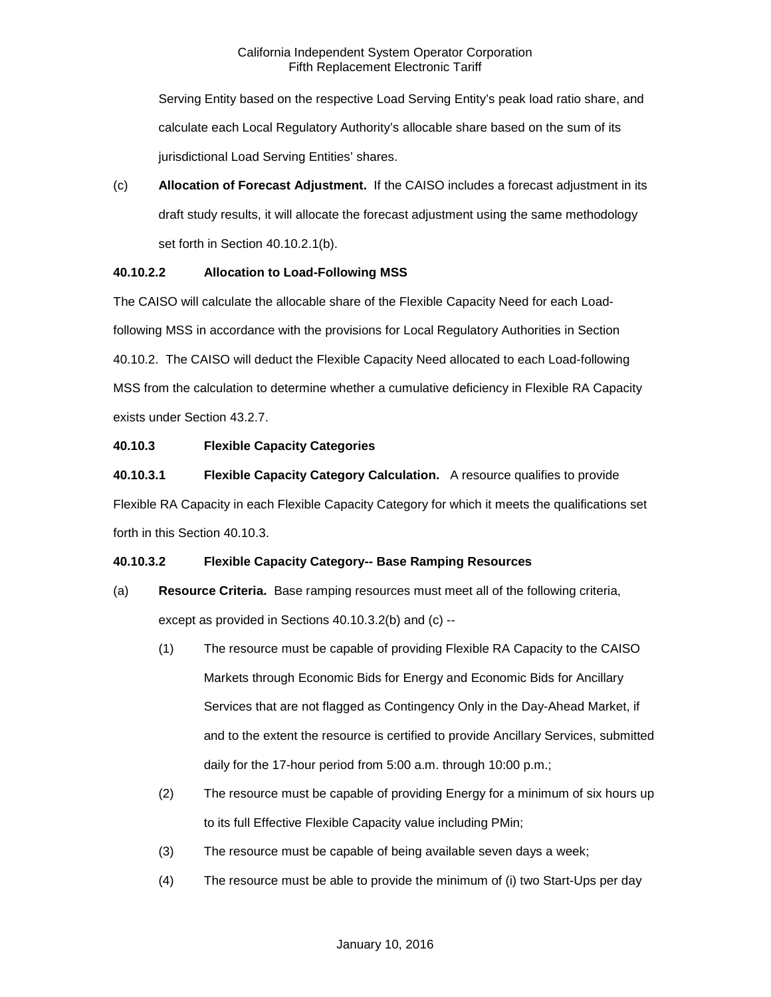Serving Entity based on the respective Load Serving Entity's peak load ratio share, and calculate each Local Regulatory Authority's allocable share based on the sum of its jurisdictional Load Serving Entities' shares.

(c) **Allocation of Forecast Adjustment.** If the CAISO includes a forecast adjustment in its draft study results, it will allocate the forecast adjustment using the same methodology set forth in Section 40.10.2.1(b).

# **40.10.2.2 Allocation to Load-Following MSS**

The CAISO will calculate the allocable share of the Flexible Capacity Need for each Loadfollowing MSS in accordance with the provisions for Local Regulatory Authorities in Section 40.10.2. The CAISO will deduct the Flexible Capacity Need allocated to each Load-following MSS from the calculation to determine whether a cumulative deficiency in Flexible RA Capacity exists under Section 43.2.7.

# **40.10.3 Flexible Capacity Categories**

**40.10.3.1 Flexible Capacity Category Calculation.** A resource qualifies to provide Flexible RA Capacity in each Flexible Capacity Category for which it meets the qualifications set forth in this Section 40.10.3.

# **40.10.3.2 Flexible Capacity Category-- Base Ramping Resources**

- (a) **Resource Criteria.** Base ramping resources must meet all of the following criteria, except as provided in Sections 40.10.3.2(b) and (c) --
	- (1) The resource must be capable of providing Flexible RA Capacity to the CAISO Markets through Economic Bids for Energy and Economic Bids for Ancillary Services that are not flagged as Contingency Only in the Day-Ahead Market, if and to the extent the resource is certified to provide Ancillary Services, submitted daily for the 17-hour period from 5:00 a.m. through 10:00 p.m.;
	- (2) The resource must be capable of providing Energy for a minimum of six hours up to its full Effective Flexible Capacity value including PMin;
	- (3) The resource must be capable of being available seven days a week;
	- (4) The resource must be able to provide the minimum of (i) two Start-Ups per day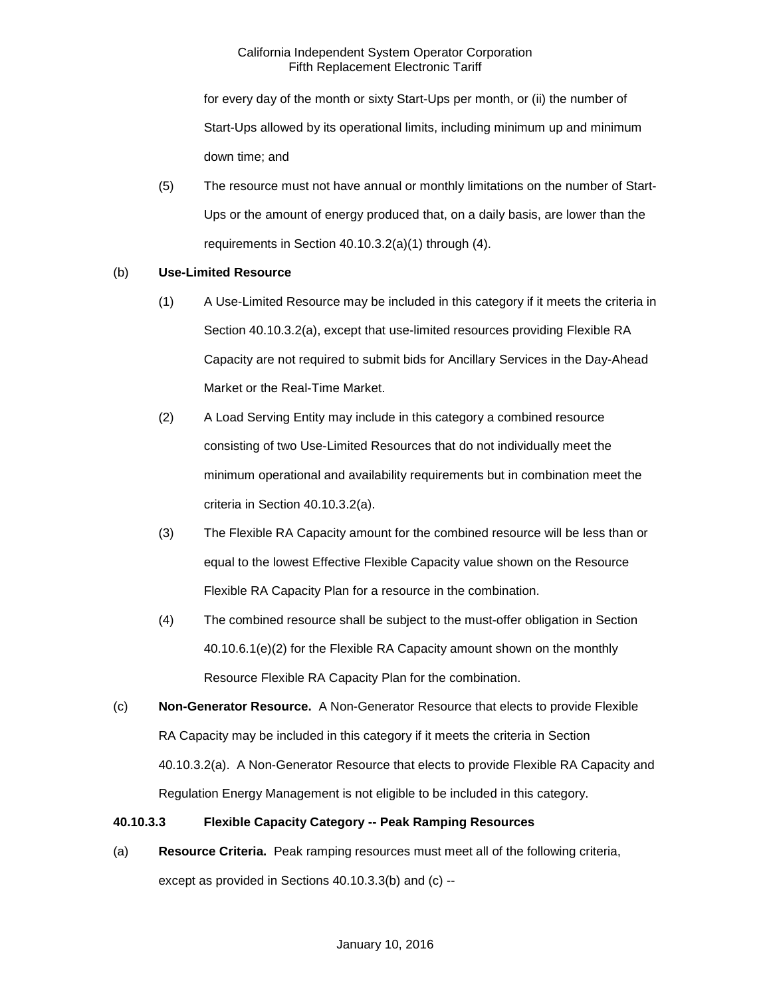for every day of the month or sixty Start-Ups per month, or (ii) the number of Start-Ups allowed by its operational limits, including minimum up and minimum down time; and

(5) The resource must not have annual or monthly limitations on the number of Start-Ups or the amount of energy produced that, on a daily basis, are lower than the requirements in Section 40.10.3.2(a)(1) through (4).

# (b) **Use-Limited Resource**

- (1) A Use-Limited Resource may be included in this category if it meets the criteria in Section 40.10.3.2(a), except that use-limited resources providing Flexible RA Capacity are not required to submit bids for Ancillary Services in the Day-Ahead Market or the Real-Time Market.
- (2) A Load Serving Entity may include in this category a combined resource consisting of two Use-Limited Resources that do not individually meet the minimum operational and availability requirements but in combination meet the criteria in Section 40.10.3.2(a).
- (3) The Flexible RA Capacity amount for the combined resource will be less than or equal to the lowest Effective Flexible Capacity value shown on the Resource Flexible RA Capacity Plan for a resource in the combination.
- (4) The combined resource shall be subject to the must-offer obligation in Section 40.10.6.1(e)(2) for the Flexible RA Capacity amount shown on the monthly Resource Flexible RA Capacity Plan for the combination.
- (c) **Non-Generator Resource.** A Non-Generator Resource that elects to provide Flexible RA Capacity may be included in this category if it meets the criteria in Section 40.10.3.2(a). A Non-Generator Resource that elects to provide Flexible RA Capacity and Regulation Energy Management is not eligible to be included in this category.

# **40.10.3.3 Flexible Capacity Category -- Peak Ramping Resources**

(a) **Resource Criteria.** Peak ramping resources must meet all of the following criteria, except as provided in Sections 40.10.3.3(b) and (c) --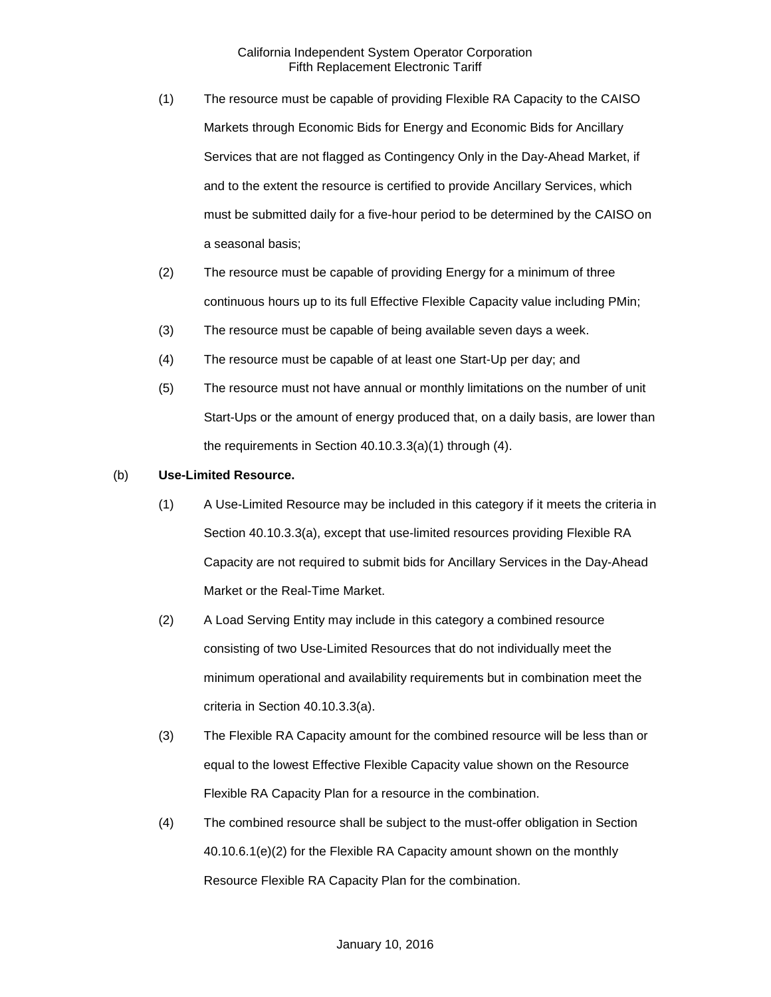- (1) The resource must be capable of providing Flexible RA Capacity to the CAISO Markets through Economic Bids for Energy and Economic Bids for Ancillary Services that are not flagged as Contingency Only in the Day-Ahead Market, if and to the extent the resource is certified to provide Ancillary Services, which must be submitted daily for a five-hour period to be determined by the CAISO on a seasonal basis;
- (2) The resource must be capable of providing Energy for a minimum of three continuous hours up to its full Effective Flexible Capacity value including PMin;
- (3) The resource must be capable of being available seven days a week.
- (4) The resource must be capable of at least one Start-Up per day; and
- (5) The resource must not have annual or monthly limitations on the number of unit Start-Ups or the amount of energy produced that, on a daily basis, are lower than the requirements in Section 40.10.3.3(a)(1) through (4).

# (b) **Use-Limited Resource.**

- (1) A Use-Limited Resource may be included in this category if it meets the criteria in Section 40.10.3.3(a), except that use-limited resources providing Flexible RA Capacity are not required to submit bids for Ancillary Services in the Day-Ahead Market or the Real-Time Market.
- (2) A Load Serving Entity may include in this category a combined resource consisting of two Use-Limited Resources that do not individually meet the minimum operational and availability requirements but in combination meet the criteria in Section 40.10.3.3(a).
- (3) The Flexible RA Capacity amount for the combined resource will be less than or equal to the lowest Effective Flexible Capacity value shown on the Resource Flexible RA Capacity Plan for a resource in the combination.
- (4) The combined resource shall be subject to the must-offer obligation in Section 40.10.6.1(e)(2) for the Flexible RA Capacity amount shown on the monthly Resource Flexible RA Capacity Plan for the combination.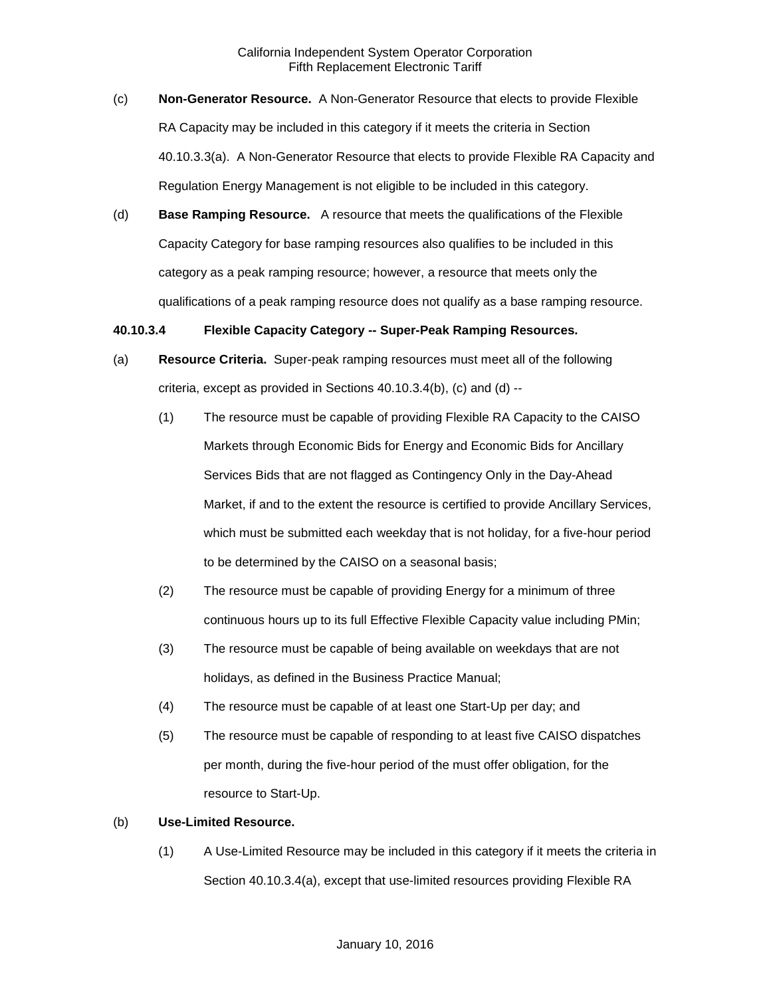- (c) **Non-Generator Resource.** A Non-Generator Resource that elects to provide Flexible RA Capacity may be included in this category if it meets the criteria in Section 40.10.3.3(a). A Non-Generator Resource that elects to provide Flexible RA Capacity and Regulation Energy Management is not eligible to be included in this category.
- (d) **Base Ramping Resource.** A resource that meets the qualifications of the Flexible Capacity Category for base ramping resources also qualifies to be included in this category as a peak ramping resource; however, a resource that meets only the qualifications of a peak ramping resource does not qualify as a base ramping resource.

# **40.10.3.4 Flexible Capacity Category -- Super-Peak Ramping Resources.**

- (a) **Resource Criteria.** Super-peak ramping resources must meet all of the following criteria, except as provided in Sections 40.10.3.4(b), (c) and (d) --
	- (1) The resource must be capable of providing Flexible RA Capacity to the CAISO Markets through Economic Bids for Energy and Economic Bids for Ancillary Services Bids that are not flagged as Contingency Only in the Day-Ahead Market, if and to the extent the resource is certified to provide Ancillary Services, which must be submitted each weekday that is not holiday, for a five-hour period to be determined by the CAISO on a seasonal basis;
	- (2) The resource must be capable of providing Energy for a minimum of three continuous hours up to its full Effective Flexible Capacity value including PMin;
	- (3) The resource must be capable of being available on weekdays that are not holidays, as defined in the Business Practice Manual;
	- (4) The resource must be capable of at least one Start-Up per day; and
	- (5) The resource must be capable of responding to at least five CAISO dispatches per month, during the five-hour period of the must offer obligation, for the resource to Start-Up.

# (b) **Use-Limited Resource.**

(1) A Use-Limited Resource may be included in this category if it meets the criteria in Section 40.10.3.4(a), except that use-limited resources providing Flexible RA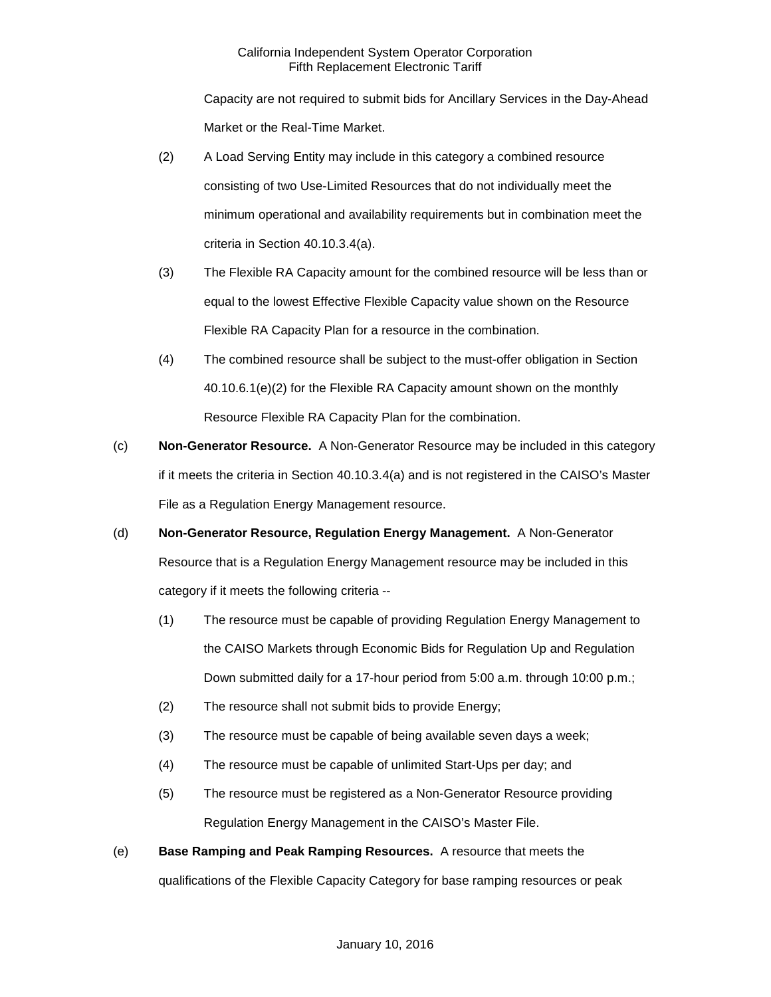Capacity are not required to submit bids for Ancillary Services in the Day-Ahead Market or the Real-Time Market.

- (2) A Load Serving Entity may include in this category a combined resource consisting of two Use-Limited Resources that do not individually meet the minimum operational and availability requirements but in combination meet the criteria in Section 40.10.3.4(a).
- (3) The Flexible RA Capacity amount for the combined resource will be less than or equal to the lowest Effective Flexible Capacity value shown on the Resource Flexible RA Capacity Plan for a resource in the combination.
- (4) The combined resource shall be subject to the must-offer obligation in Section 40.10.6.1(e)(2) for the Flexible RA Capacity amount shown on the monthly Resource Flexible RA Capacity Plan for the combination.
- (c) **Non-Generator Resource.** A Non-Generator Resource may be included in this category if it meets the criteria in Section 40.10.3.4(a) and is not registered in the CAISO's Master File as a Regulation Energy Management resource.
- (d) **Non-Generator Resource, Regulation Energy Management.** A Non-Generator Resource that is a Regulation Energy Management resource may be included in this category if it meets the following criteria --
	- (1) The resource must be capable of providing Regulation Energy Management to the CAISO Markets through Economic Bids for Regulation Up and Regulation Down submitted daily for a 17-hour period from 5:00 a.m. through 10:00 p.m.;
	- (2) The resource shall not submit bids to provide Energy;
	- (3) The resource must be capable of being available seven days a week;
	- (4) The resource must be capable of unlimited Start-Ups per day; and
	- (5) The resource must be registered as a Non-Generator Resource providing Regulation Energy Management in the CAISO's Master File.
- (e) **Base Ramping and Peak Ramping Resources.** A resource that meets the qualifications of the Flexible Capacity Category for base ramping resources or peak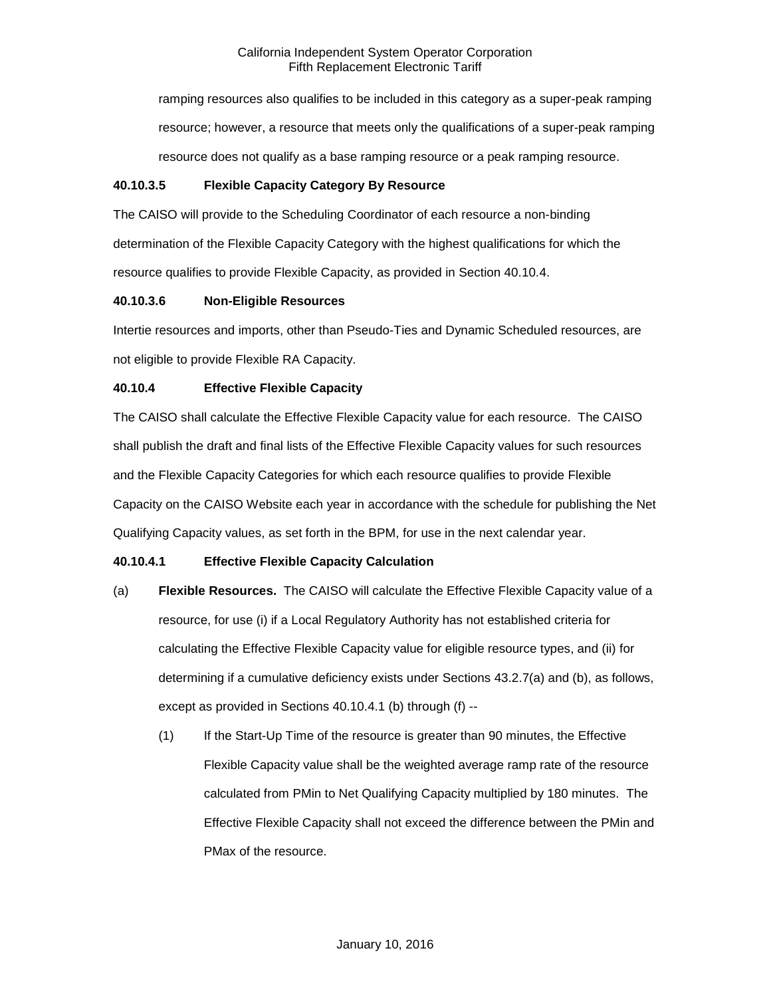ramping resources also qualifies to be included in this category as a super-peak ramping resource; however, a resource that meets only the qualifications of a super-peak ramping resource does not qualify as a base ramping resource or a peak ramping resource.

# **40.10.3.5 Flexible Capacity Category By Resource**

The CAISO will provide to the Scheduling Coordinator of each resource a non-binding determination of the Flexible Capacity Category with the highest qualifications for which the resource qualifies to provide Flexible Capacity, as provided in Section 40.10.4.

# **40.10.3.6 Non-Eligible Resources**

Intertie resources and imports, other than Pseudo-Ties and Dynamic Scheduled resources, are not eligible to provide Flexible RA Capacity.

# **40.10.4 Effective Flexible Capacity**

The CAISO shall calculate the Effective Flexible Capacity value for each resource. The CAISO shall publish the draft and final lists of the Effective Flexible Capacity values for such resources and the Flexible Capacity Categories for which each resource qualifies to provide Flexible Capacity on the CAISO Website each year in accordance with the schedule for publishing the Net Qualifying Capacity values, as set forth in the BPM, for use in the next calendar year.

# **40.10.4.1 Effective Flexible Capacity Calculation**

- (a) **Flexible Resources.** The CAISO will calculate the Effective Flexible Capacity value of a resource, for use (i) if a Local Regulatory Authority has not established criteria for calculating the Effective Flexible Capacity value for eligible resource types, and (ii) for determining if a cumulative deficiency exists under Sections 43.2.7(a) and (b), as follows, except as provided in Sections 40.10.4.1 (b) through (f) --
	- (1) If the Start-Up Time of the resource is greater than 90 minutes, the Effective Flexible Capacity value shall be the weighted average ramp rate of the resource calculated from PMin to Net Qualifying Capacity multiplied by 180 minutes. The Effective Flexible Capacity shall not exceed the difference between the PMin and PMax of the resource.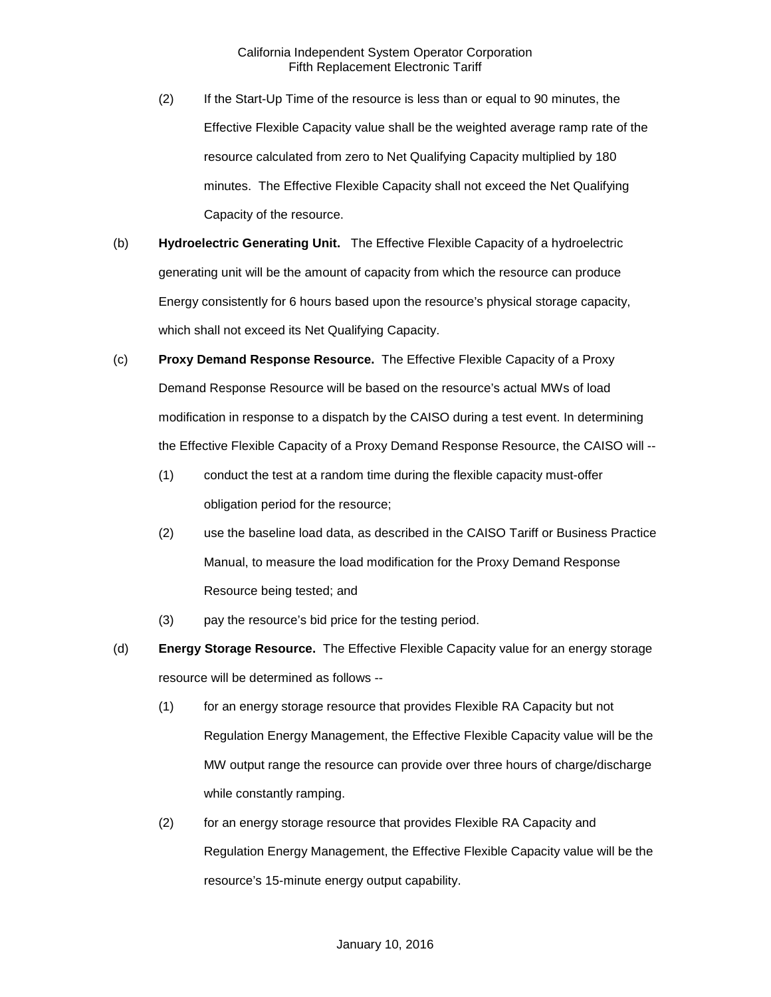- (2) If the Start-Up Time of the resource is less than or equal to 90 minutes, the Effective Flexible Capacity value shall be the weighted average ramp rate of the resource calculated from zero to Net Qualifying Capacity multiplied by 180 minutes. The Effective Flexible Capacity shall not exceed the Net Qualifying Capacity of the resource.
- (b) **Hydroelectric Generating Unit.** The Effective Flexible Capacity of a hydroelectric generating unit will be the amount of capacity from which the resource can produce Energy consistently for 6 hours based upon the resource's physical storage capacity, which shall not exceed its Net Qualifying Capacity.
- (c) **Proxy Demand Response Resource.** The Effective Flexible Capacity of a Proxy Demand Response Resource will be based on the resource's actual MWs of load modification in response to a dispatch by the CAISO during a test event. In determining the Effective Flexible Capacity of a Proxy Demand Response Resource, the CAISO will --
	- (1) conduct the test at a random time during the flexible capacity must-offer obligation period for the resource;
	- (2) use the baseline load data, as described in the CAISO Tariff or Business Practice Manual, to measure the load modification for the Proxy Demand Response Resource being tested; and
	- (3) pay the resource's bid price for the testing period.
- (d) **Energy Storage Resource.** The Effective Flexible Capacity value for an energy storage resource will be determined as follows --
	- (1) for an energy storage resource that provides Flexible RA Capacity but not Regulation Energy Management, the Effective Flexible Capacity value will be the MW output range the resource can provide over three hours of charge/discharge while constantly ramping.
	- (2) for an energy storage resource that provides Flexible RA Capacity and Regulation Energy Management, the Effective Flexible Capacity value will be the resource's 15-minute energy output capability.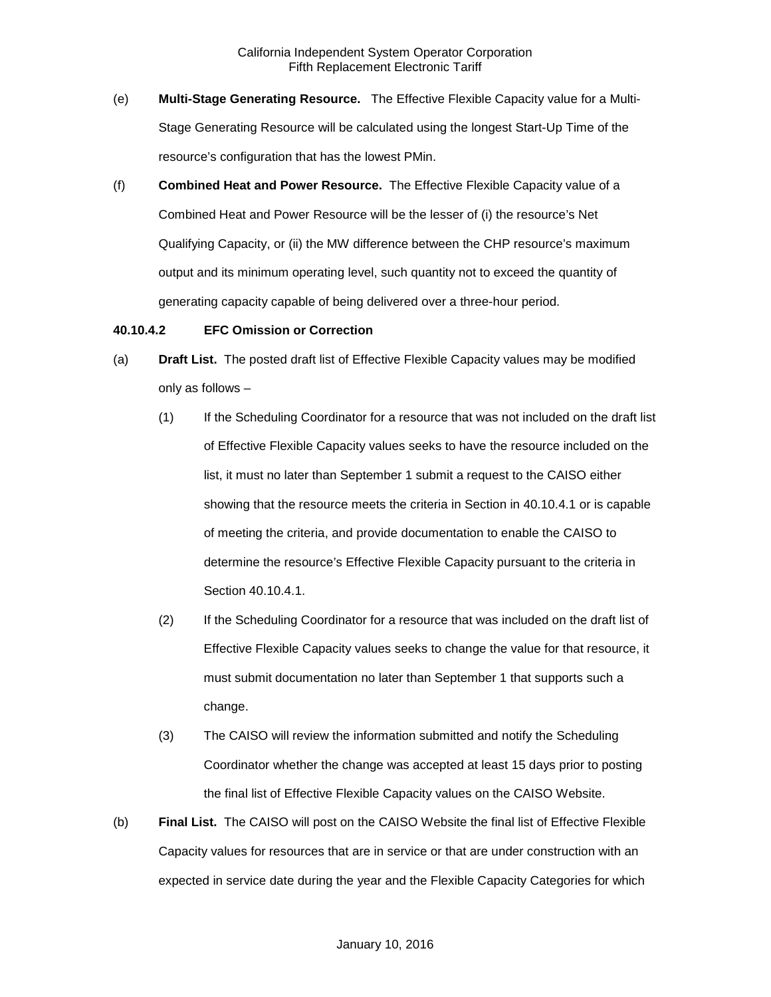- (e) **Multi-Stage Generating Resource.** The Effective Flexible Capacity value for a Multi-Stage Generating Resource will be calculated using the longest Start-Up Time of the resource's configuration that has the lowest PMin.
- (f) **Combined Heat and Power Resource.** The Effective Flexible Capacity value of a Combined Heat and Power Resource will be the lesser of (i) the resource's Net Qualifying Capacity, or (ii) the MW difference between the CHP resource's maximum output and its minimum operating level, such quantity not to exceed the quantity of generating capacity capable of being delivered over a three-hour period.

#### **40.10.4.2 EFC Omission or Correction**

- (a) **Draft List.** The posted draft list of Effective Flexible Capacity values may be modified only as follows –
	- (1) If the Scheduling Coordinator for a resource that was not included on the draft list of Effective Flexible Capacity values seeks to have the resource included on the list, it must no later than September 1 submit a request to the CAISO either showing that the resource meets the criteria in Section in 40.10.4.1 or is capable of meeting the criteria, and provide documentation to enable the CAISO to determine the resource's Effective Flexible Capacity pursuant to the criteria in Section 40.10.4.1.
	- (2) If the Scheduling Coordinator for a resource that was included on the draft list of Effective Flexible Capacity values seeks to change the value for that resource, it must submit documentation no later than September 1 that supports such a change.
	- (3) The CAISO will review the information submitted and notify the Scheduling Coordinator whether the change was accepted at least 15 days prior to posting the final list of Effective Flexible Capacity values on the CAISO Website.
- (b) **Final List.** The CAISO will post on the CAISO Website the final list of Effective Flexible Capacity values for resources that are in service or that are under construction with an expected in service date during the year and the Flexible Capacity Categories for which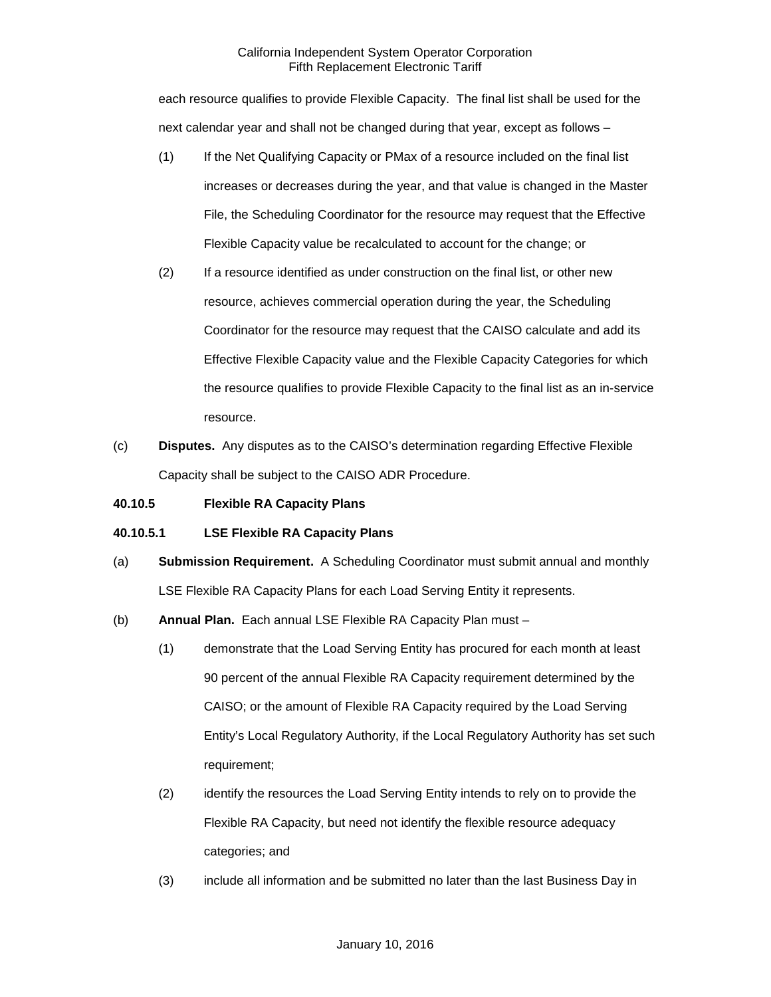each resource qualifies to provide Flexible Capacity. The final list shall be used for the next calendar year and shall not be changed during that year, except as follows –

- (1) If the Net Qualifying Capacity or PMax of a resource included on the final list increases or decreases during the year, and that value is changed in the Master File, the Scheduling Coordinator for the resource may request that the Effective Flexible Capacity value be recalculated to account for the change; or
- (2) If a resource identified as under construction on the final list, or other new resource, achieves commercial operation during the year, the Scheduling Coordinator for the resource may request that the CAISO calculate and add its Effective Flexible Capacity value and the Flexible Capacity Categories for which the resource qualifies to provide Flexible Capacity to the final list as an in-service resource.
- (c) **Disputes.** Any disputes as to the CAISO's determination regarding Effective Flexible Capacity shall be subject to the CAISO ADR Procedure.

# **40.10.5 Flexible RA Capacity Plans**

# **40.10.5.1 LSE Flexible RA Capacity Plans**

- (a) **Submission Requirement.** A Scheduling Coordinator must submit annual and monthly LSE Flexible RA Capacity Plans for each Load Serving Entity it represents.
- (b) **Annual Plan.** Each annual LSE Flexible RA Capacity Plan must
	- (1) demonstrate that the Load Serving Entity has procured for each month at least 90 percent of the annual Flexible RA Capacity requirement determined by the CAISO; or the amount of Flexible RA Capacity required by the Load Serving Entity's Local Regulatory Authority, if the Local Regulatory Authority has set such requirement;
	- (2) identify the resources the Load Serving Entity intends to rely on to provide the Flexible RA Capacity, but need not identify the flexible resource adequacy categories; and
	- (3) include all information and be submitted no later than the last Business Day in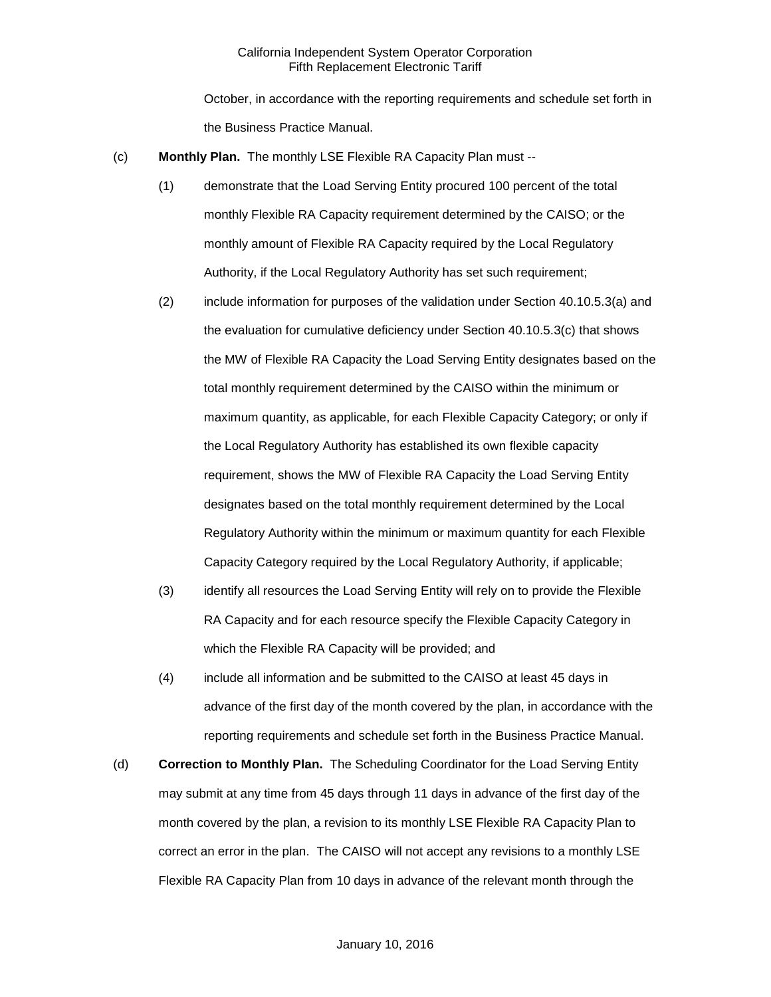October, in accordance with the reporting requirements and schedule set forth in the Business Practice Manual.

- (c) **Monthly Plan.** The monthly LSE Flexible RA Capacity Plan must --
	- (1) demonstrate that the Load Serving Entity procured 100 percent of the total monthly Flexible RA Capacity requirement determined by the CAISO; or the monthly amount of Flexible RA Capacity required by the Local Regulatory Authority, if the Local Regulatory Authority has set such requirement;
	- (2) include information for purposes of the validation under Section 40.10.5.3(a) and the evaluation for cumulative deficiency under Section 40.10.5.3(c) that shows the MW of Flexible RA Capacity the Load Serving Entity designates based on the total monthly requirement determined by the CAISO within the minimum or maximum quantity, as applicable, for each Flexible Capacity Category; or only if the Local Regulatory Authority has established its own flexible capacity requirement, shows the MW of Flexible RA Capacity the Load Serving Entity designates based on the total monthly requirement determined by the Local Regulatory Authority within the minimum or maximum quantity for each Flexible Capacity Category required by the Local Regulatory Authority, if applicable;
	- (3) identify all resources the Load Serving Entity will rely on to provide the Flexible RA Capacity and for each resource specify the Flexible Capacity Category in which the Flexible RA Capacity will be provided; and
	- (4) include all information and be submitted to the CAISO at least 45 days in advance of the first day of the month covered by the plan, in accordance with the reporting requirements and schedule set forth in the Business Practice Manual.
- (d) **Correction to Monthly Plan.** The Scheduling Coordinator for the Load Serving Entity may submit at any time from 45 days through 11 days in advance of the first day of the month covered by the plan, a revision to its monthly LSE Flexible RA Capacity Plan to correct an error in the plan. The CAISO will not accept any revisions to a monthly LSE Flexible RA Capacity Plan from 10 days in advance of the relevant month through the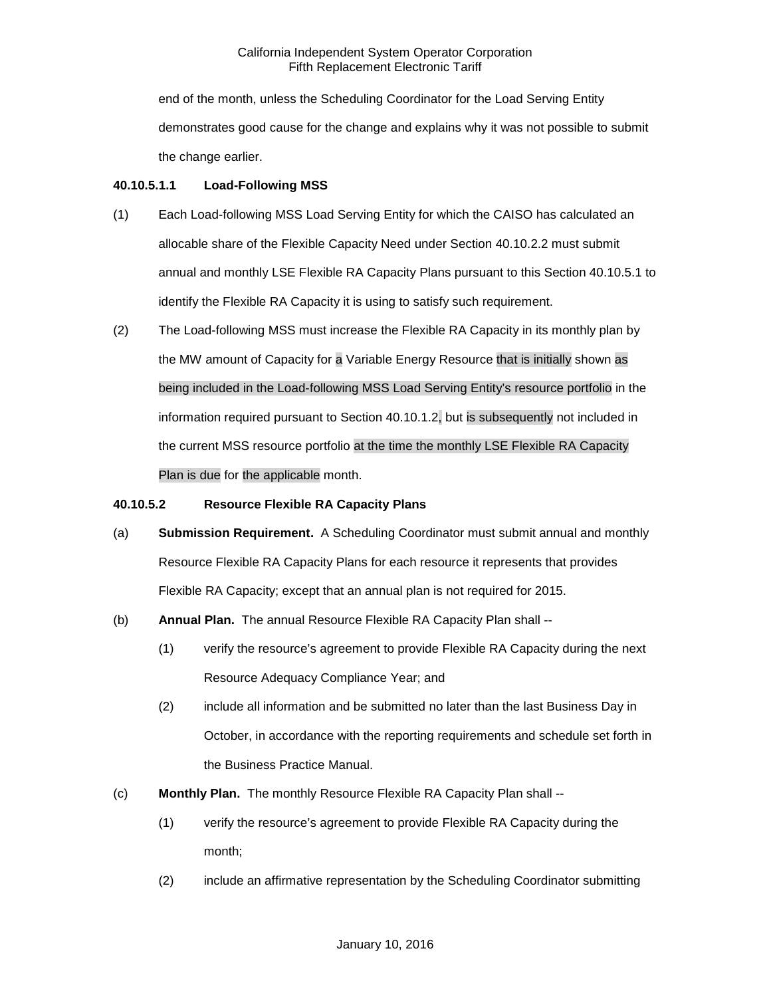end of the month, unless the Scheduling Coordinator for the Load Serving Entity demonstrates good cause for the change and explains why it was not possible to submit the change earlier.

# **40.10.5.1.1 Load-Following MSS**

- (1) Each Load-following MSS Load Serving Entity for which the CAISO has calculated an allocable share of the Flexible Capacity Need under Section 40.10.2.2 must submit annual and monthly LSE Flexible RA Capacity Plans pursuant to this Section 40.10.5.1 to identify the Flexible RA Capacity it is using to satisfy such requirement.
- (2) The Load-following MSS must increase the Flexible RA Capacity in its monthly plan by the MW amount of Capacity for a Variable Energy Resource that is initially shown as being included in the Load-following MSS Load Serving Entity's resource portfolio in the information required pursuant to Section 40.10.1.2, but is subsequently not included in the current MSS resource portfolio at the time the monthly LSE Flexible RA Capacity Plan is due for the applicable month.

# **40.10.5.2 Resource Flexible RA Capacity Plans**

- (a) **Submission Requirement.** A Scheduling Coordinator must submit annual and monthly Resource Flexible RA Capacity Plans for each resource it represents that provides Flexible RA Capacity; except that an annual plan is not required for 2015.
- (b) **Annual Plan.** The annual Resource Flexible RA Capacity Plan shall --
	- (1) verify the resource's agreement to provide Flexible RA Capacity during the next Resource Adequacy Compliance Year; and
	- (2) include all information and be submitted no later than the last Business Day in October, in accordance with the reporting requirements and schedule set forth in the Business Practice Manual.
- (c) **Monthly Plan.** The monthly Resource Flexible RA Capacity Plan shall --
	- (1) verify the resource's agreement to provide Flexible RA Capacity during the month;
	- (2) include an affirmative representation by the Scheduling Coordinator submitting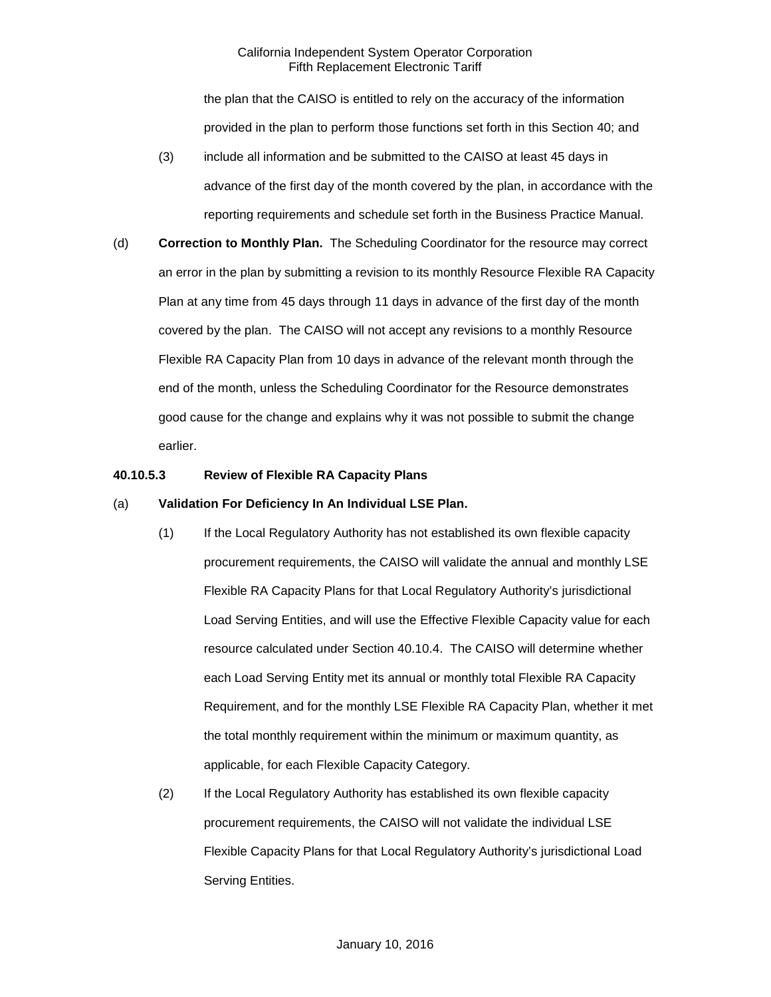the plan that the CAISO is entitled to rely on the accuracy of the information provided in the plan to perform those functions set forth in this Section 40; and

- (3) include all information and be submitted to the CAISO at least 45 days in advance of the first day of the month covered by the plan, in accordance with the reporting requirements and schedule set forth in the Business Practice Manual.
- (d) **Correction to Monthly Plan.** The Scheduling Coordinator for the resource may correct an error in the plan by submitting a revision to its monthly Resource Flexible RA Capacity Plan at any time from 45 days through 11 days in advance of the first day of the month covered by the plan. The CAISO will not accept any revisions to a monthly Resource Flexible RA Capacity Plan from 10 days in advance of the relevant month through the end of the month, unless the Scheduling Coordinator for the Resource demonstrates good cause for the change and explains why it was not possible to submit the change earlier.

# **40.10.5.3 Review of Flexible RA Capacity Plans**

## (a) **Validation For Deficiency In An Individual LSE Plan.**

- (1) If the Local Regulatory Authority has not established its own flexible capacity procurement requirements, the CAISO will validate the annual and monthly LSE Flexible RA Capacity Plans for that Local Regulatory Authority's jurisdictional Load Serving Entities, and will use the Effective Flexible Capacity value for each resource calculated under Section 40.10.4. The CAISO will determine whether each Load Serving Entity met its annual or monthly total Flexible RA Capacity Requirement, and for the monthly LSE Flexible RA Capacity Plan, whether it met the total monthly requirement within the minimum or maximum quantity, as applicable, for each Flexible Capacity Category.
- (2) If the Local Regulatory Authority has established its own flexible capacity procurement requirements, the CAISO will not validate the individual LSE Flexible Capacity Plans for that Local Regulatory Authority's jurisdictional Load Serving Entities.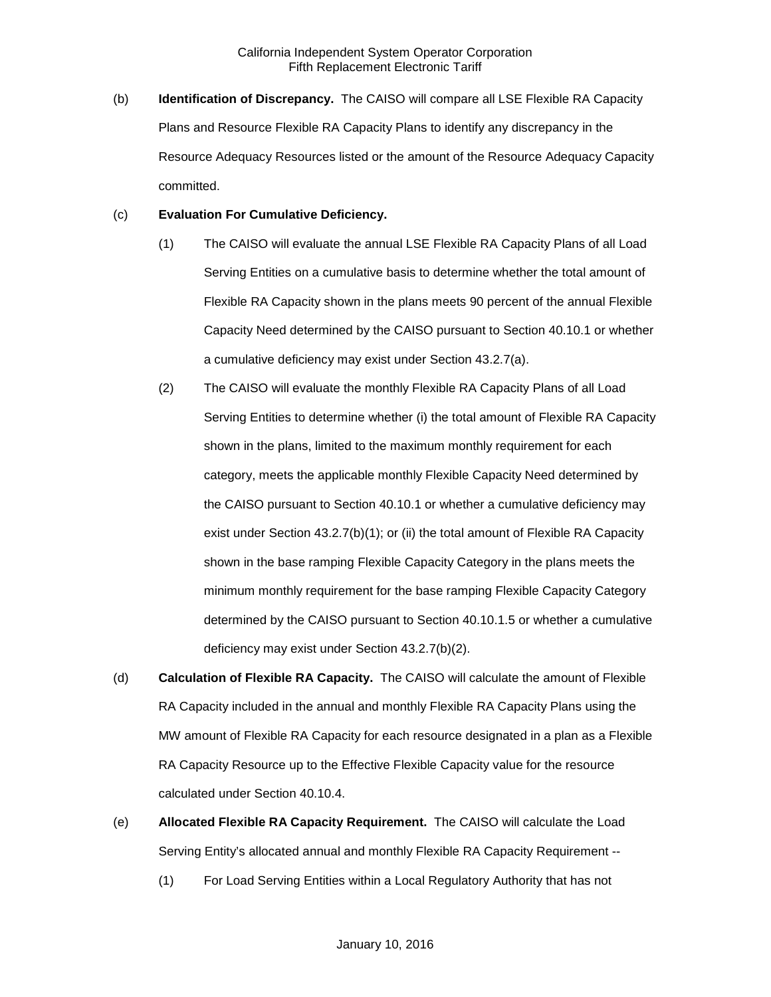(b) **Identification of Discrepancy.** The CAISO will compare all LSE Flexible RA Capacity Plans and Resource Flexible RA Capacity Plans to identify any discrepancy in the Resource Adequacy Resources listed or the amount of the Resource Adequacy Capacity committed.

#### (c) **Evaluation For Cumulative Deficiency.**

- (1) The CAISO will evaluate the annual LSE Flexible RA Capacity Plans of all Load Serving Entities on a cumulative basis to determine whether the total amount of Flexible RA Capacity shown in the plans meets 90 percent of the annual Flexible Capacity Need determined by the CAISO pursuant to Section 40.10.1 or whether a cumulative deficiency may exist under Section 43.2.7(a).
- (2) The CAISO will evaluate the monthly Flexible RA Capacity Plans of all Load Serving Entities to determine whether (i) the total amount of Flexible RA Capacity shown in the plans, limited to the maximum monthly requirement for each category, meets the applicable monthly Flexible Capacity Need determined by the CAISO pursuant to Section 40.10.1 or whether a cumulative deficiency may exist under Section 43.2.7(b)(1); or (ii) the total amount of Flexible RA Capacity shown in the base ramping Flexible Capacity Category in the plans meets the minimum monthly requirement for the base ramping Flexible Capacity Category determined by the CAISO pursuant to Section 40.10.1.5 or whether a cumulative deficiency may exist under Section 43.2.7(b)(2).
- (d) **Calculation of Flexible RA Capacity.** The CAISO will calculate the amount of Flexible RA Capacity included in the annual and monthly Flexible RA Capacity Plans using the MW amount of Flexible RA Capacity for each resource designated in a plan as a Flexible RA Capacity Resource up to the Effective Flexible Capacity value for the resource calculated under Section 40.10.4.
- (e) **Allocated Flexible RA Capacity Requirement.** The CAISO will calculate the Load Serving Entity's allocated annual and monthly Flexible RA Capacity Requirement --
	- (1) For Load Serving Entities within a Local Regulatory Authority that has not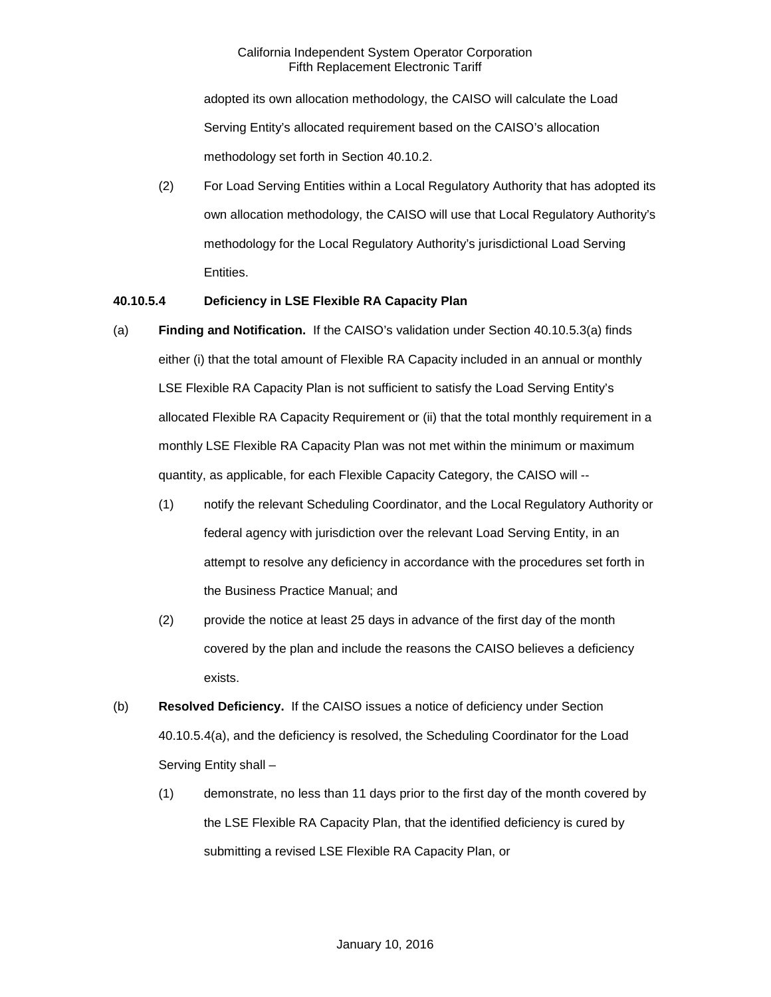adopted its own allocation methodology, the CAISO will calculate the Load Serving Entity's allocated requirement based on the CAISO's allocation methodology set forth in Section 40.10.2.

(2) For Load Serving Entities within a Local Regulatory Authority that has adopted its own allocation methodology, the CAISO will use that Local Regulatory Authority's methodology for the Local Regulatory Authority's jurisdictional Load Serving Entities.

# **40.10.5.4 Deficiency in LSE Flexible RA Capacity Plan**

- (a) **Finding and Notification.** If the CAISO's validation under Section 40.10.5.3(a) finds either (i) that the total amount of Flexible RA Capacity included in an annual or monthly LSE Flexible RA Capacity Plan is not sufficient to satisfy the Load Serving Entity's allocated Flexible RA Capacity Requirement or (ii) that the total monthly requirement in a monthly LSE Flexible RA Capacity Plan was not met within the minimum or maximum quantity, as applicable, for each Flexible Capacity Category, the CAISO will --
	- (1) notify the relevant Scheduling Coordinator, and the Local Regulatory Authority or federal agency with jurisdiction over the relevant Load Serving Entity, in an attempt to resolve any deficiency in accordance with the procedures set forth in the Business Practice Manual; and
	- (2) provide the notice at least 25 days in advance of the first day of the month covered by the plan and include the reasons the CAISO believes a deficiency exists.
- (b) **Resolved Deficiency.** If the CAISO issues a notice of deficiency under Section 40.10.5.4(a), and the deficiency is resolved, the Scheduling Coordinator for the Load Serving Entity shall –
	- (1) demonstrate, no less than 11 days prior to the first day of the month covered by the LSE Flexible RA Capacity Plan, that the identified deficiency is cured by submitting a revised LSE Flexible RA Capacity Plan, or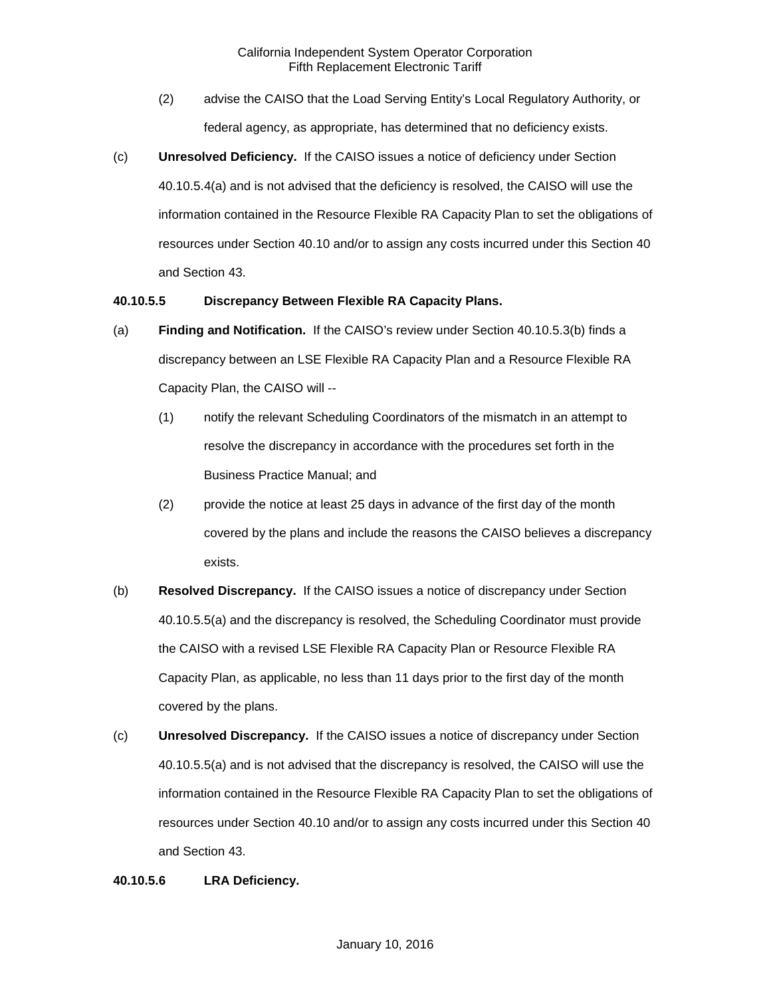- (2) advise the CAISO that the Load Serving Entity's Local Regulatory Authority, or federal agency, as appropriate, has determined that no deficiency exists.
- (c) **Unresolved Deficiency.** If the CAISO issues a notice of deficiency under Section 40.10.5.4(a) and is not advised that the deficiency is resolved, the CAISO will use the information contained in the Resource Flexible RA Capacity Plan to set the obligations of resources under Section 40.10 and/or to assign any costs incurred under this Section 40 and Section 43.

#### **40.10.5.5 Discrepancy Between Flexible RA Capacity Plans.**

- (a) **Finding and Notification.** If the CAISO's review under Section 40.10.5.3(b) finds a discrepancy between an LSE Flexible RA Capacity Plan and a Resource Flexible RA Capacity Plan, the CAISO will --
	- (1) notify the relevant Scheduling Coordinators of the mismatch in an attempt to resolve the discrepancy in accordance with the procedures set forth in the Business Practice Manual; and
	- (2) provide the notice at least 25 days in advance of the first day of the month covered by the plans and include the reasons the CAISO believes a discrepancy exists.
- (b) **Resolved Discrepancy.** If the CAISO issues a notice of discrepancy under Section 40.10.5.5(a) and the discrepancy is resolved, the Scheduling Coordinator must provide the CAISO with a revised LSE Flexible RA Capacity Plan or Resource Flexible RA Capacity Plan, as applicable, no less than 11 days prior to the first day of the month covered by the plans.
- (c) **Unresolved Discrepancy.** If the CAISO issues a notice of discrepancy under Section 40.10.5.5(a) and is not advised that the discrepancy is resolved, the CAISO will use the information contained in the Resource Flexible RA Capacity Plan to set the obligations of resources under Section 40.10 and/or to assign any costs incurred under this Section 40 and Section 43.

#### **40.10.5.6 LRA Deficiency.**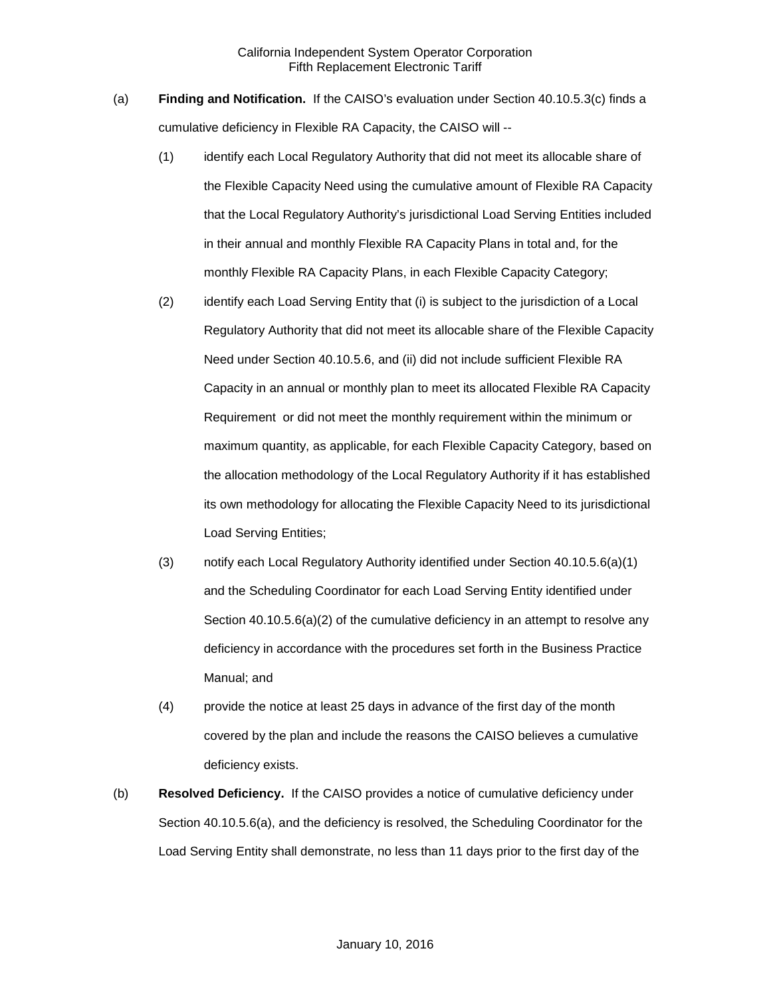- (a) **Finding and Notification.** If the CAISO's evaluation under Section 40.10.5.3(c) finds a cumulative deficiency in Flexible RA Capacity, the CAISO will --
	- (1) identify each Local Regulatory Authority that did not meet its allocable share of the Flexible Capacity Need using the cumulative amount of Flexible RA Capacity that the Local Regulatory Authority's jurisdictional Load Serving Entities included in their annual and monthly Flexible RA Capacity Plans in total and, for the monthly Flexible RA Capacity Plans, in each Flexible Capacity Category;
	- (2) identify each Load Serving Entity that (i) is subject to the jurisdiction of a Local Regulatory Authority that did not meet its allocable share of the Flexible Capacity Need under Section 40.10.5.6, and (ii) did not include sufficient Flexible RA Capacity in an annual or monthly plan to meet its allocated Flexible RA Capacity Requirement or did not meet the monthly requirement within the minimum or maximum quantity, as applicable, for each Flexible Capacity Category, based on the allocation methodology of the Local Regulatory Authority if it has established its own methodology for allocating the Flexible Capacity Need to its jurisdictional Load Serving Entities;
	- (3) notify each Local Regulatory Authority identified under Section 40.10.5.6(a)(1) and the Scheduling Coordinator for each Load Serving Entity identified under Section 40.10.5.6(a)(2) of the cumulative deficiency in an attempt to resolve any deficiency in accordance with the procedures set forth in the Business Practice Manual; and
	- (4) provide the notice at least 25 days in advance of the first day of the month covered by the plan and include the reasons the CAISO believes a cumulative deficiency exists.
- (b) **Resolved Deficiency.** If the CAISO provides a notice of cumulative deficiency under Section 40.10.5.6(a), and the deficiency is resolved, the Scheduling Coordinator for the Load Serving Entity shall demonstrate, no less than 11 days prior to the first day of the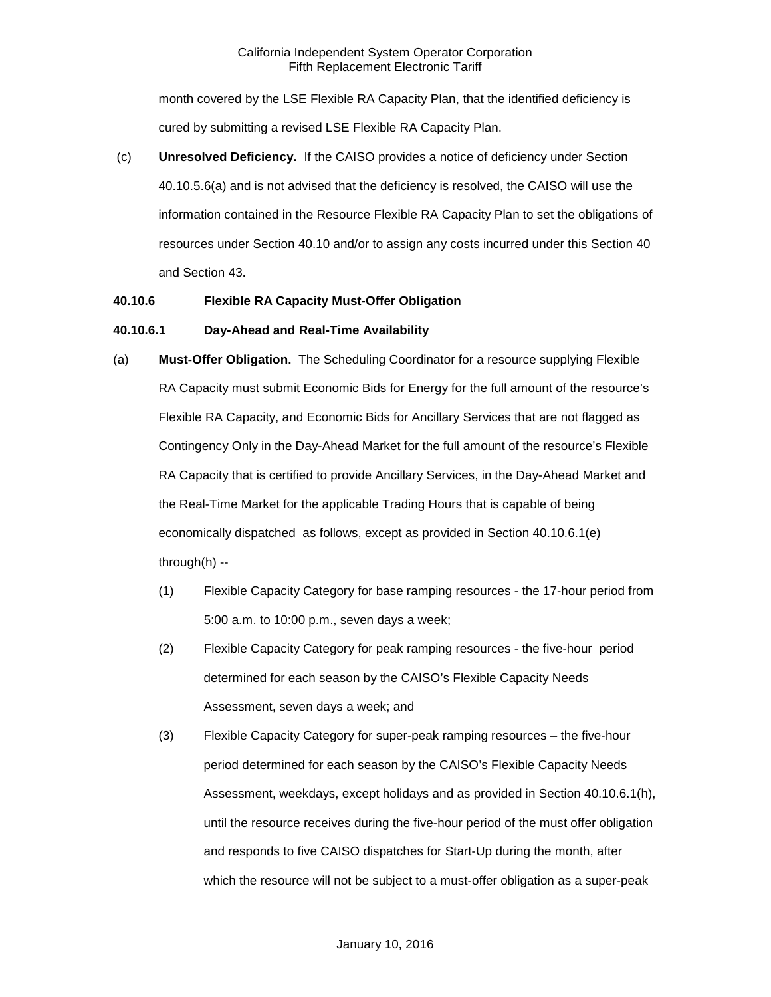#### California Independent System Operator Corporation Fifth Replacement Electronic Tariff

month covered by the LSE Flexible RA Capacity Plan, that the identified deficiency is cured by submitting a revised LSE Flexible RA Capacity Plan.

(c) **Unresolved Deficiency.** If the CAISO provides a notice of deficiency under Section 40.10.5.6(a) and is not advised that the deficiency is resolved, the CAISO will use the information contained in the Resource Flexible RA Capacity Plan to set the obligations of resources under Section 40.10 and/or to assign any costs incurred under this Section 40 and Section 43.

## **40.10.6 Flexible RA Capacity Must-Offer Obligation**

#### **40.10.6.1 Day-Ahead and Real-Time Availability**

- (a) **Must-Offer Obligation.** The Scheduling Coordinator for a resource supplying Flexible RA Capacity must submit Economic Bids for Energy for the full amount of the resource's Flexible RA Capacity, and Economic Bids for Ancillary Services that are not flagged as Contingency Only in the Day-Ahead Market for the full amount of the resource's Flexible RA Capacity that is certified to provide Ancillary Services, in the Day-Ahead Market and the Real-Time Market for the applicable Trading Hours that is capable of being economically dispatched as follows, except as provided in Section 40.10.6.1(e) through(h) --
	- (1) Flexible Capacity Category for base ramping resources the 17-hour period from 5:00 a.m. to 10:00 p.m., seven days a week;
	- (2) Flexible Capacity Category for peak ramping resources the five-hour period determined for each season by the CAISO's Flexible Capacity Needs Assessment, seven days a week; and
	- (3) Flexible Capacity Category for super-peak ramping resources the five-hour period determined for each season by the CAISO's Flexible Capacity Needs Assessment, weekdays, except holidays and as provided in Section 40.10.6.1(h), until the resource receives during the five-hour period of the must offer obligation and responds to five CAISO dispatches for Start-Up during the month, after which the resource will not be subject to a must-offer obligation as a super-peak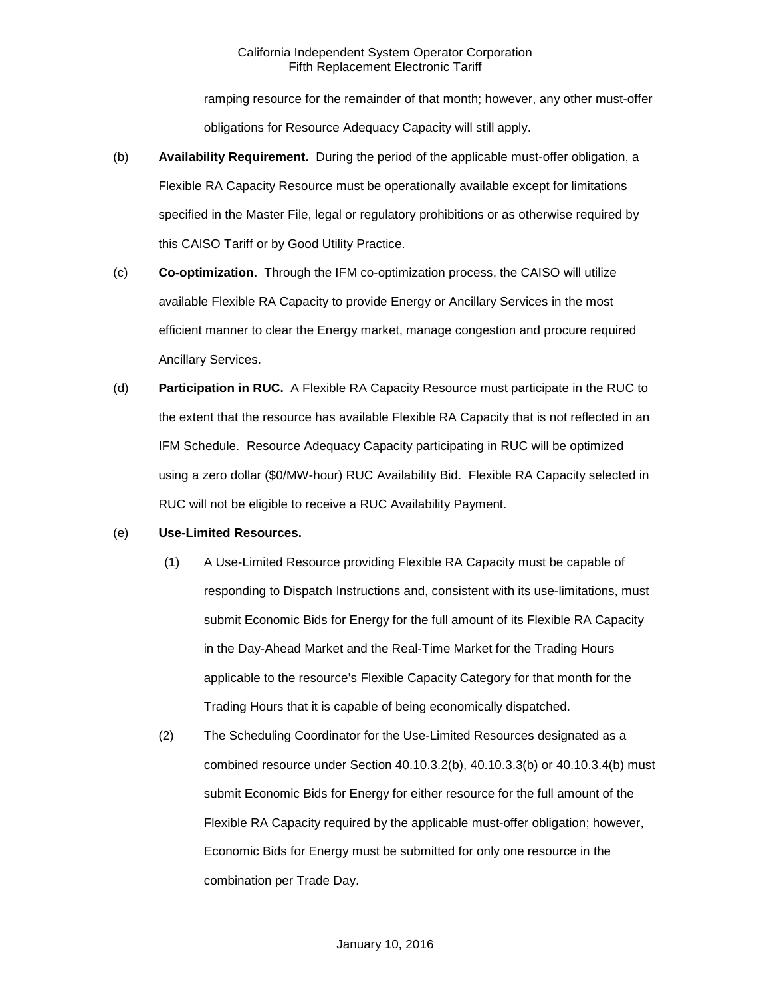## California Independent System Operator Corporation Fifth Replacement Electronic Tariff

ramping resource for the remainder of that month; however, any other must-offer obligations for Resource Adequacy Capacity will still apply.

- (b) **Availability Requirement.** During the period of the applicable must-offer obligation, a Flexible RA Capacity Resource must be operationally available except for limitations specified in the Master File, legal or regulatory prohibitions or as otherwise required by this CAISO Tariff or by Good Utility Practice.
- (c) **Co-optimization.** Through the IFM co-optimization process, the CAISO will utilize available Flexible RA Capacity to provide Energy or Ancillary Services in the most efficient manner to clear the Energy market, manage congestion and procure required Ancillary Services.
- (d) **Participation in RUC.** A Flexible RA Capacity Resource must participate in the RUC to the extent that the resource has available Flexible RA Capacity that is not reflected in an IFM Schedule. Resource Adequacy Capacity participating in RUC will be optimized using a zero dollar (\$0/MW-hour) RUC Availability Bid. Flexible RA Capacity selected in RUC will not be eligible to receive a RUC Availability Payment.

## (e) **Use-Limited Resources.**

- (1) A Use-Limited Resource providing Flexible RA Capacity must be capable of responding to Dispatch Instructions and, consistent with its use-limitations, must submit Economic Bids for Energy for the full amount of its Flexible RA Capacity in the Day-Ahead Market and the Real-Time Market for the Trading Hours applicable to the resource's Flexible Capacity Category for that month for the Trading Hours that it is capable of being economically dispatched.
- (2) The Scheduling Coordinator for the Use-Limited Resources designated as a combined resource under Section 40.10.3.2(b), 40.10.3.3(b) or 40.10.3.4(b) must submit Economic Bids for Energy for either resource for the full amount of the Flexible RA Capacity required by the applicable must-offer obligation; however, Economic Bids for Energy must be submitted for only one resource in the combination per Trade Day.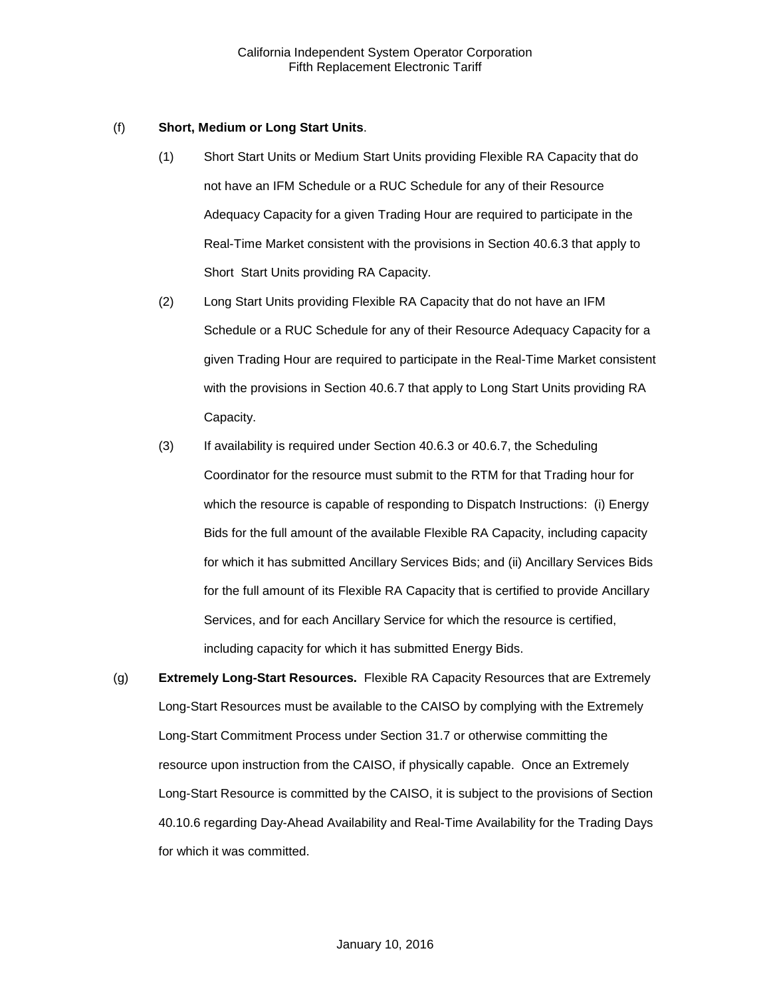## (f) **Short, Medium or Long Start Units**.

- (1) Short Start Units or Medium Start Units providing Flexible RA Capacity that do not have an IFM Schedule or a RUC Schedule for any of their Resource Adequacy Capacity for a given Trading Hour are required to participate in the Real-Time Market consistent with the provisions in Section 40.6.3 that apply to Short Start Units providing RA Capacity.
- (2) Long Start Units providing Flexible RA Capacity that do not have an IFM Schedule or a RUC Schedule for any of their Resource Adequacy Capacity for a given Trading Hour are required to participate in the Real-Time Market consistent with the provisions in Section 40.6.7 that apply to Long Start Units providing RA Capacity.
- (3) If availability is required under Section 40.6.3 or 40.6.7, the Scheduling Coordinator for the resource must submit to the RTM for that Trading hour for which the resource is capable of responding to Dispatch Instructions: (i) Energy Bids for the full amount of the available Flexible RA Capacity, including capacity for which it has submitted Ancillary Services Bids; and (ii) Ancillary Services Bids for the full amount of its Flexible RA Capacity that is certified to provide Ancillary Services, and for each Ancillary Service for which the resource is certified, including capacity for which it has submitted Energy Bids.
- (g) **Extremely Long-Start Resources.** Flexible RA Capacity Resources that are Extremely Long-Start Resources must be available to the CAISO by complying with the Extremely Long-Start Commitment Process under Section 31.7 or otherwise committing the resource upon instruction from the CAISO, if physically capable. Once an Extremely Long-Start Resource is committed by the CAISO, it is subject to the provisions of Section 40.10.6 regarding Day-Ahead Availability and Real-Time Availability for the Trading Days for which it was committed.